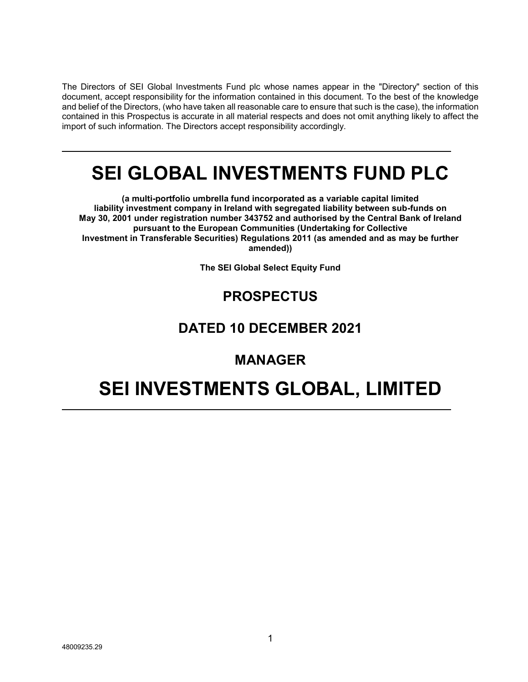The Directors of SEI Global Investments Fund plc whose names appear in the "Directory" section of this document, accept responsibility for the information contained in this document. To the best of the knowledge and belief of the Directors, (who have taken all reasonable care to ensure that such is the case), the information contained in this Prospectus is accurate in all material respects and does not omit anything likely to affect the import of such information. The Directors accept responsibility accordingly.

# **SEI GLOBAL INVESTMENTS FUND PLC**

**(a multi-portfolio umbrella fund incorporated as a variable capital limited liability investment company in Ireland with segregated liability between sub-funds on May 30, 2001 under registration number 343752 and authorised by the Central Bank of Ireland pursuant to the European Communities (Undertaking for Collective Investment in Transferable Securities) Regulations 2011 (as amended and as may be further amended))**

**The SEI Global Select Equity Fund**

# **PROSPECTUS**

# **DATED 10 DECEMBER 2021**

# **MANAGER**

# **SEI INVESTMENTS GLOBAL, LIMITED**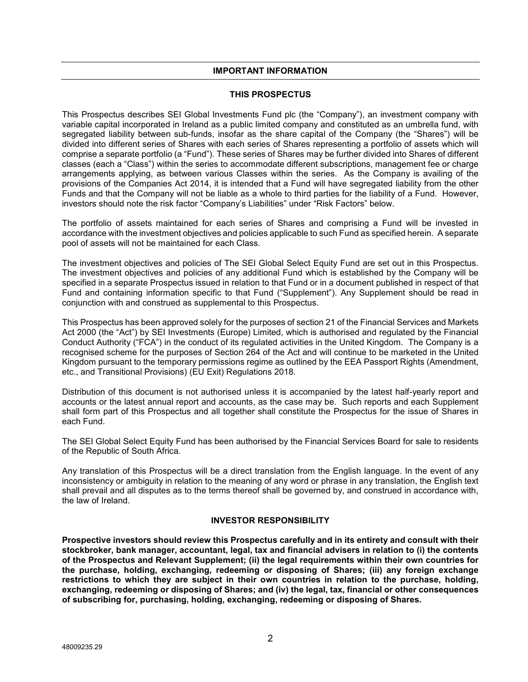#### **IMPORTANT INFORMATION**

#### **THIS PROSPECTUS**

This Prospectus describes SEI Global Investments Fund plc (the "Company"), an investment company with variable capital incorporated in Ireland as a public limited company and constituted as an umbrella fund, with segregated liability between sub-funds, insofar as the share capital of the Company (the "Shares") will be divided into different series of Shares with each series of Shares representing a portfolio of assets which will comprise a separate portfolio (a "Fund"). These series of Shares may be further divided into Shares of different classes (each a "Class") within the series to accommodate different subscriptions, management fee or charge arrangements applying, as between various Classes within the series. As the Company is availing of the provisions of the Companies Act 2014, it is intended that a Fund will have segregated liability from the other Funds and that the Company will not be liable as a whole to third parties for the liability of a Fund. However, investors should note the risk factor "Company's Liabilities" under "Risk Factors" below.

The portfolio of assets maintained for each series of Shares and comprising a Fund will be invested in accordance with the investment objectives and policies applicable to such Fund as specified herein. A separate pool of assets will not be maintained for each Class.

The investment objectives and policies of The SEI Global Select Equity Fund are set out in this Prospectus. The investment objectives and policies of any additional Fund which is established by the Company will be specified in a separate Prospectus issued in relation to that Fund or in a document published in respect of that Fund and containing information specific to that Fund ("Supplement"). Any Supplement should be read in conjunction with and construed as supplemental to this Prospectus.

This Prospectus has been approved solely for the purposes of section 21 of the Financial Services and Markets Act 2000 (the "Act") by SEI Investments (Europe) Limited, which is authorised and regulated by the Financial Conduct Authority ("FCA") in the conduct of its regulated activities in the United Kingdom. The Company is a recognised scheme for the purposes of Section 264 of the Act and will continue to be marketed in the United Kingdom pursuant to the temporary permissions regime as outlined by the EEA Passport Rights (Amendment, etc., and Transitional Provisions) (EU Exit) Regulations 2018.

Distribution of this document is not authorised unless it is accompanied by the latest half-yearly report and accounts or the latest annual report and accounts, as the case may be. Such reports and each Supplement shall form part of this Prospectus and all together shall constitute the Prospectus for the issue of Shares in each Fund.

The SEI Global Select Equity Fund has been authorised by the Financial Services Board for sale to residents of the Republic of South Africa.

Any translation of this Prospectus will be a direct translation from the English language. In the event of any inconsistency or ambiguity in relation to the meaning of any word or phrase in any translation, the English text shall prevail and all disputes as to the terms thereof shall be governed by, and construed in accordance with, the law of Ireland.

#### **INVESTOR RESPONSIBILITY**

**Prospective investors should review this Prospectus carefully and in its entirety and consult with their stockbroker, bank manager, accountant, legal, tax and financial advisers in relation to (i) the contents of the Prospectus and Relevant Supplement; (ii) the legal requirements within their own countries for the purchase, holding, exchanging, redeeming or disposing of Shares; (iii) any foreign exchange restrictions to which they are subject in their own countries in relation to the purchase, holding, exchanging, redeeming or disposing of Shares; and (iv) the legal, tax, financial or other consequences of subscribing for, purchasing, holding, exchanging, redeeming or disposing of Shares.**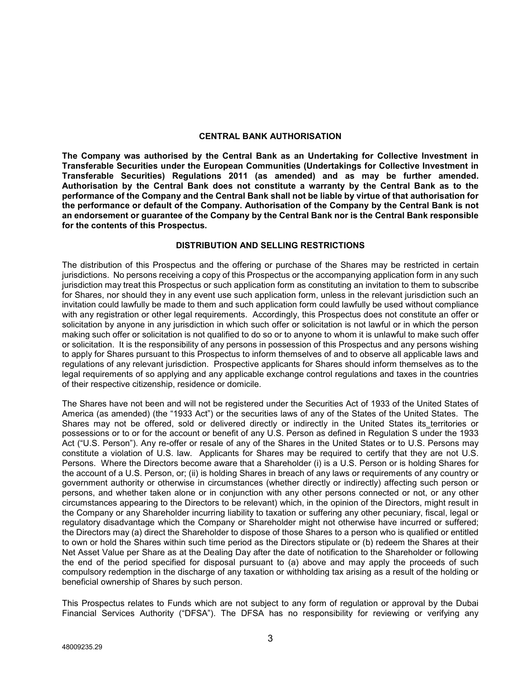#### **CENTRAL BANK AUTHORISATION**

**The Company was authorised by the Central Bank as an Undertaking for Collective Investment in Transferable Securities under the European Communities (Undertakings for Collective Investment in Transferable Securities) Regulations 2011 (as amended) and as may be further amended. Authorisation by the Central Bank does not constitute a warranty by the Central Bank as to the performance of the Company and the Central Bank shall not be liable by virtue of that authorisation for the performance or default of the Company. Authorisation of the Company by the Central Bank is not an endorsement or guarantee of the Company by the Central Bank nor is the Central Bank responsible for the contents of this Prospectus.** 

#### **DISTRIBUTION AND SELLING RESTRICTIONS**

The distribution of this Prospectus and the offering or purchase of the Shares may be restricted in certain jurisdictions. No persons receiving a copy of this Prospectus or the accompanying application form in any such jurisdiction may treat this Prospectus or such application form as constituting an invitation to them to subscribe for Shares, nor should they in any event use such application form, unless in the relevant jurisdiction such an invitation could lawfully be made to them and such application form could lawfully be used without compliance with any registration or other legal requirements. Accordingly, this Prospectus does not constitute an offer or solicitation by anyone in any jurisdiction in which such offer or solicitation is not lawful or in which the person making such offer or solicitation is not qualified to do so or to anyone to whom it is unlawful to make such offer or solicitation. It is the responsibility of any persons in possession of this Prospectus and any persons wishing to apply for Shares pursuant to this Prospectus to inform themselves of and to observe all applicable laws and regulations of any relevant jurisdiction. Prospective applicants for Shares should inform themselves as to the legal requirements of so applying and any applicable exchange control regulations and taxes in the countries of their respective citizenship, residence or domicile.

The Shares have not been and will not be registered under the Securities Act of 1933 of the United States of America (as amended) (the "1933 Act") or the securities laws of any of the States of the United States. The Shares may not be offered, sold or delivered directly or indirectly in the United States its territories or possessions or to or for the account or benefit of any U.S. Person as defined in Regulation S under the 1933 Act ("U.S. Person"). Any re-offer or resale of any of the Shares in the United States or to U.S. Persons may constitute a violation of U.S. law. Applicants for Shares may be required to certify that they are not U.S. Persons. Where the Directors become aware that a Shareholder (i) is a U.S. Person or is holding Shares for the account of a U.S. Person, or; (ii) is holding Shares in breach of any laws or requirements of any country or government authority or otherwise in circumstances (whether directly or indirectly) affecting such person or persons, and whether taken alone or in conjunction with any other persons connected or not, or any other circumstances appearing to the Directors to be relevant) which, in the opinion of the Directors, might result in the Company or any Shareholder incurring liability to taxation or suffering any other pecuniary, fiscal, legal or regulatory disadvantage which the Company or Shareholder might not otherwise have incurred or suffered; the Directors may (a) direct the Shareholder to dispose of those Shares to a person who is qualified or entitled to own or hold the Shares within such time period as the Directors stipulate or (b) redeem the Shares at their Net Asset Value per Share as at the Dealing Day after the date of notification to the Shareholder or following the end of the period specified for disposal pursuant to (a) above and may apply the proceeds of such compulsory redemption in the discharge of any taxation or withholding tax arising as a result of the holding or beneficial ownership of Shares by such person.

This Prospectus relates to Funds which are not subject to any form of regulation or approval by the Dubai Financial Services Authority ("DFSA"). The DFSA has no responsibility for reviewing or verifying any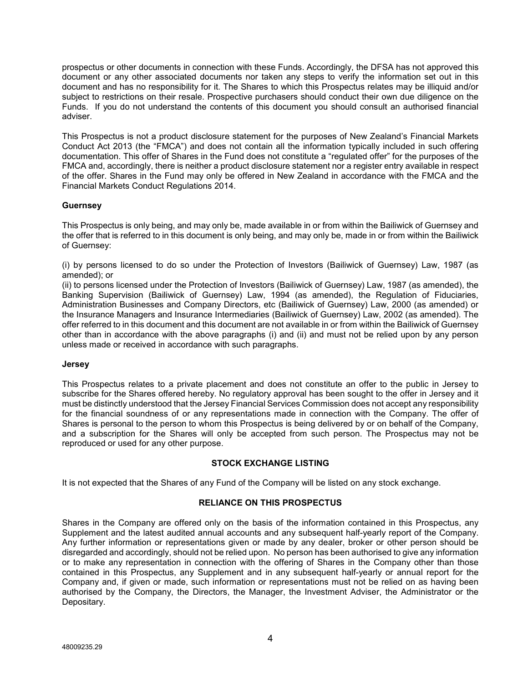prospectus or other documents in connection with these Funds. Accordingly, the DFSA has not approved this document or any other associated documents nor taken any steps to verify the information set out in this document and has no responsibility for it. The Shares to which this Prospectus relates may be illiquid and/or subject to restrictions on their resale. Prospective purchasers should conduct their own due diligence on the Funds. If you do not understand the contents of this document you should consult an authorised financial adviser.

This Prospectus is not a product disclosure statement for the purposes of New Zealand's Financial Markets Conduct Act 2013 (the "FMCA") and does not contain all the information typically included in such offering documentation. This offer of Shares in the Fund does not constitute a "regulated offer" for the purposes of the FMCA and, accordingly, there is neither a product disclosure statement nor a register entry available in respect of the offer. Shares in the Fund may only be offered in New Zealand in accordance with the FMCA and the Financial Markets Conduct Regulations 2014.

# **Guernsey**

This Prospectus is only being, and may only be, made available in or from within the Bailiwick of Guernsey and the offer that is referred to in this document is only being, and may only be, made in or from within the Bailiwick of Guernsey:

(i) by persons licensed to do so under the Protection of Investors (Bailiwick of Guernsey) Law, 1987 (as amended); or

(ii) to persons licensed under the Protection of Investors (Bailiwick of Guernsey) Law, 1987 (as amended), the Banking Supervision (Bailiwick of Guernsey) Law, 1994 (as amended), the Regulation of Fiduciaries, Administration Businesses and Company Directors, etc (Bailiwick of Guernsey) Law, 2000 (as amended) or the Insurance Managers and Insurance Intermediaries (Bailiwick of Guernsey) Law, 2002 (as amended). The offer referred to in this document and this document are not available in or from within the Bailiwick of Guernsey other than in accordance with the above paragraphs (i) and (ii) and must not be relied upon by any person unless made or received in accordance with such paragraphs.

#### **Jersey**

This Prospectus relates to a private placement and does not constitute an offer to the public in Jersey to subscribe for the Shares offered hereby. No regulatory approval has been sought to the offer in Jersey and it must be distinctly understood that the Jersey Financial Services Commission does not accept any responsibility for the financial soundness of or any representations made in connection with the Company. The offer of Shares is personal to the person to whom this Prospectus is being delivered by or on behalf of the Company, and a subscription for the Shares will only be accepted from such person. The Prospectus may not be reproduced or used for any other purpose.

#### **STOCK EXCHANGE LISTING**

It is not expected that the Shares of any Fund of the Company will be listed on any stock exchange.

### **RELIANCE ON THIS PROSPECTUS**

Shares in the Company are offered only on the basis of the information contained in this Prospectus, any Supplement and the latest audited annual accounts and any subsequent half-yearly report of the Company. Any further information or representations given or made by any dealer, broker or other person should be disregarded and accordingly, should not be relied upon. No person has been authorised to give any information or to make any representation in connection with the offering of Shares in the Company other than those contained in this Prospectus, any Supplement and in any subsequent half-yearly or annual report for the Company and, if given or made, such information or representations must not be relied on as having been authorised by the Company, the Directors, the Manager, the Investment Adviser, the Administrator or the Depositary.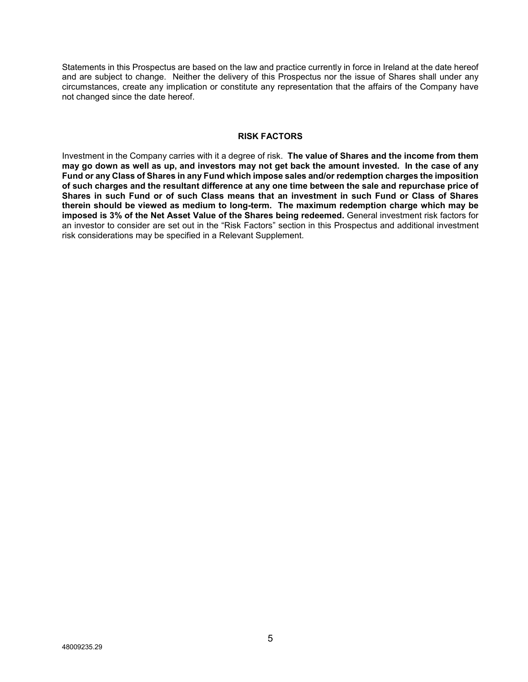Statements in this Prospectus are based on the law and practice currently in force in Ireland at the date hereof and are subject to change. Neither the delivery of this Prospectus nor the issue of Shares shall under any circumstances, create any implication or constitute any representation that the affairs of the Company have not changed since the date hereof.

#### **RISK FACTORS**

Investment in the Company carries with it a degree of risk. **The value of Shares and the income from them may go down as well as up, and investors may not get back the amount invested. In the case of any Fund or any Class of Shares in any Fund which impose sales and/or redemption charges the imposition of such charges and the resultant difference at any one time between the sale and repurchase price of Shares in such Fund or of such Class means that an investment in such Fund or Class of Shares therein should be viewed as medium to long-term. The maximum redemption charge which may be imposed is 3% of the Net Asset Value of the Shares being redeemed.** General investment risk factors for an investor to consider are set out in the "Risk Factors" section in this Prospectus and additional investment risk considerations may be specified in a Relevant Supplement.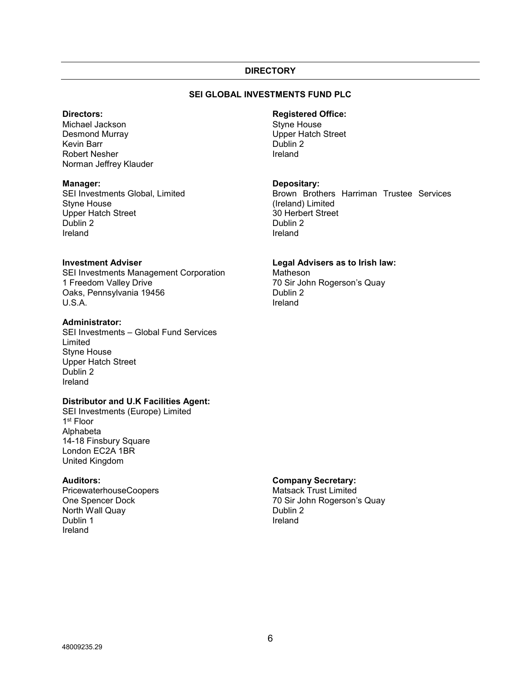#### **DIRECTORY**

# **SEI GLOBAL INVESTMENTS FUND PLC**

#### **Directors:**

Michael Jackson Desmond Murray Kevin Barr Robert Nesher Norman Jeffrey Klauder

#### **Manager:**

SEI Investments Global, Limited Styne House Upper Hatch Street Dublin 2 Ireland

### **Investment Adviser**

SEI Investments Management Corporation 1 Freedom Valley Drive Oaks, Pennsylvania 19456 U.S.A.

#### **Administrator:**

SEI Investments – Global Fund Services Limited Styne House Upper Hatch Street Dublin 2 Ireland

#### **Distributor and U.K Facilities Agent:**

SEI Investments (Europe) Limited 1st Floor Alphabeta 14-18 Finsbury Square London EC2A 1BR United Kingdom

### **Auditors:**

PricewaterhouseCoopers One Spencer Dock North Wall Quay Dublin 1 Ireland

# **Registered Office:**

Styne House Upper Hatch Street Dublin 2 Ireland

#### **Depositary:**

Brown Brothers Harriman Trustee Services (Ireland) Limited 30 Herbert Street Dublin 2 Ireland

#### **Legal Advisers as to Irish law:**

**Matheson** 70 Sir John Rogerson's Quay Dublin 2 Ireland

### **Company Secretary:**

Matsack Trust Limited 70 Sir John Rogerson's Quay Dublin 2 Ireland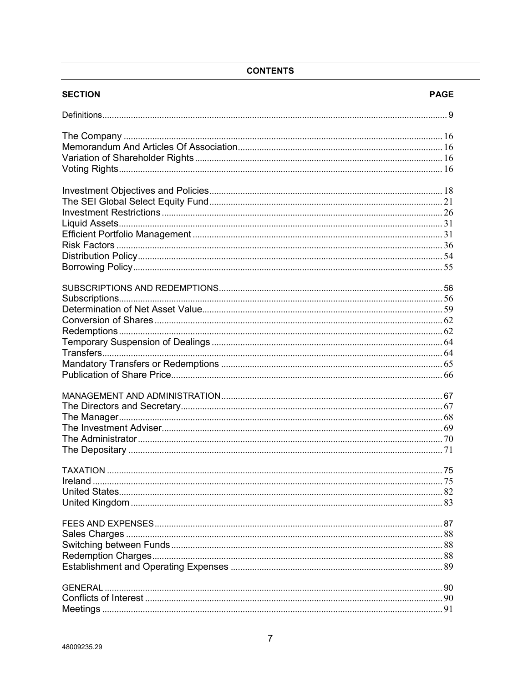# **CONTENTS**

| <b>SECTION</b> | <b>PAGE</b> |
|----------------|-------------|
|                |             |
|                |             |
|                |             |
|                |             |
|                |             |
|                |             |
|                |             |
|                |             |
|                |             |
|                |             |
|                |             |
|                |             |
|                |             |
|                |             |
|                |             |
|                |             |
|                |             |
|                |             |
|                |             |
|                |             |
|                |             |
|                |             |
|                |             |
|                |             |
|                |             |
|                |             |
|                |             |
|                |             |
|                |             |
|                |             |
|                |             |
|                |             |
|                |             |
|                |             |
|                |             |
|                |             |
|                |             |
|                |             |
|                |             |
|                |             |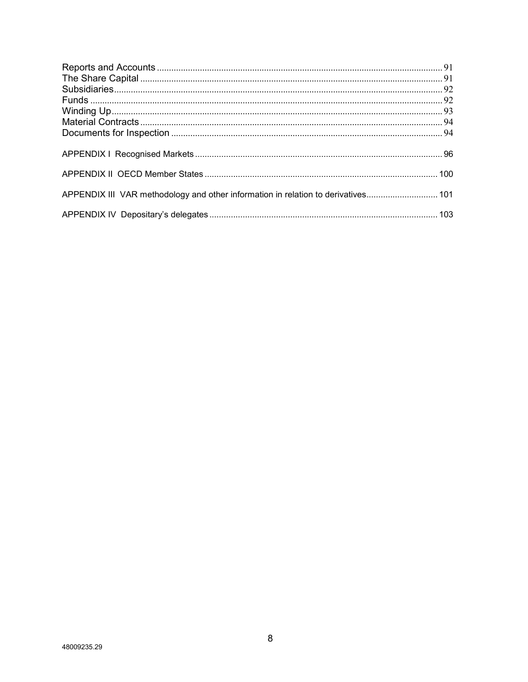| APPENDIX III VAR methodology and other information in relation to derivatives 101 |  |
|-----------------------------------------------------------------------------------|--|
|                                                                                   |  |
|                                                                                   |  |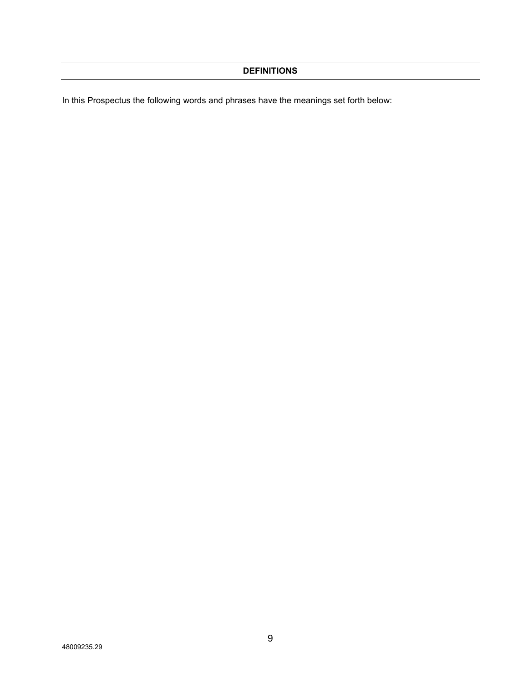In this Prospectus the following words and phrases have the meanings set forth below: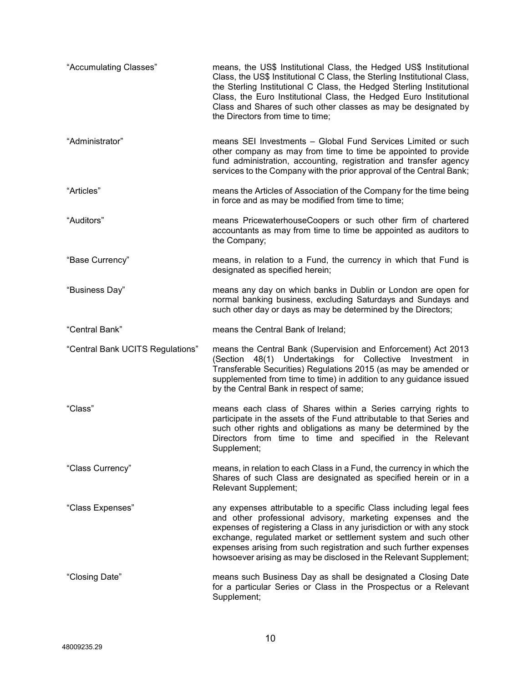| "Accumulating Classes"           | means, the US\$ Institutional Class, the Hedged US\$ Institutional<br>Class, the US\$ Institutional C Class, the Sterling Institutional Class,<br>the Sterling Institutional C Class, the Hedged Sterling Institutional<br>Class, the Euro Institutional Class, the Hedged Euro Institutional<br>Class and Shares of such other classes as may be designated by<br>the Directors from time to time;                    |
|----------------------------------|------------------------------------------------------------------------------------------------------------------------------------------------------------------------------------------------------------------------------------------------------------------------------------------------------------------------------------------------------------------------------------------------------------------------|
| "Administrator"                  | means SEI Investments - Global Fund Services Limited or such<br>other company as may from time to time be appointed to provide<br>fund administration, accounting, registration and transfer agency<br>services to the Company with the prior approval of the Central Bank;                                                                                                                                            |
| "Articles"                       | means the Articles of Association of the Company for the time being<br>in force and as may be modified from time to time;                                                                                                                                                                                                                                                                                              |
| "Auditors"                       | means PricewaterhouseCoopers or such other firm of chartered<br>accountants as may from time to time be appointed as auditors to<br>the Company;                                                                                                                                                                                                                                                                       |
| "Base Currency"                  | means, in relation to a Fund, the currency in which that Fund is<br>designated as specified herein;                                                                                                                                                                                                                                                                                                                    |
| "Business Day"                   | means any day on which banks in Dublin or London are open for<br>normal banking business, excluding Saturdays and Sundays and<br>such other day or days as may be determined by the Directors;                                                                                                                                                                                                                         |
| "Central Bank"                   | means the Central Bank of Ireland;                                                                                                                                                                                                                                                                                                                                                                                     |
| "Central Bank UCITS Regulations" | means the Central Bank (Supervision and Enforcement) Act 2013<br>(Section 48(1) Undertakings for Collective<br>Investment in<br>Transferable Securities) Regulations 2015 (as may be amended or<br>supplemented from time to time) in addition to any guidance issued<br>by the Central Bank in respect of same;                                                                                                       |
| "Class"                          | means each class of Shares within a Series carrying rights to<br>participate in the assets of the Fund attributable to that Series and<br>such other rights and obligations as many be determined by the<br>Directors from time to time and specified in the Relevant<br>Supplement;                                                                                                                                   |
| "Class Currency"                 | means, in relation to each Class in a Fund, the currency in which the<br>Shares of such Class are designated as specified herein or in a<br>Relevant Supplement;                                                                                                                                                                                                                                                       |
| "Class Expenses"                 | any expenses attributable to a specific Class including legal fees<br>and other professional advisory, marketing expenses and the<br>expenses of registering a Class in any jurisdiction or with any stock<br>exchange, regulated market or settlement system and such other<br>expenses arising from such registration and such further expenses<br>howsoever arising as may be disclosed in the Relevant Supplement; |
| "Closing Date"                   | means such Business Day as shall be designated a Closing Date<br>for a particular Series or Class in the Prospectus or a Relevant<br>Supplement;                                                                                                                                                                                                                                                                       |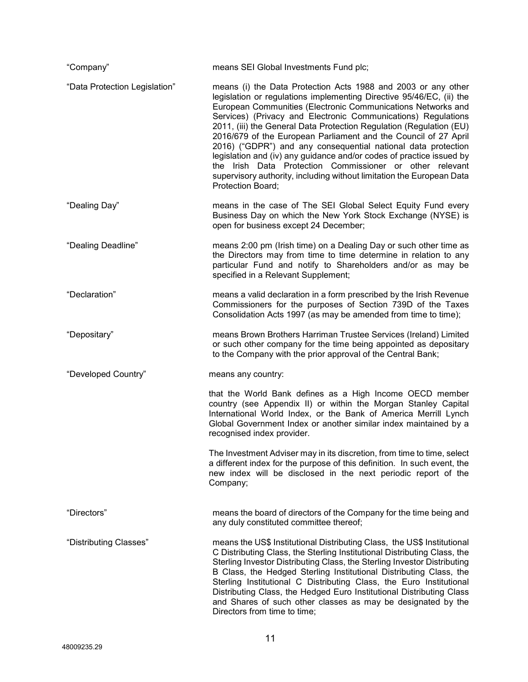| "Company"                     | means SEI Global Investments Fund plc;                                                                                                                                                                                                                                                                                                                                                                                                                                                                                                                                                                                                                                                                              |
|-------------------------------|---------------------------------------------------------------------------------------------------------------------------------------------------------------------------------------------------------------------------------------------------------------------------------------------------------------------------------------------------------------------------------------------------------------------------------------------------------------------------------------------------------------------------------------------------------------------------------------------------------------------------------------------------------------------------------------------------------------------|
| "Data Protection Legislation" | means (i) the Data Protection Acts 1988 and 2003 or any other<br>legislation or regulations implementing Directive 95/46/EC, (ii) the<br>European Communities (Electronic Communications Networks and<br>Services) (Privacy and Electronic Communications) Regulations<br>2011, (iii) the General Data Protection Regulation (Regulation (EU)<br>2016/679 of the European Parliament and the Council of 27 April<br>2016) ("GDPR") and any consequential national data protection<br>legislation and (iv) any guidance and/or codes of practice issued by<br>the Irish Data Protection Commissioner or other relevant<br>supervisory authority, including without limitation the European Data<br>Protection Board; |
| "Dealing Day"                 | means in the case of The SEI Global Select Equity Fund every<br>Business Day on which the New York Stock Exchange (NYSE) is<br>open for business except 24 December;                                                                                                                                                                                                                                                                                                                                                                                                                                                                                                                                                |
| "Dealing Deadline"            | means 2:00 pm (Irish time) on a Dealing Day or such other time as<br>the Directors may from time to time determine in relation to any<br>particular Fund and notify to Shareholders and/or as may be<br>specified in a Relevant Supplement;                                                                                                                                                                                                                                                                                                                                                                                                                                                                         |
| "Declaration"                 | means a valid declaration in a form prescribed by the Irish Revenue<br>Commissioners for the purposes of Section 739D of the Taxes<br>Consolidation Acts 1997 (as may be amended from time to time);                                                                                                                                                                                                                                                                                                                                                                                                                                                                                                                |
| "Depositary"                  | means Brown Brothers Harriman Trustee Services (Ireland) Limited<br>or such other company for the time being appointed as depositary<br>to the Company with the prior approval of the Central Bank;                                                                                                                                                                                                                                                                                                                                                                                                                                                                                                                 |
| "Developed Country"           | means any country:                                                                                                                                                                                                                                                                                                                                                                                                                                                                                                                                                                                                                                                                                                  |
|                               | that the World Bank defines as a High Income OECD member<br>country (see Appendix II) or within the Morgan Stanley Capital<br>International World Index, or the Bank of America Merrill Lynch<br>Global Government Index or another similar index maintained by a<br>recognised index provider.                                                                                                                                                                                                                                                                                                                                                                                                                     |
|                               | The Investment Adviser may in its discretion, from time to time, select<br>a different index for the purpose of this definition. In such event, the<br>new index will be disclosed in the next periodic report of the<br>Company;                                                                                                                                                                                                                                                                                                                                                                                                                                                                                   |
| "Directors"                   | means the board of directors of the Company for the time being and<br>any duly constituted committee thereof;                                                                                                                                                                                                                                                                                                                                                                                                                                                                                                                                                                                                       |
| "Distributing Classes"        | means the US\$ Institutional Distributing Class, the US\$ Institutional<br>C Distributing Class, the Sterling Institutional Distributing Class, the<br>Sterling Investor Distributing Class, the Sterling Investor Distributing<br>B Class, the Hedged Sterling Institutional Distributing Class, the<br>Sterling Institutional C Distributing Class, the Euro Institutional<br>Distributing Class, the Hedged Euro Institutional Distributing Class<br>and Shares of such other classes as may be designated by the<br>Directors from time to time;                                                                                                                                                                |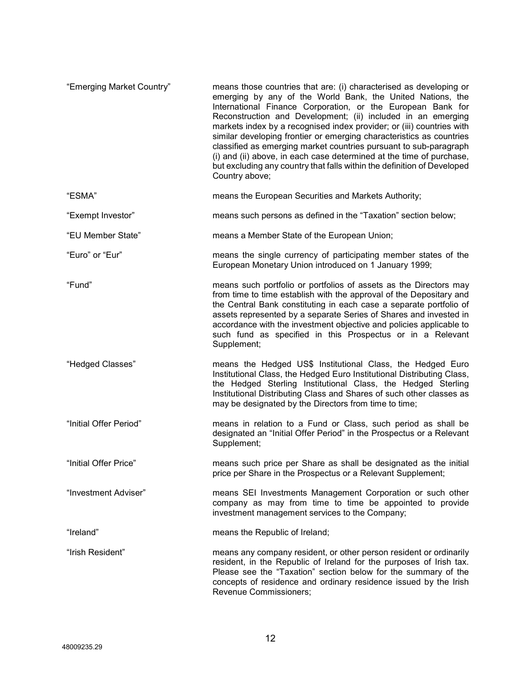| "Emerging Market Country" | means those countries that are: (i) characterised as developing or<br>emerging by any of the World Bank, the United Nations, the<br>International Finance Corporation, or the European Bank for<br>Reconstruction and Development; (ii) included in an emerging<br>markets index by a recognised index provider; or (iii) countries with<br>similar developing frontier or emerging characteristics as countries<br>classified as emerging market countries pursuant to sub-paragraph<br>(i) and (ii) above, in each case determined at the time of purchase,<br>but excluding any country that falls within the definition of Developed<br>Country above; |
|---------------------------|------------------------------------------------------------------------------------------------------------------------------------------------------------------------------------------------------------------------------------------------------------------------------------------------------------------------------------------------------------------------------------------------------------------------------------------------------------------------------------------------------------------------------------------------------------------------------------------------------------------------------------------------------------|
| "ESMA"                    | means the European Securities and Markets Authority;                                                                                                                                                                                                                                                                                                                                                                                                                                                                                                                                                                                                       |
| "Exempt Investor"         | means such persons as defined in the "Taxation" section below;                                                                                                                                                                                                                                                                                                                                                                                                                                                                                                                                                                                             |
| "EU Member State"         | means a Member State of the European Union;                                                                                                                                                                                                                                                                                                                                                                                                                                                                                                                                                                                                                |
| "Euro" or "Eur"           | means the single currency of participating member states of the<br>European Monetary Union introduced on 1 January 1999;                                                                                                                                                                                                                                                                                                                                                                                                                                                                                                                                   |
| "Fund"                    | means such portfolio or portfolios of assets as the Directors may<br>from time to time establish with the approval of the Depositary and<br>the Central Bank constituting in each case a separate portfolio of<br>assets represented by a separate Series of Shares and invested in<br>accordance with the investment objective and policies applicable to<br>such fund as specified in this Prospectus or in a Relevant<br>Supplement;                                                                                                                                                                                                                    |
| "Hedged Classes"          | means the Hedged US\$ Institutional Class, the Hedged Euro<br>Institutional Class, the Hedged Euro Institutional Distributing Class,<br>the Hedged Sterling Institutional Class, the Hedged Sterling<br>Institutional Distributing Class and Shares of such other classes as<br>may be designated by the Directors from time to time;                                                                                                                                                                                                                                                                                                                      |
| "Initial Offer Period"    | means in relation to a Fund or Class, such period as shall be<br>designated an "Initial Offer Period" in the Prospectus or a Relevant<br>Supplement;                                                                                                                                                                                                                                                                                                                                                                                                                                                                                                       |
| "Initial Offer Price"     | means such price per Share as shall be designated as the initial<br>price per Share in the Prospectus or a Relevant Supplement;                                                                                                                                                                                                                                                                                                                                                                                                                                                                                                                            |
| "Investment Adviser"      | means SEI Investments Management Corporation or such other<br>company as may from time to time be appointed to provide<br>investment management services to the Company;                                                                                                                                                                                                                                                                                                                                                                                                                                                                                   |
| "Ireland"                 | means the Republic of Ireland;                                                                                                                                                                                                                                                                                                                                                                                                                                                                                                                                                                                                                             |
| "Irish Resident"          | means any company resident, or other person resident or ordinarily<br>resident, in the Republic of Ireland for the purposes of Irish tax.<br>Please see the "Taxation" section below for the summary of the<br>concepts of residence and ordinary residence issued by the Irish<br>Revenue Commissioners;                                                                                                                                                                                                                                                                                                                                                  |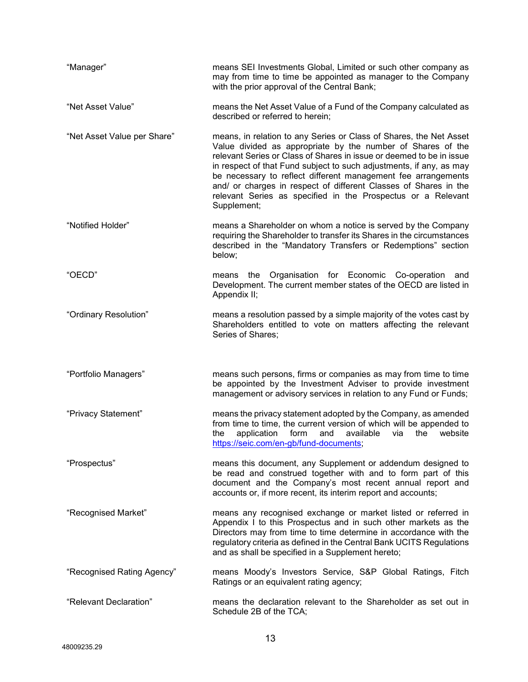| "Manager"                   | means SEI Investments Global, Limited or such other company as<br>may from time to time be appointed as manager to the Company<br>with the prior approval of the Central Bank;                                                                                                                                                                                                                                                                                                                       |
|-----------------------------|------------------------------------------------------------------------------------------------------------------------------------------------------------------------------------------------------------------------------------------------------------------------------------------------------------------------------------------------------------------------------------------------------------------------------------------------------------------------------------------------------|
| "Net Asset Value"           | means the Net Asset Value of a Fund of the Company calculated as<br>described or referred to herein;                                                                                                                                                                                                                                                                                                                                                                                                 |
| "Net Asset Value per Share" | means, in relation to any Series or Class of Shares, the Net Asset<br>Value divided as appropriate by the number of Shares of the<br>relevant Series or Class of Shares in issue or deemed to be in issue<br>in respect of that Fund subject to such adjustments, if any, as may<br>be necessary to reflect different management fee arrangements<br>and/ or charges in respect of different Classes of Shares in the<br>relevant Series as specified in the Prospectus or a Relevant<br>Supplement; |
| "Notified Holder"           | means a Shareholder on whom a notice is served by the Company<br>requiring the Shareholder to transfer its Shares in the circumstances<br>described in the "Mandatory Transfers or Redemptions" section<br>below;                                                                                                                                                                                                                                                                                    |
| "OECD"                      | the Organisation for Economic Co-operation<br>means<br>and<br>Development. The current member states of the OECD are listed in<br>Appendix II;                                                                                                                                                                                                                                                                                                                                                       |
| "Ordinary Resolution"       | means a resolution passed by a simple majority of the votes cast by<br>Shareholders entitled to vote on matters affecting the relevant<br>Series of Shares;                                                                                                                                                                                                                                                                                                                                          |
|                             |                                                                                                                                                                                                                                                                                                                                                                                                                                                                                                      |
| "Portfolio Managers"        | means such persons, firms or companies as may from time to time<br>be appointed by the Investment Adviser to provide investment<br>management or advisory services in relation to any Fund or Funds;                                                                                                                                                                                                                                                                                                 |
| "Privacy Statement"         | means the privacy statement adopted by the Company, as amended<br>from time to time, the current version of which will be appended to<br>application<br>form<br>available<br>the<br>website<br>the<br>and<br>via<br>https://seic.com/en-gb/fund-documents;                                                                                                                                                                                                                                           |
| "Prospectus"                | means this document, any Supplement or addendum designed to<br>be read and construed together with and to form part of this<br>document and the Company's most recent annual report and<br>accounts or, if more recent, its interim report and accounts;                                                                                                                                                                                                                                             |
| "Recognised Market"         | means any recognised exchange or market listed or referred in<br>Appendix I to this Prospectus and in such other markets as the<br>Directors may from time to time determine in accordance with the<br>regulatory criteria as defined in the Central Bank UCITS Regulations<br>and as shall be specified in a Supplement hereto;                                                                                                                                                                     |
| "Recognised Rating Agency"  | means Moody's Investors Service, S&P Global Ratings, Fitch<br>Ratings or an equivalent rating agency;                                                                                                                                                                                                                                                                                                                                                                                                |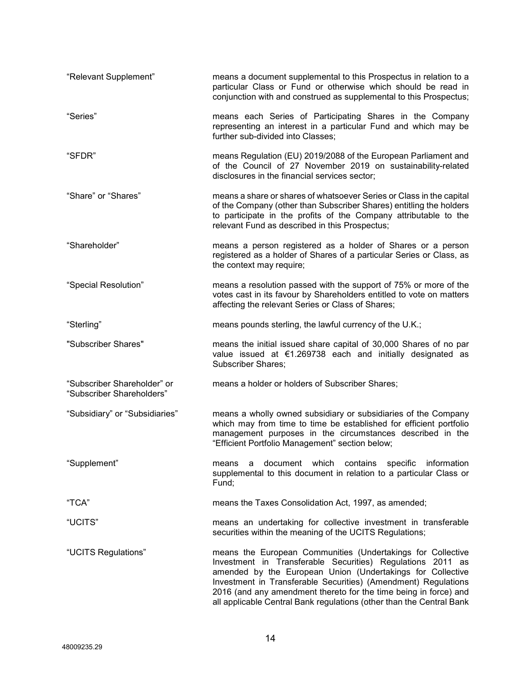| "Relevant Supplement"                                    | means a document supplemental to this Prospectus in relation to a<br>particular Class or Fund or otherwise which should be read in<br>conjunction with and construed as supplemental to this Prospectus;                                                                                                                                                                                              |
|----------------------------------------------------------|-------------------------------------------------------------------------------------------------------------------------------------------------------------------------------------------------------------------------------------------------------------------------------------------------------------------------------------------------------------------------------------------------------|
| "Series"                                                 | means each Series of Participating Shares in the Company<br>representing an interest in a particular Fund and which may be<br>further sub-divided into Classes;                                                                                                                                                                                                                                       |
| "SFDR"                                                   | means Regulation (EU) 2019/2088 of the European Parliament and<br>of the Council of 27 November 2019 on sustainability-related<br>disclosures in the financial services sector;                                                                                                                                                                                                                       |
| "Share" or "Shares"                                      | means a share or shares of whatsoever Series or Class in the capital<br>of the Company (other than Subscriber Shares) entitling the holders<br>to participate in the profits of the Company attributable to the<br>relevant Fund as described in this Prospectus;                                                                                                                                     |
| "Shareholder"                                            | means a person registered as a holder of Shares or a person<br>registered as a holder of Shares of a particular Series or Class, as<br>the context may require;                                                                                                                                                                                                                                       |
| "Special Resolution"                                     | means a resolution passed with the support of 75% or more of the<br>votes cast in its favour by Shareholders entitled to vote on matters<br>affecting the relevant Series or Class of Shares;                                                                                                                                                                                                         |
| "Sterling"                                               | means pounds sterling, the lawful currency of the U.K.;                                                                                                                                                                                                                                                                                                                                               |
| "Subscriber Shares"                                      | means the initial issued share capital of 30,000 Shares of no par<br>value issued at €1.269738 each and initially designated as<br><b>Subscriber Shares;</b>                                                                                                                                                                                                                                          |
| "Subscriber Shareholder" or<br>"Subscriber Shareholders" | means a holder or holders of Subscriber Shares;                                                                                                                                                                                                                                                                                                                                                       |
| "Subsidiary" or "Subsidiaries"                           | means a wholly owned subsidiary or subsidiaries of the Company<br>which may from time to time be established for efficient portfolio<br>management purposes in the circumstances described in the<br>"Efficient Portfolio Management" section below;                                                                                                                                                  |
| "Supplement"                                             | a document which contains specific information<br>means<br>supplemental to this document in relation to a particular Class or<br>Fund;                                                                                                                                                                                                                                                                |
| "TCA"                                                    | means the Taxes Consolidation Act, 1997, as amended;                                                                                                                                                                                                                                                                                                                                                  |
| "UCITS"                                                  | means an undertaking for collective investment in transferable<br>securities within the meaning of the UCITS Regulations;                                                                                                                                                                                                                                                                             |
| "UCITS Regulations"                                      | means the European Communities (Undertakings for Collective<br>Investment in Transferable Securities) Regulations 2011 as<br>amended by the European Union (Undertakings for Collective<br>Investment in Transferable Securities) (Amendment) Regulations<br>2016 (and any amendment thereto for the time being in force) and<br>all applicable Central Bank regulations (other than the Central Bank |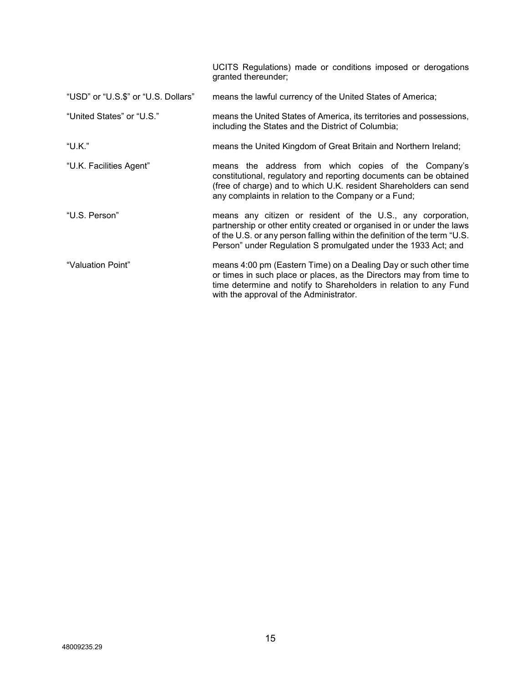|                                     | UCITS Regulations) made or conditions imposed or derogations<br>granted thereunder;                                                                                                                                                                                                 |
|-------------------------------------|-------------------------------------------------------------------------------------------------------------------------------------------------------------------------------------------------------------------------------------------------------------------------------------|
| "USD" or "U.S.\$" or "U.S. Dollars" | means the lawful currency of the United States of America;                                                                                                                                                                                                                          |
| "United States" or "U.S."           | means the United States of America, its territories and possessions,<br>including the States and the District of Columbia;                                                                                                                                                          |
| "U.K."                              | means the United Kingdom of Great Britain and Northern Ireland;                                                                                                                                                                                                                     |
| "U.K. Facilities Agent"             | means the address from which copies of the Company's<br>constitutional, regulatory and reporting documents can be obtained<br>(free of charge) and to which U.K. resident Shareholders can send<br>any complaints in relation to the Company or a Fund;                             |
| "U.S. Person"                       | means any citizen or resident of the U.S., any corporation,<br>partnership or other entity created or organised in or under the laws<br>of the U.S. or any person falling within the definition of the term "U.S.<br>Person" under Regulation S promulgated under the 1933 Act; and |
| "Valuation Point"                   | means 4:00 pm (Eastern Time) on a Dealing Day or such other time<br>or times in such place or places, as the Directors may from time to<br>time determine and notify to Shareholders in relation to any Fund<br>with the approval of the Administrator.                             |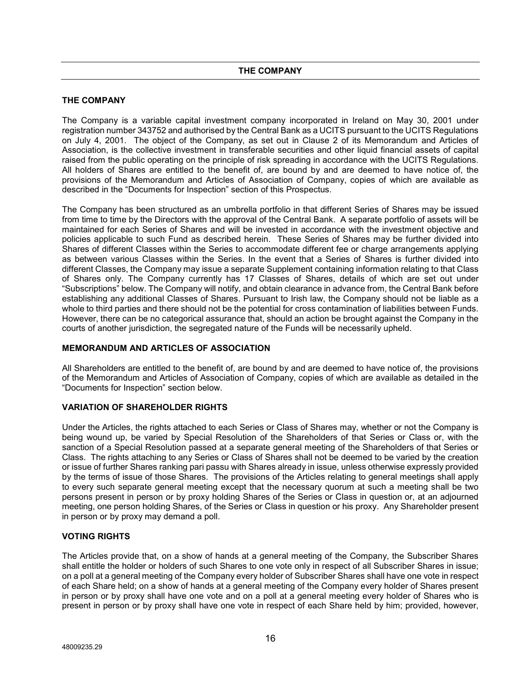# **THE COMPANY**

The Company is a variable capital investment company incorporated in Ireland on May 30, 2001 under registration number 343752 and authorised by the Central Bank as a UCITS pursuant to the UCITS Regulations on July 4, 2001. The object of the Company, as set out in Clause 2 of its Memorandum and Articles of Association, is the collective investment in transferable securities and other liquid financial assets of capital raised from the public operating on the principle of risk spreading in accordance with the UCITS Regulations. All holders of Shares are entitled to the benefit of, are bound by and are deemed to have notice of, the provisions of the Memorandum and Articles of Association of Company, copies of which are available as described in the "Documents for Inspection" section of this Prospectus.

The Company has been structured as an umbrella portfolio in that different Series of Shares may be issued from time to time by the Directors with the approval of the Central Bank. A separate portfolio of assets will be maintained for each Series of Shares and will be invested in accordance with the investment objective and policies applicable to such Fund as described herein. These Series of Shares may be further divided into Shares of different Classes within the Series to accommodate different fee or charge arrangements applying as between various Classes within the Series. In the event that a Series of Shares is further divided into different Classes, the Company may issue a separate Supplement containing information relating to that Class of Shares only. The Company currently has 17 Classes of Shares, details of which are set out under "Subscriptions" below. The Company will notify, and obtain clearance in advance from, the Central Bank before establishing any additional Classes of Shares. Pursuant to Irish law, the Company should not be liable as a whole to third parties and there should not be the potential for cross contamination of liabilities between Funds. However, there can be no categorical assurance that, should an action be brought against the Company in the courts of another jurisdiction, the segregated nature of the Funds will be necessarily upheld.

#### **MEMORANDUM AND ARTICLES OF ASSOCIATION**

All Shareholders are entitled to the benefit of, are bound by and are deemed to have notice of, the provisions of the Memorandum and Articles of Association of Company, copies of which are available as detailed in the "Documents for Inspection" section below.

# **VARIATION OF SHAREHOLDER RIGHTS**

Under the Articles, the rights attached to each Series or Class of Shares may, whether or not the Company is being wound up, be varied by Special Resolution of the Shareholders of that Series or Class or, with the sanction of a Special Resolution passed at a separate general meeting of the Shareholders of that Series or Class. The rights attaching to any Series or Class of Shares shall not be deemed to be varied by the creation or issue of further Shares ranking pari passu with Shares already in issue, unless otherwise expressly provided by the terms of issue of those Shares. The provisions of the Articles relating to general meetings shall apply to every such separate general meeting except that the necessary quorum at such a meeting shall be two persons present in person or by proxy holding Shares of the Series or Class in question or, at an adjourned meeting, one person holding Shares, of the Series or Class in question or his proxy. Any Shareholder present in person or by proxy may demand a poll.

# **VOTING RIGHTS**

The Articles provide that, on a show of hands at a general meeting of the Company, the Subscriber Shares shall entitle the holder or holders of such Shares to one vote only in respect of all Subscriber Shares in issue; on a poll at a general meeting of the Company every holder of Subscriber Shares shall have one vote in respect of each Share held; on a show of hands at a general meeting of the Company every holder of Shares present in person or by proxy shall have one vote and on a poll at a general meeting every holder of Shares who is present in person or by proxy shall have one vote in respect of each Share held by him; provided, however,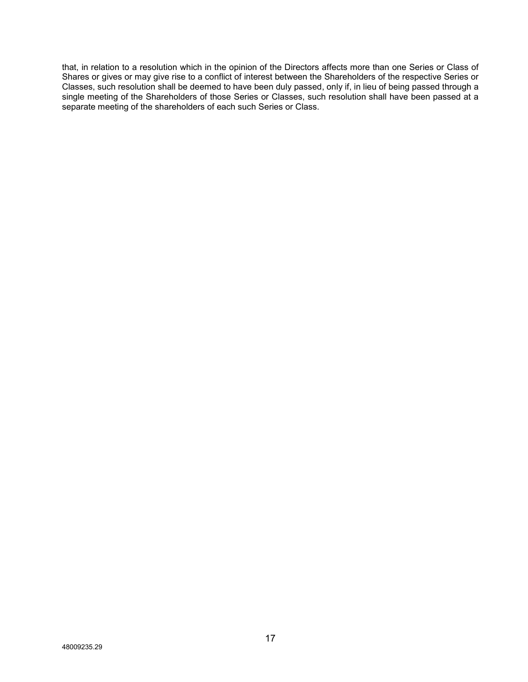that, in relation to a resolution which in the opinion of the Directors affects more than one Series or Class of Shares or gives or may give rise to a conflict of interest between the Shareholders of the respective Series or Classes, such resolution shall be deemed to have been duly passed, only if, in lieu of being passed through a single meeting of the Shareholders of those Series or Classes, such resolution shall have been passed at a separate meeting of the shareholders of each such Series or Class.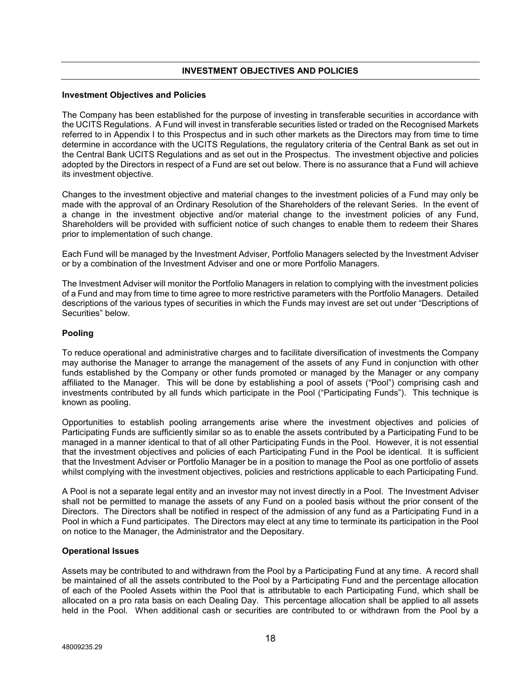# **INVESTMENT OBJECTIVES AND POLICIES**

#### **Investment Objectives and Policies**

The Company has been established for the purpose of investing in transferable securities in accordance with the UCITS Regulations. A Fund will invest in transferable securities listed or traded on the Recognised Markets referred to in Appendix I to this Prospectus and in such other markets as the Directors may from time to time determine in accordance with the UCITS Regulations, the regulatory criteria of the Central Bank as set out in the Central Bank UCITS Regulations and as set out in the Prospectus. The investment objective and policies adopted by the Directors in respect of a Fund are set out below. There is no assurance that a Fund will achieve its investment objective.

Changes to the investment objective and material changes to the investment policies of a Fund may only be made with the approval of an Ordinary Resolution of the Shareholders of the relevant Series. In the event of a change in the investment objective and/or material change to the investment policies of any Fund, Shareholders will be provided with sufficient notice of such changes to enable them to redeem their Shares prior to implementation of such change.

Each Fund will be managed by the Investment Adviser, Portfolio Managers selected by the Investment Adviser or by a combination of the Investment Adviser and one or more Portfolio Managers.

The Investment Adviser will monitor the Portfolio Managers in relation to complying with the investment policies of a Fund and may from time to time agree to more restrictive parameters with the Portfolio Managers. Detailed descriptions of the various types of securities in which the Funds may invest are set out under "Descriptions of Securities" below.

#### **Pooling**

To reduce operational and administrative charges and to facilitate diversification of investments the Company may authorise the Manager to arrange the management of the assets of any Fund in conjunction with other funds established by the Company or other funds promoted or managed by the Manager or any company affiliated to the Manager. This will be done by establishing a pool of assets ("Pool") comprising cash and investments contributed by all funds which participate in the Pool ("Participating Funds"). This technique is known as pooling.

Opportunities to establish pooling arrangements arise where the investment objectives and policies of Participating Funds are sufficiently similar so as to enable the assets contributed by a Participating Fund to be managed in a manner identical to that of all other Participating Funds in the Pool. However, it is not essential that the investment objectives and policies of each Participating Fund in the Pool be identical. It is sufficient that the Investment Adviser or Portfolio Manager be in a position to manage the Pool as one portfolio of assets whilst complying with the investment objectives, policies and restrictions applicable to each Participating Fund.

A Pool is not a separate legal entity and an investor may not invest directly in a Pool. The Investment Adviser shall not be permitted to manage the assets of any Fund on a pooled basis without the prior consent of the Directors. The Directors shall be notified in respect of the admission of any fund as a Participating Fund in a Pool in which a Fund participates. The Directors may elect at any time to terminate its participation in the Pool on notice to the Manager, the Administrator and the Depositary.

#### **Operational Issues**

Assets may be contributed to and withdrawn from the Pool by a Participating Fund at any time. A record shall be maintained of all the assets contributed to the Pool by a Participating Fund and the percentage allocation of each of the Pooled Assets within the Pool that is attributable to each Participating Fund, which shall be allocated on a pro rata basis on each Dealing Day. This percentage allocation shall be applied to all assets held in the Pool. When additional cash or securities are contributed to or withdrawn from the Pool by a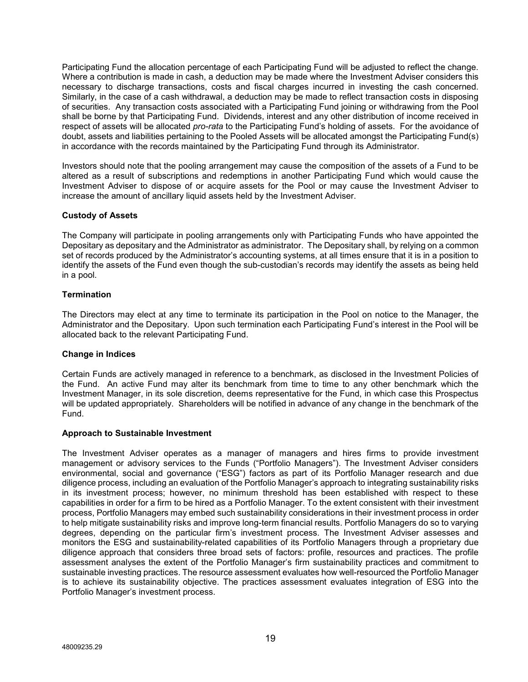Participating Fund the allocation percentage of each Participating Fund will be adjusted to reflect the change. Where a contribution is made in cash, a deduction may be made where the Investment Adviser considers this necessary to discharge transactions, costs and fiscal charges incurred in investing the cash concerned. Similarly, in the case of a cash withdrawal, a deduction may be made to reflect transaction costs in disposing of securities. Any transaction costs associated with a Participating Fund joining or withdrawing from the Pool shall be borne by that Participating Fund. Dividends, interest and any other distribution of income received in respect of assets will be allocated *pro-rata* to the Participating Fund's holding of assets. For the avoidance of doubt, assets and liabilities pertaining to the Pooled Assets will be allocated amongst the Participating Fund(s) in accordance with the records maintained by the Participating Fund through its Administrator.

Investors should note that the pooling arrangement may cause the composition of the assets of a Fund to be altered as a result of subscriptions and redemptions in another Participating Fund which would cause the Investment Adviser to dispose of or acquire assets for the Pool or may cause the Investment Adviser to increase the amount of ancillary liquid assets held by the Investment Adviser.

# **Custody of Assets**

The Company will participate in pooling arrangements only with Participating Funds who have appointed the Depositary as depositary and the Administrator as administrator. The Depositary shall, by relying on a common set of records produced by the Administrator's accounting systems, at all times ensure that it is in a position to identify the assets of the Fund even though the sub-custodian's records may identify the assets as being held in a pool.

# **Termination**

The Directors may elect at any time to terminate its participation in the Pool on notice to the Manager, the Administrator and the Depositary. Upon such termination each Participating Fund's interest in the Pool will be allocated back to the relevant Participating Fund.

#### **Change in Indices**

Certain Funds are actively managed in reference to a benchmark, as disclosed in the Investment Policies of the Fund. An active Fund may alter its benchmark from time to time to any other benchmark which the Investment Manager, in its sole discretion, deems representative for the Fund, in which case this Prospectus will be updated appropriately. Shareholders will be notified in advance of any change in the benchmark of the Fund.

#### **Approach to Sustainable Investment**

The Investment Adviser operates as a manager of managers and hires firms to provide investment management or advisory services to the Funds ("Portfolio Managers"). The Investment Adviser considers environmental, social and governance ("ESG") factors as part of its Portfolio Manager research and due diligence process, including an evaluation of the Portfolio Manager's approach to integrating sustainability risks in its investment process; however, no minimum threshold has been established with respect to these capabilities in order for a firm to be hired as a Portfolio Manager. To the extent consistent with their investment process, Portfolio Managers may embed such sustainability considerations in their investment process in order to help mitigate sustainability risks and improve long-term financial results. Portfolio Managers do so to varying degrees, depending on the particular firm's investment process. The Investment Adviser assesses and monitors the ESG and sustainability-related capabilities of its Portfolio Managers through a proprietary due diligence approach that considers three broad sets of factors: profile, resources and practices. The profile assessment analyses the extent of the Portfolio Manager's firm sustainability practices and commitment to sustainable investing practices. The resource assessment evaluates how well-resourced the Portfolio Manager is to achieve its sustainability objective. The practices assessment evaluates integration of ESG into the Portfolio Manager's investment process.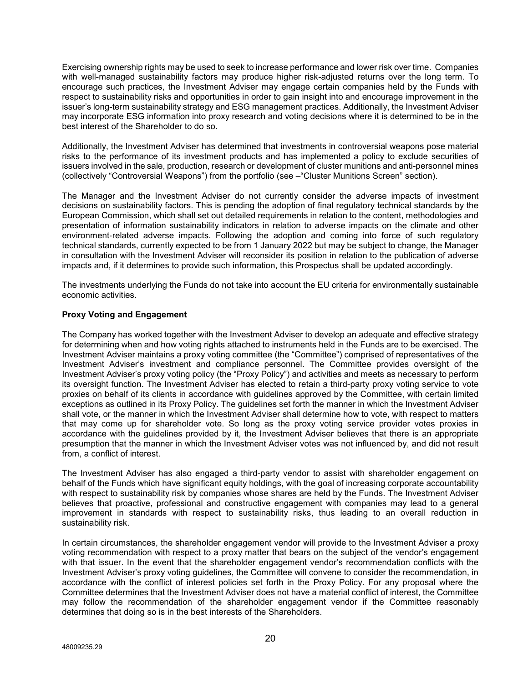Exercising ownership rights may be used to seek to increase performance and lower risk over time. Companies with well-managed sustainability factors may produce higher risk-adjusted returns over the long term. To encourage such practices, the Investment Adviser may engage certain companies held by the Funds with respect to sustainability risks and opportunities in order to gain insight into and encourage improvement in the issuer's long-term sustainability strategy and ESG management practices. Additionally, the Investment Adviser may incorporate ESG information into proxy research and voting decisions where it is determined to be in the best interest of the Shareholder to do so.

Additionally, the Investment Adviser has determined that investments in controversial weapons pose material risks to the performance of its investment products and has implemented a policy to exclude securities of issuers involved in the sale, production, research or development of cluster munitions and anti-personnel mines (collectively "Controversial Weapons") from the portfolio (see –"Cluster Munitions Screen" section).

The Manager and the Investment Adviser do not currently consider the adverse impacts of investment decisions on sustainability factors. This is pending the adoption of final regulatory technical standards by the European Commission, which shall set out detailed requirements in relation to the content, methodologies and presentation of information sustainability indicators in relation to adverse impacts on the climate and other environment-related adverse impacts. Following the adoption and coming into force of such regulatory technical standards, currently expected to be from 1 January 2022 but may be subject to change, the Manager in consultation with the Investment Adviser will reconsider its position in relation to the publication of adverse impacts and, if it determines to provide such information, this Prospectus shall be updated accordingly.

The investments underlying the Funds do not take into account the EU criteria for environmentally sustainable economic activities.

# **Proxy Voting and Engagement**

The Company has worked together with the Investment Adviser to develop an adequate and effective strategy for determining when and how voting rights attached to instruments held in the Funds are to be exercised. The Investment Adviser maintains a proxy voting committee (the "Committee") comprised of representatives of the Investment Adviser's investment and compliance personnel. The Committee provides oversight of the Investment Adviser's proxy voting policy (the "Proxy Policy") and activities and meets as necessary to perform its oversight function. The Investment Adviser has elected to retain a third-party proxy voting service to vote proxies on behalf of its clients in accordance with guidelines approved by the Committee, with certain limited exceptions as outlined in its Proxy Policy. The guidelines set forth the manner in which the Investment Adviser shall vote, or the manner in which the Investment Adviser shall determine how to vote, with respect to matters that may come up for shareholder vote. So long as the proxy voting service provider votes proxies in accordance with the guidelines provided by it, the Investment Adviser believes that there is an appropriate presumption that the manner in which the Investment Adviser votes was not influenced by, and did not result from, a conflict of interest.

The Investment Adviser has also engaged a third-party vendor to assist with shareholder engagement on behalf of the Funds which have significant equity holdings, with the goal of increasing corporate accountability with respect to sustainability risk by companies whose shares are held by the Funds. The Investment Adviser believes that proactive, professional and constructive engagement with companies may lead to a general improvement in standards with respect to sustainability risks, thus leading to an overall reduction in sustainability risk.

In certain circumstances, the shareholder engagement vendor will provide to the Investment Adviser a proxy voting recommendation with respect to a proxy matter that bears on the subject of the vendor's engagement with that issuer. In the event that the shareholder engagement vendor's recommendation conflicts with the Investment Adviser's proxy voting guidelines, the Committee will convene to consider the recommendation, in accordance with the conflict of interest policies set forth in the Proxy Policy. For any proposal where the Committee determines that the Investment Adviser does not have a material conflict of interest, the Committee may follow the recommendation of the shareholder engagement vendor if the Committee reasonably determines that doing so is in the best interests of the Shareholders.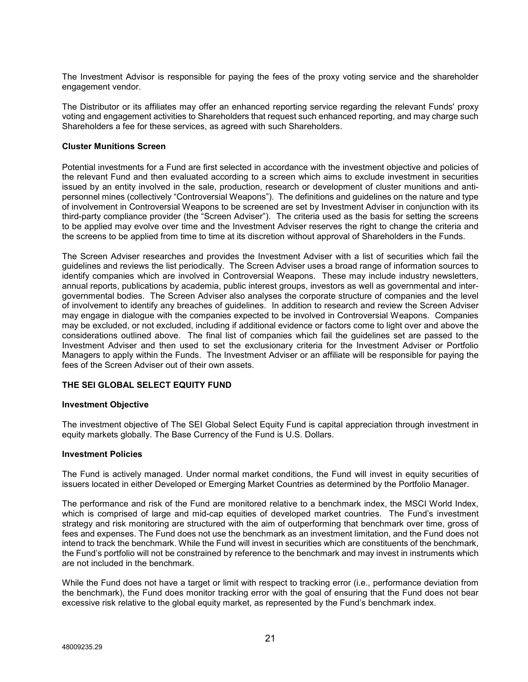The Investment Advisor is responsible for paying the fees of the proxy voting service and the shareholder engagement vendor.

The Distributor or its affiliates may offer an enhanced reporting service regarding the relevant Funds' proxy voting and engagement activities to Shareholders that request such enhanced reporting, and may charge such Shareholders a fee for these services, as agreed with such Shareholders.

#### **Cluster Munitions Screen**

Potential investments for a Fund are first selected in accordance with the investment objective and policies of the relevant Fund and then evaluated according to a screen which aims to exclude investment in securities issued by an entity involved in the sale, production, research or development of cluster munitions and antipersonnel mines (collectively "Controversial Weapons"). The definitions and guidelines on the nature and type of involvement in Controversial Weapons to be screened are set by Investment Adviser in conjunction with its third-party compliance provider (the "Screen Adviser"). The criteria used as the basis for setting the screens to be applied may evolve over time and the Investment Adviser reserves the right to change the criteria and the screens to be applied from time to time at its discretion without approval of Shareholders in the Funds.

The Screen Adviser researches and provides the Investment Adviser with a list of securities which fail the guidelines and reviews the list periodically. The Screen Adviser uses a broad range of information sources to identify companies which are involved in Controversial Weapons. These may include industry newsletters, annual reports, publications by academia, public interest groups, investors as well as governmental and intergovernmental bodies. The Screen Adviser also analyses the corporate structure of companies and the level of involvement to identify any breaches of guidelines. In addition to research and review the Screen Adviser may engage in dialogue with the companies expected to be involved in Controversial Weapons. Companies may be excluded, or not excluded, including if additional evidence or factors come to light over and above the considerations outlined above. The final list of companies which fail the guidelines set are passed to the Investment Adviser and then used to set the exclusionary criteria for the Investment Adviser or Portfolio Managers to apply within the Funds. The Investment Adviser or an affiliate will be responsible for paying the fees of the Screen Adviser out of their own assets.

### **THE SEI GLOBAL SELECT EQUITY FUND**

#### **Investment Objective**

The investment objective of The SEI Global Select Equity Fund is capital appreciation through investment in equity markets globally. The Base Currency of the Fund is U.S. Dollars.

#### **Investment Policies**

The Fund is actively managed. Under normal market conditions, the Fund will invest in equity securities of issuers located in either Developed or Emerging Market Countries as determined by the Portfolio Manager.

The performance and risk of the Fund are monitored relative to a benchmark index, the MSCI World Index, which is comprised of large and mid-cap equities of developed market countries. The Fund's investment strategy and risk monitoring are structured with the aim of outperforming that benchmark over time, gross of fees and expenses. The Fund does not use the benchmark as an investment limitation, and the Fund does not intend to track the benchmark. While the Fund will invest in securities which are constituents of the benchmark, the Fund's portfolio will not be constrained by reference to the benchmark and may invest in instruments which are not included in the benchmark.

While the Fund does not have a target or limit with respect to tracking error (i.e., performance deviation from the benchmark), the Fund does monitor tracking error with the goal of ensuring that the Fund does not bear excessive risk relative to the global equity market, as represented by the Fund's benchmark index.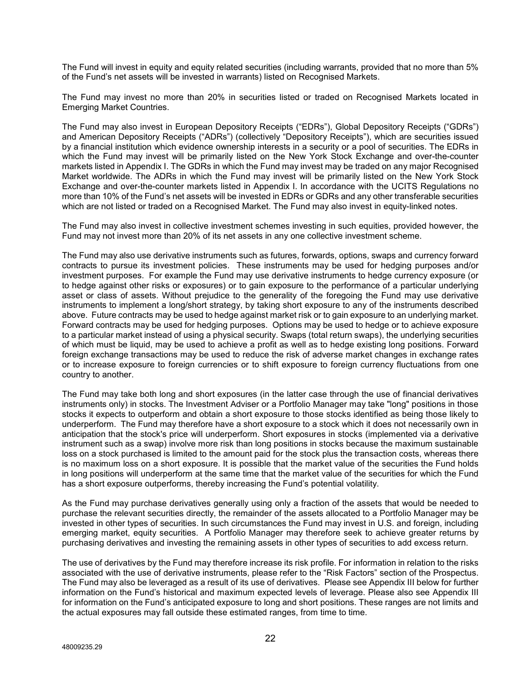The Fund will invest in equity and equity related securities (including warrants, provided that no more than 5% of the Fund's net assets will be invested in warrants) listed on Recognised Markets.

The Fund may invest no more than 20% in securities listed or traded on Recognised Markets located in Emerging Market Countries.

The Fund may also invest in European Depository Receipts ("EDRs"), Global Depository Receipts ("GDRs") and American Depository Receipts ("ADRs") (collectively "Depository Receipts"), which are securities issued by a financial institution which evidence ownership interests in a security or a pool of securities. The EDRs in which the Fund may invest will be primarily listed on the New York Stock Exchange and over-the-counter markets listed in Appendix I. The GDRs in which the Fund may invest may be traded on any major Recognised Market worldwide. The ADRs in which the Fund may invest will be primarily listed on the New York Stock Exchange and over-the-counter markets listed in Appendix I. In accordance with the UCITS Regulations no more than 10% of the Fund's net assets will be invested in EDRs or GDRs and any other transferable securities which are not listed or traded on a Recognised Market. The Fund may also invest in equity-linked notes.

The Fund may also invest in collective investment schemes investing in such equities, provided however, the Fund may not invest more than 20% of its net assets in any one collective investment scheme.

The Fund may also use derivative instruments such as futures, forwards, options, swaps and currency forward contracts to pursue its investment policies. These instruments may be used for hedging purposes and/or investment purposes. For example the Fund may use derivative instruments to hedge currency exposure (or to hedge against other risks or exposures) or to gain exposure to the performance of a particular underlying asset or class of assets. Without prejudice to the generality of the foregoing the Fund may use derivative instruments to implement a long/short strategy, by taking short exposure to any of the instruments described above. Future contracts may be used to hedge against market risk or to gain exposure to an underlying market. Forward contracts may be used for hedging purposes. Options may be used to hedge or to achieve exposure to a particular market instead of using a physical security. Swaps (total return swaps), the underlying securities of which must be liquid, may be used to achieve a profit as well as to hedge existing long positions. Forward foreign exchange transactions may be used to reduce the risk of adverse market changes in exchange rates or to increase exposure to foreign currencies or to shift exposure to foreign currency fluctuations from one country to another.

The Fund may take both long and short exposures (in the latter case through the use of financial derivatives instruments only) in stocks. The Investment Adviser or a Portfolio Manager may take "long" positions in those stocks it expects to outperform and obtain a short exposure to those stocks identified as being those likely to underperform. The Fund may therefore have a short exposure to a stock which it does not necessarily own in anticipation that the stock's price will underperform. Short exposures in stocks (implemented via a derivative instrument such as a swap) involve more risk than long positions in stocks because the maximum sustainable loss on a stock purchased is limited to the amount paid for the stock plus the transaction costs, whereas there is no maximum loss on a short exposure. It is possible that the market value of the securities the Fund holds in long positions will underperform at the same time that the market value of the securities for which the Fund has a short exposure outperforms, thereby increasing the Fund's potential volatility.

As the Fund may purchase derivatives generally using only a fraction of the assets that would be needed to purchase the relevant securities directly, the remainder of the assets allocated to a Portfolio Manager may be invested in other types of securities. In such circumstances the Fund may invest in U.S. and foreign, including emerging market, equity securities. A Portfolio Manager may therefore seek to achieve greater returns by purchasing derivatives and investing the remaining assets in other types of securities to add excess return.

The use of derivatives by the Fund may therefore increase its risk profile. For information in relation to the risks associated with the use of derivative instruments, please refer to the "Risk Factors" section of the Prospectus. The Fund may also be leveraged as a result of its use of derivatives. Please see Appendix III below for further information on the Fund's historical and maximum expected levels of leverage. Please also see Appendix III for information on the Fund's anticipated exposure to long and short positions. These ranges are not limits and the actual exposures may fall outside these estimated ranges, from time to time.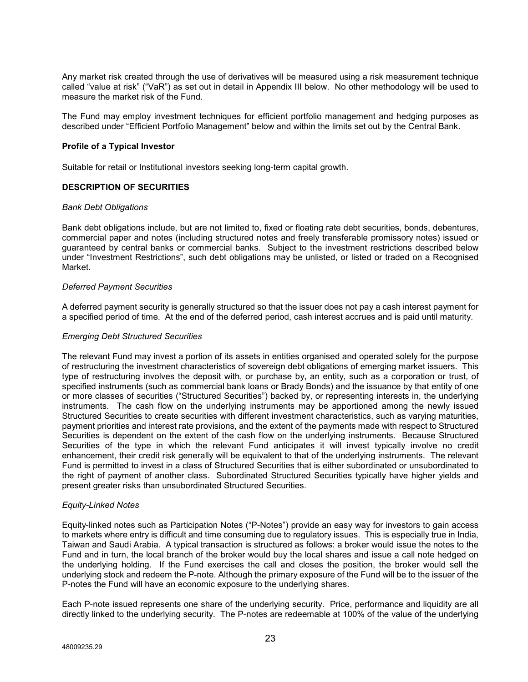Any market risk created through the use of derivatives will be measured using a risk measurement technique called "value at risk" ("VaR") as set out in detail in Appendix III below. No other methodology will be used to measure the market risk of the Fund.

The Fund may employ investment techniques for efficient portfolio management and hedging purposes as described under "Efficient Portfolio Management" below and within the limits set out by the Central Bank.

#### **Profile of a Typical Investor**

Suitable for retail or Institutional investors seeking long-term capital growth.

# **DESCRIPTION OF SECURITIES**

#### *Bank Debt Obligations*

Bank debt obligations include, but are not limited to, fixed or floating rate debt securities, bonds, debentures, commercial paper and notes (including structured notes and freely transferable promissory notes) issued or guaranteed by central banks or commercial banks. Subject to the investment restrictions described below under "Investment Restrictions", such debt obligations may be unlisted, or listed or traded on a Recognised Market.

#### *Deferred Payment Securities*

A deferred payment security is generally structured so that the issuer does not pay a cash interest payment for a specified period of time. At the end of the deferred period, cash interest accrues and is paid until maturity.

#### *Emerging Debt Structured Securities*

The relevant Fund may invest a portion of its assets in entities organised and operated solely for the purpose of restructuring the investment characteristics of sovereign debt obligations of emerging market issuers. This type of restructuring involves the deposit with, or purchase by, an entity, such as a corporation or trust, of specified instruments (such as commercial bank loans or Brady Bonds) and the issuance by that entity of one or more classes of securities ("Structured Securities") backed by, or representing interests in, the underlying instruments. The cash flow on the underlying instruments may be apportioned among the newly issued Structured Securities to create securities with different investment characteristics, such as varying maturities, payment priorities and interest rate provisions, and the extent of the payments made with respect to Structured Securities is dependent on the extent of the cash flow on the underlying instruments. Because Structured Securities of the type in which the relevant Fund anticipates it will invest typically involve no credit enhancement, their credit risk generally will be equivalent to that of the underlying instruments. The relevant Fund is permitted to invest in a class of Structured Securities that is either subordinated or unsubordinated to the right of payment of another class. Subordinated Structured Securities typically have higher yields and present greater risks than unsubordinated Structured Securities.

#### *Equity-Linked Notes*

Equity-linked notes such as Participation Notes ("P-Notes") provide an easy way for investors to gain access to markets where entry is difficult and time consuming due to regulatory issues. This is especially true in India, Taiwan and Saudi Arabia. A typical transaction is structured as follows: a broker would issue the notes to the Fund and in turn, the local branch of the broker would buy the local shares and issue a call note hedged on the underlying holding. If the Fund exercises the call and closes the position, the broker would sell the underlying stock and redeem the P-note. Although the primary exposure of the Fund will be to the issuer of the P-notes the Fund will have an economic exposure to the underlying shares.

Each P-note issued represents one share of the underlying security. Price, performance and liquidity are all directly linked to the underlying security. The P-notes are redeemable at 100% of the value of the underlying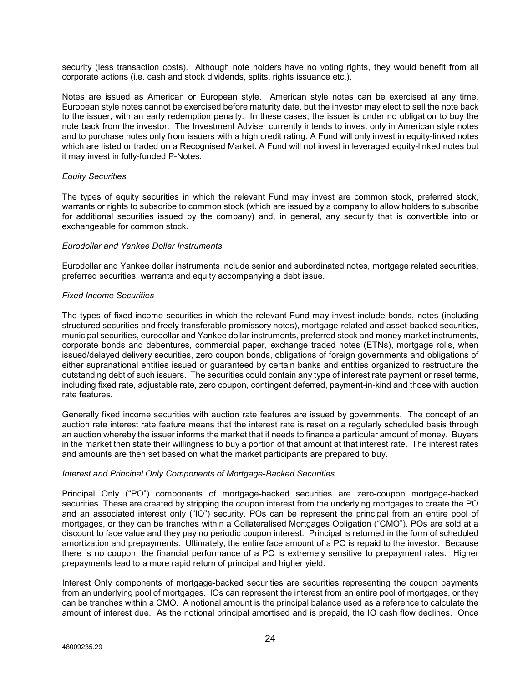security (less transaction costs). Although note holders have no voting rights, they would benefit from all corporate actions (i.e. cash and stock dividends, splits, rights issuance etc.).

Notes are issued as American or European style. American style notes can be exercised at any time. European style notes cannot be exercised before maturity date, but the investor may elect to sell the note back to the issuer, with an early redemption penalty. In these cases, the issuer is under no obligation to buy the note back from the investor. The Investment Adviser currently intends to invest only in American style notes and to purchase notes only from issuers with a high credit rating. A Fund will only invest in equity-linked notes which are listed or traded on a Recognised Market. A Fund will not invest in leveraged equity-linked notes but it may invest in fully-funded P-Notes.

#### *Equity Securities*

The types of equity securities in which the relevant Fund may invest are common stock, preferred stock, warrants or rights to subscribe to common stock (which are issued by a company to allow holders to subscribe for additional securities issued by the company) and, in general, any security that is convertible into or exchangeable for common stock.

#### *Eurodollar and Yankee Dollar Instruments*

Eurodollar and Yankee dollar instruments include senior and subordinated notes, mortgage related securities, preferred securities, warrants and equity accompanying a debt issue.

# *Fixed Income Securities*

The types of fixed-income securities in which the relevant Fund may invest include bonds, notes (including structured securities and freely transferable promissory notes), mortgage-related and asset-backed securities, municipal securities, eurodollar and Yankee dollar instruments, preferred stock and money market instruments, corporate bonds and debentures, commercial paper, exchange traded notes (ETNs), mortgage rolls, when issued/delayed delivery securities, zero coupon bonds, obligations of foreign governments and obligations of either supranational entities issued or guaranteed by certain banks and entities organized to restructure the outstanding debt of such issuers. The securities could contain any type of interest rate payment or reset terms, including fixed rate, adjustable rate, zero coupon, contingent deferred, payment-in-kind and those with auction rate features.

Generally fixed income securities with auction rate features are issued by governments. The concept of an auction rate interest rate feature means that the interest rate is reset on a regularly scheduled basis through an auction whereby the issuer informs the market that it needs to finance a particular amount of money. Buyers in the market then state their willingness to buy a portion of that amount at that interest rate. The interest rates and amounts are then set based on what the market participants are prepared to buy.

#### *Interest and Principal Only Components of Mortgage-Backed Securities*

Principal Only ("PO") components of mortgage-backed securities are zero-coupon mortgage-backed securities. These are created by stripping the coupon interest from the underlying mortgages to create the PO and an associated interest only ("IO") security. POs can be represent the principal from an entire pool of mortgages, or they can be tranches within a Collateralised Mortgages Obligation ("CMO"). POs are sold at a discount to face value and they pay no periodic coupon interest. Principal is returned in the form of scheduled amortization and prepayments. Ultimately, the entire face amount of a PO is repaid to the investor. Because there is no coupon, the financial performance of a PO is extremely sensitive to prepayment rates. Higher prepayments lead to a more rapid return of principal and higher yield.

Interest Only components of mortgage-backed securities are securities representing the coupon payments from an underlying pool of mortgages. IOs can represent the interest from an entire pool of mortgages, or they can be tranches within a CMO. A notional amount is the principal balance used as a reference to calculate the amount of interest due. As the notional principal amortised and is prepaid, the IO cash flow declines. Once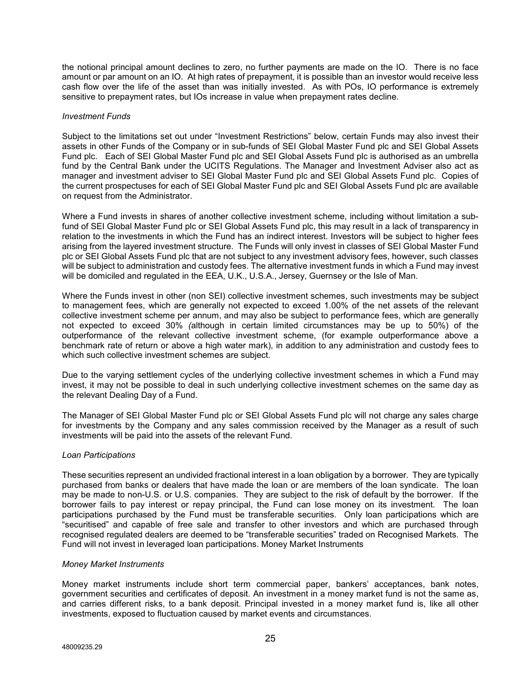the notional principal amount declines to zero, no further payments are made on the IO. There is no face amount or par amount on an IO. At high rates of prepayment, it is possible than an investor would receive less cash flow over the life of the asset than was initially invested. As with POs, IO performance is extremely sensitive to prepayment rates, but IOs increase in value when prepayment rates decline.

#### *Investment Funds*

Subject to the limitations set out under "Investment Restrictions" below, certain Funds may also invest their assets in other Funds of the Company or in sub-funds of SEI Global Master Fund plc and SEI Global Assets Fund plc. Each of SEI Global Master Fund plc and SEI Global Assets Fund plc is authorised as an umbrella fund by the Central Bank under the UCITS Regulations. The Manager and Investment Adviser also act as manager and investment adviser to SEI Global Master Fund plc and SEI Global Assets Fund plc. Copies of the current prospectuses for each of SEI Global Master Fund plc and SEI Global Assets Fund plc are available on request from the Administrator.

Where a Fund invests in shares of another collective investment scheme, including without limitation a subfund of SEI Global Master Fund plc or SEI Global Assets Fund plc, this may result in a lack of transparency in relation to the investments in which the Fund has an indirect interest. Investors will be subject to higher fees arising from the layered investment structure. The Funds will only invest in classes of SEI Global Master Fund plc or SEI Global Assets Fund plc that are not subject to any investment advisory fees, however, such classes will be subject to administration and custody fees. The alternative investment funds in which a Fund may invest will be domiciled and regulated in the EEA, U.K., U.S.A., Jersey, Guernsey or the Isle of Man.

Where the Funds invest in other (non SEI) collective investment schemes, such investments may be subject to management fees, which are generally not expected to exceed 1.00% of the net assets of the relevant collective investment scheme per annum, and may also be subject to performance fees, which are generally not expected to exceed 30% *(*although in certain limited circumstances may be up to 50%) of the outperformance of the relevant collective investment scheme, (for example outperformance above a benchmark rate of return or above a high water mark), in addition to any administration and custody fees to which such collective investment schemes are subject.

Due to the varying settlement cycles of the underlying collective investment schemes in which a Fund may invest, it may not be possible to deal in such underlying collective investment schemes on the same day as the relevant Dealing Day of a Fund.

The Manager of SEI Global Master Fund plc or SEI Global Assets Fund plc will not charge any sales charge for investments by the Company and any sales commission received by the Manager as a result of such investments will be paid into the assets of the relevant Fund.

#### *Loan Participations*

These securities represent an undivided fractional interest in a loan obligation by a borrower. They are typically purchased from banks or dealers that have made the loan or are members of the loan syndicate. The loan may be made to non-U.S. or U.S. companies. They are subject to the risk of default by the borrower. If the borrower fails to pay interest or repay principal, the Fund can lose money on its investment. The loan participations purchased by the Fund must be transferable securities. Only loan participations which are "securitised" and capable of free sale and transfer to other investors and which are purchased through recognised regulated dealers are deemed to be "transferable securities" traded on Recognised Markets. The Fund will not invest in leveraged loan participations. Money Market Instruments

#### *Money Market Instruments*

Money market instruments include short term commercial paper, bankers' acceptances, bank notes, government securities and certificates of deposit. An investment in a money market fund is not the same as, and carries different risks, to a bank deposit. Principal invested in a money market fund is, like all other investments, exposed to fluctuation caused by market events and circumstances.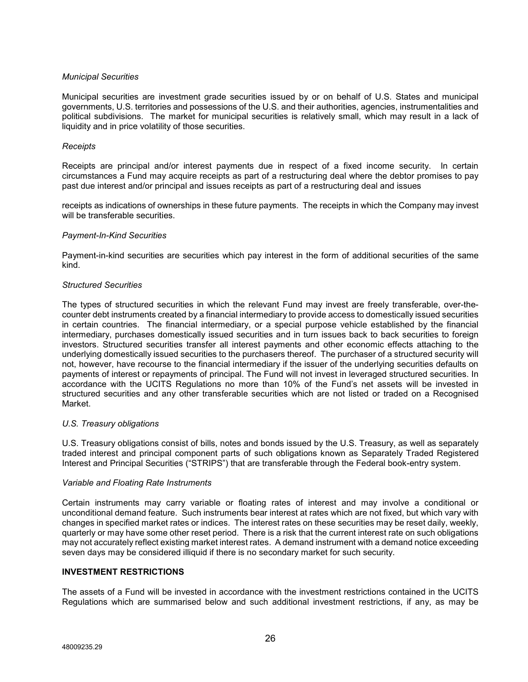#### *Municipal Securities*

Municipal securities are investment grade securities issued by or on behalf of U.S. States and municipal governments, U.S. territories and possessions of the U.S. and their authorities, agencies, instrumentalities and political subdivisions. The market for municipal securities is relatively small, which may result in a lack of liquidity and in price volatility of those securities.

#### *Receipts*

Receipts are principal and/or interest payments due in respect of a fixed income security. In certain circumstances a Fund may acquire receipts as part of a restructuring deal where the debtor promises to pay past due interest and/or principal and issues receipts as part of a restructuring deal and issues

receipts as indications of ownerships in these future payments. The receipts in which the Company may invest will be transferable securities

#### *Payment-In-Kind Securities*

Payment-in-kind securities are securities which pay interest in the form of additional securities of the same kind.

# *Structured Securities*

The types of structured securities in which the relevant Fund may invest are freely transferable, over-thecounter debt instruments created by a financial intermediary to provide access to domestically issued securities in certain countries. The financial intermediary, or a special purpose vehicle established by the financial intermediary, purchases domestically issued securities and in turn issues back to back securities to foreign investors. Structured securities transfer all interest payments and other economic effects attaching to the underlying domestically issued securities to the purchasers thereof. The purchaser of a structured security will not, however, have recourse to the financial intermediary if the issuer of the underlying securities defaults on payments of interest or repayments of principal. The Fund will not invest in leveraged structured securities. In accordance with the UCITS Regulations no more than 10% of the Fund's net assets will be invested in structured securities and any other transferable securities which are not listed or traded on a Recognised Market.

#### *U.S. Treasury obligations*

U.S. Treasury obligations consist of bills, notes and bonds issued by the U.S. Treasury, as well as separately traded interest and principal component parts of such obligations known as Separately Traded Registered Interest and Principal Securities ("STRIPS") that are transferable through the Federal book-entry system.

#### *Variable and Floating Rate Instruments*

Certain instruments may carry variable or floating rates of interest and may involve a conditional or unconditional demand feature. Such instruments bear interest at rates which are not fixed, but which vary with changes in specified market rates or indices. The interest rates on these securities may be reset daily, weekly, quarterly or may have some other reset period. There is a risk that the current interest rate on such obligations may not accurately reflect existing market interest rates. A demand instrument with a demand notice exceeding seven days may be considered illiquid if there is no secondary market for such security.

#### **INVESTMENT RESTRICTIONS**

The assets of a Fund will be invested in accordance with the investment restrictions contained in the UCITS Regulations which are summarised below and such additional investment restrictions, if any, as may be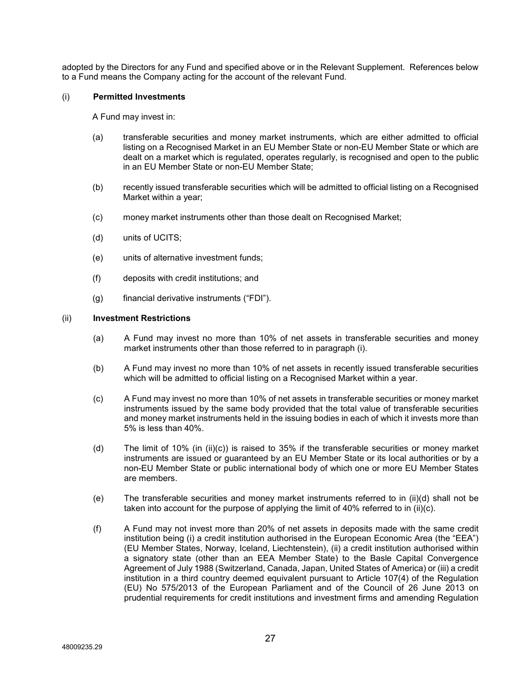adopted by the Directors for any Fund and specified above or in the Relevant Supplement. References below to a Fund means the Company acting for the account of the relevant Fund.

#### (i) **Permitted Investments**

A Fund may invest in:

- (a) transferable securities and money market instruments, which are either admitted to official listing on a Recognised Market in an EU Member State or non-EU Member State or which are dealt on a market which is regulated, operates regularly, is recognised and open to the public in an EU Member State or non-EU Member State;
- (b) recently issued transferable securities which will be admitted to official listing on a Recognised Market within a year;
- (c) money market instruments other than those dealt on Recognised Market;
- (d) units of UCITS;
- (e) units of alternative investment funds;
- (f) deposits with credit institutions; and
- (g) financial derivative instruments ("FDI").

#### (ii) **Investment Restrictions**

- (a) A Fund may invest no more than 10% of net assets in transferable securities and money market instruments other than those referred to in paragraph (i).
- (b) A Fund may invest no more than 10% of net assets in recently issued transferable securities which will be admitted to official listing on a Recognised Market within a year.
- (c) A Fund may invest no more than 10% of net assets in transferable securities or money market instruments issued by the same body provided that the total value of transferable securities and money market instruments held in the issuing bodies in each of which it invests more than 5% is less than 40%.
- (d) The limit of 10% (in (ii)(c)) is raised to 35% if the transferable securities or money market instruments are issued or guaranteed by an EU Member State or its local authorities or by a non-EU Member State or public international body of which one or more EU Member States are members.
- (e) The transferable securities and money market instruments referred to in (ii)(d) shall not be taken into account for the purpose of applying the limit of 40% referred to in (ii)(c).
- (f) A Fund may not invest more than 20% of net assets in deposits made with the same credit institution being (i) a credit institution authorised in the European Economic Area (the "EEA") (EU Member States, Norway, Iceland, Liechtenstein), (ii) a credit institution authorised within a signatory state (other than an EEA Member State) to the Basle Capital Convergence Agreement of July 1988 (Switzerland, Canada, Japan, United States of America) or (iii) a credit institution in a third country deemed equivalent pursuant to Article 107(4) of the Regulation (EU) No 575/2013 of the European Parliament and of the Council of 26 June 2013 on prudential requirements for credit institutions and investment firms and amending Regulation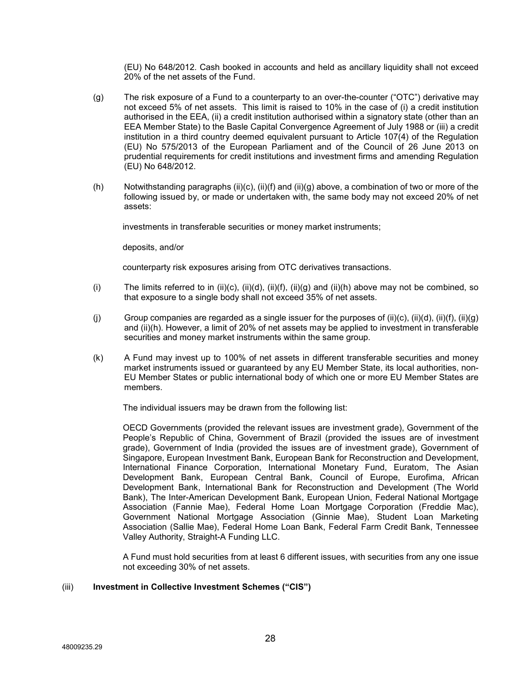(EU) No 648/2012. Cash booked in accounts and held as ancillary liquidity shall not exceed 20% of the net assets of the Fund.

- (g) The risk exposure of a Fund to a counterparty to an over-the-counter ("OTC") derivative may not exceed 5% of net assets. This limit is raised to 10% in the case of (i) a credit institution authorised in the EEA, (ii) a credit institution authorised within a signatory state (other than an EEA Member State) to the Basle Capital Convergence Agreement of July 1988 or (iii) a credit institution in a third country deemed equivalent pursuant to Article 107(4) of the Regulation (EU) No 575/2013 of the European Parliament and of the Council of 26 June 2013 on prudential requirements for credit institutions and investment firms and amending Regulation (EU) No 648/2012.
- (h) Notwithstanding paragraphs (ii)(c), (ii)(f) and (ii)(g) above, a combination of two or more of the following issued by, or made or undertaken with, the same body may not exceed 20% of net assets:

investments in transferable securities or money market instruments;

deposits, and/or

counterparty risk exposures arising from OTC derivatives transactions.

- (i) The limits referred to in (ii)(c), (ii)(d), (ii)(f), (ii)(g) and (ii)(h) above may not be combined, so that exposure to a single body shall not exceed 35% of net assets.
- (j) Group companies are regarded as a single issuer for the purposes of (ii)(c), (ii)(d), (ii)(f), (ii)(g) and (ii)(h). However, a limit of 20% of net assets may be applied to investment in transferable securities and money market instruments within the same group.
- (k) A Fund may invest up to 100% of net assets in different transferable securities and money market instruments issued or guaranteed by any EU Member State, its local authorities, non-EU Member States or public international body of which one or more EU Member States are members.

The individual issuers may be drawn from the following list:

OECD Governments (provided the relevant issues are investment grade), Government of the People's Republic of China, Government of Brazil (provided the issues are of investment grade), Government of India (provided the issues are of investment grade), Government of Singapore, European Investment Bank, European Bank for Reconstruction and Development, International Finance Corporation, International Monetary Fund, Euratom, The Asian Development Bank, European Central Bank, Council of Europe, Eurofima, African Development Bank, International Bank for Reconstruction and Development (The World Bank), The Inter-American Development Bank, European Union, Federal National Mortgage Association (Fannie Mae), Federal Home Loan Mortgage Corporation (Freddie Mac), Government National Mortgage Association (Ginnie Mae), Student Loan Marketing Association (Sallie Mae), Federal Home Loan Bank, Federal Farm Credit Bank, Tennessee Valley Authority, Straight-A Funding LLC.

A Fund must hold securities from at least 6 different issues, with securities from any one issue not exceeding 30% of net assets.

#### (iii) **Investment in Collective Investment Schemes ("CIS")**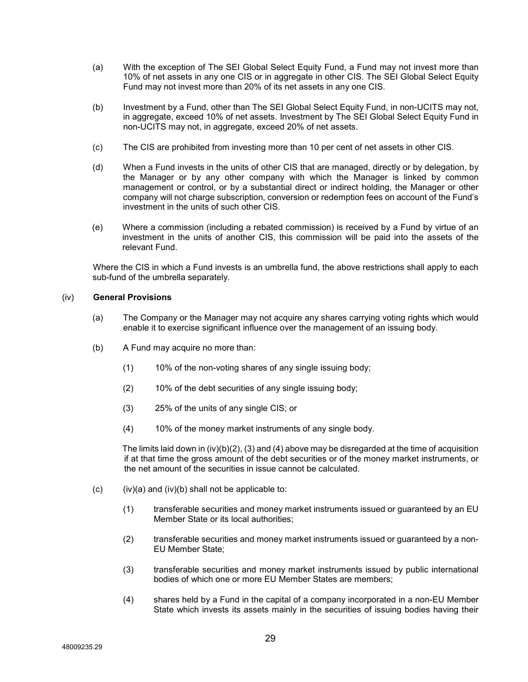- (a) With the exception of The SEI Global Select Equity Fund, a Fund may not invest more than 10% of net assets in any one CIS or in aggregate in other CIS. The SEI Global Select Equity Fund may not invest more than 20% of its net assets in any one CIS.
- (b) Investment by a Fund, other than The SEI Global Select Equity Fund, in non-UCITS may not, in aggregate, exceed 10% of net assets. Investment by The SEI Global Select Equity Fund in non-UCITS may not, in aggregate, exceed 20% of net assets.
- (c) The CIS are prohibited from investing more than 10 per cent of net assets in other CIS.
- (d) When a Fund invests in the units of other CIS that are managed, directly or by delegation, by the Manager or by any other company with which the Manager is linked by common management or control, or by a substantial direct or indirect holding, the Manager or other company will not charge subscription, conversion or redemption fees on account of the Fund's investment in the units of such other CIS.
- (e) Where a commission (including a rebated commission) is received by a Fund by virtue of an investment in the units of another CIS, this commission will be paid into the assets of the relevant Fund.

Where the CIS in which a Fund invests is an umbrella fund, the above restrictions shall apply to each sub-fund of the umbrella separately.

# (iv) **General Provisions**

- (a) The Company or the Manager may not acquire any shares carrying voting rights which would enable it to exercise significant influence over the management of an issuing body.
- (b) A Fund may acquire no more than:
	- $(1)$  10% of the non-voting shares of any single issuing body;
	- (2) 10% of the debt securities of any single issuing body;
	- (3) 25% of the units of any single CIS; or
	- (4) 10% of the money market instruments of any single body.

The limits laid down in  $(iv)(b)(2)$ ,  $(3)$  and  $(4)$  above may be disregarded at the time of acquisition if at that time the gross amount of the debt securities or of the money market instruments, or the net amount of the securities in issue cannot be calculated.

- (c)  $(iv)(a)$  and  $(iv)(b)$  shall not be applicable to:
	- (1) transferable securities and money market instruments issued or guaranteed by an EU Member State or its local authorities;
	- (2) transferable securities and money market instruments issued or guaranteed by a non-EU Member State;
	- (3) transferable securities and money market instruments issued by public international bodies of which one or more EU Member States are members;
	- (4) shares held by a Fund in the capital of a company incorporated in a non-EU Member State which invests its assets mainly in the securities of issuing bodies having their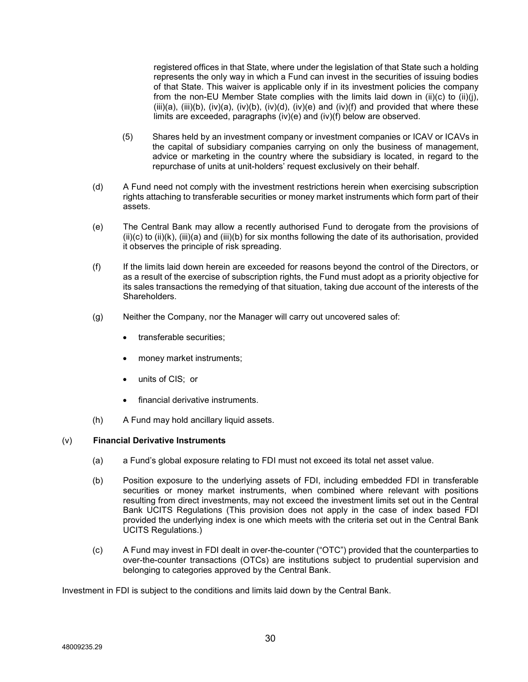registered offices in that State, where under the legislation of that State such a holding represents the only way in which a Fund can invest in the securities of issuing bodies of that State. This waiver is applicable only if in its investment policies the company from the non-EU Member State complies with the limits laid down in (ii)(c) to (ii)(i),  $(iii)(a)$ ,  $(iii)(b)$ ,  $(iv)(a)$ ,  $(iv)(b)$ ,  $(iv)(d)$ ,  $(iv)(e)$  and  $(iv)(f)$  and provided that where these limits are exceeded, paragraphs (iv)(e) and (iv)(f) below are observed.

- (5) Shares held by an investment company or investment companies or ICAV or ICAVs in the capital of subsidiary companies carrying on only the business of management, advice or marketing in the country where the subsidiary is located, in regard to the repurchase of units at unit-holders' request exclusively on their behalf.
- (d) A Fund need not comply with the investment restrictions herein when exercising subscription rights attaching to transferable securities or money market instruments which form part of their assets.
- (e) The Central Bank may allow a recently authorised Fund to derogate from the provisions of  $(ii)(c)$  to  $(ii)(k)$ ,  $(iii)(a)$  and  $(iii)(b)$  for six months following the date of its authorisation, provided it observes the principle of risk spreading.
- (f) If the limits laid down herein are exceeded for reasons beyond the control of the Directors, or as a result of the exercise of subscription rights, the Fund must adopt as a priority objective for its sales transactions the remedying of that situation, taking due account of the interests of the Shareholders.
- (g) Neither the Company, nor the Manager will carry out uncovered sales of:
	- transferable securities;
	- money market instruments;
	- units of CIS; or
	- financial derivative instruments.
- (h) A Fund may hold ancillary liquid assets.

# (v) **Financial Derivative Instruments**

- (a) a Fund's global exposure relating to FDI must not exceed its total net asset value.
- (b) Position exposure to the underlying assets of FDI, including embedded FDI in transferable securities or money market instruments, when combined where relevant with positions resulting from direct investments, may not exceed the investment limits set out in the Central Bank UCITS Regulations (This provision does not apply in the case of index based FDI provided the underlying index is one which meets with the criteria set out in the Central Bank UCITS Regulations.)
- (c) A Fund may invest in FDI dealt in over-the-counter ("OTC") provided that the counterparties to over-the-counter transactions (OTCs) are institutions subject to prudential supervision and belonging to categories approved by the Central Bank.

Investment in FDI is subject to the conditions and limits laid down by the Central Bank.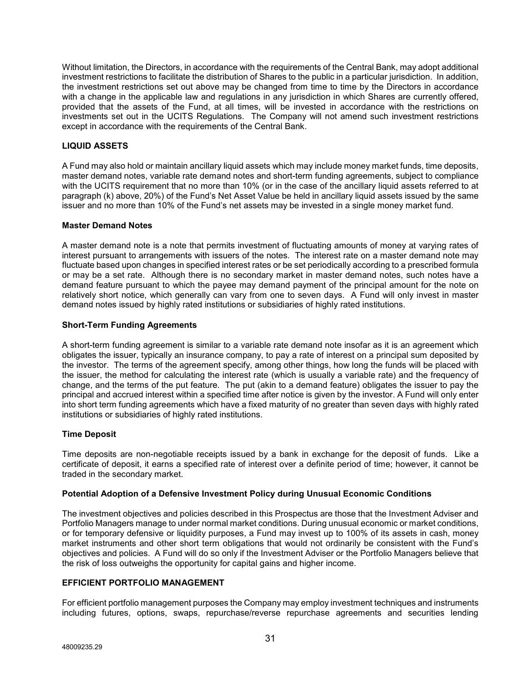Without limitation, the Directors, in accordance with the requirements of the Central Bank, may adopt additional investment restrictions to facilitate the distribution of Shares to the public in a particular jurisdiction. In addition, the investment restrictions set out above may be changed from time to time by the Directors in accordance with a change in the applicable law and regulations in any jurisdiction in which Shares are currently offered, provided that the assets of the Fund, at all times, will be invested in accordance with the restrictions on investments set out in the UCITS Regulations. The Company will not amend such investment restrictions except in accordance with the requirements of the Central Bank.

# **LIQUID ASSETS**

A Fund may also hold or maintain ancillary liquid assets which may include money market funds, time deposits, master demand notes, variable rate demand notes and short-term funding agreements, subject to compliance with the UCITS requirement that no more than 10% (or in the case of the ancillary liquid assets referred to at paragraph (k) above, 20%) of the Fund's Net Asset Value be held in ancillary liquid assets issued by the same issuer and no more than 10% of the Fund's net assets may be invested in a single money market fund.

#### **Master Demand Notes**

A master demand note is a note that permits investment of fluctuating amounts of money at varying rates of interest pursuant to arrangements with issuers of the notes. The interest rate on a master demand note may fluctuate based upon changes in specified interest rates or be set periodically according to a prescribed formula or may be a set rate. Although there is no secondary market in master demand notes, such notes have a demand feature pursuant to which the payee may demand payment of the principal amount for the note on relatively short notice, which generally can vary from one to seven days. A Fund will only invest in master demand notes issued by highly rated institutions or subsidiaries of highly rated institutions.

# **Short-Term Funding Agreements**

A short-term funding agreement is similar to a variable rate demand note insofar as it is an agreement which obligates the issuer, typically an insurance company, to pay a rate of interest on a principal sum deposited by the investor. The terms of the agreement specify, among other things, how long the funds will be placed with the issuer, the method for calculating the interest rate (which is usually a variable rate) and the frequency of change, and the terms of the put feature. The put (akin to a demand feature) obligates the issuer to pay the principal and accrued interest within a specified time after notice is given by the investor. A Fund will only enter into short term funding agreements which have a fixed maturity of no greater than seven days with highly rated institutions or subsidiaries of highly rated institutions.

# **Time Deposit**

Time deposits are non-negotiable receipts issued by a bank in exchange for the deposit of funds. Like a certificate of deposit, it earns a specified rate of interest over a definite period of time; however, it cannot be traded in the secondary market.

#### **Potential Adoption of a Defensive Investment Policy during Unusual Economic Conditions**

The investment objectives and policies described in this Prospectus are those that the Investment Adviser and Portfolio Managers manage to under normal market conditions. During unusual economic or market conditions, or for temporary defensive or liquidity purposes, a Fund may invest up to 100% of its assets in cash, money market instruments and other short term obligations that would not ordinarily be consistent with the Fund's objectives and policies. A Fund will do so only if the Investment Adviser or the Portfolio Managers believe that the risk of loss outweighs the opportunity for capital gains and higher income.

# **EFFICIENT PORTFOLIO MANAGEMENT**

For efficient portfolio management purposes the Company may employ investment techniques and instruments including futures, options, swaps, repurchase/reverse repurchase agreements and securities lending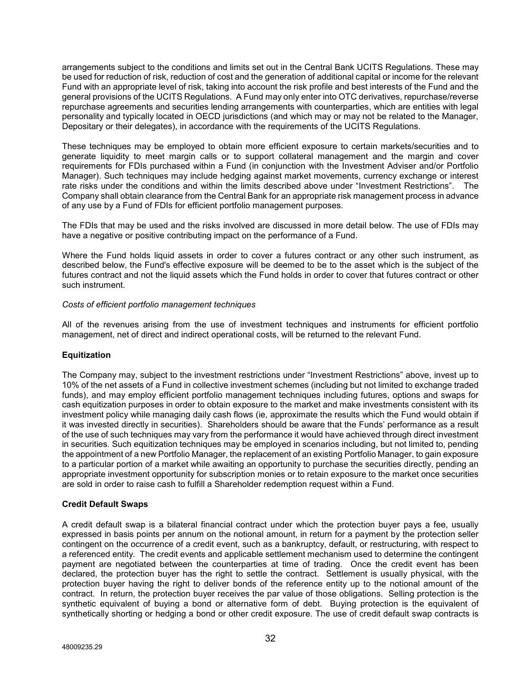arrangements subject to the conditions and limits set out in the Central Bank UCITS Regulations. These may be used for reduction of risk, reduction of cost and the generation of additional capital or income for the relevant Fund with an appropriate level of risk, taking into account the risk profile and best interests of the Fund and the general provisions of the UCITS Regulations. A Fund may only enter into OTC derivatives, repurchase/reverse repurchase agreements and securities lending arrangements with counterparties, which are entities with legal personality and typically located in OECD jurisdictions (and which may or may not be related to the Manager, Depositary or their delegates), in accordance with the requirements of the UCITS Regulations.

These techniques may be employed to obtain more efficient exposure to certain markets/securities and to generate liquidity to meet margin calls or to support collateral management and the margin and cover requirements for FDIs purchased within a Fund (in conjunction with the Investment Adviser and/or Portfolio Manager). Such techniques may include hedging against market movements, currency exchange or interest rate risks under the conditions and within the limits described above under "Investment Restrictions". The Company shall obtain clearance from the Central Bank for an appropriate risk management process in advance of any use by a Fund of FDIs for efficient portfolio management purposes.

The FDIs that may be used and the risks involved are discussed in more detail below. The use of FDIs may have a negative or positive contributing impact on the performance of a Fund.

Where the Fund holds liquid assets in order to cover a futures contract or any other such instrument, as described below, the Fund's effective exposure will be deemed to be to the asset which is the subject of the futures contract and not the liquid assets which the Fund holds in order to cover that futures contract or other such instrument.

#### *Costs of efficient portfolio management techniques*

All of the revenues arising from the use of investment techniques and instruments for efficient portfolio management, net of direct and indirect operational costs, will be returned to the relevant Fund.

# **Equitization**

The Company may, subject to the investment restrictions under "Investment Restrictions" above, invest up to 10% of the net assets of a Fund in collective investment schemes (including but not limited to exchange traded funds), and may employ efficient portfolio management techniques including futures, options and swaps for cash equitization purposes in order to obtain exposure to the market and make investments consistent with its investment policy while managing daily cash flows (ie, approximate the results which the Fund would obtain if it was invested directly in securities). Shareholders should be aware that the Funds' performance as a result of the use of such techniques may vary from the performance it would have achieved through direct investment in securities. Such equitization techniques may be employed in scenarios including, but not limited to, pending the appointment of a new Portfolio Manager, the replacement of an existing Portfolio Manager, to gain exposure to a particular portion of a market while awaiting an opportunity to purchase the securities directly, pending an appropriate investment opportunity for subscription monies or to retain exposure to the market once securities are sold in order to raise cash to fulfill a Shareholder redemption request within a Fund.

#### **Credit Default Swaps**

A credit default swap is a bilateral financial contract under which the protection buyer pays a fee, usually expressed in basis points per annum on the notional amount, in return for a payment by the protection seller contingent on the occurrence of a credit event, such as a bankruptcy, default, or restructuring, with respect to a referenced entity. The credit events and applicable settlement mechanism used to determine the contingent payment are negotiated between the counterparties at time of trading. Once the credit event has been declared, the protection buyer has the right to settle the contract. Settlement is usually physical, with the protection buyer having the right to deliver bonds of the reference entity up to the notional amount of the contract. In return, the protection buyer receives the par value of those obligations. Selling protection is the synthetic equivalent of buying a bond or alternative form of debt. Buying protection is the equivalent of synthetically shorting or hedging a bond or other credit exposure. The use of credit default swap contracts is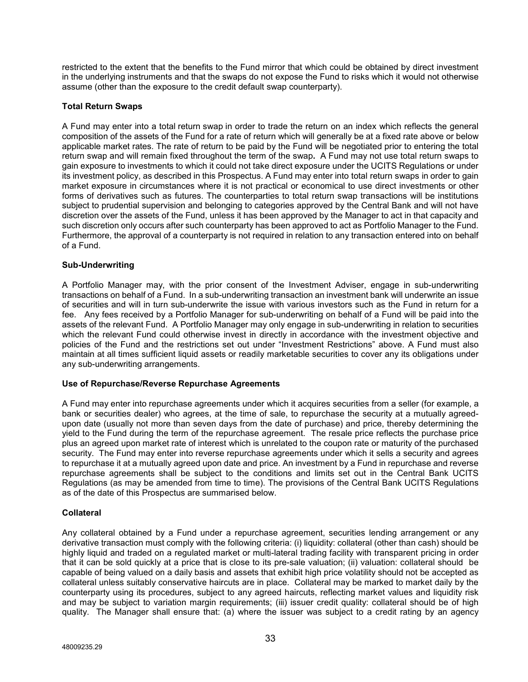restricted to the extent that the benefits to the Fund mirror that which could be obtained by direct investment in the underlying instruments and that the swaps do not expose the Fund to risks which it would not otherwise assume (other than the exposure to the credit default swap counterparty).

# **Total Return Swaps**

A Fund may enter into a total return swap in order to trade the return on an index which reflects the general composition of the assets of the Fund for a rate of return which will generally be at a fixed rate above or below applicable market rates. The rate of return to be paid by the Fund will be negotiated prior to entering the total return swap and will remain fixed throughout the term of the swap**.** A Fund may not use total return swaps to gain exposure to investments to which it could not take direct exposure under the UCITS Regulations or under its investment policy, as described in this Prospectus. A Fund may enter into total return swaps in order to gain market exposure in circumstances where it is not practical or economical to use direct investments or other forms of derivatives such as futures. The counterparties to total return swap transactions will be institutions subject to prudential supervision and belonging to categories approved by the Central Bank and will not have discretion over the assets of the Fund, unless it has been approved by the Manager to act in that capacity and such discretion only occurs after such counterparty has been approved to act as Portfolio Manager to the Fund. Furthermore, the approval of a counterparty is not required in relation to any transaction entered into on behalf of a Fund.

# **Sub-Underwriting**

A Portfolio Manager may, with the prior consent of the Investment Adviser, engage in sub-underwriting transactions on behalf of a Fund. In a sub-underwriting transaction an investment bank will underwrite an issue of securities and will in turn sub-underwrite the issue with various investors such as the Fund in return for a fee. Any fees received by a Portfolio Manager for sub-underwriting on behalf of a Fund will be paid into the assets of the relevant Fund. A Portfolio Manager may only engage in sub-underwriting in relation to securities which the relevant Fund could otherwise invest in directly in accordance with the investment objective and policies of the Fund and the restrictions set out under "Investment Restrictions" above. A Fund must also maintain at all times sufficient liquid assets or readily marketable securities to cover any its obligations under any sub-underwriting arrangements.

#### **Use of Repurchase/Reverse Repurchase Agreements**

A Fund may enter into repurchase agreements under which it acquires securities from a seller (for example, a bank or securities dealer) who agrees, at the time of sale, to repurchase the security at a mutually agreedupon date (usually not more than seven days from the date of purchase) and price, thereby determining the yield to the Fund during the term of the repurchase agreement. The resale price reflects the purchase price plus an agreed upon market rate of interest which is unrelated to the coupon rate or maturity of the purchased security. The Fund may enter into reverse repurchase agreements under which it sells a security and agrees to repurchase it at a mutually agreed upon date and price. An investment by a Fund in repurchase and reverse repurchase agreements shall be subject to the conditions and limits set out in the Central Bank UCITS Regulations (as may be amended from time to time). The provisions of the Central Bank UCITS Regulations as of the date of this Prospectus are summarised below.

#### **Collateral**

Any collateral obtained by a Fund under a repurchase agreement, securities lending arrangement or any derivative transaction must comply with the following criteria: (i) liquidity: collateral (other than cash) should be highly liquid and traded on a regulated market or multi-lateral trading facility with transparent pricing in order that it can be sold quickly at a price that is close to its pre-sale valuation; (ii) valuation: collateral should be capable of being valued on a daily basis and assets that exhibit high price volatility should not be accepted as collateral unless suitably conservative haircuts are in place. Collateral may be marked to market daily by the counterparty using its procedures, subject to any agreed haircuts, reflecting market values and liquidity risk and may be subject to variation margin requirements; (iii) issuer credit quality: collateral should be of high quality. The Manager shall ensure that: (a) where the issuer was subject to a credit rating by an agency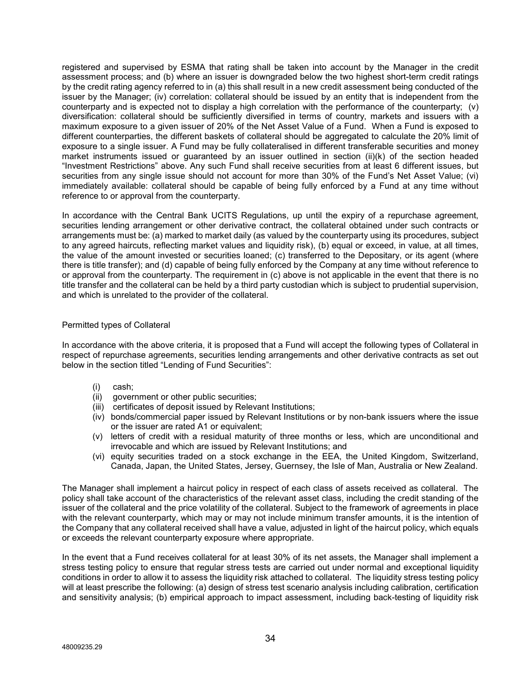registered and supervised by ESMA that rating shall be taken into account by the Manager in the credit assessment process; and (b) where an issuer is downgraded below the two highest short-term credit ratings by the credit rating agency referred to in (a) this shall result in a new credit assessment being conducted of the issuer by the Manager; (iv) correlation: collateral should be issued by an entity that is independent from the counterparty and is expected not to display a high correlation with the performance of the counterparty; (v) diversification: collateral should be sufficiently diversified in terms of country, markets and issuers with a maximum exposure to a given issuer of 20% of the Net Asset Value of a Fund. When a Fund is exposed to different counterparties, the different baskets of collateral should be aggregated to calculate the 20% limit of exposure to a single issuer. A Fund may be fully collateralised in different transferable securities and money market instruments issued or guaranteed by an issuer outlined in section (ii)(k) of the section headed "Investment Restrictions" above. Any such Fund shall receive securities from at least 6 different issues, but securities from any single issue should not account for more than 30% of the Fund's Net Asset Value; (vi) immediately available: collateral should be capable of being fully enforced by a Fund at any time without reference to or approval from the counterparty.

In accordance with the Central Bank UCITS Regulations, up until the expiry of a repurchase agreement, securities lending arrangement or other derivative contract, the collateral obtained under such contracts or arrangements must be: (a) marked to market daily (as valued by the counterparty using its procedures, subject to any agreed haircuts, reflecting market values and liquidity risk), (b) equal or exceed, in value, at all times, the value of the amount invested or securities loaned; (c) transferred to the Depositary, or its agent (where there is title transfer); and (d) capable of being fully enforced by the Company at any time without reference to or approval from the counterparty. The requirement in (c) above is not applicable in the event that there is no title transfer and the collateral can be held by a third party custodian which is subject to prudential supervision, and which is unrelated to the provider of the collateral.

# Permitted types of Collateral

In accordance with the above criteria, it is proposed that a Fund will accept the following types of Collateral in respect of repurchase agreements, securities lending arrangements and other derivative contracts as set out below in the section titled "Lending of Fund Securities":

- (i) cash;
- (ii) government or other public securities;
- (iii) certificates of deposit issued by Relevant Institutions;
- (iv) bonds/commercial paper issued by Relevant Institutions or by non-bank issuers where the issue or the issuer are rated A1 or equivalent;
- (v) letters of credit with a residual maturity of three months or less, which are unconditional and irrevocable and which are issued by Relevant Institutions; and
- (vi) equity securities traded on a stock exchange in the EEA, the United Kingdom, Switzerland, Canada, Japan, the United States, Jersey, Guernsey, the Isle of Man, Australia or New Zealand.

The Manager shall implement a haircut policy in respect of each class of assets received as collateral. The policy shall take account of the characteristics of the relevant asset class, including the credit standing of the issuer of the collateral and the price volatility of the collateral. Subject to the framework of agreements in place with the relevant counterparty, which may or may not include minimum transfer amounts, it is the intention of the Company that any collateral received shall have a value, adjusted in light of the haircut policy, which equals or exceeds the relevant counterparty exposure where appropriate.

In the event that a Fund receives collateral for at least 30% of its net assets, the Manager shall implement a stress testing policy to ensure that regular stress tests are carried out under normal and exceptional liquidity conditions in order to allow it to assess the liquidity risk attached to collateral. The liquidity stress testing policy will at least prescribe the following: (a) design of stress test scenario analysis including calibration, certification and sensitivity analysis; (b) empirical approach to impact assessment, including back-testing of liquidity risk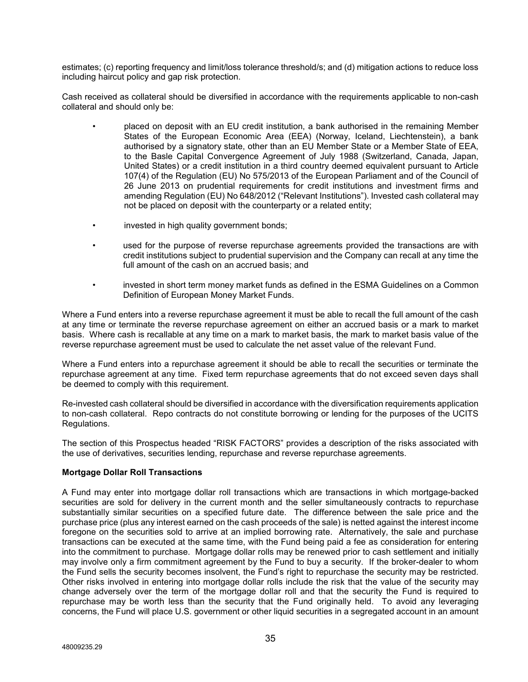estimates; (c) reporting frequency and limit/loss tolerance threshold/s; and (d) mitigation actions to reduce loss including haircut policy and gap risk protection.

Cash received as collateral should be diversified in accordance with the requirements applicable to non-cash collateral and should only be:

- placed on deposit with an EU credit institution, a bank authorised in the remaining Member States of the European Economic Area (EEA) (Norway, Iceland, Liechtenstein), a bank authorised by a signatory state, other than an EU Member State or a Member State of EEA, to the Basle Capital Convergence Agreement of July 1988 (Switzerland, Canada, Japan, United States) or a credit institution in a third country deemed equivalent pursuant to Article 107(4) of the Regulation (EU) No 575/2013 of the European Parliament and of the Council of 26 June 2013 on prudential requirements for credit institutions and investment firms and amending Regulation (EU) No 648/2012 ("Relevant Institutions"). Invested cash collateral may not be placed on deposit with the counterparty or a related entity;
- invested in high quality government bonds;
- used for the purpose of reverse repurchase agreements provided the transactions are with credit institutions subject to prudential supervision and the Company can recall at any time the full amount of the cash on an accrued basis; and
- invested in short term money market funds as defined in the ESMA Guidelines on a Common Definition of European Money Market Funds.

Where a Fund enters into a reverse repurchase agreement it must be able to recall the full amount of the cash at any time or terminate the reverse repurchase agreement on either an accrued basis or a mark to market basis. Where cash is recallable at any time on a mark to market basis, the mark to market basis value of the reverse repurchase agreement must be used to calculate the net asset value of the relevant Fund.

Where a Fund enters into a repurchase agreement it should be able to recall the securities or terminate the repurchase agreement at any time. Fixed term repurchase agreements that do not exceed seven days shall be deemed to comply with this requirement.

Re-invested cash collateral should be diversified in accordance with the diversification requirements application to non-cash collateral. Repo contracts do not constitute borrowing or lending for the purposes of the UCITS Regulations.

The section of this Prospectus headed "RISK FACTORS" provides a description of the risks associated with the use of derivatives, securities lending, repurchase and reverse repurchase agreements.

# **Mortgage Dollar Roll Transactions**

A Fund may enter into mortgage dollar roll transactions which are transactions in which mortgage-backed securities are sold for delivery in the current month and the seller simultaneously contracts to repurchase substantially similar securities on a specified future date. The difference between the sale price and the purchase price (plus any interest earned on the cash proceeds of the sale) is netted against the interest income foregone on the securities sold to arrive at an implied borrowing rate. Alternatively, the sale and purchase transactions can be executed at the same time, with the Fund being paid a fee as consideration for entering into the commitment to purchase. Mortgage dollar rolls may be renewed prior to cash settlement and initially may involve only a firm commitment agreement by the Fund to buy a security. If the broker-dealer to whom the Fund sells the security becomes insolvent, the Fund's right to repurchase the security may be restricted. Other risks involved in entering into mortgage dollar rolls include the risk that the value of the security may change adversely over the term of the mortgage dollar roll and that the security the Fund is required to repurchase may be worth less than the security that the Fund originally held. To avoid any leveraging concerns, the Fund will place U.S. government or other liquid securities in a segregated account in an amount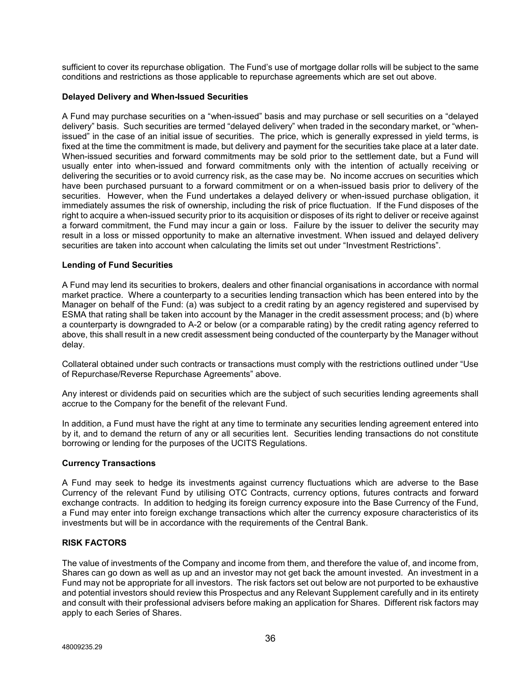sufficient to cover its repurchase obligation. The Fund's use of mortgage dollar rolls will be subject to the same conditions and restrictions as those applicable to repurchase agreements which are set out above.

#### **Delayed Delivery and When-Issued Securities**

A Fund may purchase securities on a "when-issued" basis and may purchase or sell securities on a "delayed delivery" basis. Such securities are termed "delayed delivery" when traded in the secondary market, or "whenissued" in the case of an initial issue of securities. The price, which is generally expressed in yield terms, is fixed at the time the commitment is made, but delivery and payment for the securities take place at a later date. When-issued securities and forward commitments may be sold prior to the settlement date, but a Fund will usually enter into when-issued and forward commitments only with the intention of actually receiving or delivering the securities or to avoid currency risk, as the case may be. No income accrues on securities which have been purchased pursuant to a forward commitment or on a when-issued basis prior to delivery of the securities. However, when the Fund undertakes a delayed delivery or when-issued purchase obligation, it immediately assumes the risk of ownership, including the risk of price fluctuation. If the Fund disposes of the right to acquire a when-issued security prior to its acquisition or disposes of its right to deliver or receive against a forward commitment, the Fund may incur a gain or loss. Failure by the issuer to deliver the security may result in a loss or missed opportunity to make an alternative investment. When issued and delayed delivery securities are taken into account when calculating the limits set out under "Investment Restrictions".

# **Lending of Fund Securities**

A Fund may lend its securities to brokers, dealers and other financial organisations in accordance with normal market practice. Where a counterparty to a securities lending transaction which has been entered into by the Manager on behalf of the Fund: (a) was subject to a credit rating by an agency registered and supervised by ESMA that rating shall be taken into account by the Manager in the credit assessment process; and (b) where a counterparty is downgraded to A-2 or below (or a comparable rating) by the credit rating agency referred to above, this shall result in a new credit assessment being conducted of the counterparty by the Manager without delay.

Collateral obtained under such contracts or transactions must comply with the restrictions outlined under "Use of Repurchase/Reverse Repurchase Agreements" above.

Any interest or dividends paid on securities which are the subject of such securities lending agreements shall accrue to the Company for the benefit of the relevant Fund.

In addition, a Fund must have the right at any time to terminate any securities lending agreement entered into by it, and to demand the return of any or all securities lent. Securities lending transactions do not constitute borrowing or lending for the purposes of the UCITS Regulations.

#### **Currency Transactions**

A Fund may seek to hedge its investments against currency fluctuations which are adverse to the Base Currency of the relevant Fund by utilising OTC Contracts, currency options, futures contracts and forward exchange contracts. In addition to hedging its foreign currency exposure into the Base Currency of the Fund, a Fund may enter into foreign exchange transactions which alter the currency exposure characteristics of its investments but will be in accordance with the requirements of the Central Bank.

#### **RISK FACTORS**

The value of investments of the Company and income from them, and therefore the value of, and income from, Shares can go down as well as up and an investor may not get back the amount invested. An investment in a Fund may not be appropriate for all investors. The risk factors set out below are not purported to be exhaustive and potential investors should review this Prospectus and any Relevant Supplement carefully and in its entirety and consult with their professional advisers before making an application for Shares. Different risk factors may apply to each Series of Shares.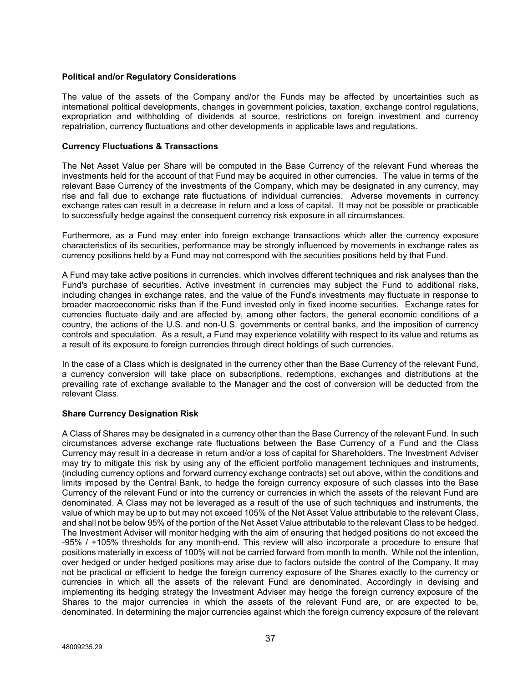## **Political and/or Regulatory Considerations**

The value of the assets of the Company and/or the Funds may be affected by uncertainties such as international political developments, changes in government policies, taxation, exchange control regulations, expropriation and withholding of dividends at source, restrictions on foreign investment and currency repatriation, currency fluctuations and other developments in applicable laws and regulations.

## **Currency Fluctuations & Transactions**

The Net Asset Value per Share will be computed in the Base Currency of the relevant Fund whereas the investments held for the account of that Fund may be acquired in other currencies. The value in terms of the relevant Base Currency of the investments of the Company, which may be designated in any currency, may rise and fall due to exchange rate fluctuations of individual currencies. Adverse movements in currency exchange rates can result in a decrease in return and a loss of capital. It may not be possible or practicable to successfully hedge against the consequent currency risk exposure in all circumstances.

Furthermore, as a Fund may enter into foreign exchange transactions which alter the currency exposure characteristics of its securities, performance may be strongly influenced by movements in exchange rates as currency positions held by a Fund may not correspond with the securities positions held by that Fund.

A Fund may take active positions in currencies, which involves different techniques and risk analyses than the Fund's purchase of securities. Active investment in currencies may subject the Fund to additional risks, including changes in exchange rates, and the value of the Fund's investments may fluctuate in response to broader macroeconomic risks than if the Fund invested only in fixed income securities. Exchange rates for currencies fluctuate daily and are affected by, among other factors, the general economic conditions of a country, the actions of the U.S. and non-U.S. governments or central banks, and the imposition of currency controls and speculation. As a result, a Fund may experience volatility with respect to its value and returns as a result of its exposure to foreign currencies through direct holdings of such currencies.

In the case of a Class which is designated in the currency other than the Base Currency of the relevant Fund, a currency conversion will take place on subscriptions, redemptions, exchanges and distributions at the prevailing rate of exchange available to the Manager and the cost of conversion will be deducted from the relevant Class.

# **Share Currency Designation Risk**

A Class of Shares may be designated in a currency other than the Base Currency of the relevant Fund. In such circumstances adverse exchange rate fluctuations between the Base Currency of a Fund and the Class Currency may result in a decrease in return and/or a loss of capital for Shareholders. The Investment Adviser may try to mitigate this risk by using any of the efficient portfolio management techniques and instruments, (including currency options and forward currency exchange contracts) set out above, within the conditions and limits imposed by the Central Bank, to hedge the foreign currency exposure of such classes into the Base Currency of the relevant Fund or into the currency or currencies in which the assets of the relevant Fund are denominated. A Class may not be leveraged as a result of the use of such techniques and instruments, the value of which may be up to but may not exceed 105% of the Net Asset Value attributable to the relevant Class, and shall not be below 95% of the portion of the Net Asset Value attributable to the relevant Class to be hedged. The Investment Adviser will monitor hedging with the aim of ensuring that hedged positions do not exceed the -95% / +105% thresholds for any month-end. This review will also incorporate a procedure to ensure that positions materially in excess of 100% will not be carried forward from month to month. While not the intention, over hedged or under hedged positions may arise due to factors outside the control of the Company. It may not be practical or efficient to hedge the foreign currency exposure of the Shares exactly to the currency or currencies in which all the assets of the relevant Fund are denominated. Accordingly in devising and implementing its hedging strategy the Investment Adviser may hedge the foreign currency exposure of the Shares to the major currencies in which the assets of the relevant Fund are, or are expected to be, denominated. In determining the major currencies against which the foreign currency exposure of the relevant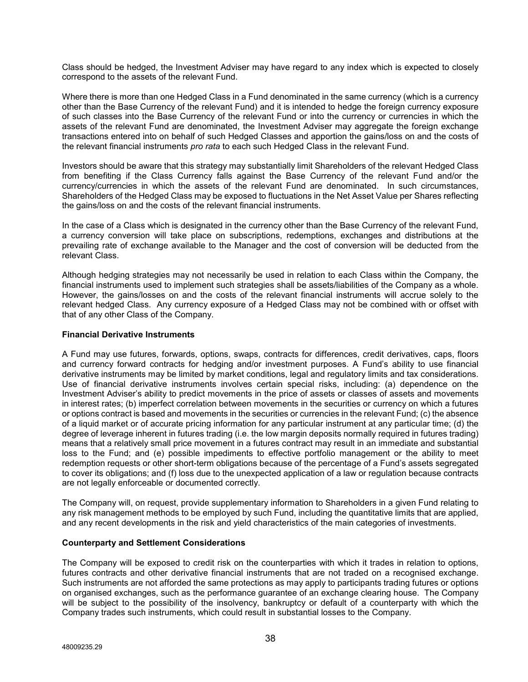Class should be hedged, the Investment Adviser may have regard to any index which is expected to closely correspond to the assets of the relevant Fund.

Where there is more than one Hedged Class in a Fund denominated in the same currency (which is a currency other than the Base Currency of the relevant Fund) and it is intended to hedge the foreign currency exposure of such classes into the Base Currency of the relevant Fund or into the currency or currencies in which the assets of the relevant Fund are denominated, the Investment Adviser may aggregate the foreign exchange transactions entered into on behalf of such Hedged Classes and apportion the gains/loss on and the costs of the relevant financial instruments *pro rata* to each such Hedged Class in the relevant Fund.

Investors should be aware that this strategy may substantially limit Shareholders of the relevant Hedged Class from benefiting if the Class Currency falls against the Base Currency of the relevant Fund and/or the currency/currencies in which the assets of the relevant Fund are denominated. In such circumstances, Shareholders of the Hedged Class may be exposed to fluctuations in the Net Asset Value per Shares reflecting the gains/loss on and the costs of the relevant financial instruments.

In the case of a Class which is designated in the currency other than the Base Currency of the relevant Fund, a currency conversion will take place on subscriptions, redemptions, exchanges and distributions at the prevailing rate of exchange available to the Manager and the cost of conversion will be deducted from the relevant Class.

Although hedging strategies may not necessarily be used in relation to each Class within the Company, the financial instruments used to implement such strategies shall be assets/liabilities of the Company as a whole. However, the gains/losses on and the costs of the relevant financial instruments will accrue solely to the relevant hedged Class. Any currency exposure of a Hedged Class may not be combined with or offset with that of any other Class of the Company.

# **Financial Derivative Instruments**

A Fund may use futures, forwards, options, swaps, contracts for differences, credit derivatives, caps, floors and currency forward contracts for hedging and/or investment purposes. A Fund's ability to use financial derivative instruments may be limited by market conditions, legal and regulatory limits and tax considerations. Use of financial derivative instruments involves certain special risks, including: (a) dependence on the Investment Adviser's ability to predict movements in the price of assets or classes of assets and movements in interest rates; (b) imperfect correlation between movements in the securities or currency on which a futures or options contract is based and movements in the securities or currencies in the relevant Fund; (c) the absence of a liquid market or of accurate pricing information for any particular instrument at any particular time; (d) the degree of leverage inherent in futures trading (i.e. the low margin deposits normally required in futures trading) means that a relatively small price movement in a futures contract may result in an immediate and substantial loss to the Fund; and (e) possible impediments to effective portfolio management or the ability to meet redemption requests or other short-term obligations because of the percentage of a Fund's assets segregated to cover its obligations; and (f) loss due to the unexpected application of a law or regulation because contracts are not legally enforceable or documented correctly.

The Company will, on request, provide supplementary information to Shareholders in a given Fund relating to any risk management methods to be employed by such Fund, including the quantitative limits that are applied, and any recent developments in the risk and yield characteristics of the main categories of investments.

## **Counterparty and Settlement Considerations**

The Company will be exposed to credit risk on the counterparties with which it trades in relation to options, futures contracts and other derivative financial instruments that are not traded on a recognised exchange. Such instruments are not afforded the same protections as may apply to participants trading futures or options on organised exchanges, such as the performance guarantee of an exchange clearing house. The Company will be subject to the possibility of the insolvency, bankruptcy or default of a counterparty with which the Company trades such instruments, which could result in substantial losses to the Company.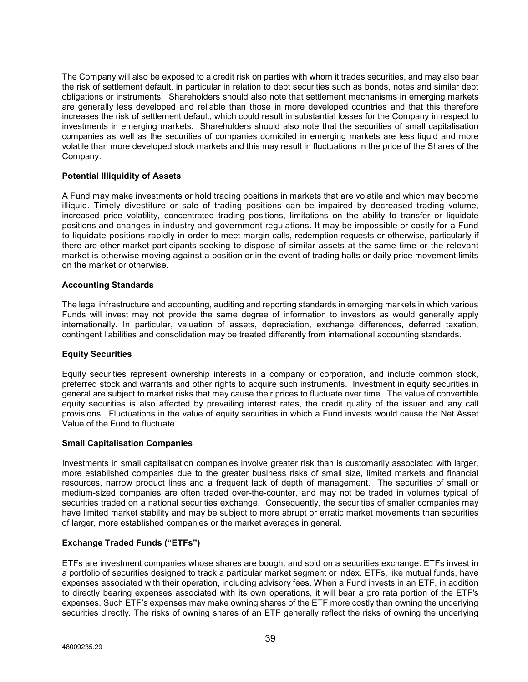The Company will also be exposed to a credit risk on parties with whom it trades securities, and may also bear the risk of settlement default, in particular in relation to debt securities such as bonds, notes and similar debt obligations or instruments. Shareholders should also note that settlement mechanisms in emerging markets are generally less developed and reliable than those in more developed countries and that this therefore increases the risk of settlement default, which could result in substantial losses for the Company in respect to investments in emerging markets. Shareholders should also note that the securities of small capitalisation companies as well as the securities of companies domiciled in emerging markets are less liquid and more volatile than more developed stock markets and this may result in fluctuations in the price of the Shares of the Company.

# **Potential Illiquidity of Assets**

A Fund may make investments or hold trading positions in markets that are volatile and which may become illiquid. Timely divestiture or sale of trading positions can be impaired by decreased trading volume, increased price volatility, concentrated trading positions, limitations on the ability to transfer or liquidate positions and changes in industry and government regulations. It may be impossible or costly for a Fund to liquidate positions rapidly in order to meet margin calls, redemption requests or otherwise, particularly if there are other market participants seeking to dispose of similar assets at the same time or the relevant market is otherwise moving against a position or in the event of trading halts or daily price movement limits on the market or otherwise.

## **Accounting Standards**

The legal infrastructure and accounting, auditing and reporting standards in emerging markets in which various Funds will invest may not provide the same degree of information to investors as would generally apply internationally. In particular, valuation of assets, depreciation, exchange differences, deferred taxation, contingent liabilities and consolidation may be treated differently from international accounting standards.

## **Equity Securities**

Equity securities represent ownership interests in a company or corporation, and include common stock, preferred stock and warrants and other rights to acquire such instruments. Investment in equity securities in general are subject to market risks that may cause their prices to fluctuate over time. The value of convertible equity securities is also affected by prevailing interest rates, the credit quality of the issuer and any call provisions. Fluctuations in the value of equity securities in which a Fund invests would cause the Net Asset Value of the Fund to fluctuate.

## **Small Capitalisation Companies**

Investments in small capitalisation companies involve greater risk than is customarily associated with larger, more established companies due to the greater business risks of small size, limited markets and financial resources, narrow product lines and a frequent lack of depth of management. The securities of small or medium-sized companies are often traded over-the-counter, and may not be traded in volumes typical of securities traded on a national securities exchange. Consequently, the securities of smaller companies may have limited market stability and may be subject to more abrupt or erratic market movements than securities of larger, more established companies or the market averages in general.

# **Exchange Traded Funds ("ETFs")**

ETFs are investment companies whose shares are bought and sold on a securities exchange. ETFs invest in a portfolio of securities designed to track a particular market segment or index. ETFs, like mutual funds, have expenses associated with their operation, including advisory fees. When a Fund invests in an ETF, in addition to directly bearing expenses associated with its own operations, it will bear a pro rata portion of the ETF's expenses. Such ETF's expenses may make owning shares of the ETF more costly than owning the underlying securities directly. The risks of owning shares of an ETF generally reflect the risks of owning the underlying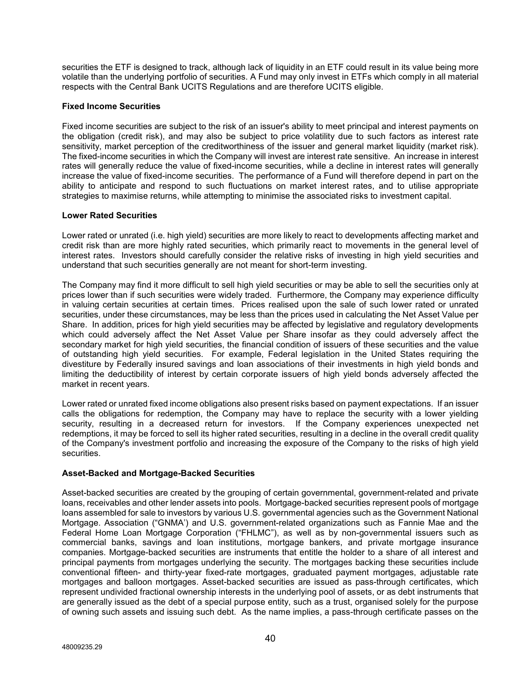securities the ETF is designed to track, although lack of liquidity in an ETF could result in its value being more volatile than the underlying portfolio of securities. A Fund may only invest in ETFs which comply in all material respects with the Central Bank UCITS Regulations and are therefore UCITS eligible.

# **Fixed Income Securities**

Fixed income securities are subject to the risk of an issuer's ability to meet principal and interest payments on the obligation (credit risk), and may also be subject to price volatility due to such factors as interest rate sensitivity, market perception of the creditworthiness of the issuer and general market liquidity (market risk). The fixed-income securities in which the Company will invest are interest rate sensitive. An increase in interest rates will generally reduce the value of fixed-income securities, while a decline in interest rates will generally increase the value of fixed-income securities. The performance of a Fund will therefore depend in part on the ability to anticipate and respond to such fluctuations on market interest rates, and to utilise appropriate strategies to maximise returns, while attempting to minimise the associated risks to investment capital.

# **Lower Rated Securities**

Lower rated or unrated (i.e. high yield) securities are more likely to react to developments affecting market and credit risk than are more highly rated securities, which primarily react to movements in the general level of interest rates. Investors should carefully consider the relative risks of investing in high yield securities and understand that such securities generally are not meant for short-term investing.

The Company may find it more difficult to sell high yield securities or may be able to sell the securities only at prices lower than if such securities were widely traded. Furthermore, the Company may experience difficulty in valuing certain securities at certain times. Prices realised upon the sale of such lower rated or unrated securities, under these circumstances, may be less than the prices used in calculating the Net Asset Value per Share. In addition, prices for high yield securities may be affected by legislative and regulatory developments which could adversely affect the Net Asset Value per Share insofar as they could adversely affect the secondary market for high yield securities, the financial condition of issuers of these securities and the value of outstanding high yield securities. For example, Federal legislation in the United States requiring the divestiture by Federally insured savings and loan associations of their investments in high yield bonds and limiting the deductibility of interest by certain corporate issuers of high yield bonds adversely affected the market in recent years.

Lower rated or unrated fixed income obligations also present risks based on payment expectations. If an issuer calls the obligations for redemption, the Company may have to replace the security with a lower yielding security, resulting in a decreased return for investors. If the Company experiences unexpected net redemptions, it may be forced to sell its higher rated securities, resulting in a decline in the overall credit quality of the Company's investment portfolio and increasing the exposure of the Company to the risks of high yield securities.

## **Asset-Backed and Mortgage-Backed Securities**

Asset-backed securities are created by the grouping of certain governmental, government-related and private loans, receivables and other lender assets into pools. Mortgage-backed securities represent pools of mortgage loans assembled for sale to investors by various U.S. governmental agencies such as the Government National Mortgage. Association ("GNMA') and U.S. government-related organizations such as Fannie Mae and the Federal Home Loan Mortgage Corporation ("FHLMC"), as well as by non-governmental issuers such as commercial banks, savings and loan institutions, mortgage bankers, and private mortgage insurance companies. Mortgage-backed securities are instruments that entitle the holder to a share of all interest and principal payments from mortgages underlying the security. The mortgages backing these securities include conventional fifteen- and thirty-year fixed-rate mortgages, graduated payment mortgages, adjustable rate mortgages and balloon mortgages. Asset-backed securities are issued as pass-through certificates, which represent undivided fractional ownership interests in the underlying pool of assets, or as debt instruments that are generally issued as the debt of a special purpose entity, such as a trust, organised solely for the purpose of owning such assets and issuing such debt. As the name implies, a pass-through certificate passes on the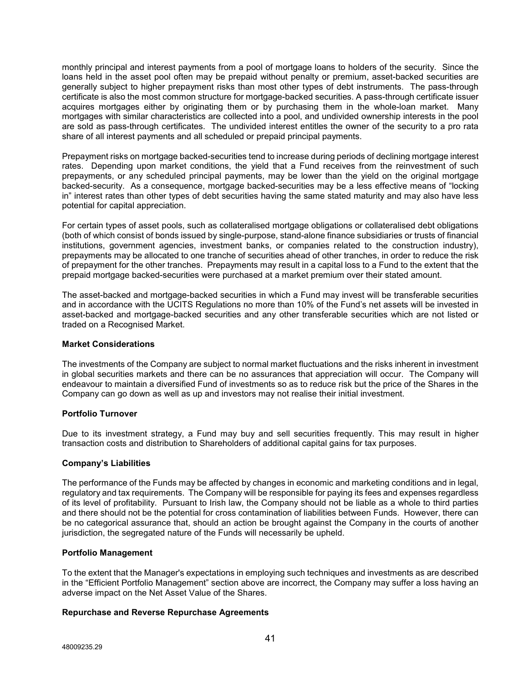monthly principal and interest payments from a pool of mortgage loans to holders of the security. Since the loans held in the asset pool often may be prepaid without penalty or premium, asset-backed securities are generally subject to higher prepayment risks than most other types of debt instruments. The pass-through certificate is also the most common structure for mortgage-backed securities. A pass-through certificate issuer acquires mortgages either by originating them or by purchasing them in the whole-loan market. Many mortgages with similar characteristics are collected into a pool, and undivided ownership interests in the pool are sold as pass-through certificates. The undivided interest entitles the owner of the security to a pro rata share of all interest payments and all scheduled or prepaid principal payments.

Prepayment risks on mortgage backed-securities tend to increase during periods of declining mortgage interest rates. Depending upon market conditions, the yield that a Fund receives from the reinvestment of such prepayments, or any scheduled principal payments, may be lower than the yield on the original mortgage backed-security. As a consequence, mortgage backed-securities may be a less effective means of "locking in" interest rates than other types of debt securities having the same stated maturity and may also have less potential for capital appreciation.

For certain types of asset pools, such as collateralised mortgage obligations or collateralised debt obligations (both of which consist of bonds issued by single-purpose, stand-alone finance subsidiaries or trusts of financial institutions, government agencies, investment banks, or companies related to the construction industry), prepayments may be allocated to one tranche of securities ahead of other tranches, in order to reduce the risk of prepayment for the other tranches. Prepayments may result in a capital loss to a Fund to the extent that the prepaid mortgage backed-securities were purchased at a market premium over their stated amount.

The asset-backed and mortgage-backed securities in which a Fund may invest will be transferable securities and in accordance with the UCITS Regulations no more than 10% of the Fund's net assets will be invested in asset-backed and mortgage-backed securities and any other transferable securities which are not listed or traded on a Recognised Market.

## **Market Considerations**

The investments of the Company are subject to normal market fluctuations and the risks inherent in investment in global securities markets and there can be no assurances that appreciation will occur. The Company will endeavour to maintain a diversified Fund of investments so as to reduce risk but the price of the Shares in the Company can go down as well as up and investors may not realise their initial investment.

## **Portfolio Turnover**

Due to its investment strategy, a Fund may buy and sell securities frequently. This may result in higher transaction costs and distribution to Shareholders of additional capital gains for tax purposes.

## **Company's Liabilities**

The performance of the Funds may be affected by changes in economic and marketing conditions and in legal, regulatory and tax requirements. The Company will be responsible for paying its fees and expenses regardless of its level of profitability. Pursuant to Irish law, the Company should not be liable as a whole to third parties and there should not be the potential for cross contamination of liabilities between Funds. However, there can be no categorical assurance that, should an action be brought against the Company in the courts of another jurisdiction, the segregated nature of the Funds will necessarily be upheld.

## **Portfolio Management**

To the extent that the Manager's expectations in employing such techniques and investments as are described in the "Efficient Portfolio Management" section above are incorrect, the Company may suffer a loss having an adverse impact on the Net Asset Value of the Shares.

## **Repurchase and Reverse Repurchase Agreements**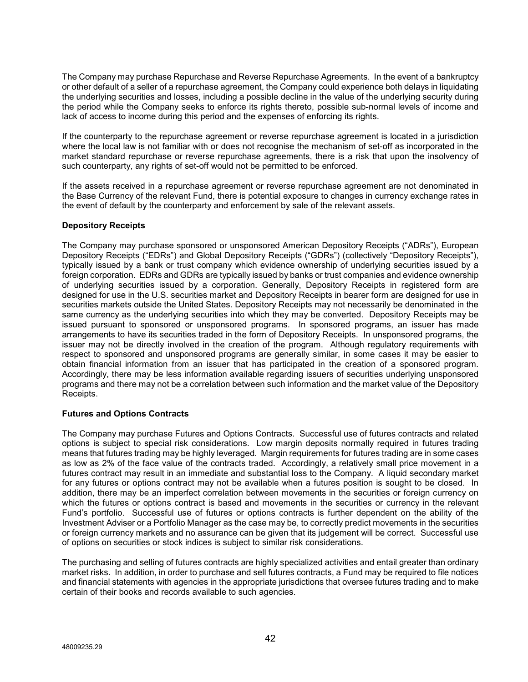The Company may purchase Repurchase and Reverse Repurchase Agreements. In the event of a bankruptcy or other default of a seller of a repurchase agreement, the Company could experience both delays in liquidating the underlying securities and losses, including a possible decline in the value of the underlying security during the period while the Company seeks to enforce its rights thereto, possible sub-normal levels of income and lack of access to income during this period and the expenses of enforcing its rights.

If the counterparty to the repurchase agreement or reverse repurchase agreement is located in a jurisdiction where the local law is not familiar with or does not recognise the mechanism of set-off as incorporated in the market standard repurchase or reverse repurchase agreements, there is a risk that upon the insolvency of such counterparty, any rights of set-off would not be permitted to be enforced.

If the assets received in a repurchase agreement or reverse repurchase agreement are not denominated in the Base Currency of the relevant Fund, there is potential exposure to changes in currency exchange rates in the event of default by the counterparty and enforcement by sale of the relevant assets.

# **Depository Receipts**

The Company may purchase sponsored or unsponsored American Depository Receipts ("ADRs"), European Depository Receipts ("EDRs") and Global Depository Receipts ("GDRs") (collectively "Depository Receipts"), typically issued by a bank or trust company which evidence ownership of underlying securities issued by a foreign corporation. EDRs and GDRs are typically issued by banks or trust companies and evidence ownership of underlying securities issued by a corporation. Generally, Depository Receipts in registered form are designed for use in the U.S. securities market and Depository Receipts in bearer form are designed for use in securities markets outside the United States. Depository Receipts may not necessarily be denominated in the same currency as the underlying securities into which they may be converted. Depository Receipts may be issued pursuant to sponsored or unsponsored programs. In sponsored programs, an issuer has made arrangements to have its securities traded in the form of Depository Receipts. In unsponsored programs, the issuer may not be directly involved in the creation of the program. Although regulatory requirements with respect to sponsored and unsponsored programs are generally similar, in some cases it may be easier to obtain financial information from an issuer that has participated in the creation of a sponsored program. Accordingly, there may be less information available regarding issuers of securities underlying unsponsored programs and there may not be a correlation between such information and the market value of the Depository Receipts.

## **Futures and Options Contracts**

The Company may purchase Futures and Options Contracts. Successful use of futures contracts and related options is subject to special risk considerations. Low margin deposits normally required in futures trading means that futures trading may be highly leveraged. Margin requirements for futures trading are in some cases as low as 2% of the face value of the contracts traded. Accordingly, a relatively small price movement in a futures contract may result in an immediate and substantial loss to the Company. A liquid secondary market for any futures or options contract may not be available when a futures position is sought to be closed. In addition, there may be an imperfect correlation between movements in the securities or foreign currency on which the futures or options contract is based and movements in the securities or currency in the relevant Fund's portfolio. Successful use of futures or options contracts is further dependent on the ability of the Investment Adviser or a Portfolio Manager as the case may be, to correctly predict movements in the securities or foreign currency markets and no assurance can be given that its judgement will be correct. Successful use of options on securities or stock indices is subject to similar risk considerations.

The purchasing and selling of futures contracts are highly specialized activities and entail greater than ordinary market risks. In addition, in order to purchase and sell futures contracts, a Fund may be required to file notices and financial statements with agencies in the appropriate jurisdictions that oversee futures trading and to make certain of their books and records available to such agencies.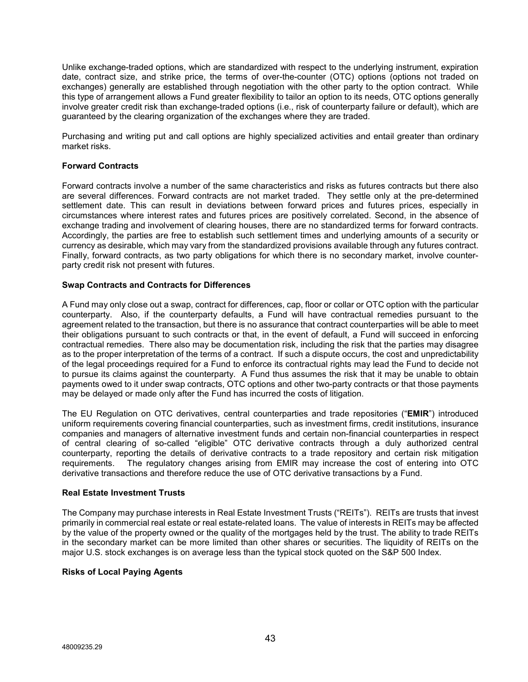Unlike exchange-traded options, which are standardized with respect to the underlying instrument, expiration date, contract size, and strike price, the terms of over-the-counter (OTC) options (options not traded on exchanges) generally are established through negotiation with the other party to the option contract. While this type of arrangement allows a Fund greater flexibility to tailor an option to its needs, OTC options generally involve greater credit risk than exchange-traded options (i.e., risk of counterparty failure or default), which are guaranteed by the clearing organization of the exchanges where they are traded.

Purchasing and writing put and call options are highly specialized activities and entail greater than ordinary market risks.

# **Forward Contracts**

Forward contracts involve a number of the same characteristics and risks as futures contracts but there also are several differences. Forward contracts are not market traded. They settle only at the pre-determined settlement date. This can result in deviations between forward prices and futures prices, especially in circumstances where interest rates and futures prices are positively correlated. Second, in the absence of exchange trading and involvement of clearing houses, there are no standardized terms for forward contracts. Accordingly, the parties are free to establish such settlement times and underlying amounts of a security or currency as desirable, which may vary from the standardized provisions available through any futures contract. Finally, forward contracts, as two party obligations for which there is no secondary market, involve counterparty credit risk not present with futures.

## **Swap Contracts and Contracts for Differences**

A Fund may only close out a swap, contract for differences, cap, floor or collar or OTC option with the particular counterparty. Also, if the counterparty defaults, a Fund will have contractual remedies pursuant to the agreement related to the transaction, but there is no assurance that contract counterparties will be able to meet their obligations pursuant to such contracts or that, in the event of default, a Fund will succeed in enforcing contractual remedies. There also may be documentation risk, including the risk that the parties may disagree as to the proper interpretation of the terms of a contract. If such a dispute occurs, the cost and unpredictability of the legal proceedings required for a Fund to enforce its contractual rights may lead the Fund to decide not to pursue its claims against the counterparty. A Fund thus assumes the risk that it may be unable to obtain payments owed to it under swap contracts, OTC options and other two-party contracts or that those payments may be delayed or made only after the Fund has incurred the costs of litigation.

The EU Regulation on OTC derivatives, central counterparties and trade repositories ("**EMIR**") introduced uniform requirements covering financial counterparties, such as investment firms, credit institutions, insurance companies and managers of alternative investment funds and certain non-financial counterparties in respect of central clearing of so-called "eligible" OTC derivative contracts through a duly authorized central counterparty, reporting the details of derivative contracts to a trade repository and certain risk mitigation requirements. The regulatory changes arising from EMIR may increase the cost of entering into OTC derivative transactions and therefore reduce the use of OTC derivative transactions by a Fund.

## **Real Estate Investment Trusts**

The Company may purchase interests in Real Estate Investment Trusts ("REITs"). REITs are trusts that invest primarily in commercial real estate or real estate-related loans. The value of interests in REITs may be affected by the value of the property owned or the quality of the mortgages held by the trust. The ability to trade REITs in the secondary market can be more limited than other shares or securities. The liquidity of REITs on the major U.S. stock exchanges is on average less than the typical stock quoted on the S&P 500 Index.

## **Risks of Local Paying Agents**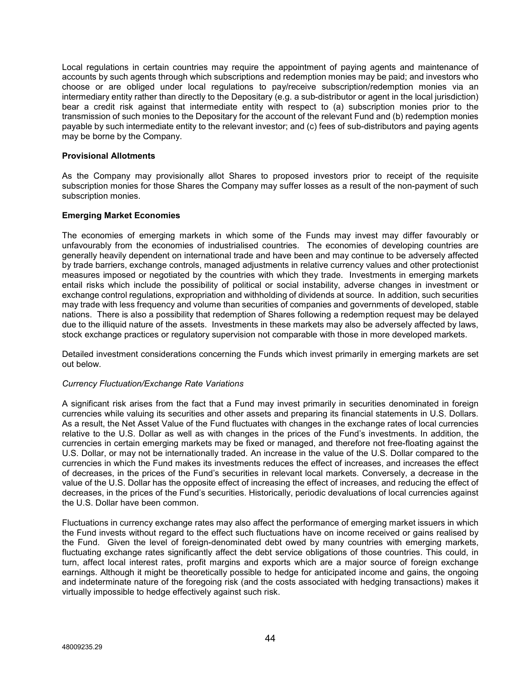Local regulations in certain countries may require the appointment of paying agents and maintenance of accounts by such agents through which subscriptions and redemption monies may be paid; and investors who choose or are obliged under local regulations to pay/receive subscription/redemption monies via an intermediary entity rather than directly to the Depositary (e.g. a sub-distributor or agent in the local jurisdiction) bear a credit risk against that intermediate entity with respect to (a) subscription monies prior to the transmission of such monies to the Depositary for the account of the relevant Fund and (b) redemption monies payable by such intermediate entity to the relevant investor; and (c) fees of sub-distributors and paying agents may be borne by the Company.

# **Provisional Allotments**

As the Company may provisionally allot Shares to proposed investors prior to receipt of the requisite subscription monies for those Shares the Company may suffer losses as a result of the non-payment of such subscription monies.

# **Emerging Market Economies**

The economies of emerging markets in which some of the Funds may invest may differ favourably or unfavourably from the economies of industrialised countries. The economies of developing countries are generally heavily dependent on international trade and have been and may continue to be adversely affected by trade barriers, exchange controls, managed adjustments in relative currency values and other protectionist measures imposed or negotiated by the countries with which they trade. Investments in emerging markets entail risks which include the possibility of political or social instability, adverse changes in investment or exchange control regulations, expropriation and withholding of dividends at source. In addition, such securities may trade with less frequency and volume than securities of companies and governments of developed, stable nations. There is also a possibility that redemption of Shares following a redemption request may be delayed due to the illiquid nature of the assets. Investments in these markets may also be adversely affected by laws, stock exchange practices or regulatory supervision not comparable with those in more developed markets.

Detailed investment considerations concerning the Funds which invest primarily in emerging markets are set out below.

## *Currency Fluctuation/Exchange Rate Variations*

A significant risk arises from the fact that a Fund may invest primarily in securities denominated in foreign currencies while valuing its securities and other assets and preparing its financial statements in U.S. Dollars. As a result, the Net Asset Value of the Fund fluctuates with changes in the exchange rates of local currencies relative to the U.S. Dollar as well as with changes in the prices of the Fund's investments. In addition, the currencies in certain emerging markets may be fixed or managed, and therefore not free-floating against the U.S. Dollar, or may not be internationally traded. An increase in the value of the U.S. Dollar compared to the currencies in which the Fund makes its investments reduces the effect of increases, and increases the effect of decreases, in the prices of the Fund's securities in relevant local markets. Conversely, a decrease in the value of the U.S. Dollar has the opposite effect of increasing the effect of increases, and reducing the effect of decreases, in the prices of the Fund's securities. Historically, periodic devaluations of local currencies against the U.S. Dollar have been common.

Fluctuations in currency exchange rates may also affect the performance of emerging market issuers in which the Fund invests without regard to the effect such fluctuations have on income received or gains realised by the Fund. Given the level of foreign-denominated debt owed by many countries with emerging markets, fluctuating exchange rates significantly affect the debt service obligations of those countries. This could, in turn, affect local interest rates, profit margins and exports which are a major source of foreign exchange earnings. Although it might be theoretically possible to hedge for anticipated income and gains, the ongoing and indeterminate nature of the foregoing risk (and the costs associated with hedging transactions) makes it virtually impossible to hedge effectively against such risk.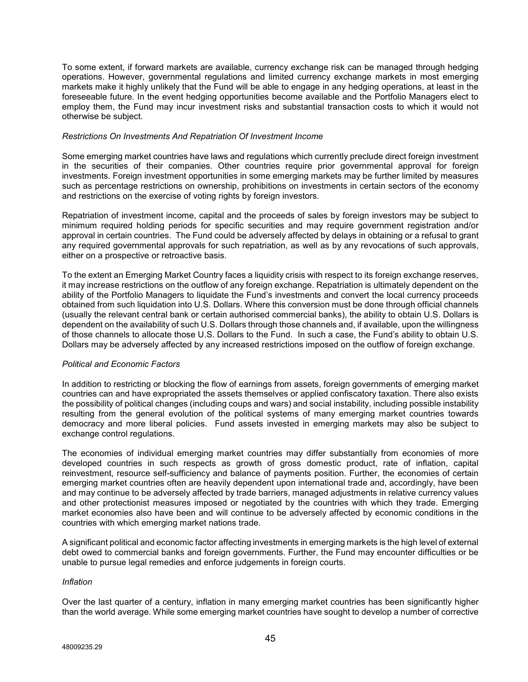To some extent, if forward markets are available, currency exchange risk can be managed through hedging operations. However, governmental regulations and limited currency exchange markets in most emerging markets make it highly unlikely that the Fund will be able to engage in any hedging operations, at least in the foreseeable future. In the event hedging opportunities become available and the Portfolio Managers elect to employ them, the Fund may incur investment risks and substantial transaction costs to which it would not otherwise be subject.

#### *Restrictions On Investments And Repatriation Of Investment Income*

Some emerging market countries have laws and regulations which currently preclude direct foreign investment in the securities of their companies. Other countries require prior governmental approval for foreign investments. Foreign investment opportunities in some emerging markets may be further limited by measures such as percentage restrictions on ownership, prohibitions on investments in certain sectors of the economy and restrictions on the exercise of voting rights by foreign investors.

Repatriation of investment income, capital and the proceeds of sales by foreign investors may be subject to minimum required holding periods for specific securities and may require government registration and/or approval in certain countries. The Fund could be adversely affected by delays in obtaining or a refusal to grant any required governmental approvals for such repatriation, as well as by any revocations of such approvals, either on a prospective or retroactive basis.

To the extent an Emerging Market Country faces a liquidity crisis with respect to its foreign exchange reserves, it may increase restrictions on the outflow of any foreign exchange. Repatriation is ultimately dependent on the ability of the Portfolio Managers to liquidate the Fund's investments and convert the local currency proceeds obtained from such liquidation into U.S. Dollars. Where this conversion must be done through official channels (usually the relevant central bank or certain authorised commercial banks), the ability to obtain U.S. Dollars is dependent on the availability of such U.S. Dollars through those channels and, if available, upon the willingness of those channels to allocate those U.S. Dollars to the Fund. In such a case, the Fund's ability to obtain U.S. Dollars may be adversely affected by any increased restrictions imposed on the outflow of foreign exchange.

## *Political and Economic Factors*

In addition to restricting or blocking the flow of earnings from assets, foreign governments of emerging market countries can and have expropriated the assets themselves or applied confiscatory taxation. There also exists the possibility of political changes (including coups and wars) and social instability, including possible instability resulting from the general evolution of the political systems of many emerging market countries towards democracy and more liberal policies. Fund assets invested in emerging markets may also be subject to exchange control regulations.

The economies of individual emerging market countries may differ substantially from economies of more developed countries in such respects as growth of gross domestic product, rate of inflation, capital reinvestment, resource self-sufficiency and balance of payments position. Further, the economies of certain emerging market countries often are heavily dependent upon international trade and, accordingly, have been and may continue to be adversely affected by trade barriers, managed adjustments in relative currency values and other protectionist measures imposed or negotiated by the countries with which they trade. Emerging market economies also have been and will continue to be adversely affected by economic conditions in the countries with which emerging market nations trade.

A significant political and economic factor affecting investments in emerging markets is the high level of external debt owed to commercial banks and foreign governments. Further, the Fund may encounter difficulties or be unable to pursue legal remedies and enforce judgements in foreign courts.

#### *Inflation*

Over the last quarter of a century, inflation in many emerging market countries has been significantly higher than the world average. While some emerging market countries have sought to develop a number of corrective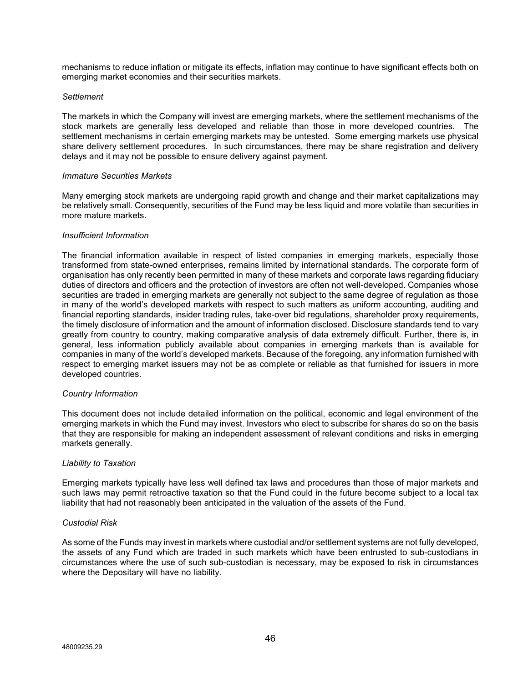mechanisms to reduce inflation or mitigate its effects, inflation may continue to have significant effects both on emerging market economies and their securities markets.

#### *Settlement*

The markets in which the Company will invest are emerging markets, where the settlement mechanisms of the stock markets are generally less developed and reliable than those in more developed countries. The settlement mechanisms in certain emerging markets may be untested. Some emerging markets use physical share delivery settlement procedures. In such circumstances, there may be share registration and delivery delays and it may not be possible to ensure delivery against payment.

#### *Immature Securities Markets*

Many emerging stock markets are undergoing rapid growth and change and their market capitalizations may be relatively small. Consequently, securities of the Fund may be less liquid and more volatile than securities in more mature markets.

#### *Insufficient Information*

The financial information available in respect of listed companies in emerging markets, especially those transformed from state-owned enterprises, remains limited by international standards. The corporate form of organisation has only recently been permitted in many of these markets and corporate laws regarding fiduciary duties of directors and officers and the protection of investors are often not well-developed. Companies whose securities are traded in emerging markets are generally not subject to the same degree of regulation as those in many of the world's developed markets with respect to such matters as uniform accounting, auditing and financial reporting standards, insider trading rules, take-over bid regulations, shareholder proxy requirements, the timely disclosure of information and the amount of information disclosed. Disclosure standards tend to vary greatly from country to country, making comparative analysis of data extremely difficult. Further, there is, in general, less information publicly available about companies in emerging markets than is available for companies in many of the world's developed markets. Because of the foregoing, any information furnished with respect to emerging market issuers may not be as complete or reliable as that furnished for issuers in more developed countries.

## *Country Information*

This document does not include detailed information on the political, economic and legal environment of the emerging markets in which the Fund may invest. Investors who elect to subscribe for shares do so on the basis that they are responsible for making an independent assessment of relevant conditions and risks in emerging markets generally.

#### *Liability to Taxation*

Emerging markets typically have less well defined tax laws and procedures than those of major markets and such laws may permit retroactive taxation so that the Fund could in the future become subject to a local tax liability that had not reasonably been anticipated in the valuation of the assets of the Fund.

#### *Custodial Risk*

As some of the Funds may invest in markets where custodial and/or settlement systems are not fully developed, the assets of any Fund which are traded in such markets which have been entrusted to sub-custodians in circumstances where the use of such sub-custodian is necessary, may be exposed to risk in circumstances where the Depositary will have no liability.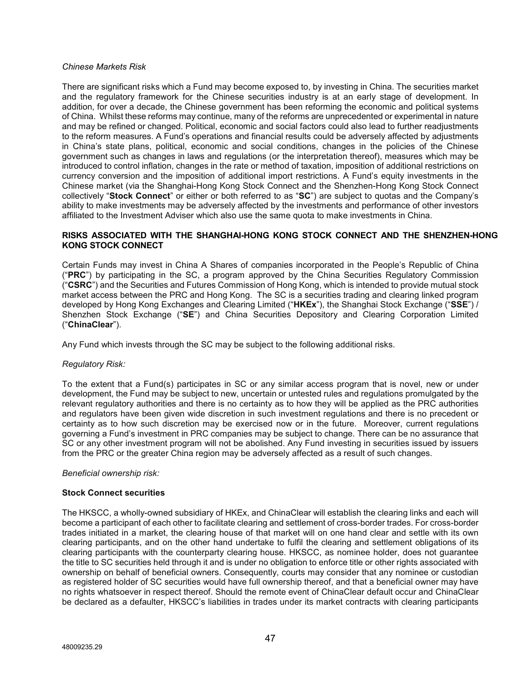## *Chinese Markets Risk*

There are significant risks which a Fund may become exposed to, by investing in China. The securities market and the regulatory framework for the Chinese securities industry is at an early stage of development. In addition, for over a decade, the Chinese government has been reforming the economic and political systems of China. Whilst these reforms may continue, many of the reforms are unprecedented or experimental in nature and may be refined or changed. Political, economic and social factors could also lead to further readjustments to the reform measures. A Fund's operations and financial results could be adversely affected by adjustments in China's state plans, political, economic and social conditions, changes in the policies of the Chinese government such as changes in laws and regulations (or the interpretation thereof), measures which may be introduced to control inflation, changes in the rate or method of taxation, imposition of additional restrictions on currency conversion and the imposition of additional import restrictions. A Fund's equity investments in the Chinese market (via the Shanghai-Hong Kong Stock Connect and the Shenzhen-Hong Kong Stock Connect collectively "**Stock Connect**" or either or both referred to as "**SC**") are subject to quotas and the Company's ability to make investments may be adversely affected by the investments and performance of other investors affiliated to the Investment Adviser which also use the same quota to make investments in China.

## **RISKS ASSOCIATED WITH THE SHANGHAI-HONG KONG STOCK CONNECT AND THE SHENZHEN-HONG KONG STOCK CONNECT**

Certain Funds may invest in China A Shares of companies incorporated in the People's Republic of China ("**PRC**") by participating in the SC, a program approved by the China Securities Regulatory Commission ("**CSRC**") and the Securities and Futures Commission of Hong Kong, which is intended to provide mutual stock market access between the PRC and Hong Kong. The SC is a securities trading and clearing linked program developed by Hong Kong Exchanges and Clearing Limited ("**HKEx**"), the Shanghai Stock Exchange ("**SSE**") / Shenzhen Stock Exchange ("**SE**") and China Securities Depository and Clearing Corporation Limited ("**ChinaClear**").

Any Fund which invests through the SC may be subject to the following additional risks.

## *Regulatory Risk:*

To the extent that a Fund(s) participates in SC or any similar access program that is novel, new or under development, the Fund may be subject to new, uncertain or untested rules and regulations promulgated by the relevant regulatory authorities and there is no certainty as to how they will be applied as the PRC authorities and regulators have been given wide discretion in such investment regulations and there is no precedent or certainty as to how such discretion may be exercised now or in the future. Moreover, current regulations governing a Fund's investment in PRC companies may be subject to change. There can be no assurance that SC or any other investment program will not be abolished. Any Fund investing in securities issued by issuers from the PRC or the greater China region may be adversely affected as a result of such changes.

## *Beneficial ownership risk:*

## **Stock Connect securities**

The HKSCC, a wholly-owned subsidiary of HKEx, and ChinaClear will establish the clearing links and each will become a participant of each other to facilitate clearing and settlement of cross-border trades. For cross-border trades initiated in a market, the clearing house of that market will on one hand clear and settle with its own clearing participants, and on the other hand undertake to fulfil the clearing and settlement obligations of its clearing participants with the counterparty clearing house. HKSCC, as nominee holder, does not guarantee the title to SC securities held through it and is under no obligation to enforce title or other rights associated with ownership on behalf of beneficial owners. Consequently, courts may consider that any nominee or custodian as registered holder of SC securities would have full ownership thereof, and that a beneficial owner may have no rights whatsoever in respect thereof. Should the remote event of ChinaClear default occur and ChinaClear be declared as a defaulter, HKSCC's liabilities in trades under its market contracts with clearing participants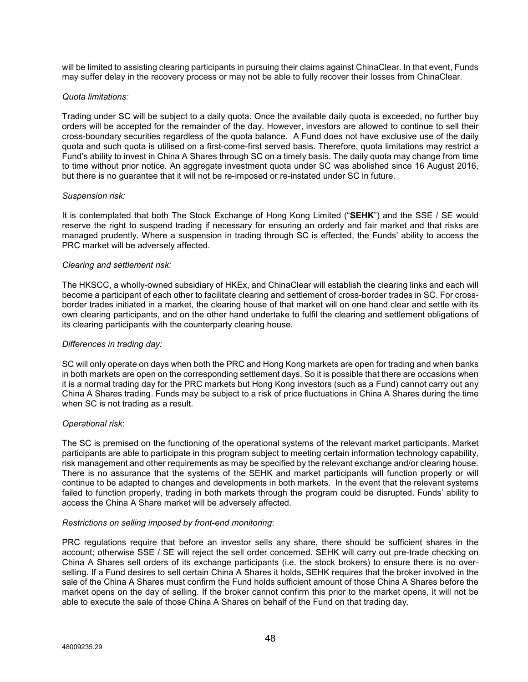will be limited to assisting clearing participants in pursuing their claims against ChinaClear. In that event, Funds may suffer delay in the recovery process or may not be able to fully recover their losses from ChinaClear.

## *Quota limitations:*

Trading under SC will be subject to a daily quota. Once the available daily quota is exceeded, no further buy orders will be accepted for the remainder of the day. However, investors are allowed to continue to sell their cross-boundary securities regardless of the quota balance. A Fund does not have exclusive use of the daily quota and such quota is utilised on a first-come-first served basis. Therefore, quota limitations may restrict a Fund's ability to invest in China A Shares through SC on a timely basis. The daily quota may change from time to time without prior notice. An aggregate investment quota under SC was abolished since 16 August 2016, but there is no guarantee that it will not be re-imposed or re-instated under SC in future.

## *Suspension risk:*

It is contemplated that both The Stock Exchange of Hong Kong Limited ("**SEHK**") and the SSE / SE would reserve the right to suspend trading if necessary for ensuring an orderly and fair market and that risks are managed prudently. Where a suspension in trading through SC is effected, the Funds' ability to access the PRC market will be adversely affected.

# *Clearing and settlement risk:*

The HKSCC, a wholly-owned subsidiary of HKEx, and ChinaClear will establish the clearing links and each will become a participant of each other to facilitate clearing and settlement of cross-border trades in SC. For crossborder trades initiated in a market, the clearing house of that market will on one hand clear and settle with its own clearing participants, and on the other hand undertake to fulfil the clearing and settlement obligations of its clearing participants with the counterparty clearing house.

## *Differences in trading day:*

SC will only operate on days when both the PRC and Hong Kong markets are open for trading and when banks in both markets are open on the corresponding settlement days. So it is possible that there are occasions when it is a normal trading day for the PRC markets but Hong Kong investors (such as a Fund) cannot carry out any China A Shares trading. Funds may be subject to a risk of price fluctuations in China A Shares during the time when SC is not trading as a result.

# *Operational risk*:

The SC is premised on the functioning of the operational systems of the relevant market participants. Market participants are able to participate in this program subject to meeting certain information technology capability, risk management and other requirements as may be specified by the relevant exchange and/or clearing house. There is no assurance that the systems of the SEHK and market participants will function properly or will continue to be adapted to changes and developments in both markets. In the event that the relevant systems failed to function properly, trading in both markets through the program could be disrupted. Funds' ability to access the China A Share market will be adversely affected.

## *Restrictions on selling imposed by front-end monitoring*:

PRC regulations require that before an investor sells any share, there should be sufficient shares in the account; otherwise SSE / SE will reject the sell order concerned. SEHK will carry out pre-trade checking on China A Shares sell orders of its exchange participants (i.e. the stock brokers) to ensure there is no overselling. If a Fund desires to sell certain China A Shares it holds, SEHK requires that the broker involved in the sale of the China A Shares must confirm the Fund holds sufficient amount of those China A Shares before the market opens on the day of selling. If the broker cannot confirm this prior to the market opens, it will not be able to execute the sale of those China A Shares on behalf of the Fund on that trading day.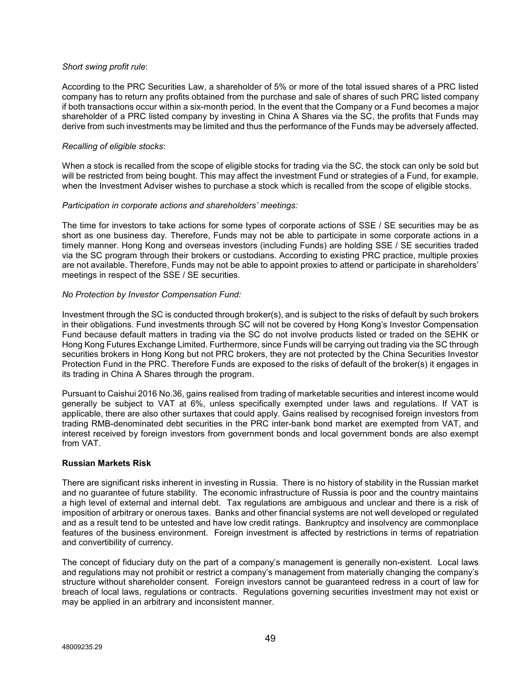## *Short swing profit rule*:

According to the PRC Securities Law, a shareholder of 5% or more of the total issued shares of a PRC listed company has to return any profits obtained from the purchase and sale of shares of such PRC listed company if both transactions occur within a six-month period. In the event that the Company or a Fund becomes a major shareholder of a PRC listed company by investing in China A Shares via the SC, the profits that Funds may derive from such investments may be limited and thus the performance of the Funds may be adversely affected.

## *Recalling of eligible stocks*:

When a stock is recalled from the scope of eligible stocks for trading via the SC, the stock can only be sold but will be restricted from being bought. This may affect the investment Fund or strategies of a Fund, for example, when the Investment Adviser wishes to purchase a stock which is recalled from the scope of eligible stocks.

# *Participation in corporate actions and shareholders' meetings:*

The time for investors to take actions for some types of corporate actions of SSE / SE securities may be as short as one business day. Therefore, Funds may not be able to participate in some corporate actions in a timely manner. Hong Kong and overseas investors (including Funds) are holding SSE / SE securities traded via the SC program through their brokers or custodians. According to existing PRC practice, multiple proxies are not available. Therefore, Funds may not be able to appoint proxies to attend or participate in shareholders' meetings in respect of the SSE / SE securities.

# *No Protection by Investor Compensation Fund:*

Investment through the SC is conducted through broker(s), and is subject to the risks of default by such brokers in their obligations. Fund investments through SC will not be covered by Hong Kong's Investor Compensation Fund because default matters in trading via the SC do not involve products listed or traded on the SEHK or Hong Kong Futures Exchange Limited. Furthermore, since Funds will be carrying out trading via the SC through securities brokers in Hong Kong but not PRC brokers, they are not protected by the China Securities Investor Protection Fund in the PRC. Therefore Funds are exposed to the risks of default of the broker(s) it engages in its trading in China A Shares through the program.

Pursuant to Caishui 2016 No.36, gains realised from trading of marketable securities and interest income would generally be subject to VAT at 6%, unless specifically exempted under laws and regulations. If VAT is applicable, there are also other surtaxes that could apply. Gains realised by recognised foreign investors from trading RMB-denominated debt securities in the PRC inter-bank bond market are exempted from VAT, and interest received by foreign investors from government bonds and local government bonds are also exempt from VAT.

## **Russian Markets Risk**

There are significant risks inherent in investing in Russia. There is no history of stability in the Russian market and no guarantee of future stability. The economic infrastructure of Russia is poor and the country maintains a high level of external and internal debt. Tax regulations are ambiguous and unclear and there is a risk of imposition of arbitrary or onerous taxes. Banks and other financial systems are not well developed or regulated and as a result tend to be untested and have low credit ratings. Bankruptcy and insolvency are commonplace features of the business environment. Foreign investment is affected by restrictions in terms of repatriation and convertibility of currency.

The concept of fiduciary duty on the part of a company's management is generally non-existent. Local laws and regulations may not prohibit or restrict a company's management from materially changing the company's structure without shareholder consent. Foreign investors cannot be guaranteed redress in a court of law for breach of local laws, regulations or contracts. Regulations governing securities investment may not exist or may be applied in an arbitrary and inconsistent manner.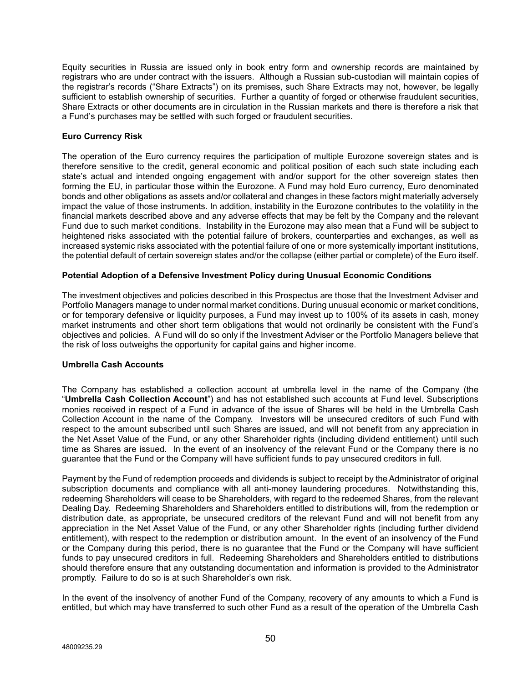Equity securities in Russia are issued only in book entry form and ownership records are maintained by registrars who are under contract with the issuers. Although a Russian sub-custodian will maintain copies of the registrar's records ("Share Extracts") on its premises, such Share Extracts may not, however, be legally sufficient to establish ownership of securities. Further a quantity of forged or otherwise fraudulent securities, Share Extracts or other documents are in circulation in the Russian markets and there is therefore a risk that a Fund's purchases may be settled with such forged or fraudulent securities.

# **Euro Currency Risk**

The operation of the Euro currency requires the participation of multiple Eurozone sovereign states and is therefore sensitive to the credit, general economic and political position of each such state including each state's actual and intended ongoing engagement with and/or support for the other sovereign states then forming the EU, in particular those within the Eurozone. A Fund may hold Euro currency, Euro denominated bonds and other obligations as assets and/or collateral and changes in these factors might materially adversely impact the value of those instruments. In addition, instability in the Eurozone contributes to the volatility in the financial markets described above and any adverse effects that may be felt by the Company and the relevant Fund due to such market conditions. Instability in the Eurozone may also mean that a Fund will be subject to heightened risks associated with the potential failure of brokers, counterparties and exchanges, as well as increased systemic risks associated with the potential failure of one or more systemically important institutions, the potential default of certain sovereign states and/or the collapse (either partial or complete) of the Euro itself.

# **Potential Adoption of a Defensive Investment Policy during Unusual Economic Conditions**

The investment objectives and policies described in this Prospectus are those that the Investment Adviser and Portfolio Managers manage to under normal market conditions. During unusual economic or market conditions, or for temporary defensive or liquidity purposes, a Fund may invest up to 100% of its assets in cash, money market instruments and other short term obligations that would not ordinarily be consistent with the Fund's objectives and policies. A Fund will do so only if the Investment Adviser or the Portfolio Managers believe that the risk of loss outweighs the opportunity for capital gains and higher income.

# **Umbrella Cash Accounts**

The Company has established a collection account at umbrella level in the name of the Company (the "**Umbrella Cash Collection Account**") and has not established such accounts at Fund level. Subscriptions monies received in respect of a Fund in advance of the issue of Shares will be held in the Umbrella Cash Collection Account in the name of the Company. Investors will be unsecured creditors of such Fund with respect to the amount subscribed until such Shares are issued, and will not benefit from any appreciation in the Net Asset Value of the Fund, or any other Shareholder rights (including dividend entitlement) until such time as Shares are issued. In the event of an insolvency of the relevant Fund or the Company there is no guarantee that the Fund or the Company will have sufficient funds to pay unsecured creditors in full.

Payment by the Fund of redemption proceeds and dividends is subject to receipt by the Administrator of original subscription documents and compliance with all anti-money laundering procedures. Notwithstanding this, redeeming Shareholders will cease to be Shareholders, with regard to the redeemed Shares, from the relevant Dealing Day. Redeeming Shareholders and Shareholders entitled to distributions will, from the redemption or distribution date, as appropriate, be unsecured creditors of the relevant Fund and will not benefit from any appreciation in the Net Asset Value of the Fund, or any other Shareholder rights (including further dividend entitlement), with respect to the redemption or distribution amount. In the event of an insolvency of the Fund or the Company during this period, there is no guarantee that the Fund or the Company will have sufficient funds to pay unsecured creditors in full. Redeeming Shareholders and Shareholders entitled to distributions should therefore ensure that any outstanding documentation and information is provided to the Administrator promptly. Failure to do so is at such Shareholder's own risk.

In the event of the insolvency of another Fund of the Company, recovery of any amounts to which a Fund is entitled, but which may have transferred to such other Fund as a result of the operation of the Umbrella Cash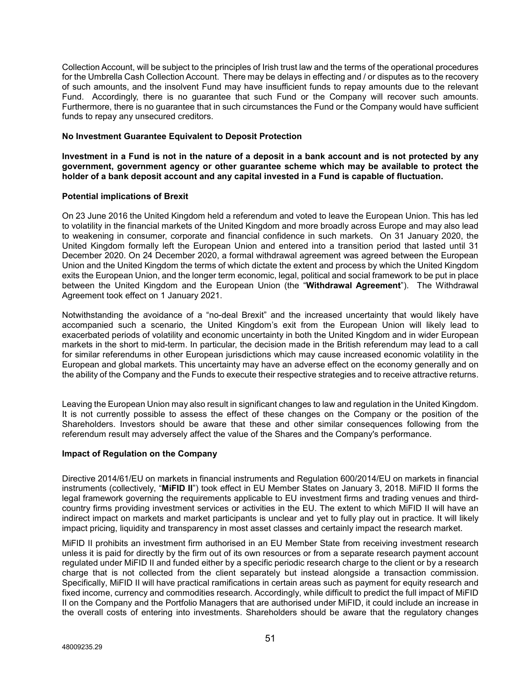Collection Account, will be subject to the principles of Irish trust law and the terms of the operational procedures for the Umbrella Cash Collection Account. There may be delays in effecting and / or disputes as to the recovery of such amounts, and the insolvent Fund may have insufficient funds to repay amounts due to the relevant Fund. Accordingly, there is no guarantee that such Fund or the Company will recover such amounts. Furthermore, there is no guarantee that in such circumstances the Fund or the Company would have sufficient funds to repay any unsecured creditors.

## **No Investment Guarantee Equivalent to Deposit Protection**

**Investment in a Fund is not in the nature of a deposit in a bank account and is not protected by any government, government agency or other guarantee scheme which may be available to protect the holder of a bank deposit account and any capital invested in a Fund is capable of fluctuation.**

# **Potential implications of Brexit**

On 23 June 2016 the United Kingdom held a referendum and voted to leave the European Union. This has led to volatility in the financial markets of the United Kingdom and more broadly across Europe and may also lead to weakening in consumer, corporate and financial confidence in such markets. On 31 January 2020, the United Kingdom formally left the European Union and entered into a transition period that lasted until 31 December 2020. On 24 December 2020, a formal withdrawal agreement was agreed between the European Union and the United Kingdom the terms of which dictate the extent and process by which the United Kingdom exits the European Union, and the longer term economic, legal, political and social framework to be put in place between the United Kingdom and the European Union (the "**Withdrawal Agreement**"). The Withdrawal Agreement took effect on 1 January 2021.

Notwithstanding the avoidance of a "no-deal Brexit" and the increased uncertainty that would likely have accompanied such a scenario, the United Kingdom's exit from the European Union will likely lead to exacerbated periods of volatility and economic uncertainty in both the United Kingdom and in wider European markets in the short to mid-term. In particular, the decision made in the British referendum may lead to a call for similar referendums in other European jurisdictions which may cause increased economic volatility in the European and global markets. This uncertainty may have an adverse effect on the economy generally and on the ability of the Company and the Funds to execute their respective strategies and to receive attractive returns.

Leaving the European Union may also result in significant changes to law and regulation in the United Kingdom. It is not currently possible to assess the effect of these changes on the Company or the position of the Shareholders. Investors should be aware that these and other similar consequences following from the referendum result may adversely affect the value of the Shares and the Company's performance.

# **Impact of Regulation on the Company**

Directive 2014/61/EU on markets in financial instruments and Regulation 600/2014/EU on markets in financial instruments (collectively, "**MiFID II**") took effect in EU Member States on January 3, 2018. MiFID II forms the legal framework governing the requirements applicable to EU investment firms and trading venues and thirdcountry firms providing investment services or activities in the EU. The extent to which MiFID II will have an indirect impact on markets and market participants is unclear and yet to fully play out in practice. It will likely impact pricing, liquidity and transparency in most asset classes and certainly impact the research market.

MiFID II prohibits an investment firm authorised in an EU Member State from receiving investment research unless it is paid for directly by the firm out of its own resources or from a separate research payment account regulated under MiFID II and funded either by a specific periodic research charge to the client or by a research charge that is not collected from the client separately but instead alongside a transaction commission. Specifically, MiFID II will have practical ramifications in certain areas such as payment for equity research and fixed income, currency and commodities research. Accordingly, while difficult to predict the full impact of MiFID II on the Company and the Portfolio Managers that are authorised under MiFID, it could include an increase in the overall costs of entering into investments. Shareholders should be aware that the regulatory changes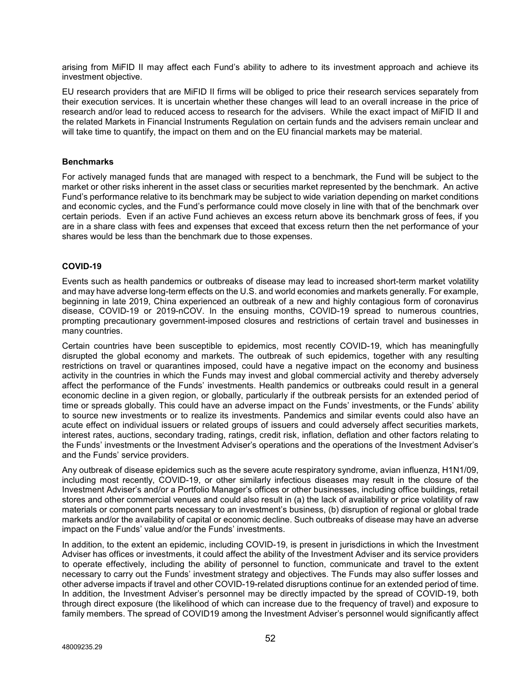arising from MiFID II may affect each Fund's ability to adhere to its investment approach and achieve its investment objective.

EU research providers that are MiFID II firms will be obliged to price their research services separately from their execution services. It is uncertain whether these changes will lead to an overall increase in the price of research and/or lead to reduced access to research for the advisers. While the exact impact of MiFID II and the related Markets in Financial Instruments Regulation on certain funds and the advisers remain unclear and will take time to quantify, the impact on them and on the EU financial markets may be material.

## **Benchmarks**

For actively managed funds that are managed with respect to a benchmark, the Fund will be subject to the market or other risks inherent in the asset class or securities market represented by the benchmark. An active Fund's performance relative to its benchmark may be subject to wide variation depending on market conditions and economic cycles, and the Fund's performance could move closely in line with that of the benchmark over certain periods. Even if an active Fund achieves an excess return above its benchmark gross of fees, if you are in a share class with fees and expenses that exceed that excess return then the net performance of your shares would be less than the benchmark due to those expenses.

# **COVID-19**

Events such as health pandemics or outbreaks of disease may lead to increased short-term market volatility and may have adverse long-term effects on the U.S. and world economies and markets generally. For example, beginning in late 2019, China experienced an outbreak of a new and highly contagious form of coronavirus disease, COVID-19 or 2019-nCOV. In the ensuing months, COVID-19 spread to numerous countries, prompting precautionary government-imposed closures and restrictions of certain travel and businesses in many countries.

Certain countries have been susceptible to epidemics, most recently COVID-19, which has meaningfully disrupted the global economy and markets. The outbreak of such epidemics, together with any resulting restrictions on travel or quarantines imposed, could have a negative impact on the economy and business activity in the countries in which the Funds may invest and global commercial activity and thereby adversely affect the performance of the Funds' investments. Health pandemics or outbreaks could result in a general economic decline in a given region, or globally, particularly if the outbreak persists for an extended period of time or spreads globally. This could have an adverse impact on the Funds' investments, or the Funds' ability to source new investments or to realize its investments. Pandemics and similar events could also have an acute effect on individual issuers or related groups of issuers and could adversely affect securities markets, interest rates, auctions, secondary trading, ratings, credit risk, inflation, deflation and other factors relating to the Funds' investments or the Investment Adviser's operations and the operations of the Investment Adviser's and the Funds' service providers.

Any outbreak of disease epidemics such as the severe acute respiratory syndrome, avian influenza, H1N1/09, including most recently, COVID-19, or other similarly infectious diseases may result in the closure of the Investment Adviser's and/or a Portfolio Manager's offices or other businesses, including office buildings, retail stores and other commercial venues and could also result in (a) the lack of availability or price volatility of raw materials or component parts necessary to an investment's business, (b) disruption of regional or global trade markets and/or the availability of capital or economic decline. Such outbreaks of disease may have an adverse impact on the Funds' value and/or the Funds' investments.

In addition, to the extent an epidemic, including COVID-19, is present in jurisdictions in which the Investment Adviser has offices or investments, it could affect the ability of the Investment Adviser and its service providers to operate effectively, including the ability of personnel to function, communicate and travel to the extent necessary to carry out the Funds' investment strategy and objectives. The Funds may also suffer losses and other adverse impacts if travel and other COVID-19-related disruptions continue for an extended period of time. In addition, the Investment Adviser's personnel may be directly impacted by the spread of COVID-19, both through direct exposure (the likelihood of which can increase due to the frequency of travel) and exposure to family members. The spread of COVID19 among the Investment Adviser's personnel would significantly affect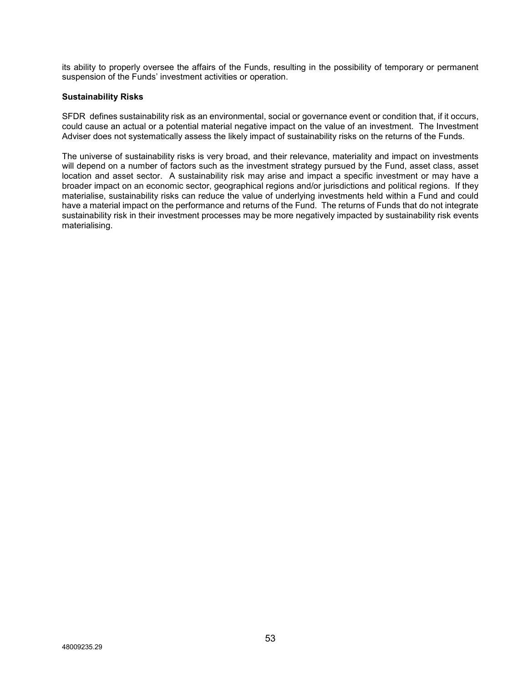its ability to properly oversee the affairs of the Funds, resulting in the possibility of temporary or permanent suspension of the Funds' investment activities or operation.

## **Sustainability Risks**

SFDR defines sustainability risk as an environmental, social or governance event or condition that, if it occurs, could cause an actual or a potential material negative impact on the value of an investment. The Investment Adviser does not systematically assess the likely impact of sustainability risks on the returns of the Funds.

The universe of sustainability risks is very broad, and their relevance, materiality and impact on investments will depend on a number of factors such as the investment strategy pursued by the Fund, asset class, asset location and asset sector. A sustainability risk may arise and impact a specific investment or may have a broader impact on an economic sector, geographical regions and/or jurisdictions and political regions. If they materialise, sustainability risks can reduce the value of underlying investments held within a Fund and could have a material impact on the performance and returns of the Fund. The returns of Funds that do not integrate sustainability risk in their investment processes may be more negatively impacted by sustainability risk events materialising.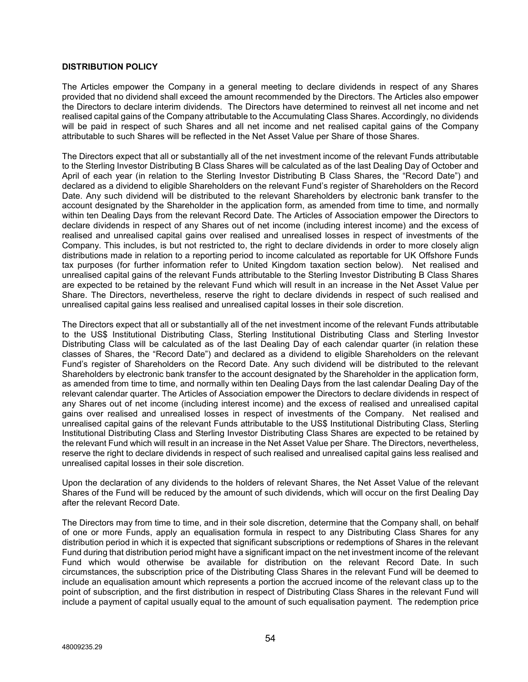## **DISTRIBUTION POLICY**

The Articles empower the Company in a general meeting to declare dividends in respect of any Shares provided that no dividend shall exceed the amount recommended by the Directors. The Articles also empower the Directors to declare interim dividends. The Directors have determined to reinvest all net income and net realised capital gains of the Company attributable to the Accumulating Class Shares. Accordingly, no dividends will be paid in respect of such Shares and all net income and net realised capital gains of the Company attributable to such Shares will be reflected in the Net Asset Value per Share of those Shares.

The Directors expect that all or substantially all of the net investment income of the relevant Funds attributable to the Sterling Investor Distributing B Class Shares will be calculated as of the last Dealing Day of October and April of each year (in relation to the Sterling Investor Distributing B Class Shares, the "Record Date") and declared as a dividend to eligible Shareholders on the relevant Fund's register of Shareholders on the Record Date. Any such dividend will be distributed to the relevant Shareholders by electronic bank transfer to the account designated by the Shareholder in the application form, as amended from time to time, and normally within ten Dealing Days from the relevant Record Date. The Articles of Association empower the Directors to declare dividends in respect of any Shares out of net income (including interest income) and the excess of realised and unrealised capital gains over realised and unrealised losses in respect of investments of the Company. This includes, is but not restricted to, the right to declare dividends in order to more closely align distributions made in relation to a reporting period to income calculated as reportable for UK Offshore Funds tax purposes (for further information refer to United Kingdom taxation section below). Net realised and unrealised capital gains of the relevant Funds attributable to the Sterling Investor Distributing B Class Shares are expected to be retained by the relevant Fund which will result in an increase in the Net Asset Value per Share. The Directors, nevertheless, reserve the right to declare dividends in respect of such realised and unrealised capital gains less realised and unrealised capital losses in their sole discretion.

The Directors expect that all or substantially all of the net investment income of the relevant Funds attributable to the US\$ Institutional Distributing Class, Sterling Institutional Distributing Class and Sterling Investor Distributing Class will be calculated as of the last Dealing Day of each calendar quarter (in relation these classes of Shares, the "Record Date") and declared as a dividend to eligible Shareholders on the relevant Fund's register of Shareholders on the Record Date. Any such dividend will be distributed to the relevant Shareholders by electronic bank transfer to the account designated by the Shareholder in the application form, as amended from time to time, and normally within ten Dealing Days from the last calendar Dealing Day of the relevant calendar quarter. The Articles of Association empower the Directors to declare dividends in respect of any Shares out of net income (including interest income) and the excess of realised and unrealised capital gains over realised and unrealised losses in respect of investments of the Company. Net realised and unrealised capital gains of the relevant Funds attributable to the US\$ Institutional Distributing Class, Sterling Institutional Distributing Class and Sterling Investor Distributing Class Shares are expected to be retained by the relevant Fund which will result in an increase in the Net Asset Value per Share. The Directors, nevertheless, reserve the right to declare dividends in respect of such realised and unrealised capital gains less realised and unrealised capital losses in their sole discretion.

Upon the declaration of any dividends to the holders of relevant Shares, the Net Asset Value of the relevant Shares of the Fund will be reduced by the amount of such dividends, which will occur on the first Dealing Day after the relevant Record Date.

The Directors may from time to time, and in their sole discretion, determine that the Company shall, on behalf of one or more Funds, apply an equalisation formula in respect to any Distributing Class Shares for any distribution period in which it is expected that significant subscriptions or redemptions of Shares in the relevant Fund during that distribution period might have a significant impact on the net investment income of the relevant Fund which would otherwise be available for distribution on the relevant Record Date. In such circumstances, the subscription price of the Distributing Class Shares in the relevant Fund will be deemed to include an equalisation amount which represents a portion the accrued income of the relevant class up to the point of subscription, and the first distribution in respect of Distributing Class Shares in the relevant Fund will include a payment of capital usually equal to the amount of such equalisation payment. The redemption price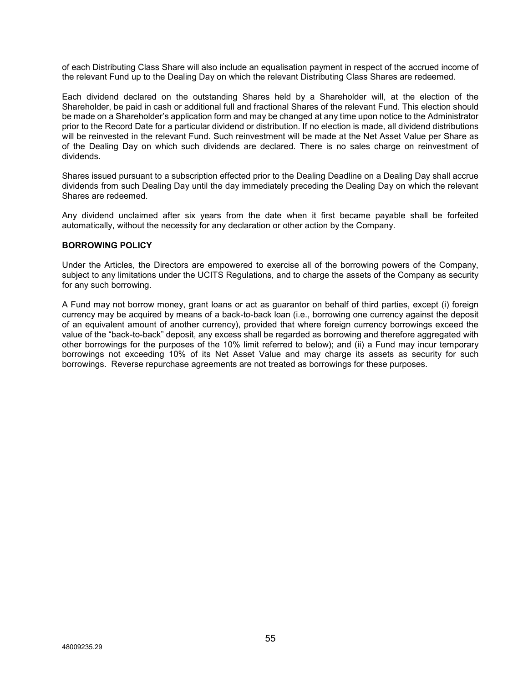of each Distributing Class Share will also include an equalisation payment in respect of the accrued income of the relevant Fund up to the Dealing Day on which the relevant Distributing Class Shares are redeemed.

Each dividend declared on the outstanding Shares held by a Shareholder will, at the election of the Shareholder, be paid in cash or additional full and fractional Shares of the relevant Fund. This election should be made on a Shareholder's application form and may be changed at any time upon notice to the Administrator prior to the Record Date for a particular dividend or distribution. If no election is made, all dividend distributions will be reinvested in the relevant Fund. Such reinvestment will be made at the Net Asset Value per Share as of the Dealing Day on which such dividends are declared. There is no sales charge on reinvestment of dividends.

Shares issued pursuant to a subscription effected prior to the Dealing Deadline on a Dealing Day shall accrue dividends from such Dealing Day until the day immediately preceding the Dealing Day on which the relevant Shares are redeemed.

Any dividend unclaimed after six years from the date when it first became payable shall be forfeited automatically, without the necessity for any declaration or other action by the Company.

## **BORROWING POLICY**

Under the Articles, the Directors are empowered to exercise all of the borrowing powers of the Company, subject to any limitations under the UCITS Regulations, and to charge the assets of the Company as security for any such borrowing.

A Fund may not borrow money, grant loans or act as guarantor on behalf of third parties, except (i) foreign currency may be acquired by means of a back-to-back loan (i.e., borrowing one currency against the deposit of an equivalent amount of another currency), provided that where foreign currency borrowings exceed the value of the "back-to-back" deposit, any excess shall be regarded as borrowing and therefore aggregated with other borrowings for the purposes of the 10% limit referred to below); and (ii) a Fund may incur temporary borrowings not exceeding 10% of its Net Asset Value and may charge its assets as security for such borrowings. Reverse repurchase agreements are not treated as borrowings for these purposes.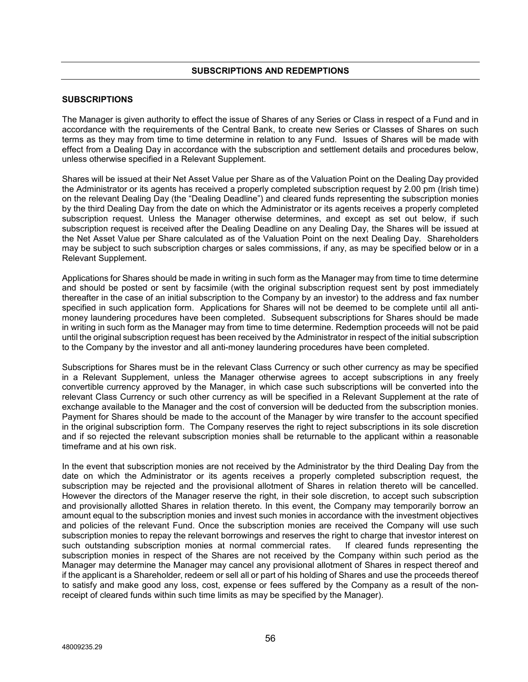## **SUBSCRIPTIONS**

The Manager is given authority to effect the issue of Shares of any Series or Class in respect of a Fund and in accordance with the requirements of the Central Bank, to create new Series or Classes of Shares on such terms as they may from time to time determine in relation to any Fund. Issues of Shares will be made with effect from a Dealing Day in accordance with the subscription and settlement details and procedures below, unless otherwise specified in a Relevant Supplement.

Shares will be issued at their Net Asset Value per Share as of the Valuation Point on the Dealing Day provided the Administrator or its agents has received a properly completed subscription request by 2.00 pm (Irish time) on the relevant Dealing Day (the "Dealing Deadline") and cleared funds representing the subscription monies by the third Dealing Day from the date on which the Administrator or its agents receives a properly completed subscription request. Unless the Manager otherwise determines, and except as set out below, if such subscription request is received after the Dealing Deadline on any Dealing Day, the Shares will be issued at the Net Asset Value per Share calculated as of the Valuation Point on the next Dealing Day. Shareholders may be subject to such subscription charges or sales commissions, if any, as may be specified below or in a Relevant Supplement.

Applications for Shares should be made in writing in such form as the Manager may from time to time determine and should be posted or sent by facsimile (with the original subscription request sent by post immediately thereafter in the case of an initial subscription to the Company by an investor) to the address and fax number specified in such application form. Applications for Shares will not be deemed to be complete until all antimoney laundering procedures have been completed. Subsequent subscriptions for Shares should be made in writing in such form as the Manager may from time to time determine. Redemption proceeds will not be paid until the original subscription request has been received by the Administrator in respect of the initial subscription to the Company by the investor and all anti-money laundering procedures have been completed.

Subscriptions for Shares must be in the relevant Class Currency or such other currency as may be specified in a Relevant Supplement, unless the Manager otherwise agrees to accept subscriptions in any freely convertible currency approved by the Manager, in which case such subscriptions will be converted into the relevant Class Currency or such other currency as will be specified in a Relevant Supplement at the rate of exchange available to the Manager and the cost of conversion will be deducted from the subscription monies. Payment for Shares should be made to the account of the Manager by wire transfer to the account specified in the original subscription form. The Company reserves the right to reject subscriptions in its sole discretion and if so rejected the relevant subscription monies shall be returnable to the applicant within a reasonable timeframe and at his own risk.

In the event that subscription monies are not received by the Administrator by the third Dealing Day from the date on which the Administrator or its agents receives a properly completed subscription request, the subscription may be rejected and the provisional allotment of Shares in relation thereto will be cancelled. However the directors of the Manager reserve the right, in their sole discretion, to accept such subscription and provisionally allotted Shares in relation thereto. In this event, the Company may temporarily borrow an amount equal to the subscription monies and invest such monies in accordance with the investment objectives and policies of the relevant Fund. Once the subscription monies are received the Company will use such subscription monies to repay the relevant borrowings and reserves the right to charge that investor interest on<br>such outstanding subscription monies at normal commercial rates. If cleared funds representing the such outstanding subscription monies at normal commercial rates. subscription monies in respect of the Shares are not received by the Company within such period as the Manager may determine the Manager may cancel any provisional allotment of Shares in respect thereof and if the applicant is a Shareholder, redeem or sell all or part of his holding of Shares and use the proceeds thereof to satisfy and make good any loss, cost, expense or fees suffered by the Company as a result of the nonreceipt of cleared funds within such time limits as may be specified by the Manager).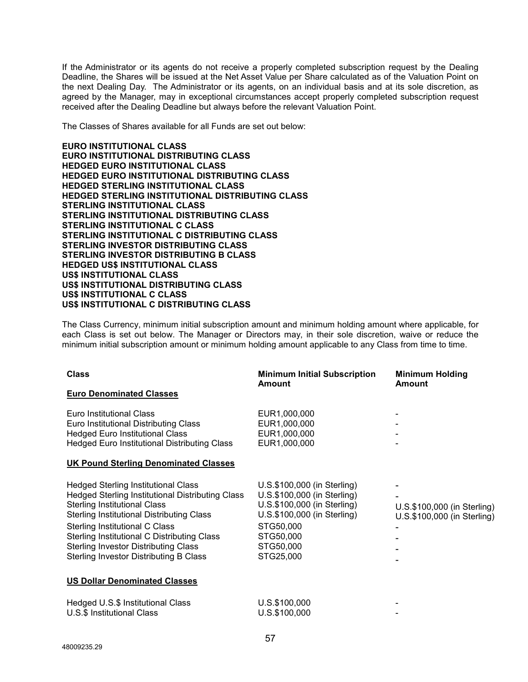If the Administrator or its agents do not receive a properly completed subscription request by the Dealing Deadline, the Shares will be issued at the Net Asset Value per Share calculated as of the Valuation Point on the next Dealing Day. The Administrator or its agents, on an individual basis and at its sole discretion, as agreed by the Manager, may in exceptional circumstances accept properly completed subscription request received after the Dealing Deadline but always before the relevant Valuation Point.

The Classes of Shares available for all Funds are set out below:

**EURO INSTITUTIONAL CLASS EURO INSTITUTIONAL DISTRIBUTING CLASS HEDGED EURO INSTITUTIONAL CLASS HEDGED EURO INSTITUTIONAL DISTRIBUTING CLASS HEDGED STERLING INSTITUTIONAL CLASS HEDGED STERLING INSTITUTIONAL DISTRIBUTING CLASS STERLING INSTITUTIONAL CLASS STERLING INSTITUTIONAL DISTRIBUTING CLASS STERLING INSTITUTIONAL C CLASS STERLING INSTITUTIONAL C DISTRIBUTING CLASS STERLING INVESTOR DISTRIBUTING CLASS STERLING INVESTOR DISTRIBUTING B CLASS HEDGED US\$ INSTITUTIONAL CLASS US\$ INSTITUTIONAL CLASS US\$ INSTITUTIONAL DISTRIBUTING CLASS US\$ INSTITUTIONAL C CLASS US\$ INSTITUTIONAL C DISTRIBUTING CLASS**

The Class Currency, minimum initial subscription amount and minimum holding amount where applicable, for each Class is set out below. The Manager or Directors may, in their sole discretion, waive or reduce the minimum initial subscription amount or minimum holding amount applicable to any Class from time to time.

| <b>Class</b>                                                                                                                                                                                                                                                                                                                                                        | <b>Minimum Initial Subscription</b><br><b>Amount</b>                                                                                                                         | <b>Minimum Holding</b><br>Amount                           |
|---------------------------------------------------------------------------------------------------------------------------------------------------------------------------------------------------------------------------------------------------------------------------------------------------------------------------------------------------------------------|------------------------------------------------------------------------------------------------------------------------------------------------------------------------------|------------------------------------------------------------|
| <b>Euro Denominated Classes</b>                                                                                                                                                                                                                                                                                                                                     |                                                                                                                                                                              |                                                            |
| <b>Euro Institutional Class</b><br>Euro Institutional Distributing Class<br><b>Hedged Euro Institutional Class</b><br><b>Hedged Euro Institutional Distributing Class</b>                                                                                                                                                                                           | EUR1,000,000<br>EUR1,000,000<br>EUR1,000,000<br>EUR1,000,000                                                                                                                 |                                                            |
| <b>UK Pound Sterling Denominated Classes</b>                                                                                                                                                                                                                                                                                                                        |                                                                                                                                                                              |                                                            |
| <b>Hedged Sterling Institutional Class</b><br>Hedged Sterling Institutional Distributing Class<br><b>Sterling Institutional Class</b><br><b>Sterling Institutional Distributing Class</b><br>Sterling Institutional C Class<br>Sterling Institutional C Distributing Class<br><b>Sterling Investor Distributing Class</b><br>Sterling Investor Distributing B Class | U.S.\$100,000 (in Sterling)<br>U.S.\$100,000 (in Sterling)<br>U.S.\$100,000 (in Sterling)<br>U.S.\$100,000 (in Sterling)<br>STG50,000<br>STG50,000<br>STG50,000<br>STG25,000 | U.S.\$100,000 (in Sterling)<br>U.S.\$100,000 (in Sterling) |
| <b>US Dollar Denominated Classes</b>                                                                                                                                                                                                                                                                                                                                |                                                                                                                                                                              |                                                            |
| Hedged U.S.\$ Institutional Class<br>U.S.\$ Institutional Class                                                                                                                                                                                                                                                                                                     | U.S.\$100,000<br>U.S.\$100,000                                                                                                                                               |                                                            |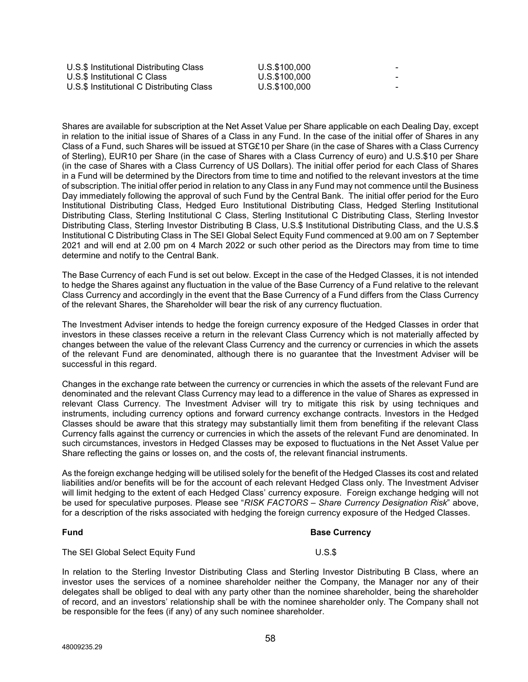| U.S.\$ Institutional Distributing Class   | U.S.\$100.000 | -                        |
|-------------------------------------------|---------------|--------------------------|
| U.S.\$ Institutional C Class              | U.S.\$100.000 | -                        |
| U.S.\$ Institutional C Distributing Class | U.S.\$100.000 | $\overline{\phantom{a}}$ |

Shares are available for subscription at the Net Asset Value per Share applicable on each Dealing Day, except in relation to the initial issue of Shares of a Class in any Fund. In the case of the initial offer of Shares in any Class of a Fund, such Shares will be issued at STG£10 per Share (in the case of Shares with a Class Currency of Sterling), EUR10 per Share (in the case of Shares with a Class Currency of euro) and U.S.\$10 per Share (in the case of Shares with a Class Currency of US Dollars). The initial offer period for each Class of Shares in a Fund will be determined by the Directors from time to time and notified to the relevant investors at the time of subscription. The initial offer period in relation to any Class in any Fund may not commence until the Business Day immediately following the approval of such Fund by the Central Bank. The initial offer period for the Euro Institutional Distributing Class, Hedged Euro Institutional Distributing Class, Hedged Sterling Institutional Distributing Class, Sterling Institutional C Class, Sterling Institutional C Distributing Class, Sterling Investor Distributing Class, Sterling Investor Distributing B Class, U.S.\$ Institutional Distributing Class, and the U.S.\$ Institutional C Distributing Class in The SEI Global Select Equity Fund commenced at 9.00 am on 7 September 2021 and will end at 2.00 pm on 4 March 2022 or such other period as the Directors may from time to time determine and notify to the Central Bank.

The Base Currency of each Fund is set out below. Except in the case of the Hedged Classes, it is not intended to hedge the Shares against any fluctuation in the value of the Base Currency of a Fund relative to the relevant Class Currency and accordingly in the event that the Base Currency of a Fund differs from the Class Currency of the relevant Shares, the Shareholder will bear the risk of any currency fluctuation.

The Investment Adviser intends to hedge the foreign currency exposure of the Hedged Classes in order that investors in these classes receive a return in the relevant Class Currency which is not materially affected by changes between the value of the relevant Class Currency and the currency or currencies in which the assets of the relevant Fund are denominated, although there is no guarantee that the Investment Adviser will be successful in this regard.

Changes in the exchange rate between the currency or currencies in which the assets of the relevant Fund are denominated and the relevant Class Currency may lead to a difference in the value of Shares as expressed in relevant Class Currency. The Investment Adviser will try to mitigate this risk by using techniques and instruments, including currency options and forward currency exchange contracts. Investors in the Hedged Classes should be aware that this strategy may substantially limit them from benefiting if the relevant Class Currency falls against the currency or currencies in which the assets of the relevant Fund are denominated. In such circumstances, investors in Hedged Classes may be exposed to fluctuations in the Net Asset Value per Share reflecting the gains or losses on, and the costs of, the relevant financial instruments.

As the foreign exchange hedging will be utilised solely for the benefit of the Hedged Classes its cost and related liabilities and/or benefits will be for the account of each relevant Hedged Class only. The Investment Adviser will limit hedging to the extent of each Hedged Class' currency exposure. Foreign exchange hedging will not be used for speculative purposes. Please see "*RISK FACTORS – Share Currency Designation Risk*" above, for a description of the risks associated with hedging the foreign currency exposure of the Hedged Classes.

## **Fund Base Currency**

The SEI Global Select Equity Fund U.S.\$

In relation to the Sterling Investor Distributing Class and Sterling Investor Distributing B Class, where an investor uses the services of a nominee shareholder neither the Company, the Manager nor any of their delegates shall be obliged to deal with any party other than the nominee shareholder, being the shareholder of record, and an investors' relationship shall be with the nominee shareholder only. The Company shall not be responsible for the fees (if any) of any such nominee shareholder.

48009235.29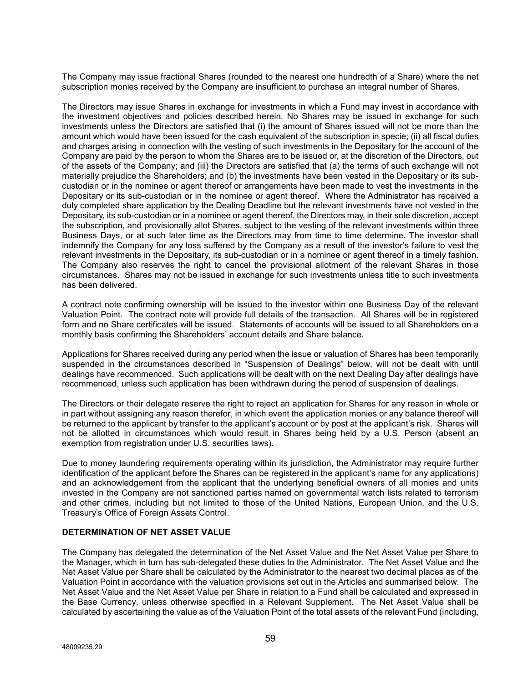The Company may issue fractional Shares (rounded to the nearest one hundredth of a Share) where the net subscription monies received by the Company are insufficient to purchase an integral number of Shares.

The Directors may issue Shares in exchange for investments in which a Fund may invest in accordance with the investment objectives and policies described herein. No Shares may be issued in exchange for such investments unless the Directors are satisfied that (i) the amount of Shares issued will not be more than the amount which would have been issued for the cash equivalent of the subscription in specie; (ii) all fiscal duties and charges arising in connection with the vesting of such investments in the Depositary for the account of the Company are paid by the person to whom the Shares are to be issued or, at the discretion of the Directors, out of the assets of the Company; and (iii) the Directors are satisfied that (a) the terms of such exchange will not materially prejudice the Shareholders; and (b) the investments have been vested in the Depositary or its subcustodian or in the nominee or agent thereof or arrangements have been made to vest the investments in the Depositary or its sub-custodian or in the nominee or agent thereof. Where the Administrator has received a duly completed share application by the Dealing Deadline but the relevant investments have not vested in the Depositary, its sub-custodian or in a nominee or agent thereof, the Directors may, in their sole discretion, accept the subscription, and provisionally allot Shares, subject to the vesting of the relevant investments within three Business Days, or at such later time as the Directors may from time to time determine*.* The investor shall indemnify the Company for any loss suffered by the Company as a result of the investor's failure to vest the relevant investments in the Depositary, its sub-custodian or in a nominee or agent thereof in a timely fashion. The Company also reserves the right to cancel the provisional allotment of the relevant Shares in those circumstances. Shares may not be issued in exchange for such investments unless title to such investments has been delivered.

A contract note confirming ownership will be issued to the investor within one Business Day of the relevant Valuation Point. The contract note will provide full details of the transaction. All Shares will be in registered form and no Share certificates will be issued. Statements of accounts will be issued to all Shareholders on a monthly basis confirming the Shareholders' account details and Share balance.

Applications for Shares received during any period when the issue or valuation of Shares has been temporarily suspended in the circumstances described in "Suspension of Dealings" below, will not be dealt with until dealings have recommenced. Such applications will be dealt with on the next Dealing Day after dealings have recommenced, unless such application has been withdrawn during the period of suspension of dealings.

The Directors or their delegate reserve the right to reject an application for Shares for any reason in whole or in part without assigning any reason therefor, in which event the application monies or any balance thereof will be returned to the applicant by transfer to the applicant's account or by post at the applicant's risk. Shares will not be allotted in circumstances which would result in Shares being held by a U.S. Person (absent an exemption from registration under U.S. securities laws).

Due to money laundering requirements operating within its jurisdiction, the Administrator may require further identification of the applicant before the Shares can be registered in the applicant's name for any applications) and an acknowledgement from the applicant that the underlying beneficial owners of all monies and units invested in the Company are not sanctioned parties named on governmental watch lists related to terrorism and other crimes, including but not limited to those of the United Nations, European Union, and the U.S. Treasury's Office of Foreign Assets Control.

## **DETERMINATION OF NET ASSET VALUE**

The Company has delegated the determination of the Net Asset Value and the Net Asset Value per Share to the Manager, which in turn has sub-delegated these duties to the Administrator. The Net Asset Value and the Net Asset Value per Share shall be calculated by the Administrator to the nearest two decimal places as of the Valuation Point in accordance with the valuation provisions set out in the Articles and summarised below. The Net Asset Value and the Net Asset Value per Share in relation to a Fund shall be calculated and expressed in the Base Currency, unless otherwise specified in a Relevant Supplement. The Net Asset Value shall be calculated by ascertaining the value as of the Valuation Point of the total assets of the relevant Fund (including,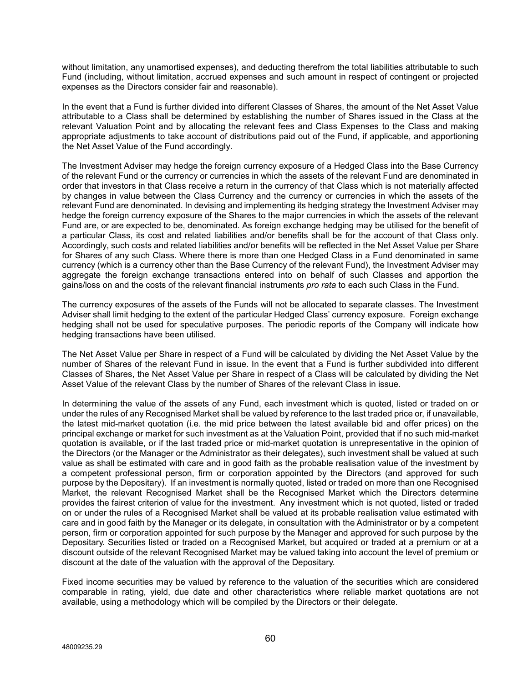without limitation, any unamortised expenses), and deducting therefrom the total liabilities attributable to such Fund (including, without limitation, accrued expenses and such amount in respect of contingent or projected expenses as the Directors consider fair and reasonable).

In the event that a Fund is further divided into different Classes of Shares, the amount of the Net Asset Value attributable to a Class shall be determined by establishing the number of Shares issued in the Class at the relevant Valuation Point and by allocating the relevant fees and Class Expenses to the Class and making appropriate adjustments to take account of distributions paid out of the Fund, if applicable, and apportioning the Net Asset Value of the Fund accordingly.

The Investment Adviser may hedge the foreign currency exposure of a Hedged Class into the Base Currency of the relevant Fund or the currency or currencies in which the assets of the relevant Fund are denominated in order that investors in that Class receive a return in the currency of that Class which is not materially affected by changes in value between the Class Currency and the currency or currencies in which the assets of the relevant Fund are denominated. In devising and implementing its hedging strategy the Investment Adviser may hedge the foreign currency exposure of the Shares to the major currencies in which the assets of the relevant Fund are, or are expected to be, denominated. As foreign exchange hedging may be utilised for the benefit of a particular Class, its cost and related liabilities and/or benefits shall be for the account of that Class only. Accordingly, such costs and related liabilities and/or benefits will be reflected in the Net Asset Value per Share for Shares of any such Class. Where there is more than one Hedged Class in a Fund denominated in same currency (which is a currency other than the Base Currency of the relevant Fund), the Investment Adviser may aggregate the foreign exchange transactions entered into on behalf of such Classes and apportion the gains/loss on and the costs of the relevant financial instruments *pro rata* to each such Class in the Fund.

The currency exposures of the assets of the Funds will not be allocated to separate classes. The Investment Adviser shall limit hedging to the extent of the particular Hedged Class' currency exposure. Foreign exchange hedging shall not be used for speculative purposes. The periodic reports of the Company will indicate how hedging transactions have been utilised.

The Net Asset Value per Share in respect of a Fund will be calculated by dividing the Net Asset Value by the number of Shares of the relevant Fund in issue. In the event that a Fund is further subdivided into different Classes of Shares, the Net Asset Value per Share in respect of a Class will be calculated by dividing the Net Asset Value of the relevant Class by the number of Shares of the relevant Class in issue.

In determining the value of the assets of any Fund, each investment which is quoted, listed or traded on or under the rules of any Recognised Market shall be valued by reference to the last traded price or, if unavailable, the latest mid-market quotation (i.e. the mid price between the latest available bid and offer prices) on the principal exchange or market for such investment as at the Valuation Point, provided that if no such mid-market quotation is available, or if the last traded price or mid-market quotation is unrepresentative in the opinion of the Directors (or the Manager or the Administrator as their delegates), such investment shall be valued at such value as shall be estimated with care and in good faith as the probable realisation value of the investment by a competent professional person, firm or corporation appointed by the Directors (and approved for such purpose by the Depositary). If an investment is normally quoted, listed or traded on more than one Recognised Market, the relevant Recognised Market shall be the Recognised Market which the Directors determine provides the fairest criterion of value for the investment. Any investment which is not quoted, listed or traded on or under the rules of a Recognised Market shall be valued at its probable realisation value estimated with care and in good faith by the Manager or its delegate, in consultation with the Administrator or by a competent person, firm or corporation appointed for such purpose by the Manager and approved for such purpose by the Depositary. Securities listed or traded on a Recognised Market, but acquired or traded at a premium or at a discount outside of the relevant Recognised Market may be valued taking into account the level of premium or discount at the date of the valuation with the approval of the Depositary.

Fixed income securities may be valued by reference to the valuation of the securities which are considered comparable in rating, yield, due date and other characteristics where reliable market quotations are not available, using a methodology which will be compiled by the Directors or their delegate.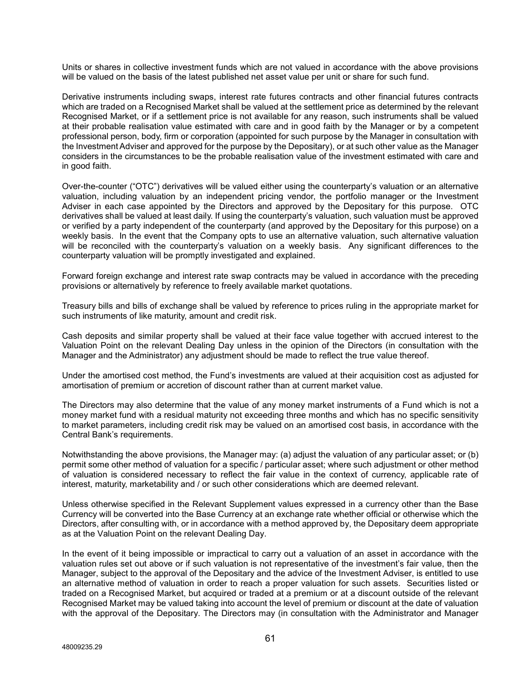Units or shares in collective investment funds which are not valued in accordance with the above provisions will be valued on the basis of the latest published net asset value per unit or share for such fund.

Derivative instruments including swaps, interest rate futures contracts and other financial futures contracts which are traded on a Recognised Market shall be valued at the settlement price as determined by the relevant Recognised Market, or if a settlement price is not available for any reason, such instruments shall be valued at their probable realisation value estimated with care and in good faith by the Manager or by a competent professional person, body, firm or corporation (appointed for such purpose by the Manager in consultation with the Investment Adviser and approved for the purpose by the Depositary), or at such other value as the Manager considers in the circumstances to be the probable realisation value of the investment estimated with care and in good faith.

Over-the-counter ("OTC") derivatives will be valued either using the counterparty's valuation or an alternative valuation, including valuation by an independent pricing vendor, the portfolio manager or the Investment Adviser in each case appointed by the Directors and approved by the Depositary for this purpose. OTC derivatives shall be valued at least daily. If using the counterparty's valuation, such valuation must be approved or verified by a party independent of the counterparty (and approved by the Depositary for this purpose) on a weekly basis. In the event that the Company opts to use an alternative valuation, such alternative valuation will be reconciled with the counterparty's valuation on a weekly basis. Any significant differences to the counterparty valuation will be promptly investigated and explained.

Forward foreign exchange and interest rate swap contracts may be valued in accordance with the preceding provisions or alternatively by reference to freely available market quotations.

Treasury bills and bills of exchange shall be valued by reference to prices ruling in the appropriate market for such instruments of like maturity, amount and credit risk.

Cash deposits and similar property shall be valued at their face value together with accrued interest to the Valuation Point on the relevant Dealing Day unless in the opinion of the Directors (in consultation with the Manager and the Administrator) any adjustment should be made to reflect the true value thereof.

Under the amortised cost method, the Fund's investments are valued at their acquisition cost as adjusted for amortisation of premium or accretion of discount rather than at current market value.

The Directors may also determine that the value of any money market instruments of a Fund which is not a money market fund with a residual maturity not exceeding three months and which has no specific sensitivity to market parameters, including credit risk may be valued on an amortised cost basis, in accordance with the Central Bank's requirements.

Notwithstanding the above provisions, the Manager may: (a) adjust the valuation of any particular asset; or (b) permit some other method of valuation for a specific / particular asset; where such adjustment or other method of valuation is considered necessary to reflect the fair value in the context of currency, applicable rate of interest, maturity, marketability and / or such other considerations which are deemed relevant.

Unless otherwise specified in the Relevant Supplement values expressed in a currency other than the Base Currency will be converted into the Base Currency at an exchange rate whether official or otherwise which the Directors, after consulting with, or in accordance with a method approved by, the Depositary deem appropriate as at the Valuation Point on the relevant Dealing Day.

In the event of it being impossible or impractical to carry out a valuation of an asset in accordance with the valuation rules set out above or if such valuation is not representative of the investment's fair value, then the Manager, subject to the approval of the Depositary and the advice of the Investment Adviser, is entitled to use an alternative method of valuation in order to reach a proper valuation for such assets. Securities listed or traded on a Recognised Market, but acquired or traded at a premium or at a discount outside of the relevant Recognised Market may be valued taking into account the level of premium or discount at the date of valuation with the approval of the Depositary. The Directors may (in consultation with the Administrator and Manager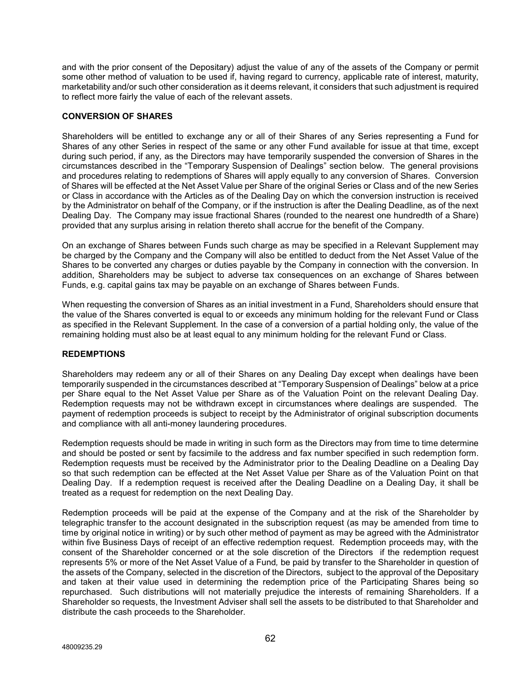and with the prior consent of the Depositary) adjust the value of any of the assets of the Company or permit some other method of valuation to be used if, having regard to currency, applicable rate of interest, maturity, marketability and/or such other consideration as it deems relevant, it considers that such adjustment is required to reflect more fairly the value of each of the relevant assets.

# **CONVERSION OF SHARES**

Shareholders will be entitled to exchange any or all of their Shares of any Series representing a Fund for Shares of any other Series in respect of the same or any other Fund available for issue at that time, except during such period, if any, as the Directors may have temporarily suspended the conversion of Shares in the circumstances described in the "Temporary Suspension of Dealings" section below. The general provisions and procedures relating to redemptions of Shares will apply equally to any conversion of Shares. Conversion of Shares will be effected at the Net Asset Value per Share of the original Series or Class and of the new Series or Class in accordance with the Articles as of the Dealing Day on which the conversion instruction is received by the Administrator on behalf of the Company, or if the instruction is after the Dealing Deadline, as of the next Dealing Day. The Company may issue fractional Shares (rounded to the nearest one hundredth of a Share) provided that any surplus arising in relation thereto shall accrue for the benefit of the Company.

On an exchange of Shares between Funds such charge as may be specified in a Relevant Supplement may be charged by the Company and the Company will also be entitled to deduct from the Net Asset Value of the Shares to be converted any charges or duties payable by the Company in connection with the conversion. In addition, Shareholders may be subject to adverse tax consequences on an exchange of Shares between Funds, e.g. capital gains tax may be payable on an exchange of Shares between Funds.

When requesting the conversion of Shares as an initial investment in a Fund, Shareholders should ensure that the value of the Shares converted is equal to or exceeds any minimum holding for the relevant Fund or Class as specified in the Relevant Supplement. In the case of a conversion of a partial holding only, the value of the remaining holding must also be at least equal to any minimum holding for the relevant Fund or Class.

## **REDEMPTIONS**

Shareholders may redeem any or all of their Shares on any Dealing Day except when dealings have been temporarily suspended in the circumstances described at "Temporary Suspension of Dealings" below at a price per Share equal to the Net Asset Value per Share as of the Valuation Point on the relevant Dealing Day. Redemption requests may not be withdrawn except in circumstances where dealings are suspended. The payment of redemption proceeds is subject to receipt by the Administrator of original subscription documents and compliance with all anti-money laundering procedures.

Redemption requests should be made in writing in such form as the Directors may from time to time determine and should be posted or sent by facsimile to the address and fax number specified in such redemption form. Redemption requests must be received by the Administrator prior to the Dealing Deadline on a Dealing Day so that such redemption can be effected at the Net Asset Value per Share as of the Valuation Point on that Dealing Day. If a redemption request is received after the Dealing Deadline on a Dealing Day, it shall be treated as a request for redemption on the next Dealing Day.

Redemption proceeds will be paid at the expense of the Company and at the risk of the Shareholder by telegraphic transfer to the account designated in the subscription request (as may be amended from time to time by original notice in writing) or by such other method of payment as may be agreed with the Administrator within five Business Days of receipt of an effective redemption request. Redemption proceeds may, with the consent of the Shareholder concerned or at the sole discretion of the Directors if the redemption request represents 5% or more of the Net Asset Value of a Fund*,* be paid by transfer to the Shareholder in question of the assets of the Company, selected in the discretion of the Directors, subject to the approval of the Depositary and taken at their value used in determining the redemption price of the Participating Shares being so repurchased. Such distributions will not materially prejudice the interests of remaining Shareholders. If a Shareholder so requests, the Investment Adviser shall sell the assets to be distributed to that Shareholder and distribute the cash proceeds to the Shareholder.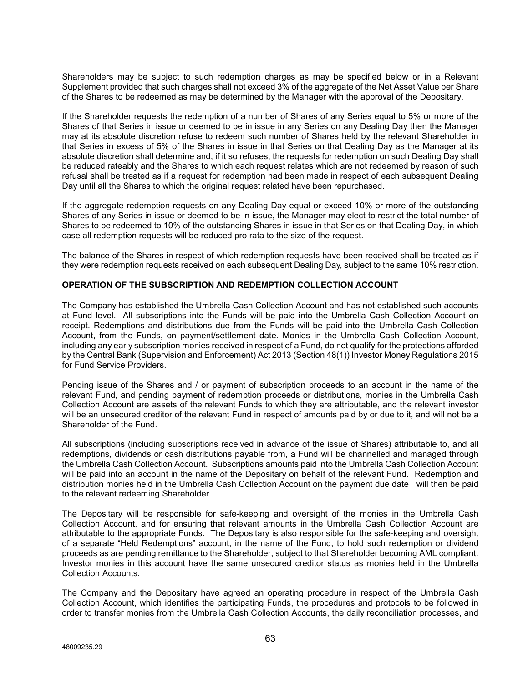Shareholders may be subject to such redemption charges as may be specified below or in a Relevant Supplement provided that such charges shall not exceed 3% of the aggregate of the Net Asset Value per Share of the Shares to be redeemed as may be determined by the Manager with the approval of the Depositary.

If the Shareholder requests the redemption of a number of Shares of any Series equal to 5% or more of the Shares of that Series in issue or deemed to be in issue in any Series on any Dealing Day then the Manager may at its absolute discretion refuse to redeem such number of Shares held by the relevant Shareholder in that Series in excess of 5% of the Shares in issue in that Series on that Dealing Day as the Manager at its absolute discretion shall determine and, if it so refuses, the requests for redemption on such Dealing Day shall be reduced rateably and the Shares to which each request relates which are not redeemed by reason of such refusal shall be treated as if a request for redemption had been made in respect of each subsequent Dealing Day until all the Shares to which the original request related have been repurchased.

If the aggregate redemption requests on any Dealing Day equal or exceed 10% or more of the outstanding Shares of any Series in issue or deemed to be in issue, the Manager may elect to restrict the total number of Shares to be redeemed to 10% of the outstanding Shares in issue in that Series on that Dealing Day, in which case all redemption requests will be reduced pro rata to the size of the request.

The balance of the Shares in respect of which redemption requests have been received shall be treated as if they were redemption requests received on each subsequent Dealing Day, subject to the same 10% restriction.

# **OPERATION OF THE SUBSCRIPTION AND REDEMPTION COLLECTION ACCOUNT**

The Company has established the Umbrella Cash Collection Account and has not established such accounts at Fund level. All subscriptions into the Funds will be paid into the Umbrella Cash Collection Account on receipt. Redemptions and distributions due from the Funds will be paid into the Umbrella Cash Collection Account, from the Funds, on payment/settlement date. Monies in the Umbrella Cash Collection Account, including any early subscription monies received in respect of a Fund, do not qualify for the protections afforded by the Central Bank (Supervision and Enforcement) Act 2013 (Section 48(1)) Investor Money Regulations 2015 for Fund Service Providers.

Pending issue of the Shares and / or payment of subscription proceeds to an account in the name of the relevant Fund, and pending payment of redemption proceeds or distributions, monies in the Umbrella Cash Collection Account are assets of the relevant Funds to which they are attributable, and the relevant investor will be an unsecured creditor of the relevant Fund in respect of amounts paid by or due to it, and will not be a Shareholder of the Fund.

All subscriptions (including subscriptions received in advance of the issue of Shares) attributable to, and all redemptions, dividends or cash distributions payable from, a Fund will be channelled and managed through the Umbrella Cash Collection Account. Subscriptions amounts paid into the Umbrella Cash Collection Account will be paid into an account in the name of the Depositary on behalf of the relevant Fund. Redemption and distribution monies held in the Umbrella Cash Collection Account on the payment due date will then be paid to the relevant redeeming Shareholder.

The Depositary will be responsible for safe-keeping and oversight of the monies in the Umbrella Cash Collection Account, and for ensuring that relevant amounts in the Umbrella Cash Collection Account are attributable to the appropriate Funds. The Depositary is also responsible for the safe-keeping and oversight of a separate "Held Redemptions" account, in the name of the Fund, to hold such redemption or dividend proceeds as are pending remittance to the Shareholder, subject to that Shareholder becoming AML compliant. Investor monies in this account have the same unsecured creditor status as monies held in the Umbrella Collection Accounts.

The Company and the Depositary have agreed an operating procedure in respect of the Umbrella Cash Collection Account, which identifies the participating Funds, the procedures and protocols to be followed in order to transfer monies from the Umbrella Cash Collection Accounts, the daily reconciliation processes, and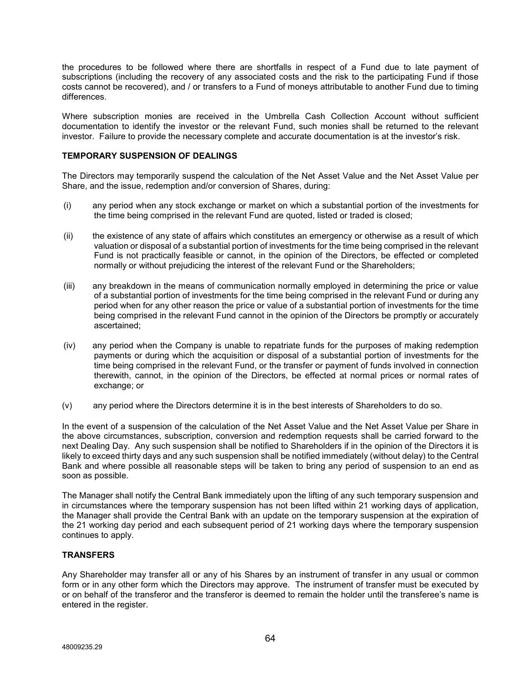the procedures to be followed where there are shortfalls in respect of a Fund due to late payment of subscriptions (including the recovery of any associated costs and the risk to the participating Fund if those costs cannot be recovered), and / or transfers to a Fund of moneys attributable to another Fund due to timing differences.

Where subscription monies are received in the Umbrella Cash Collection Account without sufficient documentation to identify the investor or the relevant Fund, such monies shall be returned to the relevant investor. Failure to provide the necessary complete and accurate documentation is at the investor's risk.

# **TEMPORARY SUSPENSION OF DEALINGS**

The Directors may temporarily suspend the calculation of the Net Asset Value and the Net Asset Value per Share, and the issue, redemption and/or conversion of Shares, during:

- (i) any period when any stock exchange or market on which a substantial portion of the investments for the time being comprised in the relevant Fund are quoted, listed or traded is closed;
- (ii) the existence of any state of affairs which constitutes an emergency or otherwise as a result of which valuation or disposal of a substantial portion of investments for the time being comprised in the relevant Fund is not practically feasible or cannot, in the opinion of the Directors, be effected or completed normally or without prejudicing the interest of the relevant Fund or the Shareholders;
- (iii) any breakdown in the means of communication normally employed in determining the price or value of a substantial portion of investments for the time being comprised in the relevant Fund or during any period when for any other reason the price or value of a substantial portion of investments for the time being comprised in the relevant Fund cannot in the opinion of the Directors be promptly or accurately ascertained;
- (iv) any period when the Company is unable to repatriate funds for the purposes of making redemption payments or during which the acquisition or disposal of a substantial portion of investments for the time being comprised in the relevant Fund, or the transfer or payment of funds involved in connection therewith, cannot, in the opinion of the Directors, be effected at normal prices or normal rates of exchange; or
- (v) any period where the Directors determine it is in the best interests of Shareholders to do so.

In the event of a suspension of the calculation of the Net Asset Value and the Net Asset Value per Share in the above circumstances, subscription, conversion and redemption requests shall be carried forward to the next Dealing Day. Any such suspension shall be notified to Shareholders if in the opinion of the Directors it is likely to exceed thirty days and any such suspension shall be notified immediately (without delay) to the Central Bank and where possible all reasonable steps will be taken to bring any period of suspension to an end as soon as possible.

The Manager shall notify the Central Bank immediately upon the lifting of any such temporary suspension and in circumstances where the temporary suspension has not been lifted within 21 working days of application, the Manager shall provide the Central Bank with an update on the temporary suspension at the expiration of the 21 working day period and each subsequent period of 21 working days where the temporary suspension continues to apply.

## **TRANSFERS**

Any Shareholder may transfer all or any of his Shares by an instrument of transfer in any usual or common form or in any other form which the Directors may approve. The instrument of transfer must be executed by or on behalf of the transferor and the transferor is deemed to remain the holder until the transferee's name is entered in the register.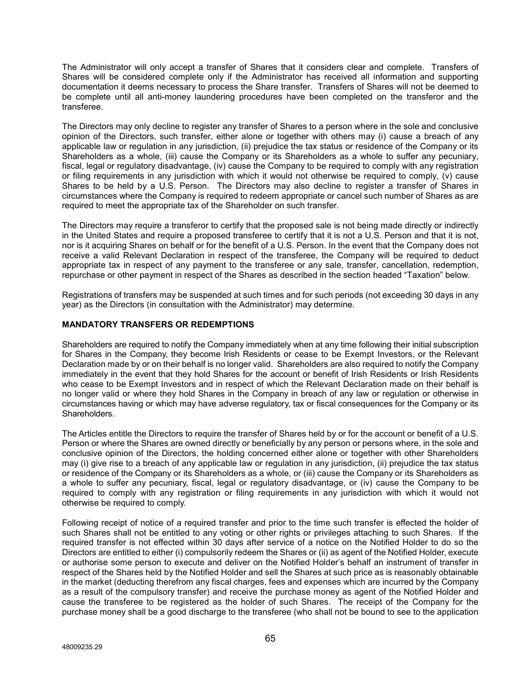The Administrator will only accept a transfer of Shares that it considers clear and complete. Transfers of Shares will be considered complete only if the Administrator has received all information and supporting documentation it deems necessary to process the Share transfer. Transfers of Shares will not be deemed to be complete until all anti-money laundering procedures have been completed on the transferor and the transferee.

The Directors may only decline to register any transfer of Shares to a person where in the sole and conclusive opinion of the Directors, such transfer, either alone or together with others may (i) cause a breach of any applicable law or regulation in any jurisdiction, (ii) prejudice the tax status or residence of the Company or its Shareholders as a whole, (iii) cause the Company or its Shareholders as a whole to suffer any pecuniary, fiscal, legal or regulatory disadvantage, (iv) cause the Company to be required to comply with any registration or filing requirements in any jurisdiction with which it would not otherwise be required to comply, (v) cause Shares to be held by a U.S. Person. The Directors may also decline to register a transfer of Shares in circumstances where the Company is required to redeem appropriate or cancel such number of Shares as are required to meet the appropriate tax of the Shareholder on such transfer.

The Directors may require a transferor to certify that the proposed sale is not being made directly or indirectly in the United States and require a proposed transferee to certify that it is not a U.S. Person and that it is not, nor is it acquiring Shares on behalf or for the benefit of a U.S. Person. In the event that the Company does not receive a valid Relevant Declaration in respect of the transferee, the Company will be required to deduct appropriate tax in respect of any payment to the transferee or any sale, transfer, cancellation, redemption, repurchase or other payment in respect of the Shares as described in the section headed "Taxation" below.

Registrations of transfers may be suspended at such times and for such periods (not exceeding 30 days in any year) as the Directors (in consultation with the Administrator) may determine.

# **MANDATORY TRANSFERS OR REDEMPTIONS**

Shareholders are required to notify the Company immediately when at any time following their initial subscription for Shares in the Company, they become Irish Residents or cease to be Exempt Investors, or the Relevant Declaration made by or on their behalf is no longer valid. Shareholders are also required to notify the Company immediately in the event that they hold Shares for the account or benefit of Irish Residents or Irish Residents who cease to be Exempt Investors and in respect of which the Relevant Declaration made on their behalf is no longer valid or where they hold Shares in the Company in breach of any law or regulation or otherwise in circumstances having or which may have adverse regulatory, tax or fiscal consequences for the Company or its Shareholders.

The Articles entitle the Directors to require the transfer of Shares held by or for the account or benefit of a U.S. Person or where the Shares are owned directly or beneficially by any person or persons where, in the sole and conclusive opinion of the Directors, the holding concerned either alone or together with other Shareholders may (i) give rise to a breach of any applicable law or regulation in any jurisdiction, (ii) prejudice the tax status or residence of the Company or its Shareholders as a whole, or (iii) cause the Company or its Shareholders as a whole to suffer any pecuniary, fiscal, legal or regulatory disadvantage, or (iv) cause the Company to be required to comply with any registration or filing requirements in any jurisdiction with which it would not otherwise be required to comply.

Following receipt of notice of a required transfer and prior to the time such transfer is effected the holder of such Shares shall not be entitled to any voting or other rights or privileges attaching to such Shares. If the required transfer is not effected within 30 days after service of a notice on the Notified Holder to do so the Directors are entitled to either (i) compulsorily redeem the Shares or (ii) as agent of the Notified Holder, execute or authorise some person to execute and deliver on the Notified Holder's behalf an instrument of transfer in respect of the Shares held by the Notified Holder and sell the Shares at such price as is reasonably obtainable in the market (deducting therefrom any fiscal charges, fees and expenses which are incurred by the Company as a result of the compulsory transfer) and receive the purchase money as agent of the Notified Holder and cause the transferee to be registered as the holder of such Shares. The receipt of the Company for the purchase money shall be a good discharge to the transferee (who shall not be bound to see to the application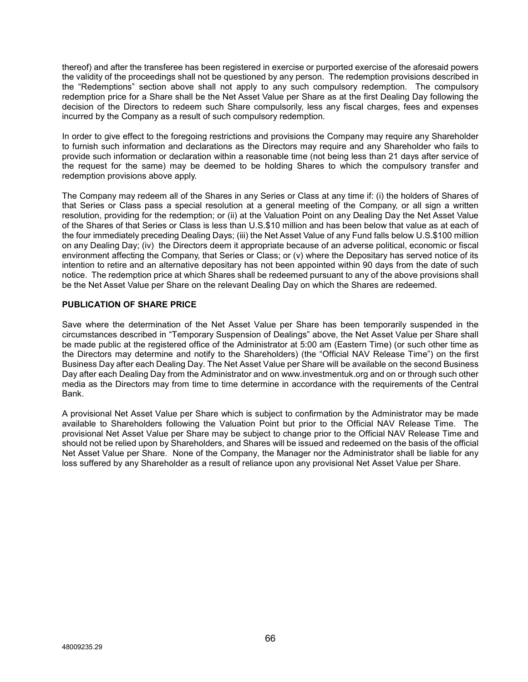thereof) and after the transferee has been registered in exercise or purported exercise of the aforesaid powers the validity of the proceedings shall not be questioned by any person. The redemption provisions described in the "Redemptions" section above shall not apply to any such compulsory redemption. The compulsory redemption price for a Share shall be the Net Asset Value per Share as at the first Dealing Day following the decision of the Directors to redeem such Share compulsorily, less any fiscal charges, fees and expenses incurred by the Company as a result of such compulsory redemption.

In order to give effect to the foregoing restrictions and provisions the Company may require any Shareholder to furnish such information and declarations as the Directors may require and any Shareholder who fails to provide such information or declaration within a reasonable time (not being less than 21 days after service of the request for the same) may be deemed to be holding Shares to which the compulsory transfer and redemption provisions above apply.

The Company may redeem all of the Shares in any Series or Class at any time if: (i) the holders of Shares of that Series or Class pass a special resolution at a general meeting of the Company, or all sign a written resolution, providing for the redemption; or (ii) at the Valuation Point on any Dealing Day the Net Asset Value of the Shares of that Series or Class is less than U.S.\$10 million and has been below that value as at each of the four immediately preceding Dealing Days; (iii) the Net Asset Value of any Fund falls below U.S.\$100 million on any Dealing Day; (iv) the Directors deem it appropriate because of an adverse political, economic or fiscal environment affecting the Company, that Series or Class; or (v) where the Depositary has served notice of its intention to retire and an alternative depositary has not been appointed within 90 days from the date of such notice. The redemption price at which Shares shall be redeemed pursuant to any of the above provisions shall be the Net Asset Value per Share on the relevant Dealing Day on which the Shares are redeemed.

# **PUBLICATION OF SHARE PRICE**

Save where the determination of the Net Asset Value per Share has been temporarily suspended in the circumstances described in "Temporary Suspension of Dealings" above, the Net Asset Value per Share shall be made public at the registered office of the Administrator at 5:00 am (Eastern Time) (or such other time as the Directors may determine and notify to the Shareholders) (the "Official NAV Release Time") on the first Business Day after each Dealing Day. The Net Asset Value per Share will be available on the second Business Day after each Dealing Day from the Administrator and on www.investmentuk.org and on or through such other media as the Directors may from time to time determine in accordance with the requirements of the Central Bank.

A provisional Net Asset Value per Share which is subject to confirmation by the Administrator may be made available to Shareholders following the Valuation Point but prior to the Official NAV Release Time. The provisional Net Asset Value per Share may be subject to change prior to the Official NAV Release Time and should not be relied upon by Shareholders, and Shares will be issued and redeemed on the basis of the official Net Asset Value per Share. None of the Company, the Manager nor the Administrator shall be liable for any loss suffered by any Shareholder as a result of reliance upon any provisional Net Asset Value per Share.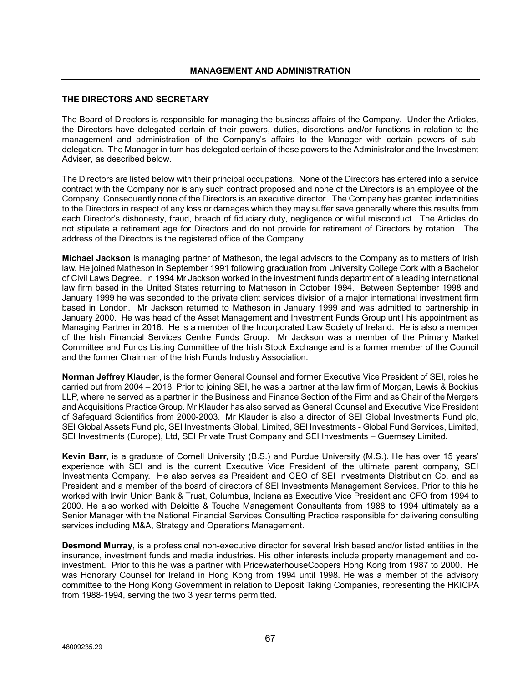# **MANAGEMENT AND ADMINISTRATION**

#### **THE DIRECTORS AND SECRETARY**

The Board of Directors is responsible for managing the business affairs of the Company. Under the Articles, the Directors have delegated certain of their powers, duties, discretions and/or functions in relation to the management and administration of the Company's affairs to the Manager with certain powers of subdelegation. The Manager in turn has delegated certain of these powers to the Administrator and the Investment Adviser, as described below.

The Directors are listed below with their principal occupations. None of the Directors has entered into a service contract with the Company nor is any such contract proposed and none of the Directors is an employee of the Company. Consequently none of the Directors is an executive director. The Company has granted indemnities to the Directors in respect of any loss or damages which they may suffer save generally where this results from each Director's dishonesty, fraud, breach of fiduciary duty, negligence or wilful misconduct. The Articles do not stipulate a retirement age for Directors and do not provide for retirement of Directors by rotation. The address of the Directors is the registered office of the Company.

**Michael Jackson** is managing partner of Matheson, the legal advisors to the Company as to matters of Irish law. He joined Matheson in September 1991 following graduation from University College Cork with a Bachelor of Civil Laws Degree. In 1994 Mr Jackson worked in the investment funds department of a leading international law firm based in the United States returning to Matheson in October 1994. Between September 1998 and January 1999 he was seconded to the private client services division of a major international investment firm based in London. Mr Jackson returned to Matheson in January 1999 and was admitted to partnership in January 2000. He was head of the Asset Management and Investment Funds Group until his appointment as Managing Partner in 2016. He is a member of the Incorporated Law Society of Ireland. He is also a member of the Irish Financial Services Centre Funds Group. Mr Jackson was a member of the Primary Market Committee and Funds Listing Committee of the Irish Stock Exchange and is a former member of the Council and the former Chairman of the Irish Funds Industry Association.

**Norman Jeffrey Klauder**, is the former General Counsel and former Executive Vice President of SEI, roles he carried out from 2004 – 2018. Prior to joining SEI, he was a partner at the law firm of Morgan, Lewis & Bockius LLP, where he served as a partner in the Business and Finance Section of the Firm and as Chair of the Mergers and Acquisitions Practice Group. Mr Klauder has also served as General Counsel and Executive Vice President of Safeguard Scientifics from 2000-2003. Mr Klauder is also a director of SEI Global Investments Fund plc, SEI Global Assets Fund plc, SEI Investments Global, Limited, SEI Investments - Global Fund Services, Limited, SEI Investments (Europe), Ltd, SEI Private Trust Company and SEI Investments – Guernsey Limited.

**Kevin Barr**, is a graduate of Cornell University (B.S.) and Purdue University (M.S.). He has over 15 years' experience with SEI and is the current Executive Vice President of the ultimate parent company, SEI Investments Company. He also serves as President and CEO of SEI Investments Distribution Co. and as President and a member of the board of directors of SEI Investments Management Services. Prior to this he worked with Irwin Union Bank & Trust, Columbus, Indiana as Executive Vice President and CFO from 1994 to 2000. He also worked with Deloitte & Touche Management Consultants from 1988 to 1994 ultimately as a Senior Manager with the National Financial Services Consulting Practice responsible for delivering consulting services including M&A, Strategy and Operations Management.

**Desmond Murray**, is a professional non-executive director for several Irish based and/or listed entities in the insurance, investment funds and media industries. His other interests include property management and coinvestment. Prior to this he was a partner with PricewaterhouseCoopers Hong Kong from 1987 to 2000. He was Honorary Counsel for Ireland in Hong Kong from 1994 until 1998. He was a member of the advisory committee to the Hong Kong Government in relation to Deposit Taking Companies, representing the HKICPA from 1988-1994, serving the two 3 year terms permitted.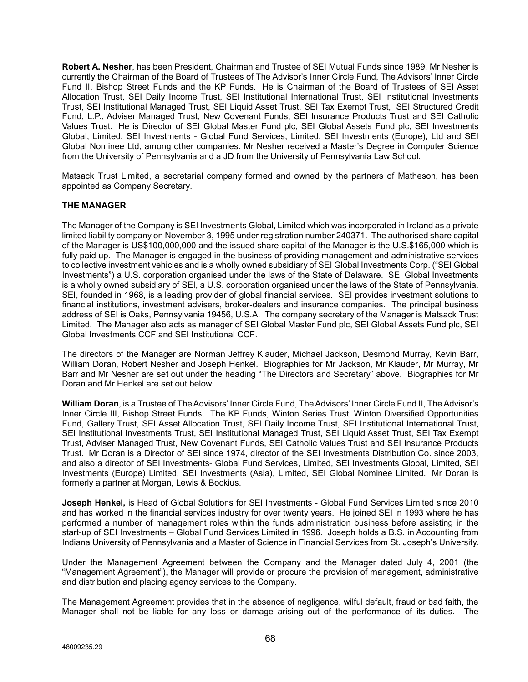**Robert A. Nesher**, has been President, Chairman and Trustee of SEI Mutual Funds since 1989. Mr Nesher is currently the Chairman of the Board of Trustees of The Advisor's Inner Circle Fund, The Advisors' Inner Circle Fund II, Bishop Street Funds and the KP Funds. He is Chairman of the Board of Trustees of SEI Asset Allocation Trust, SEI Daily Income Trust, SEI Institutional International Trust, SEI Institutional Investments Trust, SEI Institutional Managed Trust, SEI Liquid Asset Trust, SEI Tax Exempt Trust, SEI Structured Credit Fund, L.P., Adviser Managed Trust, New Covenant Funds, SEI Insurance Products Trust and SEI Catholic Values Trust. He is Director of SEI Global Master Fund plc, SEI Global Assets Fund plc, SEI Investments Global, Limited, SEI Investments - Global Fund Services, Limited, SEI Investments (Europe), Ltd and SEI Global Nominee Ltd, among other companies. Mr Nesher received a Master's Degree in Computer Science from the University of Pennsylvania and a JD from the University of Pennsylvania Law School.

Matsack Trust Limited, a secretarial company formed and owned by the partners of Matheson, has been appointed as Company Secretary.

# **THE MANAGER**

The Manager of the Company is SEI Investments Global, Limited which was incorporated in Ireland as a private limited liability company on November 3, 1995 under registration number 240371. The authorised share capital of the Manager is US\$100,000,000 and the issued share capital of the Manager is the U.S.\$165,000 which is fully paid up. The Manager is engaged in the business of providing management and administrative services to collective investment vehicles and is a wholly owned subsidiary of SEI Global Investments Corp. ("SEI Global Investments") a U.S. corporation organised under the laws of the State of Delaware. SEI Global Investments is a wholly owned subsidiary of SEI, a U.S. corporation organised under the laws of the State of Pennsylvania. SEI, founded in 1968, is a leading provider of global financial services. SEI provides investment solutions to financial institutions, investment advisers, broker-dealers and insurance companies. The principal business address of SEI is Oaks, Pennsylvania 19456, U.S.A. The company secretary of the Manager is Matsack Trust Limited. The Manager also acts as manager of SEI Global Master Fund plc, SEI Global Assets Fund plc, SEI Global Investments CCF and SEI Institutional CCF.

The directors of the Manager are Norman Jeffrey Klauder, Michael Jackson, Desmond Murray, Kevin Barr, William Doran, Robert Nesher and Joseph Henkel. Biographies for Mr Jackson, Mr Klauder, Mr Murray, Mr Barr and Mr Nesher are set out under the heading "The Directors and Secretary" above. Biographies for Mr Doran and Mr Henkel are set out below.

**William Doran**, is a Trustee of The Advisors' Inner Circle Fund, The Advisors' Inner Circle Fund II, The Advisor's Inner Circle III, Bishop Street Funds, The KP Funds, Winton Series Trust, Winton Diversified Opportunities Fund, Gallery Trust, SEI Asset Allocation Trust, SEI Daily Income Trust, SEI Institutional International Trust, SEI Institutional Investments Trust, SEI Institutional Managed Trust, SEI Liquid Asset Trust, SEI Tax Exempt Trust, Adviser Managed Trust, New Covenant Funds, SEI Catholic Values Trust and SEI Insurance Products Trust. Mr Doran is a Director of SEI since 1974, director of the SEI Investments Distribution Co. since 2003, and also a director of SEI Investments- Global Fund Services, Limited, SEI Investments Global, Limited, SEI Investments (Europe) Limited, SEI Investments (Asia), Limited, SEI Global Nominee Limited. Mr Doran is formerly a partner at Morgan, Lewis & Bockius.

**Joseph Henkel,** is Head of Global Solutions for SEI Investments - Global Fund Services Limited since 2010 and has worked in the financial services industry for over twenty years. He joined SEI in 1993 where he has performed a number of management roles within the funds administration business before assisting in the start-up of SEI Investments – Global Fund Services Limited in 1996. Joseph holds a B.S. in Accounting from Indiana University of Pennsylvania and a Master of Science in Financial Services from St. Joseph's University.

Under the Management Agreement between the Company and the Manager dated July 4, 2001 (the "Management Agreement"), the Manager will provide or procure the provision of management, administrative and distribution and placing agency services to the Company.

The Management Agreement provides that in the absence of negligence, wilful default, fraud or bad faith, the Manager shall not be liable for any loss or damage arising out of the performance of its duties. The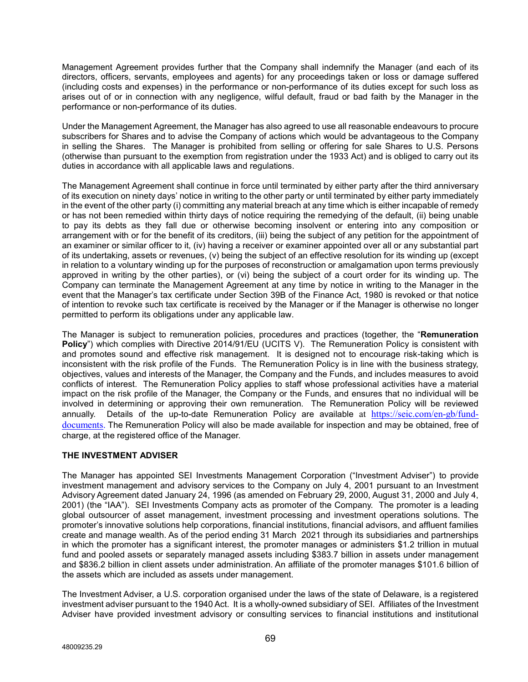Management Agreement provides further that the Company shall indemnify the Manager (and each of its directors, officers, servants, employees and agents) for any proceedings taken or loss or damage suffered (including costs and expenses) in the performance or non-performance of its duties except for such loss as arises out of or in connection with any negligence, wilful default, fraud or bad faith by the Manager in the performance or non-performance of its duties.

Under the Management Agreement, the Manager has also agreed to use all reasonable endeavours to procure subscribers for Shares and to advise the Company of actions which would be advantageous to the Company in selling the Shares. The Manager is prohibited from selling or offering for sale Shares to U.S. Persons (otherwise than pursuant to the exemption from registration under the 1933 Act) and is obliged to carry out its duties in accordance with all applicable laws and regulations.

The Management Agreement shall continue in force until terminated by either party after the third anniversary of its execution on ninety days' notice in writing to the other party or until terminated by either party immediately in the event of the other party (i) committing any material breach at any time which is either incapable of remedy or has not been remedied within thirty days of notice requiring the remedying of the default, (ii) being unable to pay its debts as they fall due or otherwise becoming insolvent or entering into any composition or arrangement with or for the benefit of its creditors, (iii) being the subject of any petition for the appointment of an examiner or similar officer to it, (iv) having a receiver or examiner appointed over all or any substantial part of its undertaking, assets or revenues, (v) being the subject of an effective resolution for its winding up (except in relation to a voluntary winding up for the purposes of reconstruction or amalgamation upon terms previously approved in writing by the other parties), or (vi) being the subject of a court order for its winding up. The Company can terminate the Management Agreement at any time by notice in writing to the Manager in the event that the Manager's tax certificate under Section 39B of the Finance Act, 1980 is revoked or that notice of intention to revoke such tax certificate is received by the Manager or if the Manager is otherwise no longer permitted to perform its obligations under any applicable law.

The Manager is subject to remuneration policies, procedures and practices (together, the "**Remuneration Policy**") which complies with Directive 2014/91/EU (UCITS V). The Remuneration Policy is consistent with and promotes sound and effective risk management. It is designed not to encourage risk-taking which is inconsistent with the risk profile of the Funds. The Remuneration Policy is in line with the business strategy, objectives, values and interests of the Manager, the Company and the Funds, and includes measures to avoid conflicts of interest. The Remuneration Policy applies to staff whose professional activities have a material impact on the risk profile of the Manager, the Company or the Funds, and ensures that no individual will be involved in determining or approving their own remuneration. The Remuneration Policy will be reviewed annually. Details of the up-to-date Remuneration Policy are available at [https://seic.com/en-gb/fund](https://seic.com/en-gb/fund-documents)[documents.](https://seic.com/en-gb/fund-documents) The Remuneration Policy will also be made available for inspection and may be obtained, free of charge, at the registered office of the Manager.

# **THE INVESTMENT ADVISER**

The Manager has appointed SEI Investments Management Corporation ("Investment Adviser") to provide investment management and advisory services to the Company on July 4, 2001 pursuant to an Investment Advisory Agreement dated January 24, 1996 (as amended on February 29, 2000, August 31, 2000 and July 4, 2001) (the "IAA"). SEI Investments Company acts as promoter of the Company. The promoter is a leading global outsourcer of asset management, investment processing and investment operations solutions. The promoter's innovative solutions help corporations, financial institutions, financial advisors, and affluent families create and manage wealth. As of the period ending 31 March 2021 through its subsidiaries and partnerships in which the promoter has a significant interest, the promoter manages or administers \$1.2 trillion in mutual fund and pooled assets or separately managed assets including \$383.7 billion in assets under management and \$836.2 billion in client assets under administration. An affiliate of the promoter manages \$101.6 billion of the assets which are included as assets under management.

The Investment Adviser, a U.S. corporation organised under the laws of the state of Delaware, is a registered investment adviser pursuant to the 1940 Act. It is a wholly-owned subsidiary of SEI. Affiliates of the Investment Adviser have provided investment advisory or consulting services to financial institutions and institutional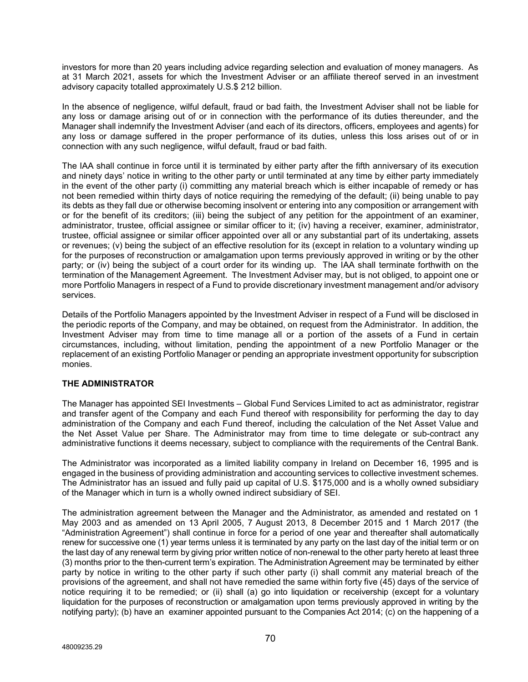investors for more than 20 years including advice regarding selection and evaluation of money managers. As at 31 March 2021, assets for which the Investment Adviser or an affiliate thereof served in an investment advisory capacity totalled approximately U.S.\$ 212 billion.

In the absence of negligence, wilful default, fraud or bad faith, the Investment Adviser shall not be liable for any loss or damage arising out of or in connection with the performance of its duties thereunder, and the Manager shall indemnify the Investment Adviser (and each of its directors, officers, employees and agents) for any loss or damage suffered in the proper performance of its duties, unless this loss arises out of or in connection with any such negligence, wilful default, fraud or bad faith.

The IAA shall continue in force until it is terminated by either party after the fifth anniversary of its execution and ninety days' notice in writing to the other party or until terminated at any time by either party immediately in the event of the other party (i) committing any material breach which is either incapable of remedy or has not been remedied within thirty days of notice requiring the remedying of the default; (ii) being unable to pay its debts as they fall due or otherwise becoming insolvent or entering into any composition or arrangement with or for the benefit of its creditors; (iii) being the subject of any petition for the appointment of an examiner, administrator, trustee, official assignee or similar officer to it; (iv) having a receiver, examiner, administrator, trustee, official assignee or similar officer appointed over all or any substantial part of its undertaking, assets or revenues; (v) being the subject of an effective resolution for its (except in relation to a voluntary winding up for the purposes of reconstruction or amalgamation upon terms previously approved in writing or by the other party; or (iv) being the subject of a court order for its winding up. The IAA shall terminate forthwith on the termination of the Management Agreement. The Investment Adviser may, but is not obliged, to appoint one or more Portfolio Managers in respect of a Fund to provide discretionary investment management and/or advisory services.

Details of the Portfolio Managers appointed by the Investment Adviser in respect of a Fund will be disclosed in the periodic reports of the Company, and may be obtained, on request from the Administrator. In addition, the Investment Adviser may from time to time manage all or a portion of the assets of a Fund in certain circumstances, including, without limitation, pending the appointment of a new Portfolio Manager or the replacement of an existing Portfolio Manager or pending an appropriate investment opportunity for subscription monies.

# **THE ADMINISTRATOR**

The Manager has appointed SEI Investments – Global Fund Services Limited to act as administrator, registrar and transfer agent of the Company and each Fund thereof with responsibility for performing the day to day administration of the Company and each Fund thereof, including the calculation of the Net Asset Value and the Net Asset Value per Share. The Administrator may from time to time delegate or sub-contract any administrative functions it deems necessary, subject to compliance with the requirements of the Central Bank.

The Administrator was incorporated as a limited liability company in Ireland on December 16, 1995 and is engaged in the business of providing administration and accounting services to collective investment schemes. The Administrator has an issued and fully paid up capital of U.S. \$175,000 and is a wholly owned subsidiary of the Manager which in turn is a wholly owned indirect subsidiary of SEI.

The administration agreement between the Manager and the Administrator, as amended and restated on 1 May 2003 and as amended on 13 April 2005, 7 August 2013, 8 December 2015 and 1 March 2017 (the "Administration Agreement") shall continue in force for a period of one year and thereafter shall automatically renew for successive one (1) year terms unless it is terminated by any party on the last day of the initial term or on the last day of any renewal term by giving prior written notice of non-renewal to the other party hereto at least three (3) months prior to the then-current term's expiration. The Administration Agreement may be terminated by either party by notice in writing to the other party if such other party (i) shall commit any material breach of the provisions of the agreement, and shall not have remedied the same within forty five (45) days of the service of notice requiring it to be remedied; or (ii) shall (a) go into liquidation or receivership (except for a voluntary liquidation for the purposes of reconstruction or amalgamation upon terms previously approved in writing by the notifying party); (b) have an examiner appointed pursuant to the Companies Act 2014; (c) on the happening of a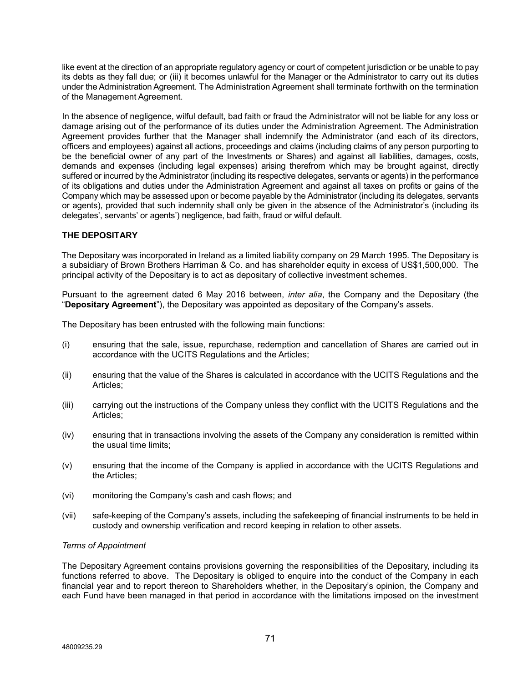like event at the direction of an appropriate regulatory agency or court of competent jurisdiction or be unable to pay its debts as they fall due; or (iii) it becomes unlawful for the Manager or the Administrator to carry out its duties under the Administration Agreement. The Administration Agreement shall terminate forthwith on the termination of the Management Agreement.

In the absence of negligence, wilful default, bad faith or fraud the Administrator will not be liable for any loss or damage arising out of the performance of its duties under the Administration Agreement. The Administration Agreement provides further that the Manager shall indemnify the Administrator (and each of its directors, officers and employees) against all actions, proceedings and claims (including claims of any person purporting to be the beneficial owner of any part of the Investments or Shares) and against all liabilities, damages, costs, demands and expenses (including legal expenses) arising therefrom which may be brought against, directly suffered or incurred by the Administrator (including its respective delegates, servants or agents) in the performance of its obligations and duties under the Administration Agreement and against all taxes on profits or gains of the Company which may be assessed upon or become payable by the Administrator (including its delegates, servants or agents), provided that such indemnity shall only be given in the absence of the Administrator's (including its delegates', servants' or agents') negligence, bad faith, fraud or wilful default.

# **THE DEPOSITARY**

The Depositary was incorporated in Ireland as a limited liability company on 29 March 1995. The Depositary is a subsidiary of Brown Brothers Harriman & Co. and has shareholder equity in excess of US\$1,500,000. The principal activity of the Depositary is to act as depositary of collective investment schemes.

Pursuant to the agreement dated 6 May 2016 between, *inter alia*, the Company and the Depositary (the "**Depositary Agreement**"), the Depositary was appointed as depositary of the Company's assets.

The Depositary has been entrusted with the following main functions:

- (i) ensuring that the sale, issue, repurchase, redemption and cancellation of Shares are carried out in accordance with the UCITS Regulations and the Articles;
- (ii) ensuring that the value of the Shares is calculated in accordance with the UCITS Regulations and the Articles;
- (iii) carrying out the instructions of the Company unless they conflict with the UCITS Regulations and the Articles;
- (iv) ensuring that in transactions involving the assets of the Company any consideration is remitted within the usual time limits;
- (v) ensuring that the income of the Company is applied in accordance with the UCITS Regulations and the Articles;
- (vi) monitoring the Company's cash and cash flows; and
- (vii) safe-keeping of the Company's assets, including the safekeeping of financial instruments to be held in custody and ownership verification and record keeping in relation to other assets.

#### *Terms of Appointment*

The Depositary Agreement contains provisions governing the responsibilities of the Depositary, including its functions referred to above. The Depositary is obliged to enquire into the conduct of the Company in each financial year and to report thereon to Shareholders whether, in the Depositary's opinion, the Company and each Fund have been managed in that period in accordance with the limitations imposed on the investment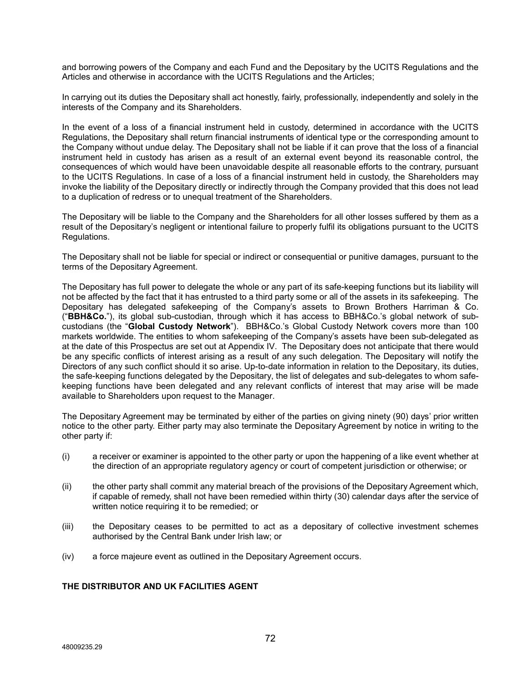and borrowing powers of the Company and each Fund and the Depositary by the UCITS Regulations and the Articles and otherwise in accordance with the UCITS Regulations and the Articles;

In carrying out its duties the Depositary shall act honestly, fairly, professionally, independently and solely in the interests of the Company and its Shareholders.

In the event of a loss of a financial instrument held in custody, determined in accordance with the UCITS Regulations, the Depositary shall return financial instruments of identical type or the corresponding amount to the Company without undue delay. The Depositary shall not be liable if it can prove that the loss of a financial instrument held in custody has arisen as a result of an external event beyond its reasonable control, the consequences of which would have been unavoidable despite all reasonable efforts to the contrary, pursuant to the UCITS Regulations. In case of a loss of a financial instrument held in custody, the Shareholders may invoke the liability of the Depositary directly or indirectly through the Company provided that this does not lead to a duplication of redress or to unequal treatment of the Shareholders.

The Depositary will be liable to the Company and the Shareholders for all other losses suffered by them as a result of the Depositary's negligent or intentional failure to properly fulfil its obligations pursuant to the UCITS Regulations.

The Depositary shall not be liable for special or indirect or consequential or punitive damages, pursuant to the terms of the Depositary Agreement.

The Depositary has full power to delegate the whole or any part of its safe-keeping functions but its liability will not be affected by the fact that it has entrusted to a third party some or all of the assets in its safekeeping. The Depositary has delegated safekeeping of the Company's assets to Brown Brothers Harriman & Co. ("**BBH&Co.**"), its global sub-custodian, through which it has access to BBH&Co.'s global network of subcustodians (the "**Global Custody Network**"). BBH&Co.'s Global Custody Network covers more than 100 markets worldwide. The entities to whom safekeeping of the Company's assets have been sub-delegated as at the date of this Prospectus are set out at Appendix IV. The Depositary does not anticipate that there would be any specific conflicts of interest arising as a result of any such delegation. The Depositary will notify the Directors of any such conflict should it so arise. Up-to-date information in relation to the Depositary, its duties, the safe-keeping functions delegated by the Depositary, the list of delegates and sub-delegates to whom safekeeping functions have been delegated and any relevant conflicts of interest that may arise will be made available to Shareholders upon request to the Manager.

The Depositary Agreement may be terminated by either of the parties on giving ninety (90) days' prior written notice to the other party. Either party may also terminate the Depositary Agreement by notice in writing to the other party if:

- (i) a receiver or examiner is appointed to the other party or upon the happening of a like event whether at the direction of an appropriate regulatory agency or court of competent jurisdiction or otherwise; or
- (ii) the other party shall commit any material breach of the provisions of the Depositary Agreement which, if capable of remedy, shall not have been remedied within thirty (30) calendar days after the service of written notice requiring it to be remedied; or
- (iii) the Depositary ceases to be permitted to act as a depositary of collective investment schemes authorised by the Central Bank under Irish law; or
- (iv) a force majeure event as outlined in the Depositary Agreement occurs.

# **THE DISTRIBUTOR AND UK FACILITIES AGENT**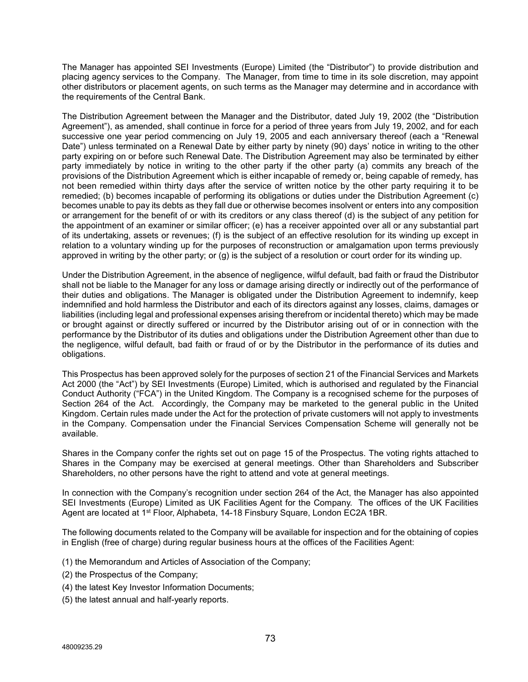The Manager has appointed SEI Investments (Europe) Limited (the "Distributor") to provide distribution and placing agency services to the Company. The Manager, from time to time in its sole discretion, may appoint other distributors or placement agents, on such terms as the Manager may determine and in accordance with the requirements of the Central Bank.

The Distribution Agreement between the Manager and the Distributor, dated July 19, 2002 (the "Distribution Agreement"), as amended, shall continue in force for a period of three years from July 19, 2002, and for each successive one year period commencing on July 19, 2005 and each anniversary thereof (each a "Renewal Date") unless terminated on a Renewal Date by either party by ninety (90) days' notice in writing to the other party expiring on or before such Renewal Date. The Distribution Agreement may also be terminated by either party immediately by notice in writing to the other party if the other party (a) commits any breach of the provisions of the Distribution Agreement which is either incapable of remedy or, being capable of remedy, has not been remedied within thirty days after the service of written notice by the other party requiring it to be remedied; (b) becomes incapable of performing its obligations or duties under the Distribution Agreement (c) becomes unable to pay its debts as they fall due or otherwise becomes insolvent or enters into any composition or arrangement for the benefit of or with its creditors or any class thereof (d) is the subject of any petition for the appointment of an examiner or similar officer; (e) has a receiver appointed over all or any substantial part of its undertaking, assets or revenues; (f) is the subject of an effective resolution for its winding up except in relation to a voluntary winding up for the purposes of reconstruction or amalgamation upon terms previously approved in writing by the other party; or (g) is the subject of a resolution or court order for its winding up.

Under the Distribution Agreement, in the absence of negligence, wilful default, bad faith or fraud the Distributor shall not be liable to the Manager for any loss or damage arising directly or indirectly out of the performance of their duties and obligations. The Manager is obligated under the Distribution Agreement to indemnify, keep indemnified and hold harmless the Distributor and each of its directors against any losses, claims, damages or liabilities (including legal and professional expenses arising therefrom or incidental thereto) which may be made or brought against or directly suffered or incurred by the Distributor arising out of or in connection with the performance by the Distributor of its duties and obligations under the Distribution Agreement other than due to the negligence, wilful default, bad faith or fraud of or by the Distributor in the performance of its duties and obligations.

This Prospectus has been approved solely for the purposes of section 21 of the Financial Services and Markets Act 2000 (the "Act") by SEI Investments (Europe) Limited, which is authorised and regulated by the Financial Conduct Authority ("FCA") in the United Kingdom. The Company is a recognised scheme for the purposes of Section 264 of the Act. Accordingly, the Company may be marketed to the general public in the United Kingdom. Certain rules made under the Act for the protection of private customers will not apply to investments in the Company. Compensation under the Financial Services Compensation Scheme will generally not be available.

Shares in the Company confer the rights set out on page 15 of the Prospectus. The voting rights attached to Shares in the Company may be exercised at general meetings. Other than Shareholders and Subscriber Shareholders, no other persons have the right to attend and vote at general meetings.

In connection with the Company's recognition under section 264 of the Act, the Manager has also appointed SEI Investments (Europe) Limited as UK Facilities Agent for the Company. The offices of the UK Facilities Agent are located at 1st Floor, Alphabeta, 14-18 Finsbury Square, London EC2A 1BR.

The following documents related to the Company will be available for inspection and for the obtaining of copies in English (free of charge) during regular business hours at the offices of the Facilities Agent:

- (1) the Memorandum and Articles of Association of the Company;
- (2) the Prospectus of the Company;
- (4) the latest Key Investor Information Documents;
- (5) the latest annual and half-yearly reports.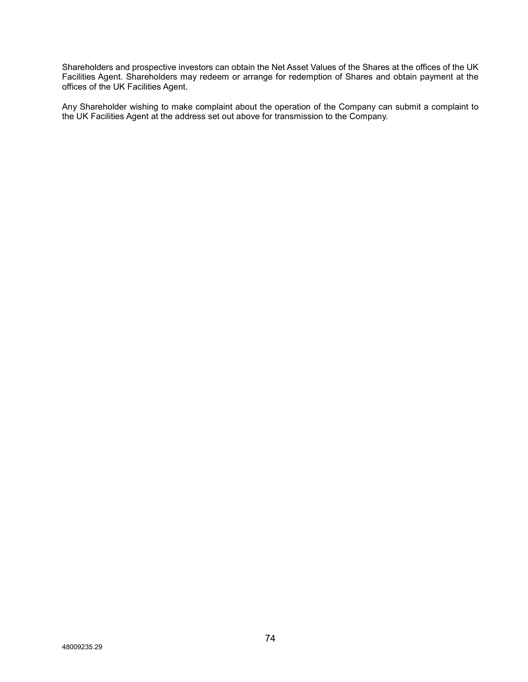Shareholders and prospective investors can obtain the Net Asset Values of the Shares at the offices of the UK Facilities Agent. Shareholders may redeem or arrange for redemption of Shares and obtain payment at the offices of the UK Facilities Agent.

Any Shareholder wishing to make complaint about the operation of the Company can submit a complaint to the UK Facilities Agent at the address set out above for transmission to the Company.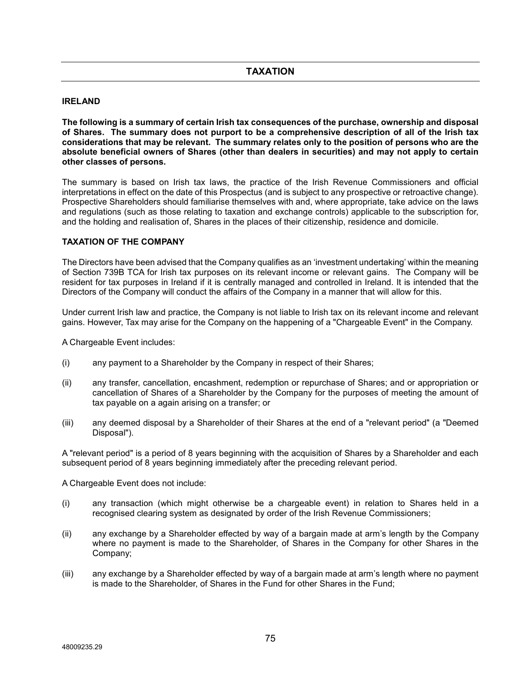## **IRELAND**

**The following is a summary of certain Irish tax consequences of the purchase, ownership and disposal of Shares. The summary does not purport to be a comprehensive description of all of the Irish tax considerations that may be relevant. The summary relates only to the position of persons who are the absolute beneficial owners of Shares (other than dealers in securities) and may not apply to certain other classes of persons.**

The summary is based on Irish tax laws, the practice of the Irish Revenue Commissioners and official interpretations in effect on the date of this Prospectus (and is subject to any prospective or retroactive change). Prospective Shareholders should familiarise themselves with and, where appropriate, take advice on the laws and regulations (such as those relating to taxation and exchange controls) applicable to the subscription for, and the holding and realisation of, Shares in the places of their citizenship, residence and domicile.

# **TAXATION OF THE COMPANY**

The Directors have been advised that the Company qualifies as an 'investment undertaking' within the meaning of Section 739B TCA for Irish tax purposes on its relevant income or relevant gains. The Company will be resident for tax purposes in Ireland if it is centrally managed and controlled in Ireland. It is intended that the Directors of the Company will conduct the affairs of the Company in a manner that will allow for this.

Under current Irish law and practice, the Company is not liable to Irish tax on its relevant income and relevant gains. However, Tax may arise for the Company on the happening of a "Chargeable Event" in the Company.

A Chargeable Event includes:

- (i) any payment to a Shareholder by the Company in respect of their Shares;
- (ii) any transfer, cancellation, encashment, redemption or repurchase of Shares; and or appropriation or cancellation of Shares of a Shareholder by the Company for the purposes of meeting the amount of tax payable on a again arising on a transfer; or
- (iii) any deemed disposal by a Shareholder of their Shares at the end of a "relevant period" (a "Deemed Disposal").

A "relevant period" is a period of 8 years beginning with the acquisition of Shares by a Shareholder and each subsequent period of 8 years beginning immediately after the preceding relevant period.

A Chargeable Event does not include:

- (i) any transaction (which might otherwise be a chargeable event) in relation to Shares held in a recognised clearing system as designated by order of the Irish Revenue Commissioners;
- (ii) any exchange by a Shareholder effected by way of a bargain made at arm's length by the Company where no payment is made to the Shareholder, of Shares in the Company for other Shares in the Company;
- (iii) any exchange by a Shareholder effected by way of a bargain made at arm's length where no payment is made to the Shareholder, of Shares in the Fund for other Shares in the Fund;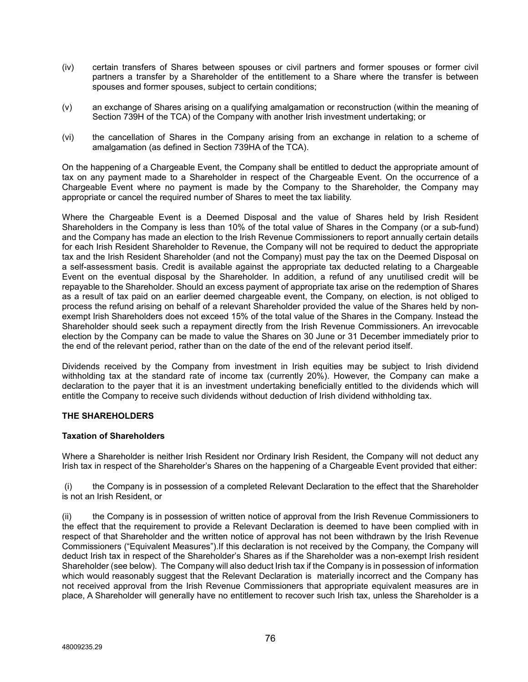- (iv) certain transfers of Shares between spouses or civil partners and former spouses or former civil partners a transfer by a Shareholder of the entitlement to a Share where the transfer is between spouses and former spouses, subject to certain conditions;
- (v) an exchange of Shares arising on a qualifying amalgamation or reconstruction (within the meaning of Section 739H of the TCA) of the Company with another Irish investment undertaking; or
- (vi) the cancellation of Shares in the Company arising from an exchange in relation to a scheme of amalgamation (as defined in Section 739HA of the TCA).

On the happening of a Chargeable Event, the Company shall be entitled to deduct the appropriate amount of tax on any payment made to a Shareholder in respect of the Chargeable Event. On the occurrence of a Chargeable Event where no payment is made by the Company to the Shareholder, the Company may appropriate or cancel the required number of Shares to meet the tax liability.

Where the Chargeable Event is a Deemed Disposal and the value of Shares held by Irish Resident Shareholders in the Company is less than 10% of the total value of Shares in the Company (or a sub-fund) and the Company has made an election to the Irish Revenue Commissioners to report annually certain details for each Irish Resident Shareholder to Revenue, the Company will not be required to deduct the appropriate tax and the Irish Resident Shareholder (and not the Company) must pay the tax on the Deemed Disposal on a self-assessment basis. Credit is available against the appropriate tax deducted relating to a Chargeable Event on the eventual disposal by the Shareholder. In addition, a refund of any unutilised credit will be repayable to the Shareholder. Should an excess payment of appropriate tax arise on the redemption of Shares as a result of tax paid on an earlier deemed chargeable event, the Company, on election, is not obliged to process the refund arising on behalf of a relevant Shareholder provided the value of the Shares held by nonexempt Irish Shareholders does not exceed 15% of the total value of the Shares in the Company. Instead the Shareholder should seek such a repayment directly from the Irish Revenue Commissioners. An irrevocable election by the Company can be made to value the Shares on 30 June or 31 December immediately prior to the end of the relevant period, rather than on the date of the end of the relevant period itself.

Dividends received by the Company from investment in Irish equities may be subject to Irish dividend withholding tax at the standard rate of income tax (currently 20%). However, the Company can make a declaration to the payer that it is an investment undertaking beneficially entitled to the dividends which will entitle the Company to receive such dividends without deduction of Irish dividend withholding tax.

# **THE SHAREHOLDERS**

### **Taxation of Shareholders**

Where a Shareholder is neither Irish Resident nor Ordinary Irish Resident, the Company will not deduct any Irish tax in respect of the Shareholder's Shares on the happening of a Chargeable Event provided that either:

(i) the Company is in possession of a completed Relevant Declaration to the effect that the Shareholder is not an Irish Resident, or

(ii) the Company is in possession of written notice of approval from the Irish Revenue Commissioners to the effect that the requirement to provide a Relevant Declaration is deemed to have been complied with in respect of that Shareholder and the written notice of approval has not been withdrawn by the Irish Revenue Commissioners ("Equivalent Measures").If this declaration is not received by the Company, the Company will deduct Irish tax in respect of the Shareholder's Shares as if the Shareholder was a non-exempt Irish resident Shareholder (see below). The Company will also deduct Irish tax if the Company is in possession of information which would reasonably suggest that the Relevant Declaration is materially incorrect and the Company has not received approval from the Irish Revenue Commissioners that appropriate equivalent measures are in place, A Shareholder will generally have no entitlement to recover such Irish tax, unless the Shareholder is a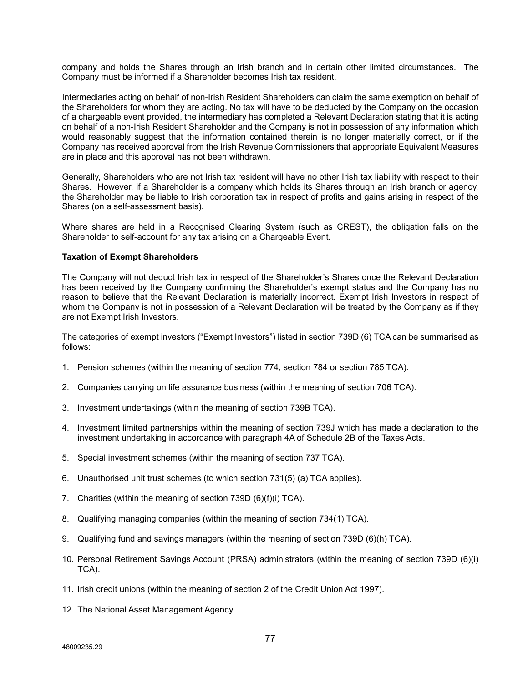company and holds the Shares through an Irish branch and in certain other limited circumstances. The Company must be informed if a Shareholder becomes Irish tax resident.

Intermediaries acting on behalf of non-Irish Resident Shareholders can claim the same exemption on behalf of the Shareholders for whom they are acting. No tax will have to be deducted by the Company on the occasion of a chargeable event provided, the intermediary has completed a Relevant Declaration stating that it is acting on behalf of a non-Irish Resident Shareholder and the Company is not in possession of any information which would reasonably suggest that the information contained therein is no longer materially correct, or if the Company has received approval from the Irish Revenue Commissioners that appropriate Equivalent Measures are in place and this approval has not been withdrawn.

Generally, Shareholders who are not Irish tax resident will have no other Irish tax liability with respect to their Shares. However, if a Shareholder is a company which holds its Shares through an Irish branch or agency, the Shareholder may be liable to Irish corporation tax in respect of profits and gains arising in respect of the Shares (on a self-assessment basis).

Where shares are held in a Recognised Clearing System (such as CREST), the obligation falls on the Shareholder to self-account for any tax arising on a Chargeable Event.

### **Taxation of Exempt Shareholders**

The Company will not deduct Irish tax in respect of the Shareholder's Shares once the Relevant Declaration has been received by the Company confirming the Shareholder's exempt status and the Company has no reason to believe that the Relevant Declaration is materially incorrect. Exempt Irish Investors in respect of whom the Company is not in possession of a Relevant Declaration will be treated by the Company as if they are not Exempt Irish Investors.

The categories of exempt investors ("Exempt Investors") listed in section 739D (6) TCA can be summarised as follows:

- 1. Pension schemes (within the meaning of section 774, section 784 or section 785 TCA).
- 2. Companies carrying on life assurance business (within the meaning of section 706 TCA).
- 3. Investment undertakings (within the meaning of section 739B TCA).
- 4. Investment limited partnerships within the meaning of section 739J which has made a declaration to the investment undertaking in accordance with paragraph 4A of Schedule 2B of the Taxes Acts.
- 5. Special investment schemes (within the meaning of section 737 TCA).
- 6. Unauthorised unit trust schemes (to which section 731(5) (a) TCA applies).
- 7. Charities (within the meaning of section 739D (6)(f)(i) TCA).
- 8. Qualifying managing companies (within the meaning of section 734(1) TCA).
- 9. Qualifying fund and savings managers (within the meaning of section 739D (6)(h) TCA).
- 10. Personal Retirement Savings Account (PRSA) administrators (within the meaning of section 739D (6)(i) TCA).
- 11. Irish credit unions (within the meaning of section 2 of the Credit Union Act 1997).
- 12. The National Asset Management Agency.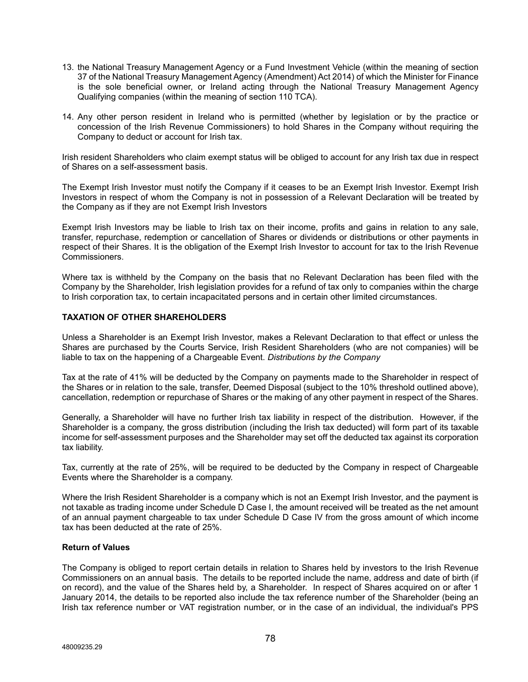- 13. the National Treasury Management Agency or a Fund Investment Vehicle (within the meaning of section 37 of the National Treasury Management Agency (Amendment) Act 2014) of which the Minister for Finance is the sole beneficial owner, or Ireland acting through the National Treasury Management Agency Qualifying companies (within the meaning of section 110 TCA).
- 14. Any other person resident in Ireland who is permitted (whether by legislation or by the practice or concession of the Irish Revenue Commissioners) to hold Shares in the Company without requiring the Company to deduct or account for Irish tax.

Irish resident Shareholders who claim exempt status will be obliged to account for any Irish tax due in respect of Shares on a self-assessment basis.

The Exempt Irish Investor must notify the Company if it ceases to be an Exempt Irish Investor. Exempt Irish Investors in respect of whom the Company is not in possession of a Relevant Declaration will be treated by the Company as if they are not Exempt Irish Investors

Exempt Irish Investors may be liable to Irish tax on their income, profits and gains in relation to any sale, transfer, repurchase, redemption or cancellation of Shares or dividends or distributions or other payments in respect of their Shares. It is the obligation of the Exempt Irish Investor to account for tax to the Irish Revenue Commissioners.

Where tax is withheld by the Company on the basis that no Relevant Declaration has been filed with the Company by the Shareholder, Irish legislation provides for a refund of tax only to companies within the charge to Irish corporation tax, to certain incapacitated persons and in certain other limited circumstances.

# **TAXATION OF OTHER SHAREHOLDERS**

Unless a Shareholder is an Exempt Irish Investor, makes a Relevant Declaration to that effect or unless the Shares are purchased by the Courts Service, Irish Resident Shareholders (who are not companies) will be liable to tax on the happening of a Chargeable Event. *Distributions by the Company*

Tax at the rate of 41% will be deducted by the Company on payments made to the Shareholder in respect of the Shares or in relation to the sale, transfer, Deemed Disposal (subject to the 10% threshold outlined above), cancellation, redemption or repurchase of Shares or the making of any other payment in respect of the Shares.

Generally, a Shareholder will have no further Irish tax liability in respect of the distribution. However, if the Shareholder is a company, the gross distribution (including the Irish tax deducted) will form part of its taxable income for self-assessment purposes and the Shareholder may set off the deducted tax against its corporation tax liability.

Tax, currently at the rate of 25%, will be required to be deducted by the Company in respect of Chargeable Events where the Shareholder is a company.

Where the Irish Resident Shareholder is a company which is not an Exempt Irish Investor, and the payment is not taxable as trading income under Schedule D Case I, the amount received will be treated as the net amount of an annual payment chargeable to tax under Schedule D Case IV from the gross amount of which income tax has been deducted at the rate of 25%.

### **Return of Values**

The Company is obliged to report certain details in relation to Shares held by investors to the Irish Revenue Commissioners on an annual basis. The details to be reported include the name, address and date of birth (if on record), and the value of the Shares held by, a Shareholder. In respect of Shares acquired on or after 1 January 2014, the details to be reported also include the tax reference number of the Shareholder (being an Irish tax reference number or VAT registration number, or in the case of an individual, the individual's PPS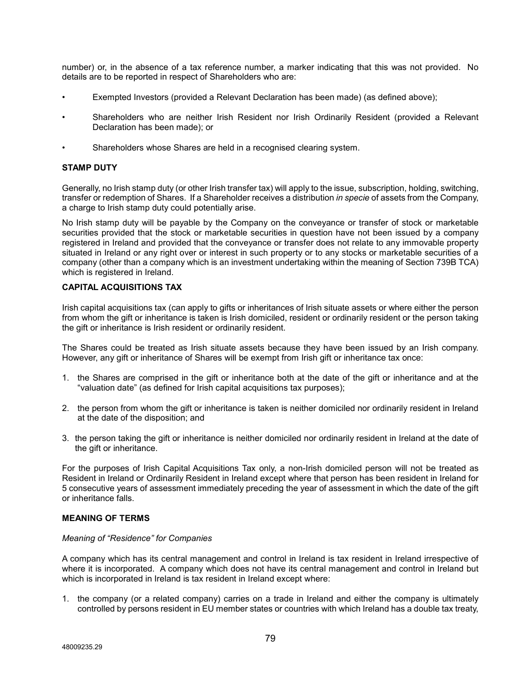number) or, in the absence of a tax reference number, a marker indicating that this was not provided. No details are to be reported in respect of Shareholders who are:

- Exempted Investors (provided a Relevant Declaration has been made) (as defined above);
- Shareholders who are neither Irish Resident nor Irish Ordinarily Resident (provided a Relevant Declaration has been made); or
- Shareholders whose Shares are held in a recognised clearing system.

## **STAMP DUTY**

Generally, no Irish stamp duty (or other Irish transfer tax) will apply to the issue, subscription, holding, switching, transfer or redemption of Shares. If a Shareholder receives a distribution *in specie* of assets from the Company, a charge to Irish stamp duty could potentially arise.

No Irish stamp duty will be payable by the Company on the conveyance or transfer of stock or marketable securities provided that the stock or marketable securities in question have not been issued by a company registered in Ireland and provided that the conveyance or transfer does not relate to any immovable property situated in Ireland or any right over or interest in such property or to any stocks or marketable securities of a company (other than a company which is an investment undertaking within the meaning of Section 739B TCA) which is registered in Ireland.

### **CAPITAL ACQUISITIONS TAX**

Irish capital acquisitions tax (can apply to gifts or inheritances of Irish situate assets or where either the person from whom the gift or inheritance is taken is Irish domiciled, resident or ordinarily resident or the person taking the gift or inheritance is Irish resident or ordinarily resident.

The Shares could be treated as Irish situate assets because they have been issued by an Irish company. However, any gift or inheritance of Shares will be exempt from Irish gift or inheritance tax once:

- 1. the Shares are comprised in the gift or inheritance both at the date of the gift or inheritance and at the "valuation date" (as defined for Irish capital acquisitions tax purposes);
- 2. the person from whom the gift or inheritance is taken is neither domiciled nor ordinarily resident in Ireland at the date of the disposition; and
- 3. the person taking the gift or inheritance is neither domiciled nor ordinarily resident in Ireland at the date of the gift or inheritance.

For the purposes of Irish Capital Acquisitions Tax only, a non-Irish domiciled person will not be treated as Resident in Ireland or Ordinarily Resident in Ireland except where that person has been resident in Ireland for 5 consecutive years of assessment immediately preceding the year of assessment in which the date of the gift or inheritance falls.

# **MEANING OF TERMS**

### *Meaning of "Residence" for Companies*

A company which has its central management and control in Ireland is tax resident in Ireland irrespective of where it is incorporated. A company which does not have its central management and control in Ireland but which is incorporated in Ireland is tax resident in Ireland except where:

1. the company (or a related company) carries on a trade in Ireland and either the company is ultimately controlled by persons resident in EU member states or countries with which Ireland has a double tax treaty,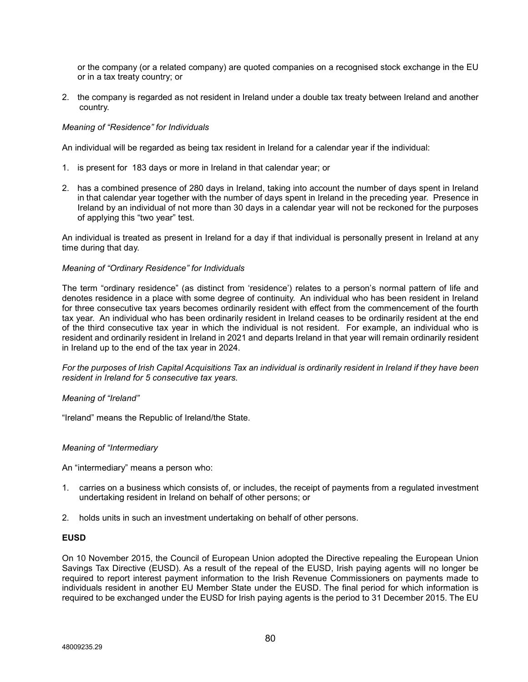or the company (or a related company) are quoted companies on a recognised stock exchange in the EU or in a tax treaty country; or

2. the company is regarded as not resident in Ireland under a double tax treaty between Ireland and another country.

## *Meaning of "Residence" for Individuals*

An individual will be regarded as being tax resident in Ireland for a calendar year if the individual:

- 1. is present for 183 days or more in Ireland in that calendar year; or
- 2. has a combined presence of 280 days in Ireland, taking into account the number of days spent in Ireland in that calendar year together with the number of days spent in Ireland in the preceding year. Presence in Ireland by an individual of not more than 30 days in a calendar year will not be reckoned for the purposes of applying this "two year" test.

An individual is treated as present in Ireland for a day if that individual is personally present in Ireland at any time during that day.

### *Meaning of "Ordinary Residence" for Individuals*

The term "ordinary residence" (as distinct from 'residence') relates to a person's normal pattern of life and denotes residence in a place with some degree of continuity. An individual who has been resident in Ireland for three consecutive tax years becomes ordinarily resident with effect from the commencement of the fourth tax year. An individual who has been ordinarily resident in Ireland ceases to be ordinarily resident at the end of the third consecutive tax year in which the individual is not resident. For example, an individual who is resident and ordinarily resident in Ireland in 2021 and departs Ireland in that year will remain ordinarily resident in Ireland up to the end of the tax year in 2024.

*For the purposes of Irish Capital Acquisitions Tax an individual is ordinarily resident in Ireland if they have been resident in Ireland for 5 consecutive tax years.*

### *Meaning of "Ireland"*

"Ireland" means the Republic of Ireland/the State.

### *Meaning of "Intermediary*

An "intermediary" means a person who:

- 1. carries on a business which consists of, or includes, the receipt of payments from a regulated investment undertaking resident in Ireland on behalf of other persons; or
- 2. holds units in such an investment undertaking on behalf of other persons.

### **EUSD**

On 10 November 2015, the Council of European Union adopted the Directive repealing the European Union Savings Tax Directive (EUSD). As a result of the repeal of the EUSD, Irish paying agents will no longer be required to report interest payment information to the Irish Revenue Commissioners on payments made to individuals resident in another EU Member State under the EUSD. The final period for which information is required to be exchanged under the EUSD for Irish paying agents is the period to 31 December 2015. The EU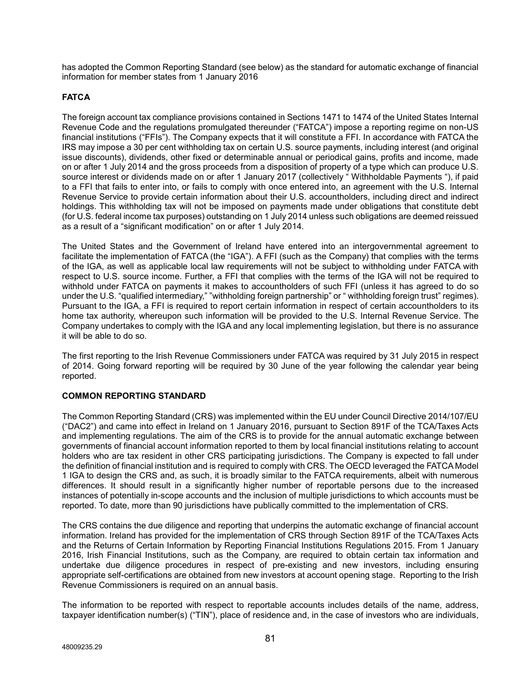has adopted the Common Reporting Standard (see below) as the standard for automatic exchange of financial information for member states from 1 January 2016

# **FATCA**

The foreign account tax compliance provisions contained in Sections 1471 to 1474 of the United States Internal Revenue Code and the regulations promulgated thereunder ("FATCA") impose a reporting regime on non-US financial institutions ("FFIs"). The Company expects that it will constitute a FFI. In accordance with FATCA the IRS may impose a 30 per cent withholding tax on certain U.S. source payments, including interest (and original issue discounts), dividends, other fixed or determinable annual or periodical gains, profits and income, made on or after 1 July 2014 and the gross proceeds from a disposition of property of a type which can produce U.S. source interest or dividends made on or after 1 January 2017 (collectively " Withholdable Payments "), if paid to a FFI that fails to enter into, or fails to comply with once entered into, an agreement with the U.S. Internal Revenue Service to provide certain information about their U.S. accountholders, including direct and indirect holdings. This withholding tax will not be imposed on payments made under obligations that constitute debt (for U.S. federal income tax purposes) outstanding on 1 July 2014 unless such obligations are deemed reissued as a result of a "significant modification" on or after 1 July 2014.

The United States and the Government of Ireland have entered into an intergovernmental agreement to facilitate the implementation of FATCA (the "IGA"). A FFI (such as the Company) that complies with the terms of the IGA, as well as applicable local law requirements will not be subject to withholding under FATCA with respect to U.S. source income. Further, a FFI that complies with the terms of the IGA will not be required to withhold under FATCA on payments it makes to accountholders of such FFI (unless it has agreed to do so under the U.S. "qualified intermediary," "withholding foreign partnership" or " withholding foreign trust" regimes). Pursuant to the IGA, a FFI is required to report certain information in respect of certain accountholders to its home tax authority, whereupon such information will be provided to the U.S. Internal Revenue Service. The Company undertakes to comply with the IGA and any local implementing legislation, but there is no assurance it will be able to do so.

The first reporting to the Irish Revenue Commissioners under FATCA was required by 31 July 2015 in respect of 2014. Going forward reporting will be required by 30 June of the year following the calendar year being reported.

# **COMMON REPORTING STANDARD**

The Common Reporting Standard (CRS) was implemented within the EU under Council Directive 2014/107/EU ("DAC2") and came into effect in Ireland on 1 January 2016, pursuant to Section 891F of the TCA/Taxes Acts and implementing regulations. The aim of the CRS is to provide for the annual automatic exchange between governments of financial account information reported to them by local financial institutions relating to account holders who are tax resident in other CRS participating jurisdictions. The Company is expected to fall under the definition of financial institution and is required to comply with CRS. The OECD leveraged the FATCA Model 1 IGA to design the CRS and, as such, it is broadly similar to the FATCA requirements, albeit with numerous differences. It should result in a significantly higher number of reportable persons due to the increased instances of potentially in-scope accounts and the inclusion of multiple jurisdictions to which accounts must be reported. To date, more than 90 jurisdictions have publically committed to the implementation of CRS.

The CRS contains the due diligence and reporting that underpins the automatic exchange of financial account information. Ireland has provided for the implementation of CRS through Section 891F of the TCA/Taxes Acts and the Returns of Certain Information by Reporting Financial Institutions Regulations 2015. From 1 January 2016, Irish Financial Institutions, such as the Company, are required to obtain certain tax information and undertake due diligence procedures in respect of pre-existing and new investors, including ensuring appropriate self-certifications are obtained from new investors at account opening stage. Reporting to the Irish Revenue Commissioners is required on an annual basis.

The information to be reported with respect to reportable accounts includes details of the name, address, taxpayer identification number(s) ("TIN"), place of residence and, in the case of investors who are individuals,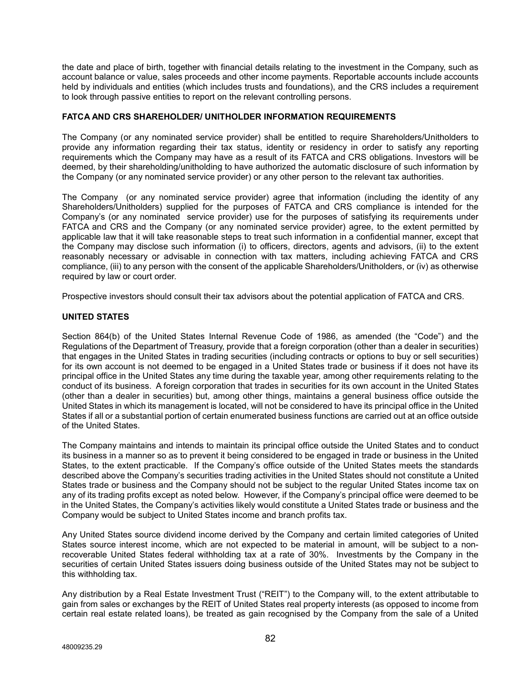the date and place of birth, together with financial details relating to the investment in the Company, such as account balance or value, sales proceeds and other income payments. Reportable accounts include accounts held by individuals and entities (which includes trusts and foundations), and the CRS includes a requirement to look through passive entities to report on the relevant controlling persons.

## **FATCA AND CRS SHAREHOLDER/ UNITHOLDER INFORMATION REQUIREMENTS**

The Company (or any nominated service provider) shall be entitled to require Shareholders/Unitholders to provide any information regarding their tax status, identity or residency in order to satisfy any reporting requirements which the Company may have as a result of its FATCA and CRS obligations. Investors will be deemed, by their shareholding/unitholding to have authorized the automatic disclosure of such information by the Company (or any nominated service provider) or any other person to the relevant tax authorities.

The Company (or any nominated service provider) agree that information (including the identity of any Shareholders/Unitholders) supplied for the purposes of FATCA and CRS compliance is intended for the Company's (or any nominated service provider) use for the purposes of satisfying its requirements under FATCA and CRS and the Company (or any nominated service provider) agree, to the extent permitted by applicable law that it will take reasonable steps to treat such information in a confidential manner, except that the Company may disclose such information (i) to officers, directors, agents and advisors, (ii) to the extent reasonably necessary or advisable in connection with tax matters, including achieving FATCA and CRS compliance, (iii) to any person with the consent of the applicable Shareholders/Unitholders, or (iv) as otherwise required by law or court order.

Prospective investors should consult their tax advisors about the potential application of FATCA and CRS.

# **UNITED STATES**

Section 864(b) of the United States Internal Revenue Code of 1986, as amended (the "Code") and the Regulations of the Department of Treasury, provide that a foreign corporation (other than a dealer in securities) that engages in the United States in trading securities (including contracts or options to buy or sell securities) for its own account is not deemed to be engaged in a United States trade or business if it does not have its principal office in the United States any time during the taxable year, among other requirements relating to the conduct of its business. A foreign corporation that trades in securities for its own account in the United States (other than a dealer in securities) but, among other things, maintains a general business office outside the United States in which its management is located, will not be considered to have its principal office in the United States if all or a substantial portion of certain enumerated business functions are carried out at an office outside of the United States.

The Company maintains and intends to maintain its principal office outside the United States and to conduct its business in a manner so as to prevent it being considered to be engaged in trade or business in the United States, to the extent practicable. If the Company's office outside of the United States meets the standards described above the Company's securities trading activities in the United States should not constitute a United States trade or business and the Company should not be subject to the regular United States income tax on any of its trading profits except as noted below. However, if the Company's principal office were deemed to be in the United States, the Company's activities likely would constitute a United States trade or business and the Company would be subject to United States income and branch profits tax.

Any United States source dividend income derived by the Company and certain limited categories of United States source interest income, which are not expected to be material in amount, will be subject to a nonrecoverable United States federal withholding tax at a rate of 30%. Investments by the Company in the securities of certain United States issuers doing business outside of the United States may not be subject to this withholding tax.

Any distribution by a Real Estate Investment Trust ("REIT") to the Company will, to the extent attributable to gain from sales or exchanges by the REIT of United States real property interests (as opposed to income from certain real estate related loans), be treated as gain recognised by the Company from the sale of a United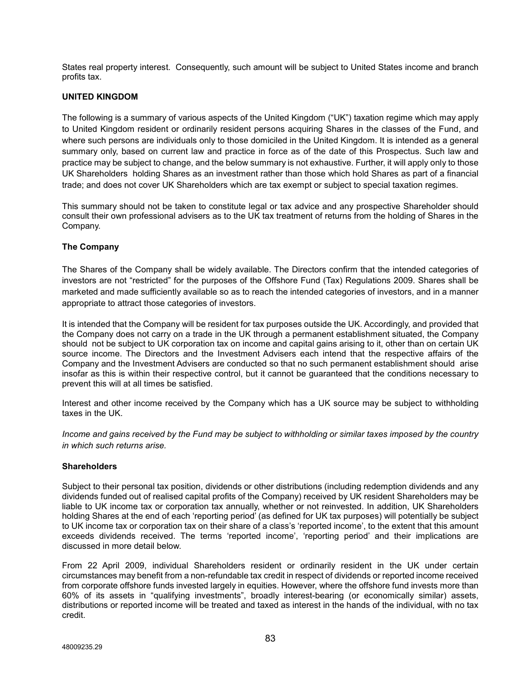States real property interest. Consequently, such amount will be subject to United States income and branch profits tax.

# **UNITED KINGDOM**

The following is a summary of various aspects of the United Kingdom ("UK") taxation regime which may apply to United Kingdom resident or ordinarily resident persons acquiring Shares in the classes of the Fund, and where such persons are individuals only to those domiciled in the United Kingdom. It is intended as a general summary only, based on current law and practice in force as of the date of this Prospectus. Such law and practice may be subject to change, and the below summary is not exhaustive. Further, it will apply only to those UK Shareholders holding Shares as an investment rather than those which hold Shares as part of a financial trade; and does not cover UK Shareholders which are tax exempt or subject to special taxation regimes.

This summary should not be taken to constitute legal or tax advice and any prospective Shareholder should consult their own professional advisers as to the UK tax treatment of returns from the holding of Shares in the Company.

# **The Company**

The Shares of the Company shall be widely available. The Directors confirm that the intended categories of investors are not "restricted" for the purposes of the Offshore Fund (Tax) Regulations 2009. Shares shall be marketed and made sufficiently available so as to reach the intended categories of investors, and in a manner appropriate to attract those categories of investors.

It is intended that the Company will be resident for tax purposes outside the UK. Accordingly, and provided that the Company does not carry on a trade in the UK through a permanent establishment situated, the Company should not be subject to UK corporation tax on income and capital gains arising to it, other than on certain UK source income. The Directors and the Investment Advisers each intend that the respective affairs of the Company and the Investment Advisers are conducted so that no such permanent establishment should arise insofar as this is within their respective control, but it cannot be guaranteed that the conditions necessary to prevent this will at all times be satisfied.

Interest and other income received by the Company which has a UK source may be subject to withholding taxes in the UK.

*Income and gains received by the Fund may be subject to withholding or similar taxes imposed by the country in which such returns arise.*

### **Shareholders**

Subject to their personal tax position, dividends or other distributions (including redemption dividends and any dividends funded out of realised capital profits of the Company) received by UK resident Shareholders may be liable to UK income tax or corporation tax annually, whether or not reinvested. In addition, UK Shareholders holding Shares at the end of each 'reporting period' (as defined for UK tax purposes) will potentially be subject to UK income tax or corporation tax on their share of a class's 'reported income', to the extent that this amount exceeds dividends received. The terms 'reported income', 'reporting period' and their implications are discussed in more detail below.

From 22 April 2009, individual Shareholders resident or ordinarily resident in the UK under certain circumstances may benefit from a non-refundable tax credit in respect of dividends or reported income received from corporate offshore funds invested largely in equities. However, where the offshore fund invests more than 60% of its assets in "qualifying investments", broadly interest-bearing (or economically similar) assets, distributions or reported income will be treated and taxed as interest in the hands of the individual, with no tax credit.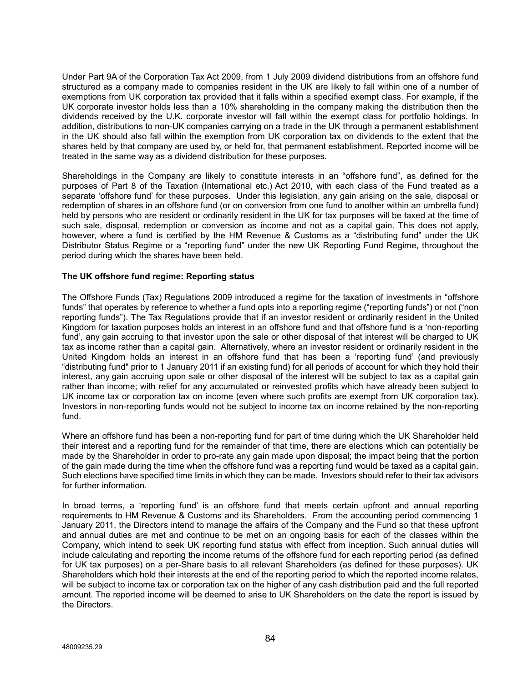Under Part 9A of the Corporation Tax Act 2009, from 1 July 2009 dividend distributions from an offshore fund structured as a company made to companies resident in the UK are likely to fall within one of a number of exemptions from UK corporation tax provided that it falls within a specified exempt class. For example, if the UK corporate investor holds less than a 10% shareholding in the company making the distribution then the dividends received by the U.K. corporate investor will fall within the exempt class for portfolio holdings. In addition, distributions to non-UK companies carrying on a trade in the UK through a permanent establishment in the UK should also fall within the exemption from UK corporation tax on dividends to the extent that the shares held by that company are used by, or held for, that permanent establishment. Reported income will be treated in the same way as a dividend distribution for these purposes.

Shareholdings in the Company are likely to constitute interests in an "offshore fund", as defined for the purposes of Part 8 of the Taxation (International etc.) Act 2010, with each class of the Fund treated as a separate 'offshore fund' for these purposes. Under this legislation, any gain arising on the sale, disposal or redemption of shares in an offshore fund (or on conversion from one fund to another within an umbrella fund) held by persons who are resident or ordinarily resident in the UK for tax purposes will be taxed at the time of such sale, disposal, redemption or conversion as income and not as a capital gain. This does not apply, however, where a fund is certified by the HM Revenue & Customs as a "distributing fund" under the UK Distributor Status Regime or a "reporting fund" under the new UK Reporting Fund Regime, throughout the period during which the shares have been held.

### **The UK offshore fund regime: Reporting status**

The Offshore Funds (Tax) Regulations 2009 introduced a regime for the taxation of investments in "offshore funds" that operates by reference to whether a fund opts into a reporting regime ("reporting funds") or not ("non reporting funds"). The Tax Regulations provide that if an investor resident or ordinarily resident in the United Kingdom for taxation purposes holds an interest in an offshore fund and that offshore fund is a 'non-reporting fund', any gain accruing to that investor upon the sale or other disposal of that interest will be charged to UK tax as income rather than a capital gain. Alternatively, where an investor resident or ordinarily resident in the United Kingdom holds an interest in an offshore fund that has been a 'reporting fund' (and previously "distributing fund" prior to 1 January 2011 if an existing fund) for all periods of account for which they hold their interest, any gain accruing upon sale or other disposal of the interest will be subject to tax as a capital gain rather than income; with relief for any accumulated or reinvested profits which have already been subject to UK income tax or corporation tax on income (even where such profits are exempt from UK corporation tax). Investors in non-reporting funds would not be subject to income tax on income retained by the non-reporting fund.

Where an offshore fund has been a non-reporting fund for part of time during which the UK Shareholder held their interest and a reporting fund for the remainder of that time, there are elections which can potentially be made by the Shareholder in order to pro-rate any gain made upon disposal; the impact being that the portion of the gain made during the time when the offshore fund was a reporting fund would be taxed as a capital gain. Such elections have specified time limits in which they can be made. Investors should refer to their tax advisors for further information.

In broad terms, a 'reporting fund' is an offshore fund that meets certain upfront and annual reporting requirements to HM Revenue & Customs and its Shareholders. From the accounting period commencing 1 January 2011, the Directors intend to manage the affairs of the Company and the Fund so that these upfront and annual duties are met and continue to be met on an ongoing basis for each of the classes within the Company, which intend to seek UK reporting fund status with effect from inception. Such annual duties will include calculating and reporting the income returns of the offshore fund for each reporting period (as defined for UK tax purposes) on a per-Share basis to all relevant Shareholders (as defined for these purposes). UK Shareholders which hold their interests at the end of the reporting period to which the reported income relates, will be subject to income tax or corporation tax on the higher of any cash distribution paid and the full reported amount. The reported income will be deemed to arise to UK Shareholders on the date the report is issued by the Directors.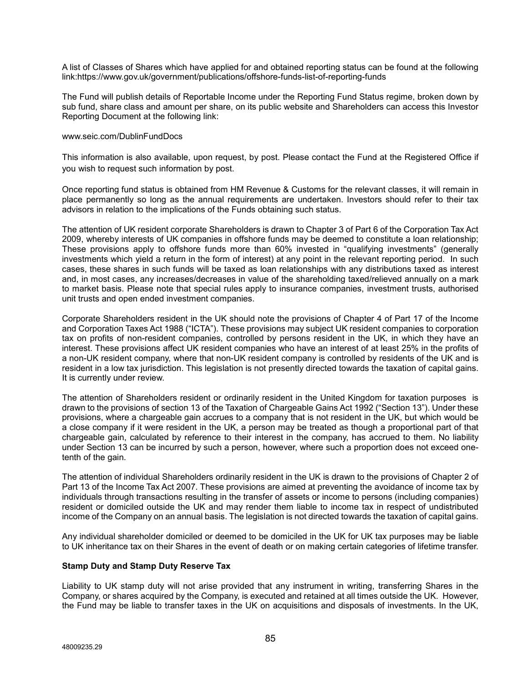A list of Classes of Shares which have applied for and obtained reporting status can be found at the following link:https://www.gov.uk/government/publications/offshore-funds-list-of-reporting-funds

The Fund will publish details of Reportable Income under the Reporting Fund Status regime, broken down by sub fund, share class and amount per share, on its public website and Shareholders can access this Investor Reporting Document at the following link:

### [www.seic.com/DublinFundDocs](http://www.seic.com/DublinFundDocs)

This information is also available, upon request, by post. Please contact the Fund at the Registered Office if you wish to request such information by post.

Once reporting fund status is obtained from HM Revenue & Customs for the relevant classes, it will remain in place permanently so long as the annual requirements are undertaken. Investors should refer to their tax advisors in relation to the implications of the Funds obtaining such status.

The attention of UK resident corporate Shareholders is drawn to Chapter 3 of Part 6 of the Corporation Tax Act 2009, whereby interests of UK companies in offshore funds may be deemed to constitute a loan relationship; These provisions apply to offshore funds more than 60% invested in "qualifying investments" (generally investments which yield a return in the form of interest) at any point in the relevant reporting period. In such cases, these shares in such funds will be taxed as loan relationships with any distributions taxed as interest and, in most cases, any increases/decreases in value of the shareholding taxed/relieved annually on a mark to market basis. Please note that special rules apply to insurance companies, investment trusts, authorised unit trusts and open ended investment companies.

Corporate Shareholders resident in the UK should note the provisions of Chapter 4 of Part 17 of the Income and Corporation Taxes Act 1988 ("ICTA"). These provisions may subject UK resident companies to corporation tax on profits of non-resident companies, controlled by persons resident in the UK, in which they have an interest. These provisions affect UK resident companies who have an interest of at least 25% in the profits of a non-UK resident company, where that non-UK resident company is controlled by residents of the UK and is resident in a low tax jurisdiction. This legislation is not presently directed towards the taxation of capital gains. It is currently under review.

The attention of Shareholders resident or ordinarily resident in the United Kingdom for taxation purposes is drawn to the provisions of section 13 of the Taxation of Chargeable Gains Act 1992 ("Section 13"). Under these provisions, where a chargeable gain accrues to a company that is not resident in the UK, but which would be a close company if it were resident in the UK, a person may be treated as though a proportional part of that chargeable gain, calculated by reference to their interest in the company, has accrued to them. No liability under Section 13 can be incurred by such a person, however, where such a proportion does not exceed onetenth of the gain.

The attention of individual Shareholders ordinarily resident in the UK is drawn to the provisions of Chapter 2 of Part 13 of the Income Tax Act 2007. These provisions are aimed at preventing the avoidance of income tax by individuals through transactions resulting in the transfer of assets or income to persons (including companies) resident or domiciled outside the UK and may render them liable to income tax in respect of undistributed income of the Company on an annual basis. The legislation is not directed towards the taxation of capital gains.

Any individual shareholder domiciled or deemed to be domiciled in the UK for UK tax purposes may be liable to UK inheritance tax on their Shares in the event of death or on making certain categories of lifetime transfer.

### **Stamp Duty and Stamp Duty Reserve Tax**

Liability to UK stamp duty will not arise provided that any instrument in writing, transferring Shares in the Company, or shares acquired by the Company, is executed and retained at all times outside the UK. However, the Fund may be liable to transfer taxes in the UK on acquisitions and disposals of investments. In the UK,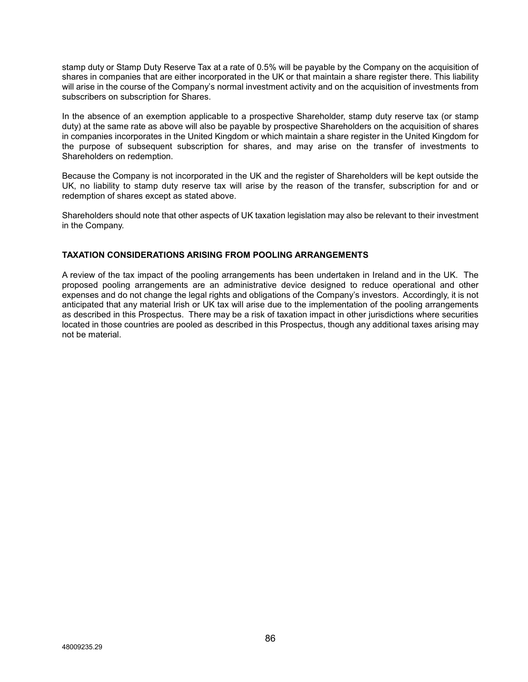stamp duty or Stamp Duty Reserve Tax at a rate of 0.5% will be payable by the Company on the acquisition of shares in companies that are either incorporated in the UK or that maintain a share register there. This liability will arise in the course of the Company's normal investment activity and on the acquisition of investments from subscribers on subscription for Shares.

In the absence of an exemption applicable to a prospective Shareholder, stamp duty reserve tax (or stamp duty) at the same rate as above will also be payable by prospective Shareholders on the acquisition of shares in companies incorporates in the United Kingdom or which maintain a share register in the United Kingdom for the purpose of subsequent subscription for shares, and may arise on the transfer of investments to Shareholders on redemption.

Because the Company is not incorporated in the UK and the register of Shareholders will be kept outside the UK, no liability to stamp duty reserve tax will arise by the reason of the transfer, subscription for and or redemption of shares except as stated above.

Shareholders should note that other aspects of UK taxation legislation may also be relevant to their investment in the Company.

# **TAXATION CONSIDERATIONS ARISING FROM POOLING ARRANGEMENTS**

A review of the tax impact of the pooling arrangements has been undertaken in Ireland and in the UK. The proposed pooling arrangements are an administrative device designed to reduce operational and other expenses and do not change the legal rights and obligations of the Company's investors. Accordingly, it is not anticipated that any material Irish or UK tax will arise due to the implementation of the pooling arrangements as described in this Prospectus. There may be a risk of taxation impact in other jurisdictions where securities located in those countries are pooled as described in this Prospectus, though any additional taxes arising may not be material.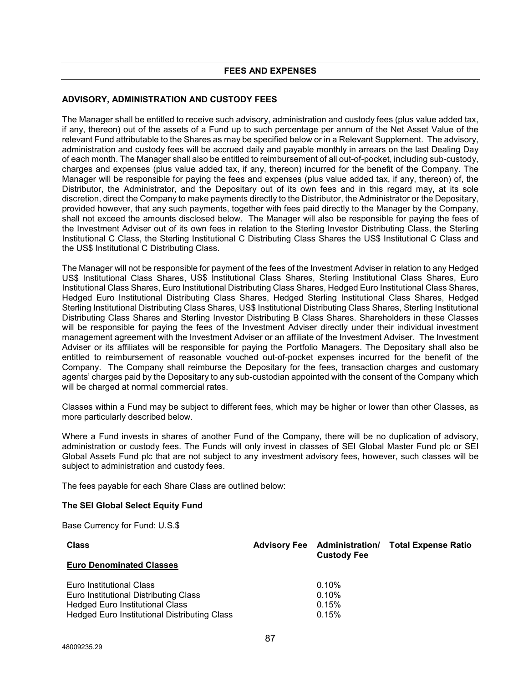# **ADVISORY, ADMINISTRATION AND CUSTODY FEES**

The Manager shall be entitled to receive such advisory, administration and custody fees (plus value added tax, if any, thereon) out of the assets of a Fund up to such percentage per annum of the Net Asset Value of the relevant Fund attributable to the Shares as may be specified below or in a Relevant Supplement. The advisory, administration and custody fees will be accrued daily and payable monthly in arrears on the last Dealing Day of each month. The Manager shall also be entitled to reimbursement of all out-of-pocket, including sub-custody, charges and expenses (plus value added tax, if any, thereon) incurred for the benefit of the Company. The Manager will be responsible for paying the fees and expenses (plus value added tax, if any, thereon) of, the Distributor, the Administrator, and the Depositary out of its own fees and in this regard may, at its sole discretion, direct the Company to make payments directly to the Distributor, the Administrator or the Depositary, provided however, that any such payments, together with fees paid directly to the Manager by the Company, shall not exceed the amounts disclosed below. The Manager will also be responsible for paying the fees of the Investment Adviser out of its own fees in relation to the Sterling Investor Distributing Class, the Sterling Institutional C Class, the Sterling Institutional C Distributing Class Shares the US\$ Institutional C Class and the US\$ Institutional C Distributing Class.

The Manager will not be responsible for payment of the fees of the Investment Adviser in relation to any Hedged US\$ Institutional Class Shares, US\$ Institutional Class Shares, Sterling Institutional Class Shares, Euro Institutional Class Shares, Euro Institutional Distributing Class Shares, Hedged Euro Institutional Class Shares, Hedged Euro Institutional Distributing Class Shares, Hedged Sterling Institutional Class Shares, Hedged Sterling Institutional Distributing Class Shares, US\$ Institutional Distributing Class Shares, Sterling Institutional Distributing Class Shares and Sterling Investor Distributing B Class Shares. Shareholders in these Classes will be responsible for paying the fees of the Investment Adviser directly under their individual investment management agreement with the Investment Adviser or an affiliate of the Investment Adviser. The Investment Adviser or its affiliates will be responsible for paying the Portfolio Managers. The Depositary shall also be entitled to reimbursement of reasonable vouched out-of-pocket expenses incurred for the benefit of the Company. The Company shall reimburse the Depositary for the fees, transaction charges and customary agents' charges paid by the Depositary to any sub-custodian appointed with the consent of the Company which will be charged at normal commercial rates.

Classes within a Fund may be subject to different fees, which may be higher or lower than other Classes, as more particularly described below.

Where a Fund invests in shares of another Fund of the Company, there will be no duplication of advisory, administration or custody fees. The Funds will only invest in classes of SEI Global Master Fund plc or SEI Global Assets Fund plc that are not subject to any investment advisory fees, however, such classes will be subject to administration and custody fees.

The fees payable for each Share Class are outlined below:

### **The SEI Global Select Equity Fund**

Base Currency for Fund: U.S.\$

| <b>Class</b>                                 | <b>Custody Fee</b> | <b>Advisory Fee</b> Administration/ Total Expense Ratio |
|----------------------------------------------|--------------------|---------------------------------------------------------|
| <b>Euro Denominated Classes</b>              |                    |                                                         |
| Euro Institutional Class                     | $0.10\%$           |                                                         |
| Euro Institutional Distributing Class        | 0.10%              |                                                         |
| <b>Hedged Euro Institutional Class</b>       | 0.15%              |                                                         |
| Hedged Euro Institutional Distributing Class | 0.15%              |                                                         |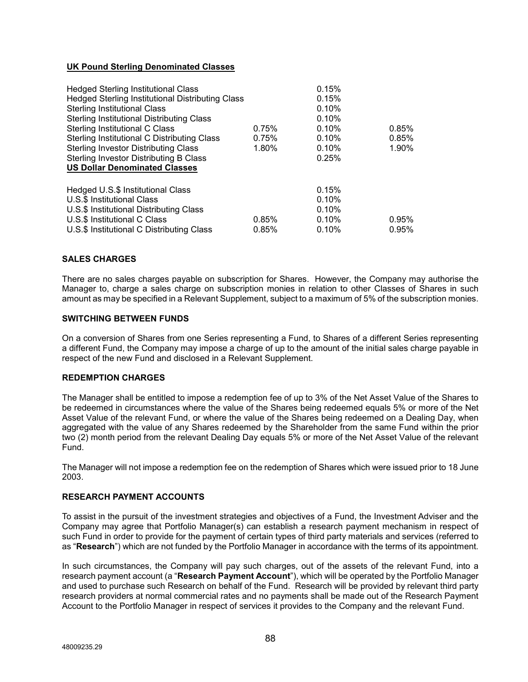# **UK Pound Sterling Denominated Classes**

| <b>Hedged Sterling Institutional Class</b><br>Hedged Sterling Institutional Distributing Class<br><b>Sterling Institutional Class</b><br>Sterling Institutional Distributing Class<br>Sterling Institutional C Class<br>Sterling Institutional C Distributing Class<br><b>Sterling Investor Distributing Class</b><br>Sterling Investor Distributing B Class<br><b>US Dollar Denominated Classes</b> | 0.75%<br>0.75%<br>1.80% | 0.15%<br>0.15%<br>0.10%<br>0.10%<br>0.10%<br>0.10%<br>0.10%<br>0.25% | 0.85%<br>0.85%<br>1.90% |
|------------------------------------------------------------------------------------------------------------------------------------------------------------------------------------------------------------------------------------------------------------------------------------------------------------------------------------------------------------------------------------------------------|-------------------------|----------------------------------------------------------------------|-------------------------|
| Hedged U.S.\$ Institutional Class<br>U.S.\$ Institutional Class<br>U.S.\$ Institutional Distributing Class<br>U.S.\$ Institutional C Class<br>U.S.\$ Institutional C Distributing Class                                                                                                                                                                                                              | $0.85\%$<br>0.85%       | 0.15%<br>0.10%<br>0.10%<br>0.10%<br>0.10%                            | 0.95%<br>0.95%          |

### **SALES CHARGES**

There are no sales charges payable on subscription for Shares. However, the Company may authorise the Manager to, charge a sales charge on subscription monies in relation to other Classes of Shares in such amount as may be specified in a Relevant Supplement, subject to a maximum of 5% of the subscription monies.

#### **SWITCHING BETWEEN FUNDS**

On a conversion of Shares from one Series representing a Fund, to Shares of a different Series representing a different Fund, the Company may impose a charge of up to the amount of the initial sales charge payable in respect of the new Fund and disclosed in a Relevant Supplement.

#### **REDEMPTION CHARGES**

The Manager shall be entitled to impose a redemption fee of up to 3% of the Net Asset Value of the Shares to be redeemed in circumstances where the value of the Shares being redeemed equals 5% or more of the Net Asset Value of the relevant Fund, or where the value of the Shares being redeemed on a Dealing Day, when aggregated with the value of any Shares redeemed by the Shareholder from the same Fund within the prior two (2) month period from the relevant Dealing Day equals 5% or more of the Net Asset Value of the relevant Fund.

The Manager will not impose a redemption fee on the redemption of Shares which were issued prior to 18 June 2003.

# **RESEARCH PAYMENT ACCOUNTS**

To assist in the pursuit of the investment strategies and objectives of a Fund, the Investment Adviser and the Company may agree that Portfolio Manager(s) can establish a research payment mechanism in respect of such Fund in order to provide for the payment of certain types of third party materials and services (referred to as "**Research**") which are not funded by the Portfolio Manager in accordance with the terms of its appointment.

In such circumstances, the Company will pay such charges, out of the assets of the relevant Fund, into a research payment account (a "**Research Payment Account**"), which will be operated by the Portfolio Manager and used to purchase such Research on behalf of the Fund. Research will be provided by relevant third party research providers at normal commercial rates and no payments shall be made out of the Research Payment Account to the Portfolio Manager in respect of services it provides to the Company and the relevant Fund.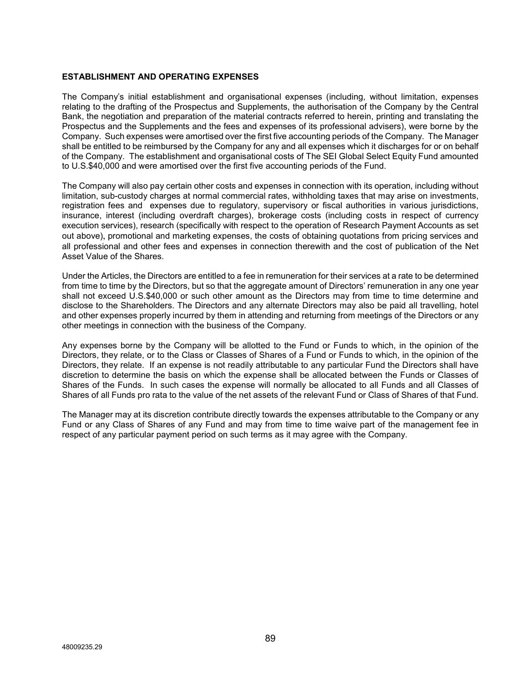## **ESTABLISHMENT AND OPERATING EXPENSES**

The Company's initial establishment and organisational expenses (including, without limitation, expenses relating to the drafting of the Prospectus and Supplements, the authorisation of the Company by the Central Bank, the negotiation and preparation of the material contracts referred to herein, printing and translating the Prospectus and the Supplements and the fees and expenses of its professional advisers), were borne by the Company. Such expenses were amortised over the first five accounting periods of the Company. The Manager shall be entitled to be reimbursed by the Company for any and all expenses which it discharges for or on behalf of the Company. The establishment and organisational costs of The SEI Global Select Equity Fund amounted to U.S.\$40,000 and were amortised over the first five accounting periods of the Fund.

The Company will also pay certain other costs and expenses in connection with its operation, including without limitation, sub-custody charges at normal commercial rates, withholding taxes that may arise on investments, registration fees and expenses due to regulatory, supervisory or fiscal authorities in various jurisdictions, insurance, interest (including overdraft charges), brokerage costs (including costs in respect of currency execution services), research (specifically with respect to the operation of Research Payment Accounts as set out above), promotional and marketing expenses, the costs of obtaining quotations from pricing services and all professional and other fees and expenses in connection therewith and the cost of publication of the Net Asset Value of the Shares.

Under the Articles, the Directors are entitled to a fee in remuneration for their services at a rate to be determined from time to time by the Directors, but so that the aggregate amount of Directors' remuneration in any one year shall not exceed U.S.\$40,000 or such other amount as the Directors may from time to time determine and disclose to the Shareholders. The Directors and any alternate Directors may also be paid all travelling, hotel and other expenses properly incurred by them in attending and returning from meetings of the Directors or any other meetings in connection with the business of the Company.

Any expenses borne by the Company will be allotted to the Fund or Funds to which, in the opinion of the Directors, they relate, or to the Class or Classes of Shares of a Fund or Funds to which, in the opinion of the Directors, they relate. If an expense is not readily attributable to any particular Fund the Directors shall have discretion to determine the basis on which the expense shall be allocated between the Funds or Classes of Shares of the Funds. In such cases the expense will normally be allocated to all Funds and all Classes of Shares of all Funds pro rata to the value of the net assets of the relevant Fund or Class of Shares of that Fund.

The Manager may at its discretion contribute directly towards the expenses attributable to the Company or any Fund or any Class of Shares of any Fund and may from time to time waive part of the management fee in respect of any particular payment period on such terms as it may agree with the Company.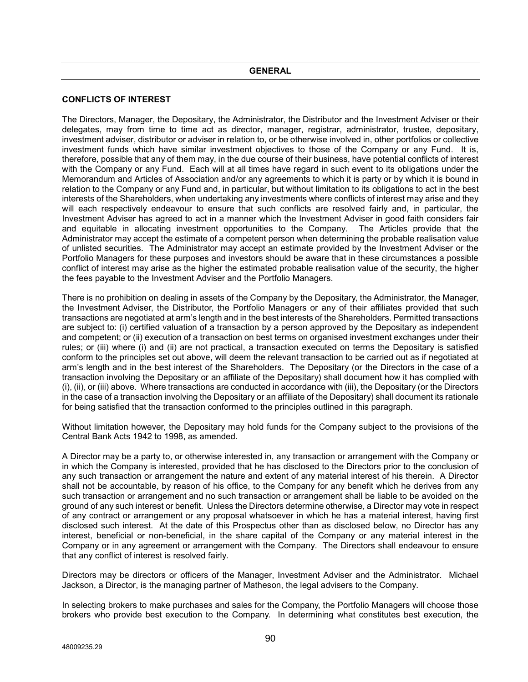# **GENERAL**

### **CONFLICTS OF INTEREST**

The Directors, Manager, the Depositary, the Administrator, the Distributor and the Investment Adviser or their delegates, may from time to time act as director, manager, registrar, administrator, trustee, depositary, investment adviser, distributor or adviser in relation to, or be otherwise involved in, other portfolios or collective investment funds which have similar investment objectives to those of the Company or any Fund. It is, therefore, possible that any of them may, in the due course of their business, have potential conflicts of interest with the Company or any Fund. Each will at all times have regard in such event to its obligations under the Memorandum and Articles of Association and/or any agreements to which it is party or by which it is bound in relation to the Company or any Fund and, in particular, but without limitation to its obligations to act in the best interests of the Shareholders, when undertaking any investments where conflicts of interest may arise and they will each respectively endeavour to ensure that such conflicts are resolved fairly and, in particular, the Investment Adviser has agreed to act in a manner which the Investment Adviser in good faith considers fair and equitable in allocating investment opportunities to the Company. The Articles provide that the Administrator may accept the estimate of a competent person when determining the probable realisation value of unlisted securities. The Administrator may accept an estimate provided by the Investment Adviser or the Portfolio Managers for these purposes and investors should be aware that in these circumstances a possible conflict of interest may arise as the higher the estimated probable realisation value of the security, the higher the fees payable to the Investment Adviser and the Portfolio Managers.

There is no prohibition on dealing in assets of the Company by the Depositary, the Administrator, the Manager, the Investment Adviser, the Distributor, the Portfolio Managers or any of their affiliates provided that such transactions are negotiated at arm's length and in the best interests of the Shareholders. Permitted transactions are subject to: (i) certified valuation of a transaction by a person approved by the Depositary as independent and competent; or (ii) execution of a transaction on best terms on organised investment exchanges under their rules; or (iii) where (i) and (ii) are not practical, a transaction executed on terms the Depositary is satisfied conform to the principles set out above, will deem the relevant transaction to be carried out as if negotiated at arm's length and in the best interest of the Shareholders. The Depositary (or the Directors in the case of a transaction involving the Depositary or an affiliate of the Depositary) shall document how it has complied with (i), (ii), or (iii) above. Where transactions are conducted in accordance with (iii), the Depositary (or the Directors in the case of a transaction involving the Depositary or an affiliate of the Depositary) shall document its rationale for being satisfied that the transaction conformed to the principles outlined in this paragraph.

Without limitation however, the Depositary may hold funds for the Company subject to the provisions of the Central Bank Acts 1942 to 1998, as amended.

A Director may be a party to, or otherwise interested in, any transaction or arrangement with the Company or in which the Company is interested, provided that he has disclosed to the Directors prior to the conclusion of any such transaction or arrangement the nature and extent of any material interest of his therein. A Director shall not be accountable, by reason of his office, to the Company for any benefit which he derives from any such transaction or arrangement and no such transaction or arrangement shall be liable to be avoided on the ground of any such interest or benefit. Unless the Directors determine otherwise, a Director may vote in respect of any contract or arrangement or any proposal whatsoever in which he has a material interest, having first disclosed such interest. At the date of this Prospectus other than as disclosed below, no Director has any interest, beneficial or non-beneficial, in the share capital of the Company or any material interest in the Company or in any agreement or arrangement with the Company. The Directors shall endeavour to ensure that any conflict of interest is resolved fairly.

Directors may be directors or officers of the Manager, Investment Adviser and the Administrator. Michael Jackson, a Director, is the managing partner of Matheson, the legal advisers to the Company.

In selecting brokers to make purchases and sales for the Company, the Portfolio Managers will choose those brokers who provide best execution to the Company. In determining what constitutes best execution, the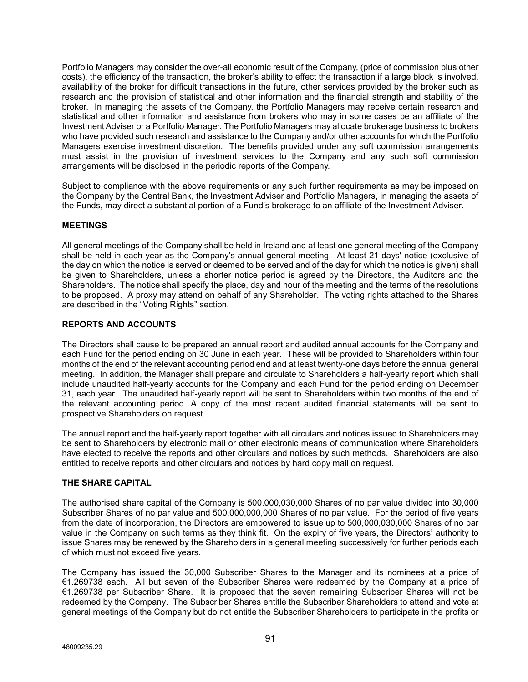Portfolio Managers may consider the over-all economic result of the Company, (price of commission plus other costs), the efficiency of the transaction, the broker's ability to effect the transaction if a large block is involved, availability of the broker for difficult transactions in the future, other services provided by the broker such as research and the provision of statistical and other information and the financial strength and stability of the broker. In managing the assets of the Company, the Portfolio Managers may receive certain research and statistical and other information and assistance from brokers who may in some cases be an affiliate of the Investment Adviser or a Portfolio Manager. The Portfolio Managers may allocate brokerage business to brokers who have provided such research and assistance to the Company and/or other accounts for which the Portfolio Managers exercise investment discretion. The benefits provided under any soft commission arrangements must assist in the provision of investment services to the Company and any such soft commission arrangements will be disclosed in the periodic reports of the Company.

Subject to compliance with the above requirements or any such further requirements as may be imposed on the Company by the Central Bank, the Investment Adviser and Portfolio Managers, in managing the assets of the Funds, may direct a substantial portion of a Fund's brokerage to an affiliate of the Investment Adviser.

# **MEETINGS**

All general meetings of the Company shall be held in Ireland and at least one general meeting of the Company shall be held in each year as the Company's annual general meeting. At least 21 days' notice (exclusive of the day on which the notice is served or deemed to be served and of the day for which the notice is given) shall be given to Shareholders, unless a shorter notice period is agreed by the Directors, the Auditors and the Shareholders. The notice shall specify the place, day and hour of the meeting and the terms of the resolutions to be proposed. A proxy may attend on behalf of any Shareholder. The voting rights attached to the Shares are described in the "Voting Rights" section.

# **REPORTS AND ACCOUNTS**

The Directors shall cause to be prepared an annual report and audited annual accounts for the Company and each Fund for the period ending on 30 June in each year. These will be provided to Shareholders within four months of the end of the relevant accounting period end and at least twenty-one days before the annual general meeting. In addition, the Manager shall prepare and circulate to Shareholders a half-yearly report which shall include unaudited half-yearly accounts for the Company and each Fund for the period ending on December 31, each year. The unaudited half-yearly report will be sent to Shareholders within two months of the end of the relevant accounting period. A copy of the most recent audited financial statements will be sent to prospective Shareholders on request.

The annual report and the half-yearly report together with all circulars and notices issued to Shareholders may be sent to Shareholders by electronic mail or other electronic means of communication where Shareholders have elected to receive the reports and other circulars and notices by such methods. Shareholders are also entitled to receive reports and other circulars and notices by hard copy mail on request.

# **THE SHARE CAPITAL**

The authorised share capital of the Company is 500,000,030,000 Shares of no par value divided into 30,000 Subscriber Shares of no par value and 500,000,000,000 Shares of no par value. For the period of five years from the date of incorporation, the Directors are empowered to issue up to 500,000,030,000 Shares of no par value in the Company on such terms as they think fit. On the expiry of five years, the Directors' authority to issue Shares may be renewed by the Shareholders in a general meeting successively for further periods each of which must not exceed five years.

The Company has issued the 30,000 Subscriber Shares to the Manager and its nominees at a price of €1.269738 each. All but seven of the Subscriber Shares were redeemed by the Company at a price of €1.269738 per Subscriber Share. It is proposed that the seven remaining Subscriber Shares will not be redeemed by the Company. The Subscriber Shares entitle the Subscriber Shareholders to attend and vote at general meetings of the Company but do not entitle the Subscriber Shareholders to participate in the profits or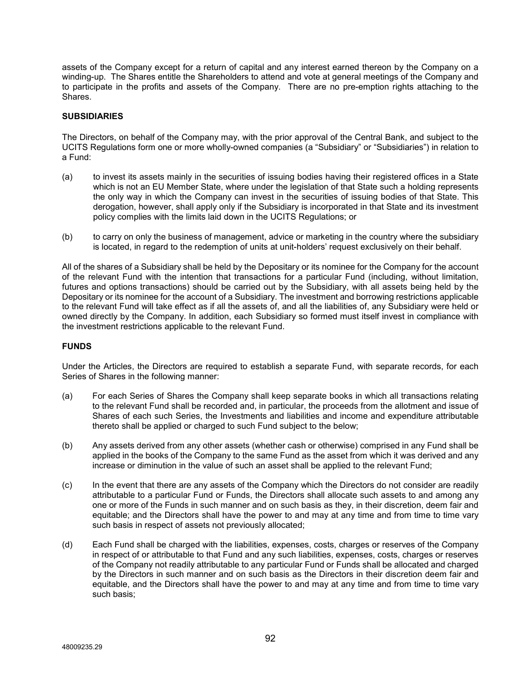assets of the Company except for a return of capital and any interest earned thereon by the Company on a winding-up. The Shares entitle the Shareholders to attend and vote at general meetings of the Company and to participate in the profits and assets of the Company. There are no pre-emption rights attaching to the Shares.

### **SUBSIDIARIES**

The Directors, on behalf of the Company may, with the prior approval of the Central Bank, and subject to the UCITS Regulations form one or more wholly-owned companies (a "Subsidiary" or "Subsidiaries") in relation to a Fund:

- (a) to invest its assets mainly in the securities of issuing bodies having their registered offices in a State which is not an EU Member State, where under the legislation of that State such a holding represents the only way in which the Company can invest in the securities of issuing bodies of that State. This derogation, however, shall apply only if the Subsidiary is incorporated in that State and its investment policy complies with the limits laid down in the UCITS Regulations; or
- (b) to carry on only the business of management, advice or marketing in the country where the subsidiary is located, in regard to the redemption of units at unit-holders' request exclusively on their behalf.

All of the shares of a Subsidiary shall be held by the Depositary or its nominee for the Company for the account of the relevant Fund with the intention that transactions for a particular Fund (including, without limitation, futures and options transactions) should be carried out by the Subsidiary, with all assets being held by the Depositary or its nominee for the account of a Subsidiary. The investment and borrowing restrictions applicable to the relevant Fund will take effect as if all the assets of, and all the liabilities of, any Subsidiary were held or owned directly by the Company. In addition, each Subsidiary so formed must itself invest in compliance with the investment restrictions applicable to the relevant Fund.

# **FUNDS**

Under the Articles, the Directors are required to establish a separate Fund, with separate records, for each Series of Shares in the following manner:

- (a) For each Series of Shares the Company shall keep separate books in which all transactions relating to the relevant Fund shall be recorded and, in particular, the proceeds from the allotment and issue of Shares of each such Series, the Investments and liabilities and income and expenditure attributable thereto shall be applied or charged to such Fund subject to the below;
- (b) Any assets derived from any other assets (whether cash or otherwise) comprised in any Fund shall be applied in the books of the Company to the same Fund as the asset from which it was derived and any increase or diminution in the value of such an asset shall be applied to the relevant Fund;
- (c) In the event that there are any assets of the Company which the Directors do not consider are readily attributable to a particular Fund or Funds, the Directors shall allocate such assets to and among any one or more of the Funds in such manner and on such basis as they, in their discretion, deem fair and equitable; and the Directors shall have the power to and may at any time and from time to time vary such basis in respect of assets not previously allocated;
- (d) Each Fund shall be charged with the liabilities, expenses, costs, charges or reserves of the Company in respect of or attributable to that Fund and any such liabilities, expenses, costs, charges or reserves of the Company not readily attributable to any particular Fund or Funds shall be allocated and charged by the Directors in such manner and on such basis as the Directors in their discretion deem fair and equitable, and the Directors shall have the power to and may at any time and from time to time vary such basis;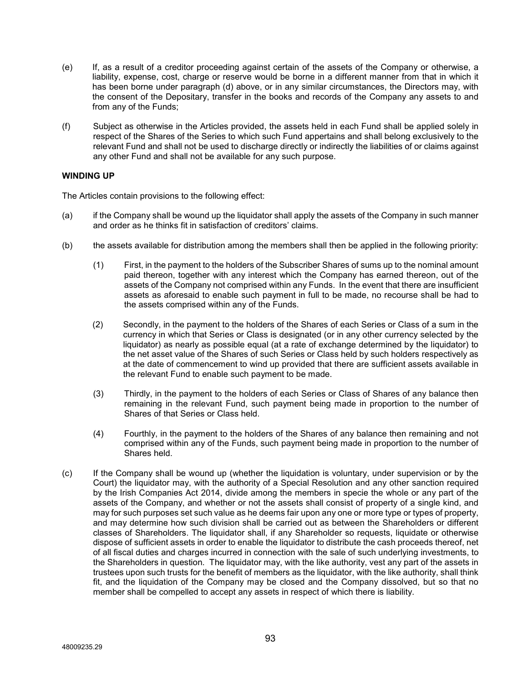- (e) If, as a result of a creditor proceeding against certain of the assets of the Company or otherwise, a liability, expense, cost, charge or reserve would be borne in a different manner from that in which it has been borne under paragraph (d) above, or in any similar circumstances, the Directors may, with the consent of the Depositary, transfer in the books and records of the Company any assets to and from any of the Funds;
- (f) Subject as otherwise in the Articles provided, the assets held in each Fund shall be applied solely in respect of the Shares of the Series to which such Fund appertains and shall belong exclusively to the relevant Fund and shall not be used to discharge directly or indirectly the liabilities of or claims against any other Fund and shall not be available for any such purpose.

# **WINDING UP**

The Articles contain provisions to the following effect:

- (a) if the Company shall be wound up the liquidator shall apply the assets of the Company in such manner and order as he thinks fit in satisfaction of creditors' claims.
- (b) the assets available for distribution among the members shall then be applied in the following priority:
	- (1) First, in the payment to the holders of the Subscriber Shares of sums up to the nominal amount paid thereon, together with any interest which the Company has earned thereon, out of the assets of the Company not comprised within any Funds. In the event that there are insufficient assets as aforesaid to enable such payment in full to be made, no recourse shall be had to the assets comprised within any of the Funds.
	- (2) Secondly, in the payment to the holders of the Shares of each Series or Class of a sum in the currency in which that Series or Class is designated (or in any other currency selected by the liquidator) as nearly as possible equal (at a rate of exchange determined by the liquidator) to the net asset value of the Shares of such Series or Class held by such holders respectively as at the date of commencement to wind up provided that there are sufficient assets available in the relevant Fund to enable such payment to be made.
	- (3) Thirdly, in the payment to the holders of each Series or Class of Shares of any balance then remaining in the relevant Fund, such payment being made in proportion to the number of Shares of that Series or Class held.
	- (4) Fourthly, in the payment to the holders of the Shares of any balance then remaining and not comprised within any of the Funds, such payment being made in proportion to the number of Shares held.
- (c) If the Company shall be wound up (whether the liquidation is voluntary, under supervision or by the Court) the liquidator may, with the authority of a Special Resolution and any other sanction required by the Irish Companies Act 2014, divide among the members in specie the whole or any part of the assets of the Company, and whether or not the assets shall consist of property of a single kind, and may for such purposes set such value as he deems fair upon any one or more type or types of property, and may determine how such division shall be carried out as between the Shareholders or different classes of Shareholders. The liquidator shall, if any Shareholder so requests, liquidate or otherwise dispose of sufficient assets in order to enable the liquidator to distribute the cash proceeds thereof, net of all fiscal duties and charges incurred in connection with the sale of such underlying investments, to the Shareholders in question. The liquidator may, with the like authority, vest any part of the assets in trustees upon such trusts for the benefit of members as the liquidator, with the like authority, shall think fit, and the liquidation of the Company may be closed and the Company dissolved, but so that no member shall be compelled to accept any assets in respect of which there is liability.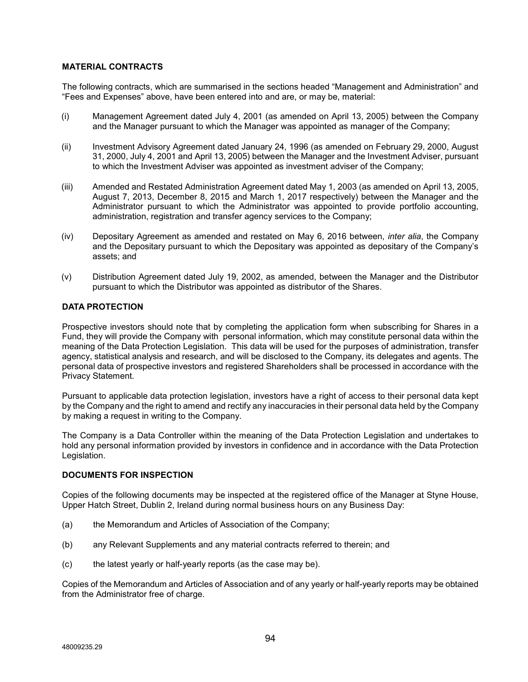## **MATERIAL CONTRACTS**

The following contracts, which are summarised in the sections headed "Management and Administration" and "Fees and Expenses" above, have been entered into and are, or may be, material:

- (i) Management Agreement dated July 4, 2001 (as amended on April 13, 2005) between the Company and the Manager pursuant to which the Manager was appointed as manager of the Company;
- (ii) Investment Advisory Agreement dated January 24, 1996 (as amended on February 29, 2000, August 31, 2000, July 4, 2001 and April 13, 2005) between the Manager and the Investment Adviser, pursuant to which the Investment Adviser was appointed as investment adviser of the Company;
- (iii) Amended and Restated Administration Agreement dated May 1, 2003 (as amended on April 13, 2005, August 7, 2013, December 8, 2015 and March 1, 2017 respectively) between the Manager and the Administrator pursuant to which the Administrator was appointed to provide portfolio accounting, administration, registration and transfer agency services to the Company;
- (iv) Depositary Agreement as amended and restated on May 6, 2016 between, *inter alia*, the Company and the Depositary pursuant to which the Depositary was appointed as depositary of the Company's assets; and
- (v) Distribution Agreement dated July 19, 2002, as amended, between the Manager and the Distributor pursuant to which the Distributor was appointed as distributor of the Shares.

# **DATA PROTECTION**

Prospective investors should note that by completing the application form when subscribing for Shares in a Fund, they will provide the Company with personal information, which may constitute personal data within the meaning of the Data Protection Legislation. This data will be used for the purposes of administration, transfer agency, statistical analysis and research, and will be disclosed to the Company, its delegates and agents. The personal data of prospective investors and registered Shareholders shall be processed in accordance with the Privacy Statement.

Pursuant to applicable data protection legislation, investors have a right of access to their personal data kept by the Company and the right to amend and rectify any inaccuracies in their personal data held by the Company by making a request in writing to the Company.

The Company is a Data Controller within the meaning of the Data Protection Legislation and undertakes to hold any personal information provided by investors in confidence and in accordance with the Data Protection Legislation.

# **DOCUMENTS FOR INSPECTION**

Copies of the following documents may be inspected at the registered office of the Manager at Styne House, Upper Hatch Street, Dublin 2, Ireland during normal business hours on any Business Day:

- (a) the Memorandum and Articles of Association of the Company;
- (b) any Relevant Supplements and any material contracts referred to therein; and
- (c) the latest yearly or half-yearly reports (as the case may be).

Copies of the Memorandum and Articles of Association and of any yearly or half-yearly reports may be obtained from the Administrator free of charge.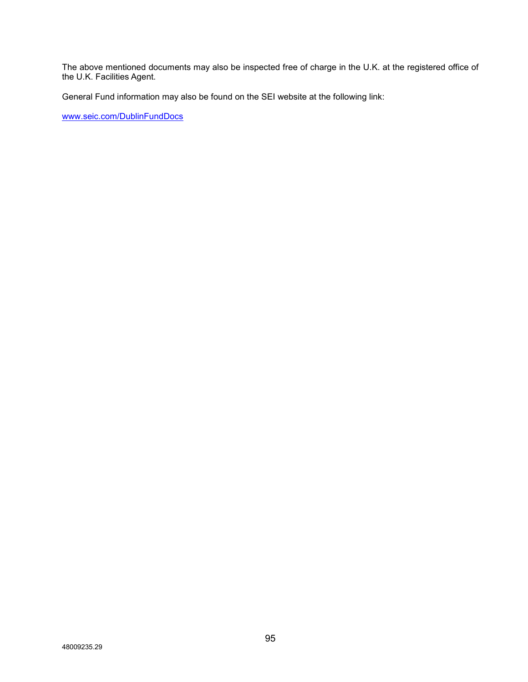The above mentioned documents may also be inspected free of charge in the U.K. at the registered office of the U.K. Facilities Agent.

General Fund information may also be found on the SEI website at the following link:

[www.seic.com/DublinFundDocs](http://www.seic.com/DublinFundDocs)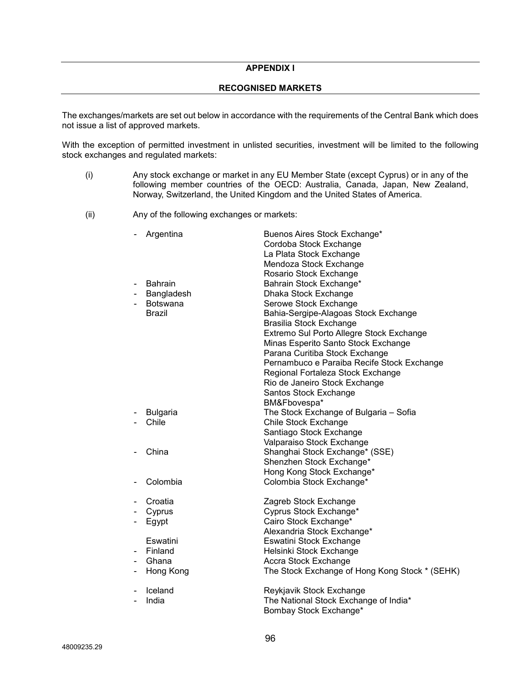# **APPENDIX I**

### **RECOGNISED MARKETS**

The exchanges/markets are set out below in accordance with the requirements of the Central Bank which does not issue a list of approved markets.

With the exception of permitted investment in unlisted securities, investment will be limited to the following stock exchanges and regulated markets:

- (i) Any stock exchange or market in any EU Member State (except Cyprus) or in any of the following member countries of the OECD: Australia, Canada, Japan, New Zealand, Norway, Switzerland, the United Kingdom and the United States of America.
- (ii) Any of the following exchanges or markets:

|                              | Argentina       | Buenos Aires Stock Exchange*                   |
|------------------------------|-----------------|------------------------------------------------|
|                              |                 | Cordoba Stock Exchange                         |
|                              |                 | La Plata Stock Exchange                        |
|                              |                 | Mendoza Stock Exchange                         |
|                              |                 | Rosario Stock Exchange                         |
|                              | <b>Bahrain</b>  | Bahrain Stock Exchange*                        |
|                              | Bangladesh      | Dhaka Stock Exchange                           |
|                              | <b>Botswana</b> | Serowe Stock Exchange                          |
|                              | <b>Brazil</b>   | Bahia-Sergipe-Alagoas Stock Exchange           |
|                              |                 | <b>Brasilia Stock Exchange</b>                 |
|                              |                 | Extremo Sul Porto Allegre Stock Exchange       |
|                              |                 | Minas Esperito Santo Stock Exchange            |
|                              |                 | Parana Curitiba Stock Exchange                 |
|                              |                 | Pernambuco e Paraiba Recife Stock Exchange     |
|                              |                 | Regional Fortaleza Stock Exchange              |
|                              |                 | Rio de Janeiro Stock Exchange                  |
|                              |                 | Santos Stock Exchange                          |
|                              |                 | BM&Fbovespa*                                   |
|                              | <b>Bulgaria</b> | The Stock Exchange of Bulgaria - Sofia         |
|                              | Chile           | Chile Stock Exchange                           |
|                              |                 | Santiago Stock Exchange                        |
|                              |                 | Valparaiso Stock Exchange                      |
|                              | China           | Shanghai Stock Exchange* (SSE)                 |
|                              |                 | Shenzhen Stock Exchange*                       |
|                              |                 | Hong Kong Stock Exchange*                      |
|                              | Colombia        | Colombia Stock Exchange*                       |
|                              |                 |                                                |
|                              | Croatia         | Zagreb Stock Exchange                          |
| $\qquad \qquad \blacksquare$ | Cyprus          | Cyprus Stock Exchange*                         |
| $\qquad \qquad \blacksquare$ | Egypt           | Cairo Stock Exchange*                          |
|                              |                 | Alexandria Stock Exchange*                     |
|                              | Eswatini        | Eswatini Stock Exchange                        |
|                              | Finland         | Helsinki Stock Exchange                        |
|                              | Ghana           | Accra Stock Exchange                           |
| $\qquad \qquad \blacksquare$ | Hong Kong       | The Stock Exchange of Hong Kong Stock * (SEHK) |
|                              |                 |                                                |
|                              | Iceland         | Reykjavik Stock Exchange                       |
|                              | India           | The National Stock Exchange of India*          |
|                              |                 | Bombay Stock Exchange*                         |
|                              |                 |                                                |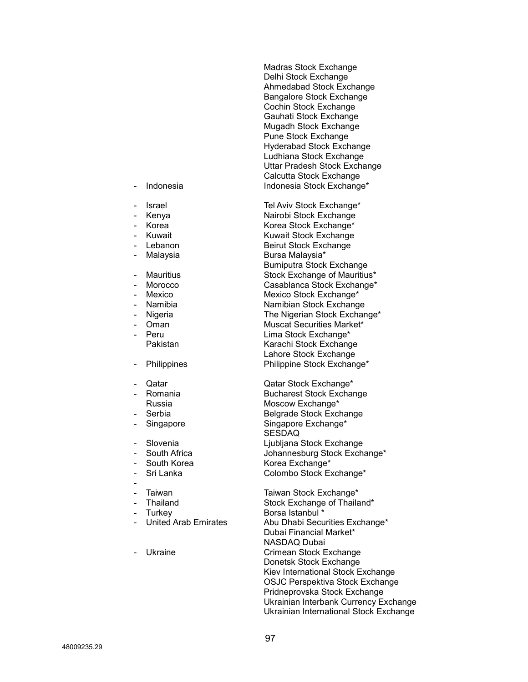Madras Stock Exchange Delhi Stock Exchange Ahmedabad Stock Exchange Bangalore Stock Exchange Cochin Stock Exchange Gauhati Stock Exchange Mugadh Stock Exchange Pune Stock Exchange Hyderabad Stock Exchange Ludhiana Stock Exchange Uttar Pradesh Stock Exchange Calcutta Stock Exchange Indonesia **Indonesia Stock Exchange\*** 

Israel **Islaming** Tel Aviv Stock Exchange\* - Kenya **Nairobi Stock Exchange** Korea  $\blacksquare$  Korea Stock Exchange\* Kuwait **Kuwait Kuwait Stock Exchange** Lebanon **Beirut Stock Exchange** Malaysia **Malaysia** Bursa Malaysia\* Bumiputra Stock Exchange Mauritius **Mauritius** Stock Exchange of Mauritius\* - Morocco Casablanca Stock Exchange\* Mexico Mexico Stock Exchange\* Namibia **Namibian** Stock Exchange Nigeria **Nigeria** The Nigerian Stock Exchange\* - Oman Muscat Securities Market\* - Peru Lima Stock Exchange\* Pakistan Karachi Stock Exchange Lahore Stock Exchange Philippines Philippine Stock Exchange\*

- Qatar Qatar Stock Exchange\* Bucharest Stock Exchange Russia Moscow Exchange\* Serbia **Belgrade Stock Exchange** Singapore Singapore Exchange\* SESDAQ Slovenia **Liubliana Stock Exchange** South Africa **Contains Tomakia Stock Exchange\*** South Korea **Manual Exchange\*** Sri Lanka **Colombo Stock Exchange\*** 

Taiwan Taiwan Stock Exchange\* Thailand **Stock Exchange of Thailand\***<br>Turkey **Stock Borsa Istanbul \*** Borsa Istanbul \* United Arab Emirates Abu Dhabi Securities Exchange\* Dubai Financial Market\* NASDAQ Dubai Ukraine **Crimean Stock Exchange** Donetsk Stock Exchange Kiev International Stock Exchange OSJC Perspektiva Stock Exchange Pridneprovska Stock Exchange Ukrainian Interbank Currency Exchange Ukrainian International Stock Exchange

- 
- 
- 
- 
- 
- 
- 
- 
- 
- 
- 
- 
- 
- 
- 
- 
- 
- 
- 
- 
- 
- 
- 
- -
- 
- 
-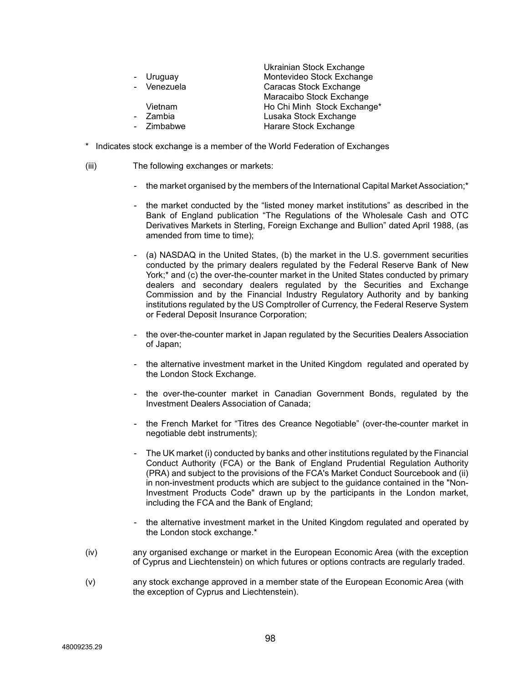|             | Ukrainian Stock Exchange    |
|-------------|-----------------------------|
| - Uruguay   | Montevideo Stock Exchange   |
| - Venezuela | Caracas Stock Exchange      |
|             | Maracaibo Stock Exchange    |
| Vietnam     | Ho Chi Minh Stock Exchange* |
| - Zambia    | Lusaka Stock Exchange       |
| - Zimbabwe  | Harare Stock Exchange       |
|             |                             |

- \* Indicates stock exchange is a member of the World Federation of Exchanges
- (iii) The following exchanges or markets:
	- the market organised by the members of the International Capital Market Association;<sup>\*</sup>
	- the market conducted by the "listed money market institutions" as described in the Bank of England publication "The Regulations of the Wholesale Cash and OTC Derivatives Markets in Sterling, Foreign Exchange and Bullion" dated April 1988, (as amended from time to time);
	- (a) NASDAQ in the United States, (b) the market in the U.S. government securities conducted by the primary dealers regulated by the Federal Reserve Bank of New York;\* and (c) the over-the-counter market in the United States conducted by primary dealers and secondary dealers regulated by the Securities and Exchange Commission and by the Financial Industry Regulatory Authority and by banking institutions regulated by the US Comptroller of Currency, the Federal Reserve System or Federal Deposit Insurance Corporation;
	- the over-the-counter market in Japan regulated by the Securities Dealers Association of Japan;
	- the alternative investment market in the United Kingdom regulated and operated by the London Stock Exchange.
	- the over-the-counter market in Canadian Government Bonds, regulated by the Investment Dealers Association of Canada;
	- the French Market for "Titres des Creance Negotiable" (over-the-counter market in negotiable debt instruments);
	- The UK market (i) conducted by banks and other institutions regulated by the Financial Conduct Authority (FCA) or the Bank of England Prudential Regulation Authority (PRA) and subject to the provisions of the FCA's Market Conduct Sourcebook and (ii) in non-investment products which are subject to the guidance contained in the "Non-Investment Products Code" drawn up by the participants in the London market, including the FCA and the Bank of England;
	- the alternative investment market in the United Kingdom regulated and operated by the London stock exchange.\*
- (iv) any organised exchange or market in the European Economic Area (with the exception of Cyprus and Liechtenstein) on which futures or options contracts are regularly traded.
- (v) any stock exchange approved in a member state of the European Economic Area (with the exception of Cyprus and Liechtenstein).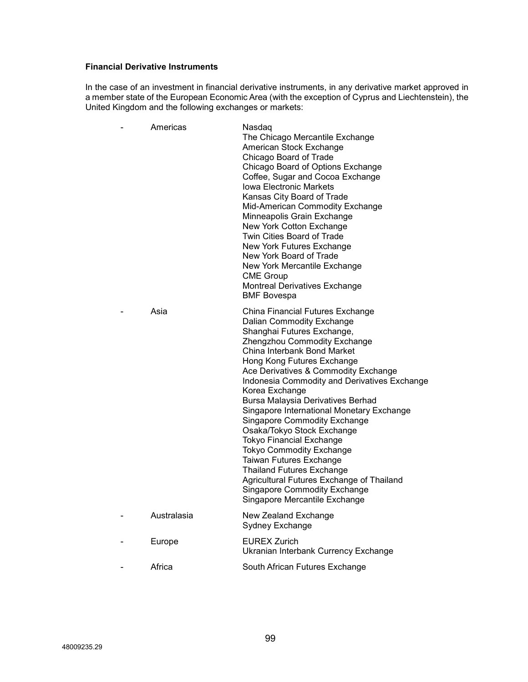## **Financial Derivative Instruments**

In the case of an investment in financial derivative instruments, in any derivative market approved in a member state of the European Economic Area (with the exception of Cyprus and Liechtenstein), the United Kingdom and the following exchanges or markets:

| Americas    | Nasdaq<br>The Chicago Mercantile Exchange<br>American Stock Exchange<br>Chicago Board of Trade<br>Chicago Board of Options Exchange<br>Coffee, Sugar and Cocoa Exchange<br>Iowa Electronic Markets<br>Kansas City Board of Trade<br>Mid-American Commodity Exchange<br>Minneapolis Grain Exchange<br>New York Cotton Exchange<br>Twin Cities Board of Trade<br>New York Futures Exchange<br>New York Board of Trade<br>New York Mercantile Exchange<br><b>CME Group</b><br><b>Montreal Derivatives Exchange</b><br><b>BMF Bovespa</b>                                                                                                                                                                               |
|-------------|---------------------------------------------------------------------------------------------------------------------------------------------------------------------------------------------------------------------------------------------------------------------------------------------------------------------------------------------------------------------------------------------------------------------------------------------------------------------------------------------------------------------------------------------------------------------------------------------------------------------------------------------------------------------------------------------------------------------|
| Asia        | China Financial Futures Exchange<br>Dalian Commodity Exchange<br>Shanghai Futures Exchange,<br>Zhengzhou Commodity Exchange<br>China Interbank Bond Market<br>Hong Kong Futures Exchange<br>Ace Derivatives & Commodity Exchange<br>Indonesia Commodity and Derivatives Exchange<br>Korea Exchange<br>Bursa Malaysia Derivatives Berhad<br>Singapore International Monetary Exchange<br><b>Singapore Commodity Exchange</b><br>Osaka/Tokyo Stock Exchange<br><b>Tokyo Financial Exchange</b><br><b>Tokyo Commodity Exchange</b><br>Taiwan Futures Exchange<br><b>Thailand Futures Exchange</b><br>Agricultural Futures Exchange of Thailand<br><b>Singapore Commodity Exchange</b><br>Singapore Mercantile Exchange |
| Australasia | New Zealand Exchange<br>Sydney Exchange                                                                                                                                                                                                                                                                                                                                                                                                                                                                                                                                                                                                                                                                             |
| Europe      | <b>EUREX Zurich</b><br>Ukranian Interbank Currency Exchange                                                                                                                                                                                                                                                                                                                                                                                                                                                                                                                                                                                                                                                         |
| Africa      | South African Futures Exchange                                                                                                                                                                                                                                                                                                                                                                                                                                                                                                                                                                                                                                                                                      |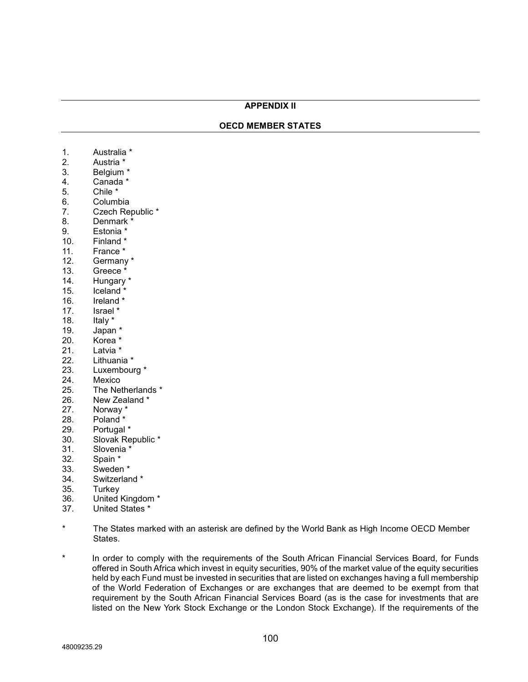## **APPENDIX II**

### **OECD MEMBER STATES**

- 1. Australia \*
- 2. Austria \*
- 3. Belgium \*
- 4. Canada \*
- 5. Chile \*
- 6. Columbia
- 7. Czech Republic \*
- 8. Denmark \*
- 9. Estonia \*<br>10. Finland \*
- Finland \*
- 11. France \*
- 12. Germany \*<br>13. Greece \*
- 13. Greece \*<br>14. Hungary
- Hungary \*
- 15. Iceland \*<br>16. Ireland \*
- Ireland \*
- 17. Israel \*
- 
- 18. Italy \*<br>19. Japan
- 19. Japan \*<br>20. Korea \* Korea \*
- 21. Latvia \*<br>22. Lithuani
- Lithuania \*
- 23. Luxembourg \*<br>24. Mexico
- 24. Mexico<br>25. The Net
- The Netherlands \*
- 26. New Zealand \*
- 27. Norway \*
- 28. Poland \*
- 29. Portugal \*
- 30. Slovak Republic \*<br>31. Slovenia \*
- Slovenia \*
- 
- 32. Spain \*<br>33. Sweder Sweden \*
- 34. Switzerland \*
- 35. Turkey
- 36. United Kingdom \*
- 37. United States \*
- The States marked with an asterisk are defined by the World Bank as High Income OECD Member States.
- \* In order to comply with the requirements of the South African Financial Services Board, for Funds offered in South Africa which invest in equity securities, 90% of the market value of the equity securities held by each Fund must be invested in securities that are listed on exchanges having a full membership of the World Federation of Exchanges or are exchanges that are deemed to be exempt from that requirement by the South African Financial Services Board (as is the case for investments that are listed on the New York Stock Exchange or the London Stock Exchange). If the requirements of the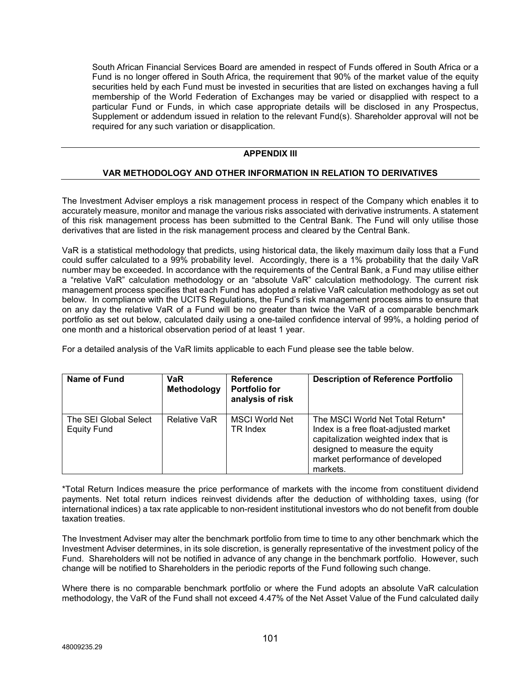South African Financial Services Board are amended in respect of Funds offered in South Africa or a Fund is no longer offered in South Africa, the requirement that 90% of the market value of the equity securities held by each Fund must be invested in securities that are listed on exchanges having a full membership of the World Federation of Exchanges may be varied or disapplied with respect to a particular Fund or Funds, in which case appropriate details will be disclosed in any Prospectus, Supplement or addendum issued in relation to the relevant Fund(s). Shareholder approval will not be required for any such variation or disapplication.

# **APPENDIX III**

# **VAR METHODOLOGY AND OTHER INFORMATION IN RELATION TO DERIVATIVES**

The Investment Adviser employs a risk management process in respect of the Company which enables it to accurately measure, monitor and manage the various risks associated with derivative instruments. A statement of this risk management process has been submitted to the Central Bank. The Fund will only utilise those derivatives that are listed in the risk management process and cleared by the Central Bank.

VaR is a statistical methodology that predicts, using historical data, the likely maximum daily loss that a Fund could suffer calculated to a 99% probability level. Accordingly, there is a 1% probability that the daily VaR number may be exceeded. In accordance with the requirements of the Central Bank, a Fund may utilise either a "relative VaR" calculation methodology or an "absolute VaR" calculation methodology. The current risk management process specifies that each Fund has adopted a relative VaR calculation methodology as set out below. In compliance with the UCITS Regulations, the Fund's risk management process aims to ensure that on any day the relative VaR of a Fund will be no greater than twice the VaR of a comparable benchmark portfolio as set out below, calculated daily using a one-tailed confidence interval of 99%, a holding period of one month and a historical observation period of at least 1 year.

For a detailed analysis of the VaR limits applicable to each Fund please see the table below.

| Name of Fund                                | <b>VaR</b><br>Methodology | <b>Reference</b><br><b>Portfolio for</b><br>analysis of risk | <b>Description of Reference Portfolio</b>                                                                                                                                                           |
|---------------------------------------------|---------------------------|--------------------------------------------------------------|-----------------------------------------------------------------------------------------------------------------------------------------------------------------------------------------------------|
| The SEI Global Select<br><b>Equity Fund</b> | <b>Relative VaR</b>       | <b>MSCI World Net</b><br>TR Index                            | The MSCI World Net Total Return*<br>Index is a free float-adjusted market<br>capitalization weighted index that is<br>designed to measure the equity<br>market performance of developed<br>markets. |

\*Total Return Indices measure the price performance of markets with the income from constituent dividend payments. Net total return indices reinvest dividends after the deduction of withholding taxes, using (for international indices) a tax rate applicable to non-resident institutional investors who do not benefit from double taxation treaties.

The Investment Adviser may alter the benchmark portfolio from time to time to any other benchmark which the Investment Adviser determines, in its sole discretion, is generally representative of the investment policy of the Fund. Shareholders will not be notified in advance of any change in the benchmark portfolio. However, such change will be notified to Shareholders in the periodic reports of the Fund following such change.

Where there is no comparable benchmark portfolio or where the Fund adopts an absolute VaR calculation methodology, the VaR of the Fund shall not exceed 4.47% of the Net Asset Value of the Fund calculated daily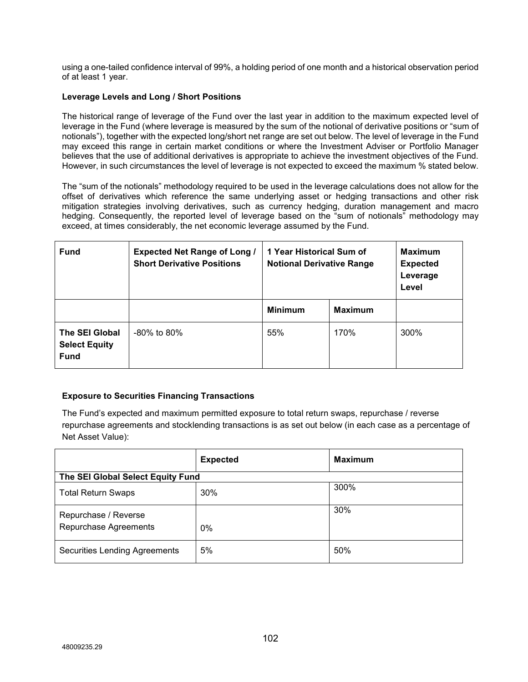using a one-tailed confidence interval of 99%, a holding period of one month and a historical observation period of at least 1 year.

# **Leverage Levels and Long / Short Positions**

The historical range of leverage of the Fund over the last year in addition to the maximum expected level of leverage in the Fund (where leverage is measured by the sum of the notional of derivative positions or "sum of notionals"), together with the expected long/short net range are set out below. The level of leverage in the Fund may exceed this range in certain market conditions or where the Investment Adviser or Portfolio Manager believes that the use of additional derivatives is appropriate to achieve the investment objectives of the Fund. However, in such circumstances the level of leverage is not expected to exceed the maximum % stated below.

The "sum of the notionals" methodology required to be used in the leverage calculations does not allow for the offset of derivatives which reference the same underlying asset or hedging transactions and other risk mitigation strategies involving derivatives, such as currency hedging, duration management and macro hedging. Consequently, the reported level of leverage based on the "sum of notionals" methodology may exceed, at times considerably, the net economic leverage assumed by the Fund.

| <b>Fund</b>                                           | <b>Expected Net Range of Long /</b><br><b>Short Derivative Positions</b> | 1 Year Historical Sum of<br><b>Notional Derivative Range</b> |                | <b>Maximum</b><br><b>Expected</b><br>Leverage<br>Level |
|-------------------------------------------------------|--------------------------------------------------------------------------|--------------------------------------------------------------|----------------|--------------------------------------------------------|
|                                                       |                                                                          | <b>Minimum</b>                                               | <b>Maximum</b> |                                                        |
| The SEI Global<br><b>Select Equity</b><br><b>Fund</b> | $-80\%$ to 80%                                                           | 55%                                                          | 170%           | 300%                                                   |

# **Exposure to Securities Financing Transactions**

The Fund's expected and maximum permitted exposure to total return swaps, repurchase / reverse repurchase agreements and stocklending transactions is as set out below (in each case as a percentage of Net Asset Value):

|                                      | <b>Expected</b> | <b>Maximum</b> |
|--------------------------------------|-----------------|----------------|
| The SEI Global Select Equity Fund    |                 |                |
| <b>Total Return Swaps</b>            | 30%             | 300%           |
| Repurchase / Reverse                 |                 | 30%            |
| Repurchase Agreements                | $0\%$           |                |
| <b>Securities Lending Agreements</b> | 5%              | 50%            |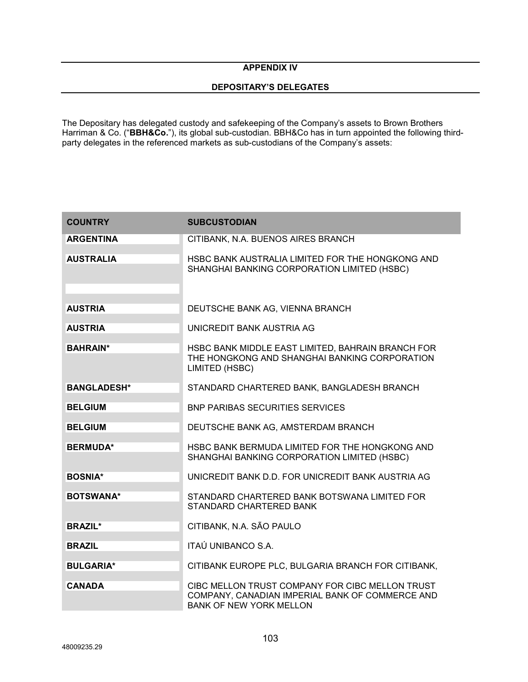# **APPENDIX IV**

## **DEPOSITARY'S DELEGATES**

The Depositary has delegated custody and safekeeping of the Company's assets to Brown Brothers Harriman & Co. ("**BBH&Co.**"), its global sub-custodian. BBH&Co has in turn appointed the following thirdparty delegates in the referenced markets as sub-custodians of the Company's assets:

| <b>COUNTRY</b>     | <b>SUBCUSTODIAN</b>                                                                                                                  |
|--------------------|--------------------------------------------------------------------------------------------------------------------------------------|
| <b>ARGENTINA</b>   | CITIBANK, N.A. BUENOS AIRES BRANCH                                                                                                   |
| <b>AUSTRALIA</b>   | HSBC BANK AUSTRALIA LIMITED FOR THE HONGKONG AND<br>SHANGHAI BANKING CORPORATION LIMITED (HSBC)                                      |
| <b>AUSTRIA</b>     | DEUTSCHE BANK AG, VIENNA BRANCH                                                                                                      |
| <b>AUSTRIA</b>     | UNICREDIT BANK AUSTRIA AG                                                                                                            |
| <b>BAHRAIN*</b>    | HSBC BANK MIDDLE EAST LIMITED, BAHRAIN BRANCH FOR<br>THE HONGKONG AND SHANGHAI BANKING CORPORATION<br>LIMITED (HSBC)                 |
| <b>BANGLADESH*</b> | STANDARD CHARTERED BANK, BANGLADESH BRANCH                                                                                           |
| <b>BELGIUM</b>     | <b>BNP PARIBAS SECURITIES SERVICES</b>                                                                                               |
| <b>BELGIUM</b>     | DEUTSCHE BANK AG, AMSTERDAM BRANCH                                                                                                   |
| <b>BERMUDA*</b>    | HSBC BANK BERMUDA LIMITED FOR THE HONGKONG AND<br>SHANGHAI BANKING CORPORATION LIMITED (HSBC)                                        |
| <b>BOSNIA*</b>     | UNICREDIT BANK D.D. FOR UNICREDIT BANK AUSTRIA AG                                                                                    |
| <b>BOTSWANA*</b>   | STANDARD CHARTERED BANK BOTSWANA LIMITED FOR<br>STANDARD CHARTERED BANK                                                              |
| <b>BRAZIL*</b>     | CITIBANK, N.A. SÃO PAULO                                                                                                             |
| <b>BRAZIL</b>      | ITAÚ UNIBANCO S.A.                                                                                                                   |
| <b>BULGARIA*</b>   | CITIBANK EUROPE PLC, BULGARIA BRANCH FOR CITIBANK,                                                                                   |
| <b>CANADA</b>      | CIBC MELLON TRUST COMPANY FOR CIBC MELLON TRUST<br>COMPANY, CANADIAN IMPERIAL BANK OF COMMERCE AND<br><b>BANK OF NEW YORK MELLON</b> |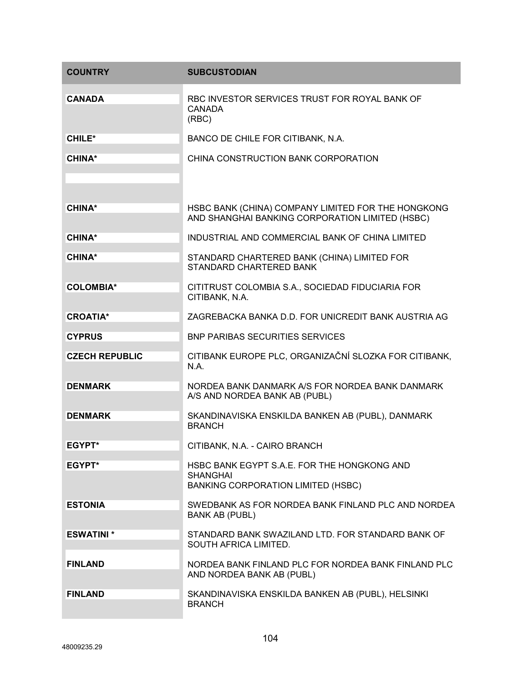| <b>COUNTRY</b>        | <b>SUBCUSTODIAN</b>                                                                                   |
|-----------------------|-------------------------------------------------------------------------------------------------------|
| <b>CANADA</b>         | RBC INVESTOR SERVICES TRUST FOR ROYAL BANK OF<br><b>CANADA</b><br>(RBC)                               |
| <b>CHILE*</b>         | BANCO DE CHILE FOR CITIBANK, N.A.                                                                     |
| <b>CHINA*</b>         | CHINA CONSTRUCTION BANK CORPORATION                                                                   |
|                       |                                                                                                       |
| <b>CHINA*</b>         | HSBC BANK (CHINA) COMPANY LIMITED FOR THE HONGKONG<br>AND SHANGHAI BANKING CORPORATION LIMITED (HSBC) |
| <b>CHINA*</b>         | INDUSTRIAL AND COMMERCIAL BANK OF CHINA LIMITED                                                       |
| <b>CHINA*</b>         | STANDARD CHARTERED BANK (CHINA) LIMITED FOR<br>STANDARD CHARTERED BANK                                |
| <b>COLOMBIA*</b>      | CITITRUST COLOMBIA S.A., SOCIEDAD FIDUCIARIA FOR<br>CITIBANK, N.A.                                    |
| <b>CROATIA*</b>       | ZAGREBACKA BANKA D.D. FOR UNICREDIT BANK AUSTRIA AG                                                   |
| <b>CYPRUS</b>         | <b>BNP PARIBAS SECURITIES SERVICES</b>                                                                |
| <b>CZECH REPUBLIC</b> | CITIBANK EUROPE PLC, ORGANIZAČNÍ SLOZKA FOR CITIBANK,<br>N.A.                                         |
| <b>DENMARK</b>        | NORDEA BANK DANMARK A/S FOR NORDEA BANK DANMARK<br>A/S AND NORDEA BANK AB (PUBL)                      |
| <b>DENMARK</b>        | SKANDINAVISKA ENSKILDA BANKEN AB (PUBL), DANMARK<br><b>BRANCH</b>                                     |
| <b>EGYPT*</b>         | CITIBANK, N.A. - CAIRO BRANCH                                                                         |
| EGYPT*                | HSBC BANK EGYPT S.A.E. FOR THE HONGKONG AND<br><b>SHANGHAI</b><br>BANKING CORPORATION LIMITED (HSBC)  |
| <b>ESTONIA</b>        | SWEDBANK AS FOR NORDEA BANK FINLAND PLC AND NORDEA<br><b>BANK AB (PUBL)</b>                           |
| <b>ESWATINI</b> *     | STANDARD BANK SWAZILAND LTD. FOR STANDARD BANK OF<br>SOUTH AFRICA LIMITED.                            |
| <b>FINLAND</b>        | NORDEA BANK FINLAND PLC FOR NORDEA BANK FINLAND PLC<br>AND NORDEA BANK AB (PUBL)                      |
| <b>FINLAND</b>        | SKANDINAVISKA ENSKILDA BANKEN AB (PUBL), HELSINKI<br><b>BRANCH</b>                                    |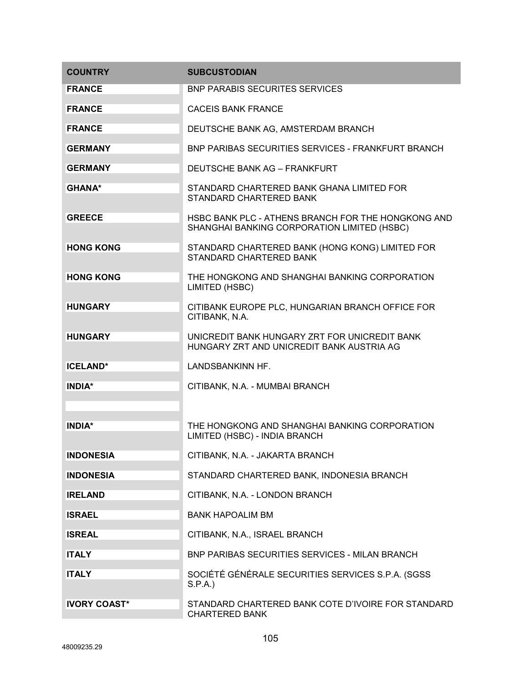| <b>COUNTRY</b>      | <b>SUBCUSTODIAN</b>                                                                               |
|---------------------|---------------------------------------------------------------------------------------------------|
| <b>FRANCE</b>       | <b>BNP PARABIS SECURITES SERVICES</b>                                                             |
| <b>FRANCE</b>       | <b>CACEIS BANK FRANCE</b>                                                                         |
| <b>FRANCE</b>       | DEUTSCHE BANK AG, AMSTERDAM BRANCH                                                                |
| <b>GERMANY</b>      | <b>BNP PARIBAS SECURITIES SERVICES - FRANKFURT BRANCH</b>                                         |
| <b>GERMANY</b>      | DEUTSCHE BANK AG - FRANKFURT                                                                      |
| <b>GHANA*</b>       | STANDARD CHARTERED BANK GHANA LIMITED FOR<br>STANDARD CHARTERED BANK                              |
| <b>GREECE</b>       | HSBC BANK PLC - ATHENS BRANCH FOR THE HONGKONG AND<br>SHANGHAI BANKING CORPORATION LIMITED (HSBC) |
| <b>HONG KONG</b>    | STANDARD CHARTERED BANK (HONG KONG) LIMITED FOR<br>STANDARD CHARTERED BANK                        |
| <b>HONG KONG</b>    | THE HONGKONG AND SHANGHAI BANKING CORPORATION<br>LIMITED (HSBC)                                   |
| <b>HUNGARY</b>      | CITIBANK EUROPE PLC, HUNGARIAN BRANCH OFFICE FOR<br>CITIBANK, N.A.                                |
| <b>HUNGARY</b>      | UNICREDIT BANK HUNGARY ZRT FOR UNICREDIT BANK<br>HUNGARY ZRT AND UNICREDIT BANK AUSTRIA AG        |
| <b>ICELAND*</b>     | LANDSBANKINN HF.                                                                                  |
| <b>INDIA*</b>       | CITIBANK, N.A. - MUMBAI BRANCH                                                                    |
| <b>INDIA*</b>       | THE HONGKONG AND SHANGHAI BANKING CORPORATION<br>LIMITED (HSBC) - INDIA BRANCH                    |
| <b>INDONESIA</b>    | CITIBANK, N.A. - JAKARTA BRANCH                                                                   |
| <b>INDONESIA</b>    | STANDARD CHARTERED BANK, INDONESIA BRANCH                                                         |
| <b>IRELAND</b>      | CITIBANK, N.A. - LONDON BRANCH                                                                    |
| <b>ISRAEL</b>       | <b>BANK HAPOALIM BM</b>                                                                           |
| <b>ISREAL</b>       | CITIBANK, N.A., ISRAEL BRANCH                                                                     |
| <b>ITALY</b>        | <b>BNP PARIBAS SECURITIES SERVICES - MILAN BRANCH</b>                                             |
| <b>ITALY</b>        | SOCIÉTÉ GÉNÉRALE SECURITIES SERVICES S.P.A. (SGSS<br>S.P.A.                                       |
| <b>IVORY COAST*</b> | STANDARD CHARTERED BANK COTE D'IVOIRE FOR STANDARD<br><b>CHARTERED BANK</b>                       |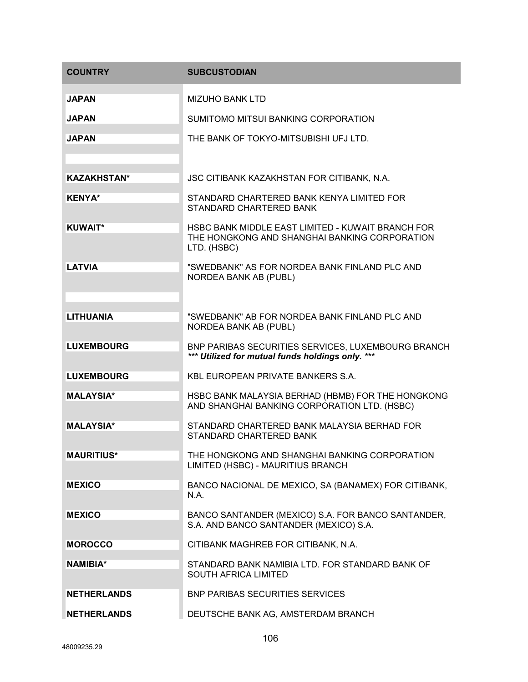| <b>COUNTRY</b>     | <b>SUBCUSTODIAN</b>                                                                                               |
|--------------------|-------------------------------------------------------------------------------------------------------------------|
| <b>JAPAN</b>       | <b>MIZUHO BANK LTD</b>                                                                                            |
| <b>JAPAN</b>       | SUMITOMO MITSUI BANKING CORPORATION                                                                               |
| <b>JAPAN</b>       | THE BANK OF TOKYO-MITSUBISHI UFJ LTD.                                                                             |
|                    |                                                                                                                   |
| <b>KAZAKHSTAN*</b> | JSC CITIBANK KAZAKHSTAN FOR CITIBANK, N.A.                                                                        |
| <b>KENYA*</b>      | STANDARD CHARTERED BANK KENYA LIMITED FOR<br>STANDARD CHARTERED BANK                                              |
| <b>KUWAIT*</b>     | HSBC BANK MIDDLE EAST LIMITED - KUWAIT BRANCH FOR<br>THE HONGKONG AND SHANGHAI BANKING CORPORATION<br>LTD. (HSBC) |
| <b>LATVIA</b>      | "SWEDBANK" AS FOR NORDEA BANK FINLAND PLC AND<br>NORDEA BANK AB (PUBL)                                            |
|                    |                                                                                                                   |
| <b>LITHUANIA</b>   | "SWEDBANK" AB FOR NORDEA BANK FINLAND PLC AND<br><b>NORDEA BANK AB (PUBL)</b>                                     |
| <b>LUXEMBOURG</b>  | BNP PARIBAS SECURITIES SERVICES, LUXEMBOURG BRANCH<br>*** Utilized for mutual funds holdings only. ***            |
| <b>LUXEMBOURG</b>  | KBL EUROPEAN PRIVATE BANKERS S.A.                                                                                 |
| <b>MALAYSIA*</b>   | HSBC BANK MALAYSIA BERHAD (HBMB) FOR THE HONGKONG<br>AND SHANGHAI BANKING CORPORATION LTD. (HSBC)                 |
| <b>MALAYSIA*</b>   | STANDARD CHARTERED BANK MALAYSIA BERHAD FOR<br>STANDARD CHARTERED BANK                                            |
| <b>MAURITIUS*</b>  | THE HONGKONG AND SHANGHAI BANKING CORPORATION<br>LIMITED (HSBC) - MAURITIUS BRANCH                                |
| <b>MEXICO</b>      | BANCO NACIONAL DE MEXICO, SA (BANAMEX) FOR CITIBANK,<br>N.A.                                                      |
| <b>MEXICO</b>      | BANCO SANTANDER (MEXICO) S.A. FOR BANCO SANTANDER,<br>S.A. AND BANCO SANTANDER (MEXICO) S.A.                      |
| <b>MOROCCO</b>     | CITIBANK MAGHREB FOR CITIBANK, N.A.                                                                               |
| <b>NAMIBIA*</b>    | STANDARD BANK NAMIBIA LTD. FOR STANDARD BANK OF<br><b>SOUTH AFRICA LIMITED</b>                                    |
| <b>NETHERLANDS</b> | <b>BNP PARIBAS SECURITIES SERVICES</b>                                                                            |
| <b>NETHERLANDS</b> | DEUTSCHE BANK AG, AMSTERDAM BRANCH                                                                                |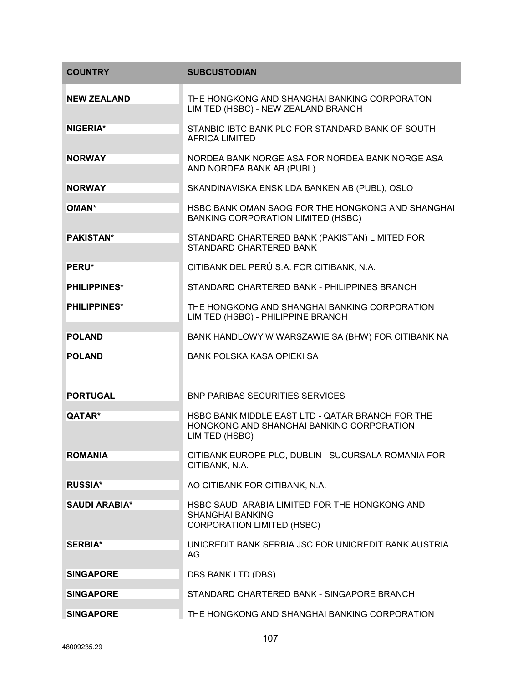| <b>COUNTRY</b>       | <b>SUBCUSTODIAN</b>                                                                                             |
|----------------------|-----------------------------------------------------------------------------------------------------------------|
| <b>NEW ZEALAND</b>   | THE HONGKONG AND SHANGHAI BANKING CORPORATON<br>LIMITED (HSBC) - NEW ZEALAND BRANCH                             |
| NIGERIA*             | STANBIC IBTC BANK PLC FOR STANDARD BANK OF SOUTH<br><b>AFRICA LIMITED</b>                                       |
| <b>NORWAY</b>        | NORDEA BANK NORGE ASA FOR NORDEA BANK NORGE ASA<br>AND NORDEA BANK AB (PUBL)                                    |
| <b>NORWAY</b>        | SKANDINAVISKA ENSKILDA BANKEN AB (PUBL), OSLO                                                                   |
| <b>OMAN*</b>         | HSBC BANK OMAN SAOG FOR THE HONGKONG AND SHANGHAI<br>BANKING CORPORATION LIMITED (HSBC)                         |
| <b>PAKISTAN*</b>     | STANDARD CHARTERED BANK (PAKISTAN) LIMITED FOR<br>STANDARD CHARTERED BANK                                       |
| PERU*                | CITIBANK DEL PERÚ S.A. FOR CITIBANK, N.A.                                                                       |
| <b>PHILIPPINES*</b>  | STANDARD CHARTERED BANK - PHILIPPINES BRANCH                                                                    |
| <b>PHILIPPINES*</b>  | THE HONGKONG AND SHANGHAI BANKING CORPORATION<br>LIMITED (HSBC) - PHILIPPINE BRANCH                             |
| <b>POLAND</b>        | BANK HANDLOWY W WARSZAWIE SA (BHW) FOR CITIBANK NA                                                              |
| <b>POLAND</b>        | <b>BANK POLSKA KASA OPIEKI SA</b>                                                                               |
| <b>PORTUGAL</b>      | <b>BNP PARIBAS SECURITIES SERVICES</b>                                                                          |
| OATAR*               | HSBC BANK MIDDLE EAST LTD - QATAR BRANCH FOR THE<br>HONGKONG AND SHANGHAI BANKING CORPORATION<br>LIMITED (HSBC) |
| <b>ROMANIA</b>       | CITIBANK EUROPE PLC, DUBLIN - SUCURSALA ROMANIA FOR<br>CITIBANK, N.A.                                           |
| <b>RUSSIA*</b>       | AO CITIBANK FOR CITIBANK, N.A.                                                                                  |
| <b>SAUDI ARABIA*</b> | HSBC SAUDI ARABIA LIMITED FOR THE HONGKONG AND<br><b>SHANGHAI BANKING</b><br><b>CORPORATION LIMITED (HSBC)</b>  |
| <b>SERBIA*</b>       | UNICREDIT BANK SERBIA JSC FOR UNICREDIT BANK AUSTRIA<br>AG                                                      |
| <b>SINGAPORE</b>     | DBS BANK LTD (DBS)                                                                                              |
| <b>SINGAPORE</b>     | STANDARD CHARTERED BANK - SINGAPORE BRANCH                                                                      |
| <b>SINGAPORE</b>     | THE HONGKONG AND SHANGHAI BANKING CORPORATION                                                                   |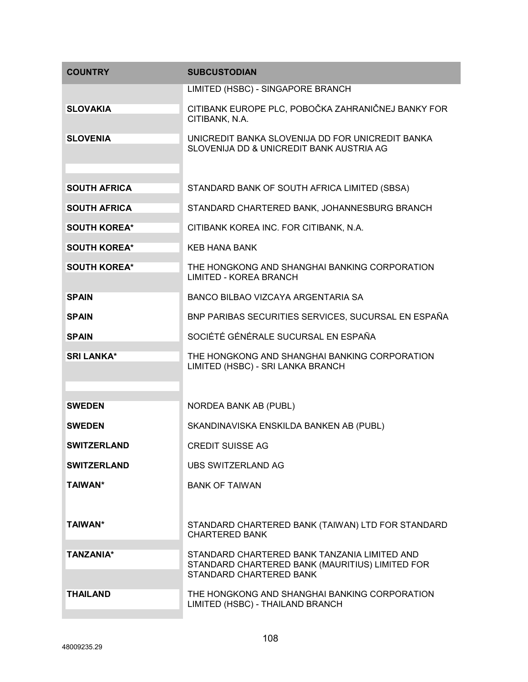| <b>COUNTRY</b>      | <b>SUBCUSTODIAN</b>                                                                                                        |
|---------------------|----------------------------------------------------------------------------------------------------------------------------|
|                     | LIMITED (HSBC) - SINGAPORE BRANCH                                                                                          |
| <b>SLOVAKIA</b>     | CITIBANK EUROPE PLC, POBOČKA ZAHRANIČNEJ BANKY FOR<br>CITIBANK, N.A.                                                       |
| <b>SLOVENIA</b>     | UNICREDIT BANKA SLOVENIJA DD FOR UNICREDIT BANKA<br>SLOVENIJA DD & UNICREDIT BANK AUSTRIA AG                               |
| <b>SOUTH AFRICA</b> |                                                                                                                            |
|                     | STANDARD BANK OF SOUTH AFRICA LIMITED (SBSA)                                                                               |
| <b>SOUTH AFRICA</b> | STANDARD CHARTERED BANK, JOHANNESBURG BRANCH                                                                               |
| <b>SOUTH KOREA*</b> | CITIBANK KOREA INC. FOR CITIBANK, N.A.                                                                                     |
| <b>SOUTH KOREA*</b> | <b>KEB HANA BANK</b>                                                                                                       |
| <b>SOUTH KOREA*</b> | THE HONGKONG AND SHANGHAI BANKING CORPORATION<br><b>LIMITED - KOREA BRANCH</b>                                             |
| <b>SPAIN</b>        | BANCO BILBAO VIZCAYA ARGENTARIA SA                                                                                         |
| <b>SPAIN</b>        | BNP PARIBAS SECURITIES SERVICES, SUCURSAL EN ESPAÑA                                                                        |
| <b>SPAIN</b>        | SOCIÉTÉ GÉNÉRALE SUCURSAL EN ESPAÑA                                                                                        |
| <b>SRI LANKA*</b>   | THE HONGKONG AND SHANGHAI BANKING CORPORATION<br>LIMITED (HSBC) - SRI LANKA BRANCH                                         |
|                     |                                                                                                                            |
| <b>SWEDEN</b>       | <b>NORDEA BANK AB (PUBL)</b>                                                                                               |
| <b>SWEDEN</b>       | SKANDINAVISKA ENSKILDA BANKEN AB (PUBL)                                                                                    |
| <b>SWITZERLAND</b>  | <b>CREDIT SUISSE AG</b>                                                                                                    |
| <b>SWITZERLAND</b>  | UBS SWITZERLAND AG                                                                                                         |
| <b>TAIWAN*</b>      | <b>BANK OF TAIWAN</b>                                                                                                      |
| <b>TAIWAN*</b>      | STANDARD CHARTERED BANK (TAIWAN) LTD FOR STANDARD<br><b>CHARTERED BANK</b>                                                 |
| <b>TANZANIA*</b>    | STANDARD CHARTERED BANK TANZANIA LIMITED AND<br>STANDARD CHARTERED BANK (MAURITIUS) LIMITED FOR<br>STANDARD CHARTERED BANK |
| <b>THAILAND</b>     | THE HONGKONG AND SHANGHAI BANKING CORPORATION<br>LIMITED (HSBC) - THAILAND BRANCH                                          |